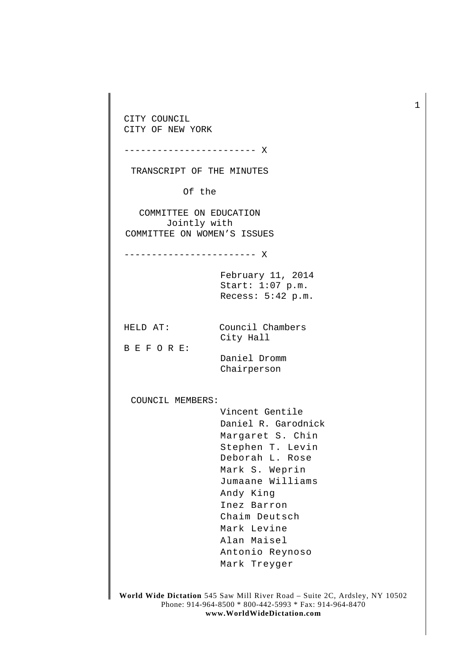CITY COUNCIL CITY OF NEW YORK

TRANSCRIPT OF THE MINUTES

------------------------ X

Of the

COMMITTEE ON EDUCATION Jointly with COMMITTEE ON WOMEN'S ISSUES

------------------------ X

February 11, 2014 Start: 1:07 p.m. Recess: 5:42 p.m.

HELD AT: Council Chambers

City Hall

B E F O R E:

Daniel Dromm Chairperson

COUNCIL MEMBERS:

Vincent Gentile Daniel R. Garodnick Margaret S. Chin Stephen T. Levin Deborah L. Rose Mark S. Weprin Jumaane Williams Andy King Inez Barron Chaim Deutsch Mark Levine Alan Maisel Antonio Reynoso Mark Treyger

**World Wide Dictation** 545 Saw Mill River Road – Suite 2C, Ardsley, NY 10502 Phone: 914-964-8500 \* 800-442-5993 \* Fax: 914-964-8470 **www.WorldWideDictation.com**

1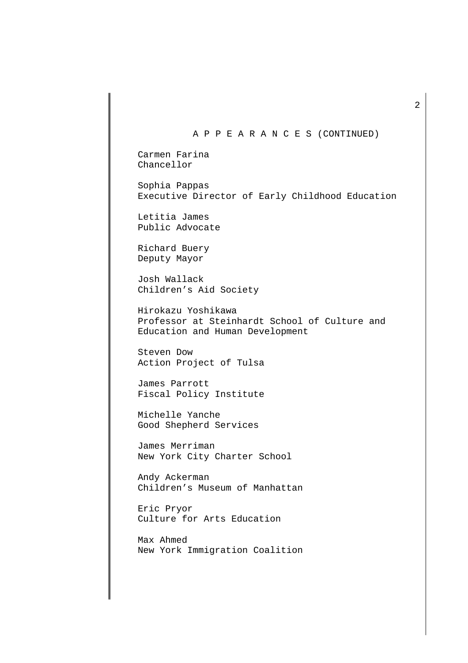## A P P E A R A N C E S (CONTINUED)

Carmen Farina Chancellor

Sophia Pappas Executive Director of Early Childhood Education

Letitia James Public Advocate

Richard Buery Deputy Mayor

Josh Wallack Children's Aid Society

Hirokazu Yoshikawa Professor at Steinhardt School of Culture and Education and Human Development

Steven Dow Action Project of Tulsa

James Parrott Fiscal Policy Institute

Michelle Yanche Good Shepherd Services

James Merriman New York City Charter School

Andy Ackerman Children's Museum of Manhattan

Eric Pryor Culture for Arts Education

Max Ahmed New York Immigration Coalition 2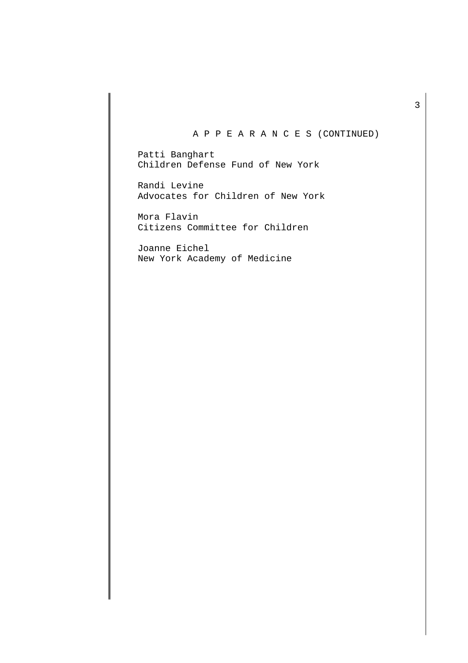# A P P E A R A N C E S (CONTINUED)

Patti Banghart Children Defense Fund of New York

Randi Levine Advocates for Children of New York

Mora Flavin Citizens Committee for Children

Joanne Eichel New York Academy of Medicine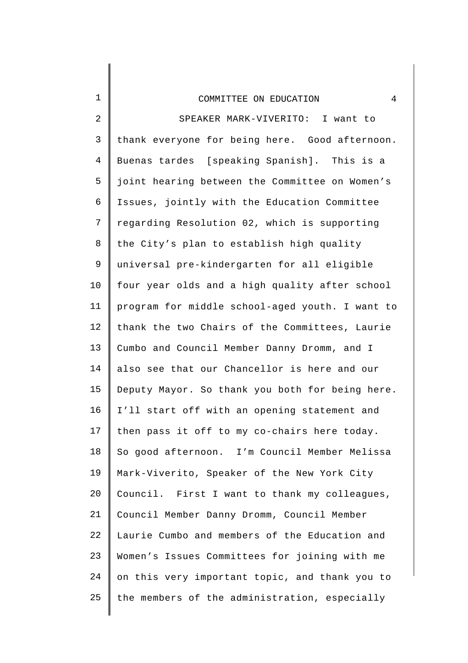| $\mathbf{1}$   | $\overline{4}$<br>COMMITTEE ON EDUCATION        |
|----------------|-------------------------------------------------|
| $\overline{c}$ | SPEAKER MARK-VIVERITO: I want to                |
| 3              | thank everyone for being here. Good afternoon.  |
| $\overline{4}$ | Buenas tardes [speaking Spanish]. This is a     |
| 5              | joint hearing between the Committee on Women's  |
| 6              | Issues, jointly with the Education Committee    |
| 7              | regarding Resolution 02, which is supporting    |
| 8              | the City's plan to establish high quality       |
| $\mathsf 9$    | universal pre-kindergarten for all eligible     |
| 10             | four year olds and a high quality after school  |
| 11             | program for middle school-aged youth. I want to |
| 12             | thank the two Chairs of the Committees, Laurie  |
| 13             | Cumbo and Council Member Danny Dromm, and I     |
| 14             | also see that our Chancellor is here and our    |
| 15             | Deputy Mayor. So thank you both for being here. |
| 16             | I'll start off with an opening statement and    |
| 17             | then pass it off to my co-chairs here today.    |
| 18             | So good afternoon. I'm Council Member Melissa   |
| 19             | Mark-Viverito, Speaker of the New York City     |
| 20             | Council. First I want to thank my colleagues,   |
| 21             | Council Member Danny Dromm, Council Member      |
| 22             | Laurie Cumbo and members of the Education and   |
| 23             | Women's Issues Committees for joining with me   |
| 24             | on this very important topic, and thank you to  |
| 25             | the members of the administration, especially   |
|                |                                                 |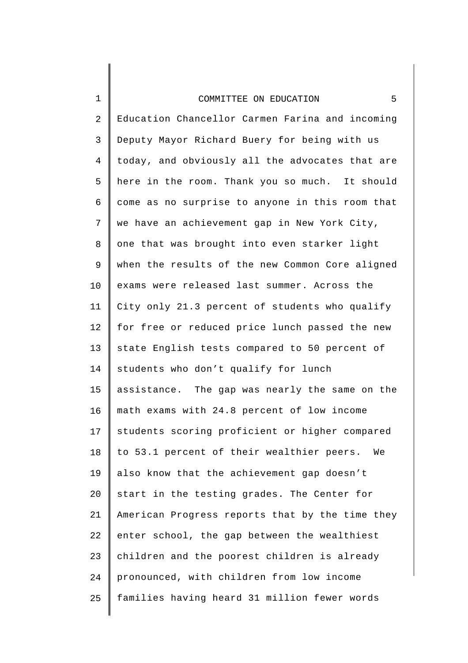1

2 3 4 5 6 7 8 9 10 11 12 13 14 15 16 17 18 19 20 21 22 23 24 25 Education Chancellor Carmen Farina and incoming Deputy Mayor Richard Buery for being with us today, and obviously all the advocates that are here in the room. Thank you so much. It should come as no surprise to anyone in this room that we have an achievement gap in New York City, one that was brought into even starker light when the results of the new Common Core aligned exams were released last summer. Across the City only 21.3 percent of students who qualify for free or reduced price lunch passed the new state English tests compared to 50 percent of students who don't qualify for lunch assistance. The gap was nearly the same on the math exams with 24.8 percent of low income students scoring proficient or higher compared to 53.1 percent of their wealthier peers. We also know that the achievement gap doesn't start in the testing grades. The Center for American Progress reports that by the time they enter school, the gap between the wealthiest children and the poorest children is already pronounced, with children from low income families having heard 31 million fewer words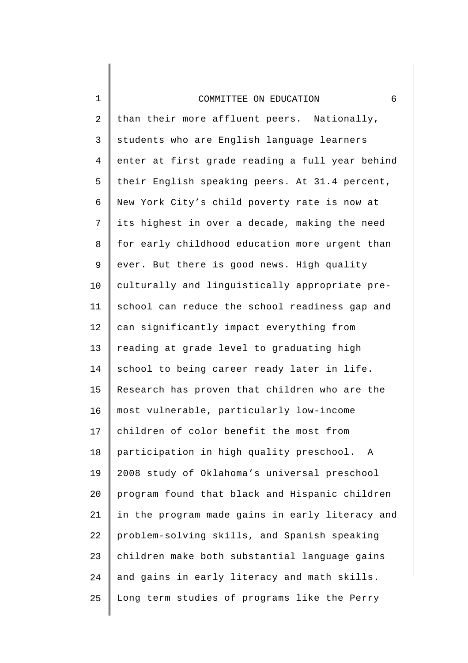1

2 3 4 5 6 7 8 9 10 11 12 13 14 15 16 17 18 19 20 21 22 23 24 25 than their more affluent peers. Nationally, students who are English language learners enter at first grade reading a full year behind their English speaking peers. At 31.4 percent, New York City's child poverty rate is now at its highest in over a decade, making the need for early childhood education more urgent than ever. But there is good news. High quality culturally and linguistically appropriate preschool can reduce the school readiness gap and can significantly impact everything from reading at grade level to graduating high school to being career ready later in life. Research has proven that children who are the most vulnerable, particularly low-income children of color benefit the most from participation in high quality preschool. A 2008 study of Oklahoma's universal preschool program found that black and Hispanic children in the program made gains in early literacy and problem-solving skills, and Spanish speaking children make both substantial language gains and gains in early literacy and math skills. Long term studies of programs like the Perry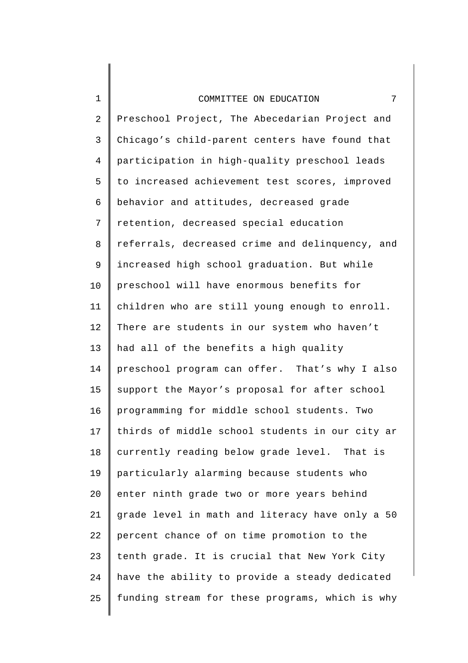1

2 3 4 5 6 7 8 9 10 11 12 13 14 15 16 17 18 19 20 21 22 23 24 25 Preschool Project, The Abecedarian Project and Chicago's child-parent centers have found that participation in high-quality preschool leads to increased achievement test scores, improved behavior and attitudes, decreased grade retention, decreased special education referrals, decreased crime and delinquency, and increased high school graduation. But while preschool will have enormous benefits for children who are still young enough to enroll. There are students in our system who haven't had all of the benefits a high quality preschool program can offer. That's why I also support the Mayor's proposal for after school programming for middle school students. Two thirds of middle school students in our city ar currently reading below grade level. That is particularly alarming because students who enter ninth grade two or more years behind grade level in math and literacy have only a 50 percent chance of on time promotion to the tenth grade. It is crucial that New York City have the ability to provide a steady dedicated funding stream for these programs, which is why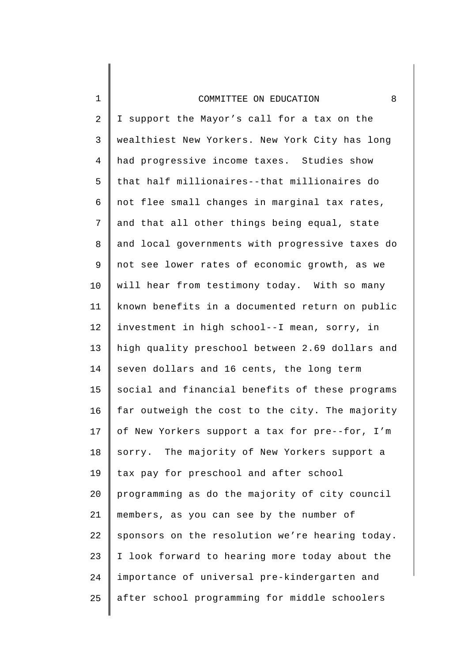1

2 3 4 5 6 7 8 9 10 11 12 13 14 15 16 17 18 19 20 21 22 23 24 25 I support the Mayor's call for a tax on the wealthiest New Yorkers. New York City has long had progressive income taxes. Studies show that half millionaires--that millionaires do not flee small changes in marginal tax rates, and that all other things being equal, state and local governments with progressive taxes do not see lower rates of economic growth, as we will hear from testimony today. With so many known benefits in a documented return on public investment in high school--I mean, sorry, in high quality preschool between 2.69 dollars and seven dollars and 16 cents, the long term social and financial benefits of these programs far outweigh the cost to the city. The majority of New Yorkers support a tax for pre--for, I'm sorry. The majority of New Yorkers support a tax pay for preschool and after school programming as do the majority of city council members, as you can see by the number of sponsors on the resolution we're hearing today. I look forward to hearing more today about the importance of universal pre-kindergarten and after school programming for middle schoolers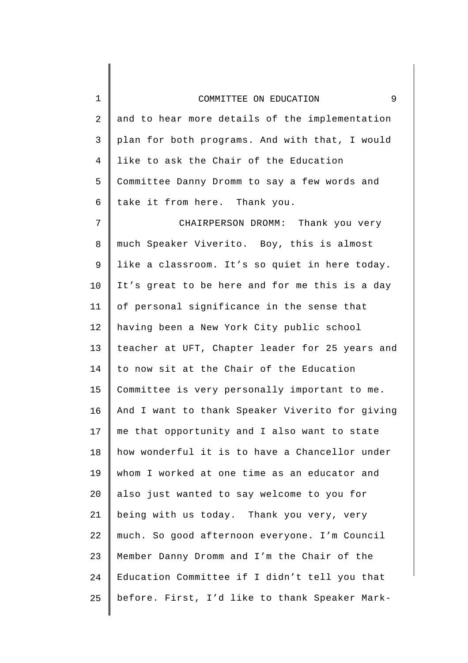| $\mathbf 1$ | 9<br>COMMITTEE ON EDUCATION                     |
|-------------|-------------------------------------------------|
| 2           | and to hear more details of the implementation  |
| 3           | plan for both programs. And with that, I would  |
| 4           | like to ask the Chair of the Education          |
| 5           | Committee Danny Dromm to say a few words and    |
| б           | take it from here. Thank you.                   |
| 7           | CHAIRPERSON DROMM: Thank you very               |
| 8           | much Speaker Viverito. Boy, this is almost      |
| $\mathsf 9$ | like a classroom. It's so quiet in here today.  |
| 10          | It's great to be here and for me this is a day  |
| 11          | of personal significance in the sense that      |
| 12          | having been a New York City public school       |
| 13          | teacher at UFT, Chapter leader for 25 years and |
| 14          | to now sit at the Chair of the Education        |
| 15          | Committee is very personally important to me.   |
| 16          | And I want to thank Speaker Viverito for giving |
| 17          | me that opportunity and I also want to state    |
| 18          | how wonderful it is to have a Chancellor under  |
| 19          | whom I worked at one time as an educator and    |
| 20          | also just wanted to say welcome to you for      |
| 21          | being with us today. Thank you very, very       |
| 22          | much. So good afternoon everyone. I'm Council   |
| 23          | Member Danny Dromm and I'm the Chair of the     |
| 24          | Education Committee if I didn't tell you that   |
| 25          | before. First, I'd like to thank Speaker Mark-  |
|             |                                                 |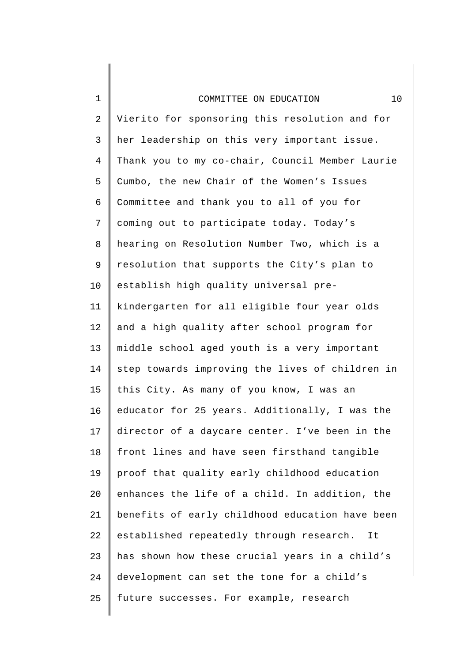1

2 3 4 5 6 7 8 9 10 11 12 13 14 15 16 17 18 19 20 21 22 23 24 25 Vierito for sponsoring this resolution and for her leadership on this very important issue. Thank you to my co-chair, Council Member Laurie Cumbo, the new Chair of the Women's Issues Committee and thank you to all of you for coming out to participate today. Today's hearing on Resolution Number Two, which is a resolution that supports the City's plan to establish high quality universal prekindergarten for all eligible four year olds and a high quality after school program for middle school aged youth is a very important step towards improving the lives of children in this City. As many of you know, I was an educator for 25 years. Additionally, I was the director of a daycare center. I've been in the front lines and have seen firsthand tangible proof that quality early childhood education enhances the life of a child. In addition, the benefits of early childhood education have been established repeatedly through research. It has shown how these crucial years in a child's development can set the tone for a child's future successes. For example, research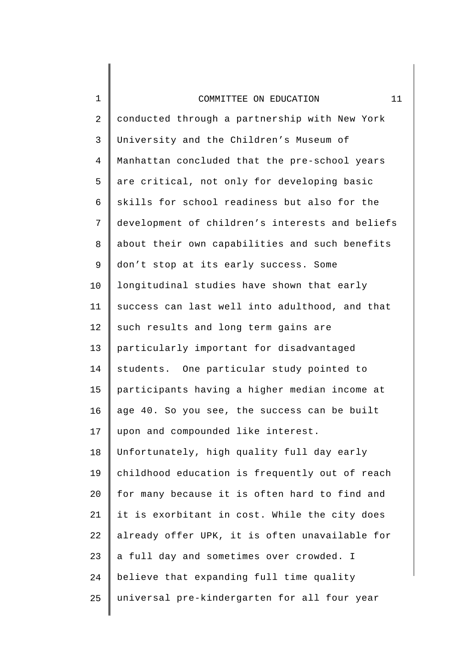1

2 3 4 5 6 7 8 9 10 11 12 13 14 15 16 17 18 19 20 21 22 23 24 25 conducted through a partnership with New York University and the Children's Museum of Manhattan concluded that the pre-school years are critical, not only for developing basic skills for school readiness but also for the development of children's interests and beliefs about their own capabilities and such benefits don't stop at its early success. Some longitudinal studies have shown that early success can last well into adulthood, and that such results and long term gains are particularly important for disadvantaged students. One particular study pointed to participants having a higher median income at age 40. So you see, the success can be built upon and compounded like interest. Unfortunately, high quality full day early childhood education is frequently out of reach for many because it is often hard to find and it is exorbitant in cost. While the city does already offer UPK, it is often unavailable for a full day and sometimes over crowded. I believe that expanding full time quality universal pre-kindergarten for all four year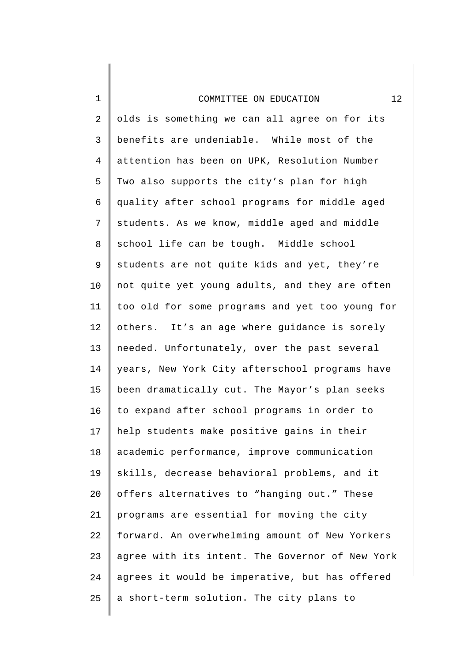1

2 3 4 5 6 7 8 9 10 11 12 13 14 15 16 17 18 19 20 21 22 23 24 25 olds is something we can all agree on for its benefits are undeniable. While most of the attention has been on UPK, Resolution Number Two also supports the city's plan for high quality after school programs for middle aged students. As we know, middle aged and middle school life can be tough. Middle school students are not quite kids and yet, they're not quite yet young adults, and they are often too old for some programs and yet too young for others. It's an age where guidance is sorely needed. Unfortunately, over the past several years, New York City afterschool programs have been dramatically cut. The Mayor's plan seeks to expand after school programs in order to help students make positive gains in their academic performance, improve communication skills, decrease behavioral problems, and it offers alternatives to "hanging out." These programs are essential for moving the city forward. An overwhelming amount of New Yorkers agree with its intent. The Governor of New York agrees it would be imperative, but has offered a short-term solution. The city plans to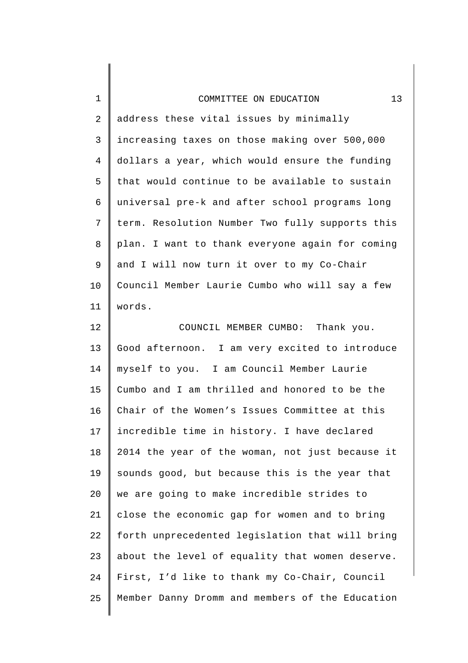1

2 3 4 5 6 7 8 9 10 11 address these vital issues by minimally increasing taxes on those making over 500,000 dollars a year, which would ensure the funding that would continue to be available to sustain universal pre-k and after school programs long term. Resolution Number Two fully supports this plan. I want to thank everyone again for coming and I will now turn it over to my Co-Chair Council Member Laurie Cumbo who will say a few words.

12 13 14 15 16 17 18 19 20 21 22 23 24 25 COUNCIL MEMBER CUMBO: Thank you. Good afternoon. I am very excited to introduce myself to you. I am Council Member Laurie Cumbo and I am thrilled and honored to be the Chair of the Women's Issues Committee at this incredible time in history. I have declared 2014 the year of the woman, not just because it sounds good, but because this is the year that we are going to make incredible strides to close the economic gap for women and to bring forth unprecedented legislation that will bring about the level of equality that women deserve. First, I'd like to thank my Co-Chair, Council Member Danny Dromm and members of the Education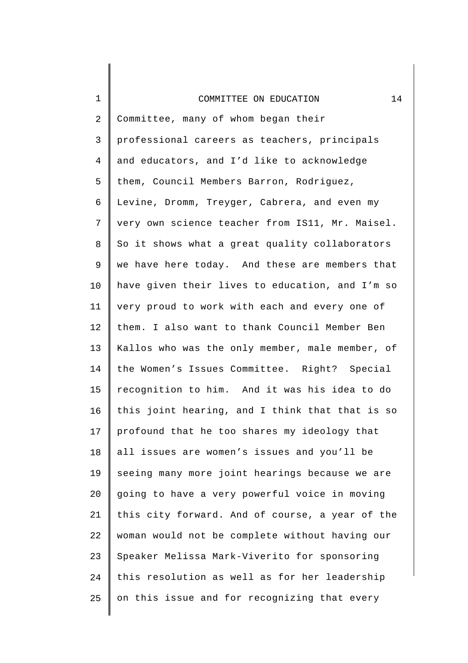1

2 3 4 5 6 7 8 9 10 11 12 13 14 15 16 17 18 19 20 21 22 23 24 25 Committee, many of whom began their professional careers as teachers, principals and educators, and I'd like to acknowledge them, Council Members Barron, Rodriguez, Levine, Dromm, Treyger, Cabrera, and even my very own science teacher from IS11, Mr. Maisel. So it shows what a great quality collaborators we have here today. And these are members that have given their lives to education, and I'm so very proud to work with each and every one of them. I also want to thank Council Member Ben Kallos who was the only member, male member, of the Women's Issues Committee. Right? Special recognition to him. And it was his idea to do this joint hearing, and I think that that is so profound that he too shares my ideology that all issues are women's issues and you'll be seeing many more joint hearings because we are going to have a very powerful voice in moving this city forward. And of course, a year of the woman would not be complete without having our Speaker Melissa Mark-Viverito for sponsoring this resolution as well as for her leadership on this issue and for recognizing that every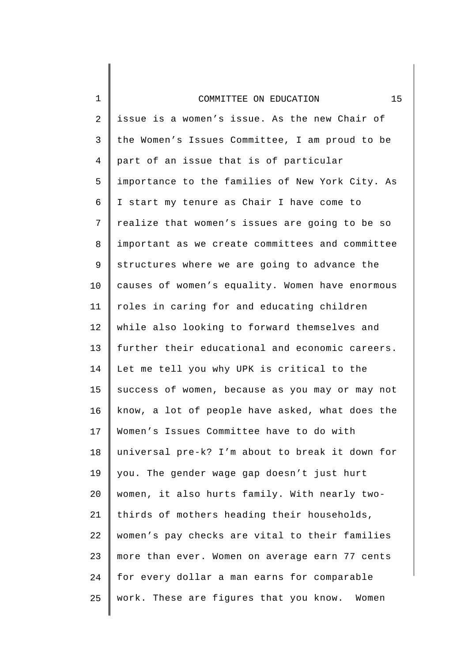1

2 3 4 5 6 7 8 9 10 11 12 13 14 15 16 17 18 19 20 21 22 23 24 25 issue is a women's issue. As the new Chair of the Women's Issues Committee, I am proud to be part of an issue that is of particular importance to the families of New York City. As I start my tenure as Chair I have come to realize that women's issues are going to be so important as we create committees and committee structures where we are going to advance the causes of women's equality. Women have enormous roles in caring for and educating children while also looking to forward themselves and further their educational and economic careers. Let me tell you why UPK is critical to the success of women, because as you may or may not know, a lot of people have asked, what does the Women's Issues Committee have to do with universal pre-k? I'm about to break it down for you. The gender wage gap doesn't just hurt women, it also hurts family. With nearly twothirds of mothers heading their households, women's pay checks are vital to their families more than ever. Women on average earn 77 cents for every dollar a man earns for comparable work. These are figures that you know. Women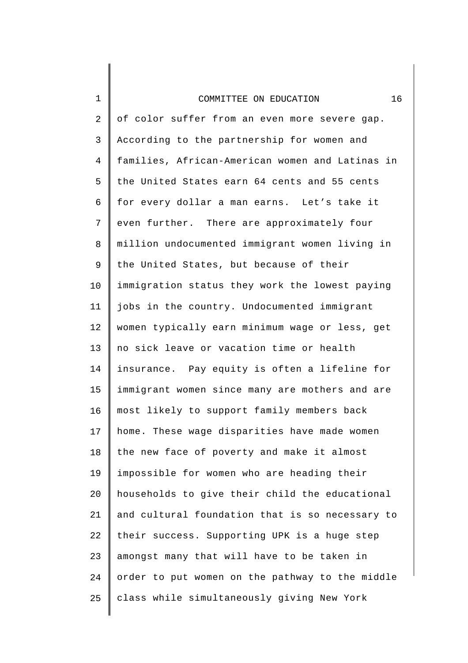1

2 3 4 5 6 7 8 9 10 11 12 13 14 15 16 17 18 19 20 21 22 23 24 25 of color suffer from an even more severe gap. According to the partnership for women and families, African-American women and Latinas in the United States earn 64 cents and 55 cents for every dollar a man earns. Let's take it even further. There are approximately four million undocumented immigrant women living in the United States, but because of their immigration status they work the lowest paying jobs in the country. Undocumented immigrant women typically earn minimum wage or less, get no sick leave or vacation time or health insurance. Pay equity is often a lifeline for immigrant women since many are mothers and are most likely to support family members back home. These wage disparities have made women the new face of poverty and make it almost impossible for women who are heading their households to give their child the educational and cultural foundation that is so necessary to their success. Supporting UPK is a huge step amongst many that will have to be taken in order to put women on the pathway to the middle class while simultaneously giving New York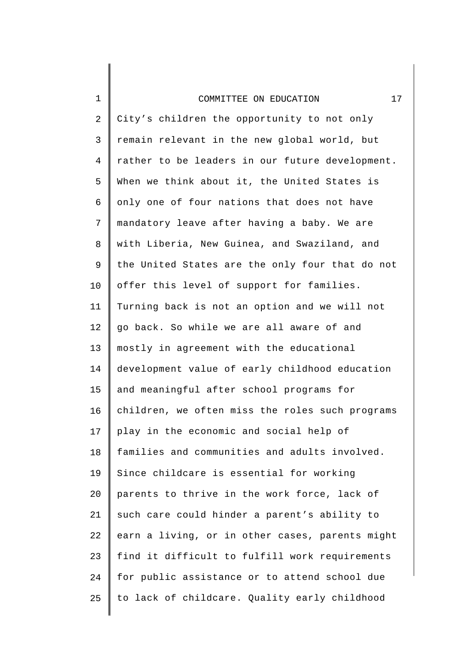1

2 3 4 5 6 7 8 9 10 11 12 13 14 15 16 17 18 19 20 21 22 23 24 25 City's children the opportunity to not only remain relevant in the new global world, but rather to be leaders in our future development. When we think about it, the United States is only one of four nations that does not have mandatory leave after having a baby. We are with Liberia, New Guinea, and Swaziland, and the United States are the only four that do not offer this level of support for families. Turning back is not an option and we will not go back. So while we are all aware of and mostly in agreement with the educational development value of early childhood education and meaningful after school programs for children, we often miss the roles such programs play in the economic and social help of families and communities and adults involved. Since childcare is essential for working parents to thrive in the work force, lack of such care could hinder a parent's ability to earn a living, or in other cases, parents might find it difficult to fulfill work requirements for public assistance or to attend school due to lack of childcare. Quality early childhood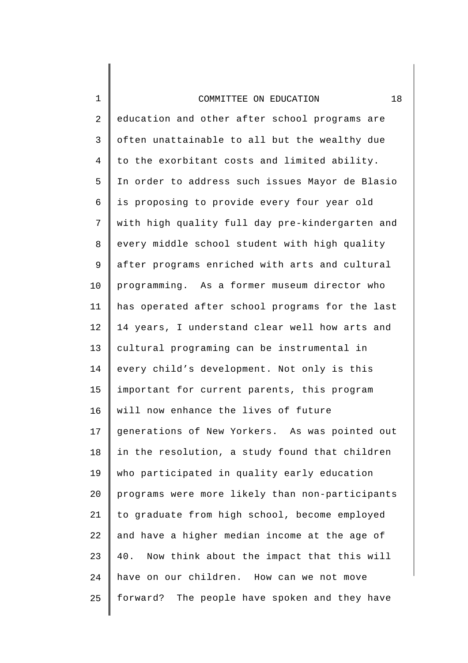1

2 3 4 5 6 7 8 9 10 11 12 13 14 15 16 17 18 19 20 21 22 23 24 25 education and other after school programs are often unattainable to all but the wealthy due to the exorbitant costs and limited ability. In order to address such issues Mayor de Blasio is proposing to provide every four year old with high quality full day pre-kindergarten and every middle school student with high quality after programs enriched with arts and cultural programming. As a former museum director who has operated after school programs for the last 14 years, I understand clear well how arts and cultural programing can be instrumental in every child's development. Not only is this important for current parents, this program will now enhance the lives of future generations of New Yorkers. As was pointed out in the resolution, a study found that children who participated in quality early education programs were more likely than non-participants to graduate from high school, become employed and have a higher median income at the age of 40. Now think about the impact that this will have on our children. How can we not move forward? The people have spoken and they have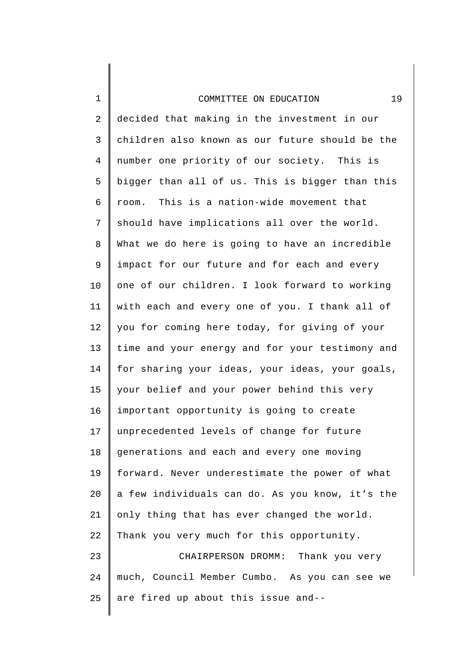1

25

2 3 4 5 6 7 8 9 10 11 12 13 14 15 16 17 18 19 20 21 22 23 24 decided that making in the investment in our children also known as our future should be the number one priority of our society. This is bigger than all of us. This is bigger than this room. This is a nation-wide movement that should have implications all over the world. What we do here is going to have an incredible impact for our future and for each and every one of our children. I look forward to working with each and every one of you. I thank all of you for coming here today, for giving of your time and your energy and for your testimony and for sharing your ideas, your ideas, your goals, your belief and your power behind this very important opportunity is going to create unprecedented levels of change for future generations and each and every one moving forward. Never underestimate the power of what a few individuals can do. As you know, it's the only thing that has ever changed the world. Thank you very much for this opportunity. CHAIRPERSON DROMM: Thank you very much, Council Member Cumbo. As you can see we

are fired up about this issue and--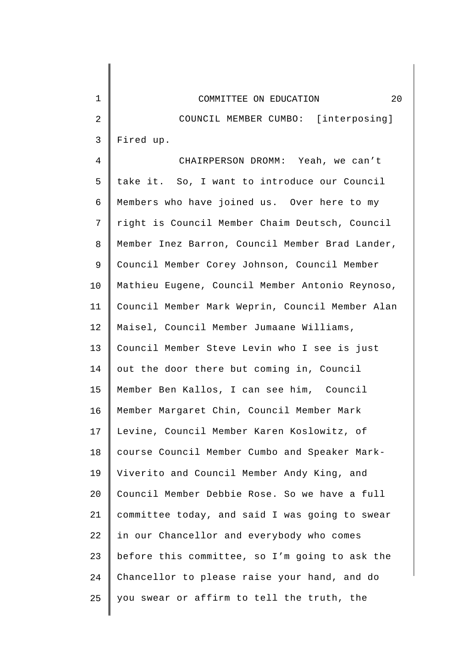| $\mathbf{1}$   | 20<br>COMMITTEE ON EDUCATION                    |
|----------------|-------------------------------------------------|
| $\sqrt{2}$     | COUNCIL MEMBER CUMBO: [interposing]             |
| 3              | Fired up.                                       |
| $\overline{4}$ | CHAIRPERSON DROMM: Yeah, we can't               |
| 5              | take it. So, I want to introduce our Council    |
| 6              | Members who have joined us. Over here to my     |
| 7              | right is Council Member Chaim Deutsch, Council  |
| 8              | Member Inez Barron, Council Member Brad Lander, |
| $\mathsf 9$    | Council Member Corey Johnson, Council Member    |
| 10             | Mathieu Eugene, Council Member Antonio Reynoso, |
| 11             | Council Member Mark Weprin, Council Member Alan |
| 12             | Maisel, Council Member Jumaane Williams,        |
| 13             | Council Member Steve Levin who I see is just    |
| 14             | out the door there but coming in, Council       |
| 15             | Member Ben Kallos, I can see him, Council       |
| 16             | Member Margaret Chin, Council Member Mark       |
| 17             | Levine, Council Member Karen Koslowitz, of      |
| 18             | course Council Member Cumbo and Speaker Mark-   |
| 19             | Viverito and Council Member Andy King, and      |
| 20             | Council Member Debbie Rose. So we have a full   |
| 21             | committee today, and said I was going to swear  |
| 22             | in our Chancellor and everybody who comes       |
| 23             | before this committee, so I'm going to ask the  |
| 24             | Chancellor to please raise your hand, and do    |
| 25             | you swear or affirm to tell the truth, the      |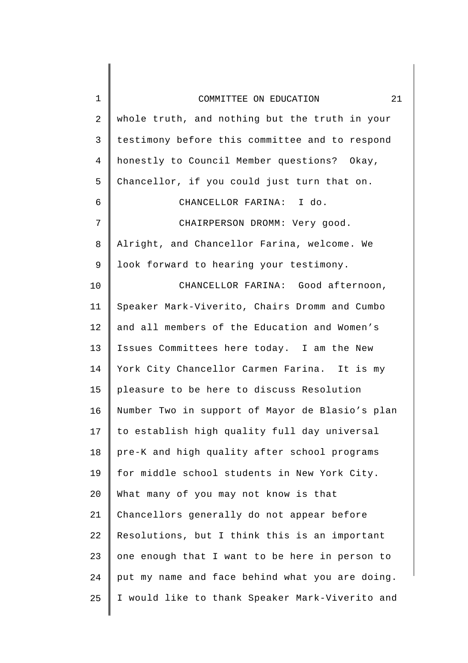| $\mathbf 1$    | 21<br>COMMITTEE ON EDUCATION                    |
|----------------|-------------------------------------------------|
| $\sqrt{2}$     | whole truth, and nothing but the truth in your  |
| 3              | testimony before this committee and to respond  |
| $\overline{4}$ | honestly to Council Member questions? Okay,     |
| 5              | Chancellor, if you could just turn that on.     |
| 6              | CHANCELLOR FARINA: I do.                        |
| 7              | CHAIRPERSON DROMM: Very good.                   |
| 8              | Alright, and Chancellor Farina, welcome. We     |
| $\mathsf 9$    | look forward to hearing your testimony.         |
| 10             | CHANCELLOR FARINA: Good afternoon,              |
| 11             | Speaker Mark-Viverito, Chairs Dromm and Cumbo   |
| 12             | and all members of the Education and Women's    |
| 13             | Issues Committees here today. I am the New      |
| 14             | York City Chancellor Carmen Farina. It is my    |
| 15             | pleasure to be here to discuss Resolution       |
| 16             | Number Two in support of Mayor de Blasio's plan |
| 17             | to establish high quality full day universal    |
| 18             | pre-K and high quality after school programs    |
| 19             | for middle school students in New York City.    |
| 20             | What many of you may not know is that           |
| 21             | Chancellors generally do not appear before      |
| 22             | Resolutions, but I think this is an important   |
| 23             | one enough that I want to be here in person to  |
| 24             | put my name and face behind what you are doing. |
| 25             | I would like to thank Speaker Mark-Viverito and |

 $\frac{1}{\sqrt{2}}$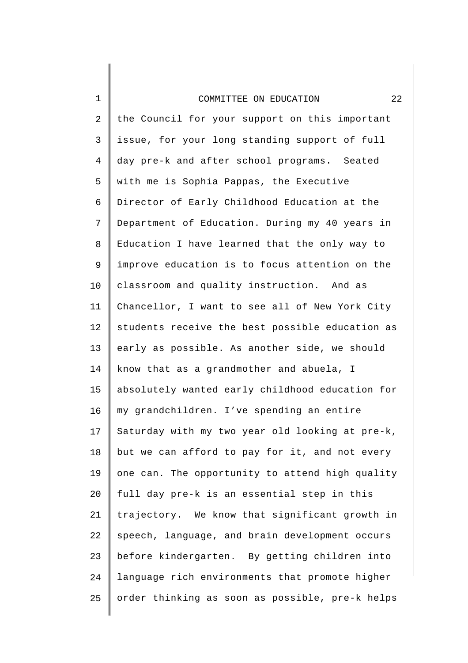1

2 3 4 5 6 7 8 9 10 11 12 13 14 15 16 17 18 19 20 21 22 23 24 25 the Council for your support on this important issue, for your long standing support of full day pre-k and after school programs. Seated with me is Sophia Pappas, the Executive Director of Early Childhood Education at the Department of Education. During my 40 years in Education I have learned that the only way to improve education is to focus attention on the classroom and quality instruction. And as Chancellor, I want to see all of New York City students receive the best possible education as early as possible. As another side, we should know that as a grandmother and abuela, I absolutely wanted early childhood education for my grandchildren. I've spending an entire Saturday with my two year old looking at pre-k, but we can afford to pay for it, and not every one can. The opportunity to attend high quality full day pre-k is an essential step in this trajectory. We know that significant growth in speech, language, and brain development occurs before kindergarten. By getting children into language rich environments that promote higher order thinking as soon as possible, pre-k helps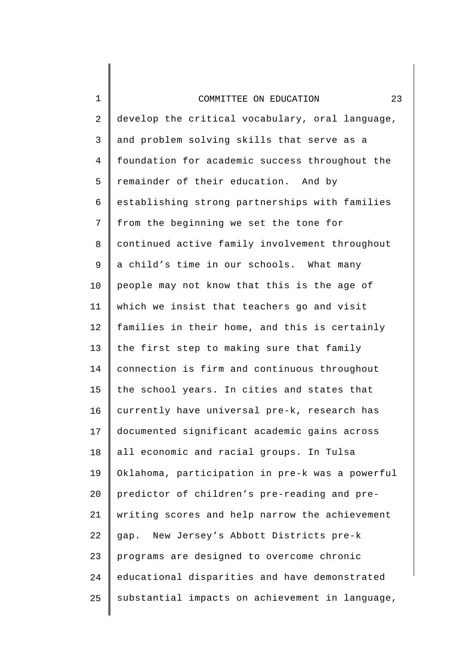1

2 3 4 5 6 7 8 9 10 11 12 13 14 15 16 17 18 19 20 21 22 23 24 25 develop the critical vocabulary, oral language, and problem solving skills that serve as a foundation for academic success throughout the remainder of their education. And by establishing strong partnerships with families from the beginning we set the tone for continued active family involvement throughout a child's time in our schools. What many people may not know that this is the age of which we insist that teachers go and visit families in their home, and this is certainly the first step to making sure that family connection is firm and continuous throughout the school years. In cities and states that currently have universal pre-k, research has documented significant academic gains across all economic and racial groups. In Tulsa Oklahoma, participation in pre-k was a powerful predictor of children's pre-reading and prewriting scores and help narrow the achievement gap. New Jersey's Abbott Districts pre-k programs are designed to overcome chronic educational disparities and have demonstrated substantial impacts on achievement in language,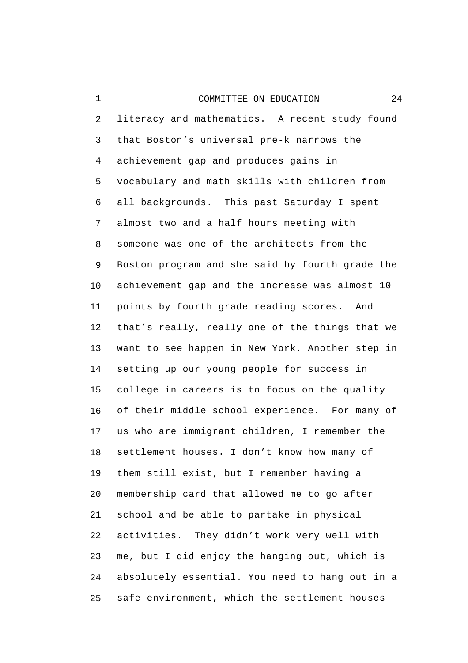1

2 3 4 5 6 7 8 9 10 11 12 13 14 15 16 17 18 19 20 21 22 23 24 25 literacy and mathematics. A recent study found that Boston's universal pre-k narrows the achievement gap and produces gains in vocabulary and math skills with children from all backgrounds. This past Saturday I spent almost two and a half hours meeting with someone was one of the architects from the Boston program and she said by fourth grade the achievement gap and the increase was almost 10 points by fourth grade reading scores. And that's really, really one of the things that we want to see happen in New York. Another step in setting up our young people for success in college in careers is to focus on the quality of their middle school experience. For many of us who are immigrant children, I remember the settlement houses. I don't know how many of them still exist, but I remember having a membership card that allowed me to go after school and be able to partake in physical activities. They didn't work very well with me, but I did enjoy the hanging out, which is absolutely essential. You need to hang out in a safe environment, which the settlement houses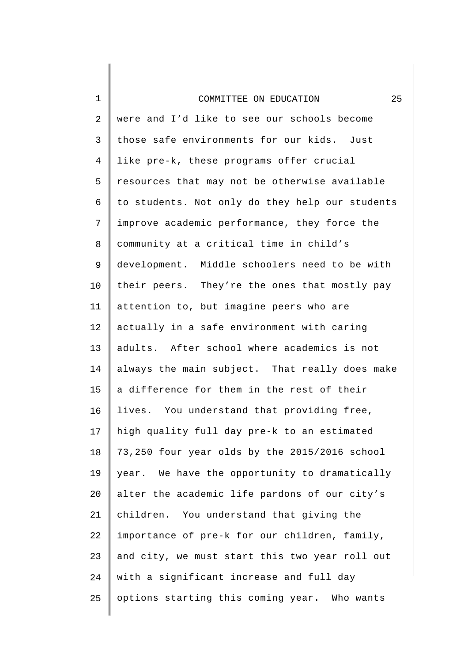1

2 3 4 5 6 7 8 9 10 11 12 13 14 15 16 17 18 19 20 21 22 23 24 25 were and I'd like to see our schools become those safe environments for our kids. Just like pre-k, these programs offer crucial resources that may not be otherwise available to students. Not only do they help our students improve academic performance, they force the community at a critical time in child's development. Middle schoolers need to be with their peers. They're the ones that mostly pay attention to, but imagine peers who are actually in a safe environment with caring adults. After school where academics is not always the main subject. That really does make a difference for them in the rest of their lives. You understand that providing free, high quality full day pre-k to an estimated 73,250 four year olds by the 2015/2016 school year. We have the opportunity to dramatically alter the academic life pardons of our city's children. You understand that giving the importance of pre-k for our children, family, and city, we must start this two year roll out with a significant increase and full day options starting this coming year. Who wants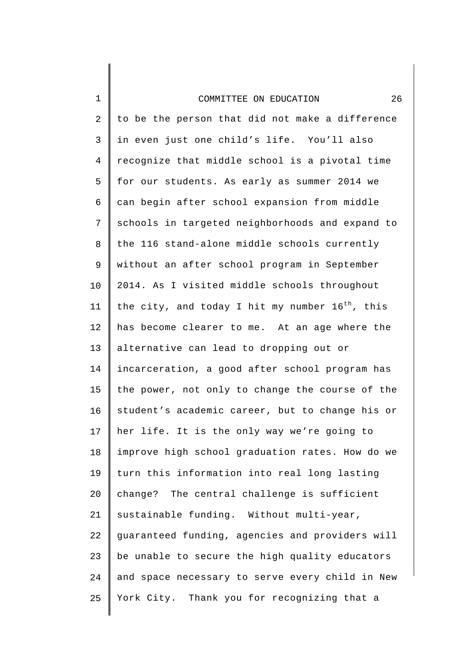1

2 3 4 5 6 7 8 9 10 11 12 13 14 15 16 17 18 19 20 21 22 23 24 25 to be the person that did not make a difference in even just one child's life. You'll also recognize that middle school is a pivotal time for our students. As early as summer 2014 we can begin after school expansion from middle schools in targeted neighborhoods and expand to the 116 stand-alone middle schools currently without an after school program in September 2014. As I visited middle schools throughout the city, and today I hit my number  $16^{th}$ , this has become clearer to me. At an age where the alternative can lead to dropping out or incarceration, a good after school program has the power, not only to change the course of the student's academic career, but to change his or her life. It is the only way we're going to improve high school graduation rates. How do we turn this information into real long lasting change? The central challenge is sufficient sustainable funding. Without multi-year, guaranteed funding, agencies and providers will be unable to secure the high quality educators and space necessary to serve every child in New York City. Thank you for recognizing that a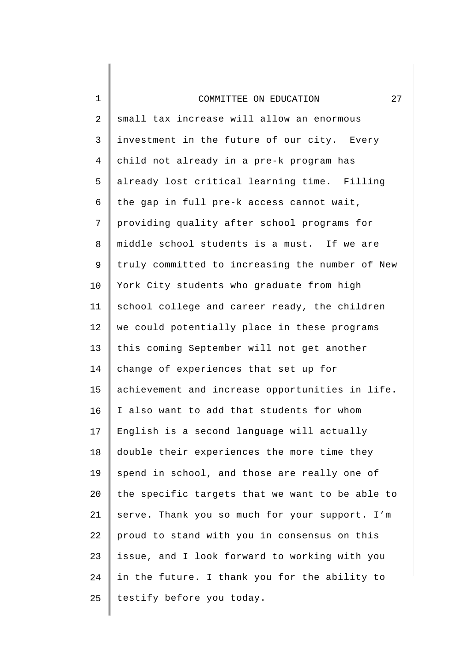1

2 3 4 5 6 7 8 9 10 11 12 13 14 15 16 17 18 19 20 21 22 23 24 25 small tax increase will allow an enormous investment in the future of our city. Every child not already in a pre-k program has already lost critical learning time. Filling the gap in full pre-k access cannot wait, providing quality after school programs for middle school students is a must. If we are truly committed to increasing the number of New York City students who graduate from high school college and career ready, the children we could potentially place in these programs this coming September will not get another change of experiences that set up for achievement and increase opportunities in life. I also want to add that students for whom English is a second language will actually double their experiences the more time they spend in school, and those are really one of the specific targets that we want to be able to serve. Thank you so much for your support. I'm proud to stand with you in consensus on this issue, and I look forward to working with you in the future. I thank you for the ability to testify before you today.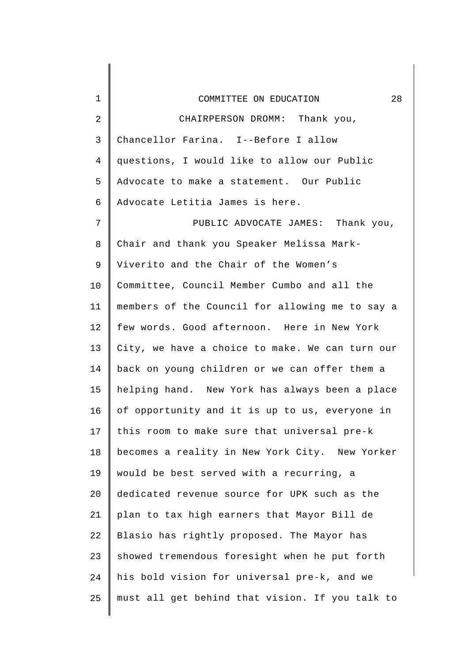| $\mathbf 1$    | 28<br>COMMITTEE ON EDUCATION                    |
|----------------|-------------------------------------------------|
| $\overline{2}$ | CHAIRPERSON DROMM: Thank you,                   |
| $\mathsf 3$    | Chancellor Farina. I--Before I allow            |
| $\overline{4}$ | questions, I would like to allow our Public     |
| 5              | Advocate to make a statement. Our Public        |
| 6              | Advocate Letitia James is here.                 |
| 7              | PUBLIC ADVOCATE JAMES: Thank you,               |
| 8              | Chair and thank you Speaker Melissa Mark-       |
| 9              | Viverito and the Chair of the Women's           |
| 10             | Committee, Council Member Cumbo and all the     |
| 11             | members of the Council for allowing me to say a |
| 12             | few words. Good afternoon. Here in New York     |
| 13             | City, we have a choice to make. We can turn our |
| 14             | back on young children or we can offer them a   |
| 15             | helping hand. New York has always been a place  |
| 16             | of opportunity and it is up to us, everyone in  |
| 17             | this room to make sure that universal pre-k     |
| 18             | becomes a reality in New York City. New Yorker  |
| 19             | would be best served with a recurring, a        |
| 20             | dedicated revenue source for UPK such as the    |
| 21             | plan to tax high earners that Mayor Bill de     |
| 22             | Blasio has rightly proposed. The Mayor has      |
| 23             | showed tremendous foresight when he put forth   |
| 24             | his bold vision for universal pre-k, and we     |
| 25             | must all get behind that vision. If you talk to |
|                |                                                 |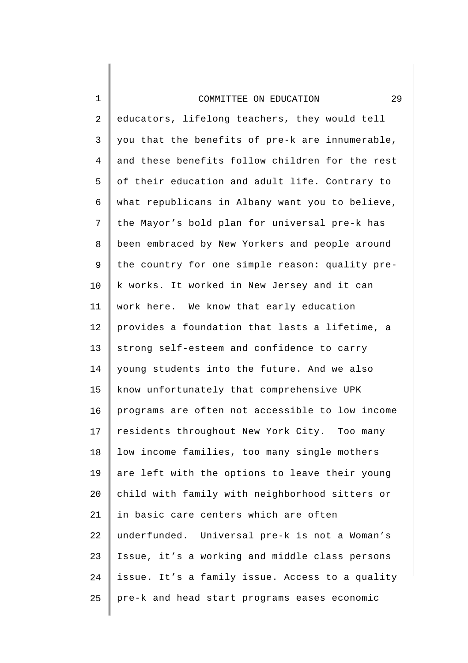1

2 3 4 5 6 7 8 9 10 11 12 13 14 15 16 17 18 19 20 21 22 23 24 25 educators, lifelong teachers, they would tell you that the benefits of pre-k are innumerable, and these benefits follow children for the rest of their education and adult life. Contrary to what republicans in Albany want you to believe, the Mayor's bold plan for universal pre-k has been embraced by New Yorkers and people around the country for one simple reason: quality prek works. It worked in New Jersey and it can work here. We know that early education provides a foundation that lasts a lifetime, a strong self-esteem and confidence to carry young students into the future. And we also know unfortunately that comprehensive UPK programs are often not accessible to low income residents throughout New York City. Too many low income families, too many single mothers are left with the options to leave their young child with family with neighborhood sitters or in basic care centers which are often underfunded. Universal pre-k is not a Woman's Issue, it's a working and middle class persons issue. It's a family issue. Access to a quality pre-k and head start programs eases economic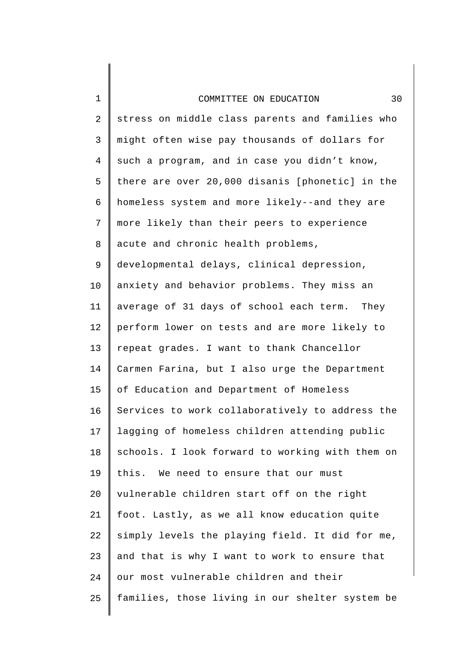1

2 3 4 5 6 7 8 9 10 11 12 13 14 15 16 17 18 19 20 21 22 23 24 25 stress on middle class parents and families who might often wise pay thousands of dollars for such a program, and in case you didn't know, there are over 20,000 disanis [phonetic] in the homeless system and more likely--and they are more likely than their peers to experience acute and chronic health problems, developmental delays, clinical depression, anxiety and behavior problems. They miss an average of 31 days of school each term. They perform lower on tests and are more likely to repeat grades. I want to thank Chancellor Carmen Farina, but I also urge the Department of Education and Department of Homeless Services to work collaboratively to address the lagging of homeless children attending public schools. I look forward to working with them on this. We need to ensure that our must vulnerable children start off on the right foot. Lastly, as we all know education quite simply levels the playing field. It did for me, and that is why I want to work to ensure that our most vulnerable children and their families, those living in our shelter system be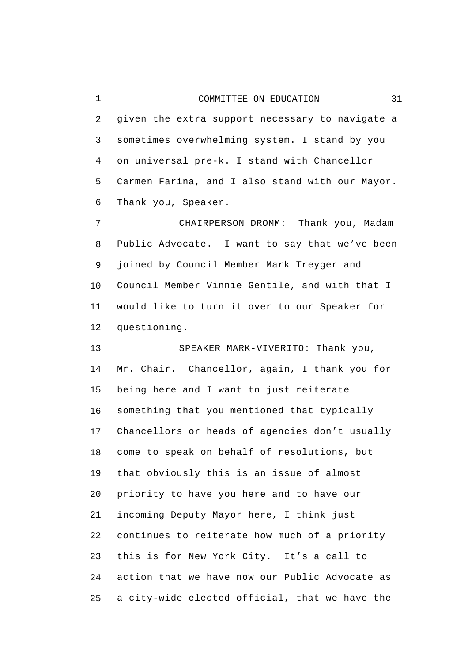| $\mathbf 1$    | 31<br>COMMITTEE ON EDUCATION                    |  |
|----------------|-------------------------------------------------|--|
| $\overline{2}$ | given the extra support necessary to navigate a |  |
| 3              | sometimes overwhelming system. I stand by you   |  |
| $\overline{4}$ | on universal pre-k. I stand with Chancellor     |  |
| 5              | Carmen Farina, and I also stand with our Mayor. |  |
| 6              | Thank you, Speaker.                             |  |
| 7              | CHAIRPERSON DROMM: Thank you, Madam             |  |
| 8              | Public Advocate. I want to say that we've been  |  |
| 9              | joined by Council Member Mark Treyger and       |  |
| 10             | Council Member Vinnie Gentile, and with that I  |  |
| 11             | would like to turn it over to our Speaker for   |  |
| 12             | questioning.                                    |  |
| 13             | SPEAKER MARK-VIVERITO: Thank you,               |  |
| 14             | Mr. Chair. Chancellor, again, I thank you for   |  |
| 15             | being here and I want to just reiterate         |  |
| 16             | something that you mentioned that typically     |  |
| 17             | Chancellors or heads of agencies don't usually  |  |
| 18             | come to speak on behalf of resolutions, but     |  |
| 19             | that obviously this is an issue of almost       |  |
| 20             | priority to have you here and to have our       |  |
| 21             | incoming Deputy Mayor here, I think just        |  |
| 22             | continues to reiterate how much of a priority   |  |
| 23             | this is for New York City. It's a call to       |  |
| 24             | action that we have now our Public Advocate as  |  |
| 25             | a city-wide elected official, that we have the  |  |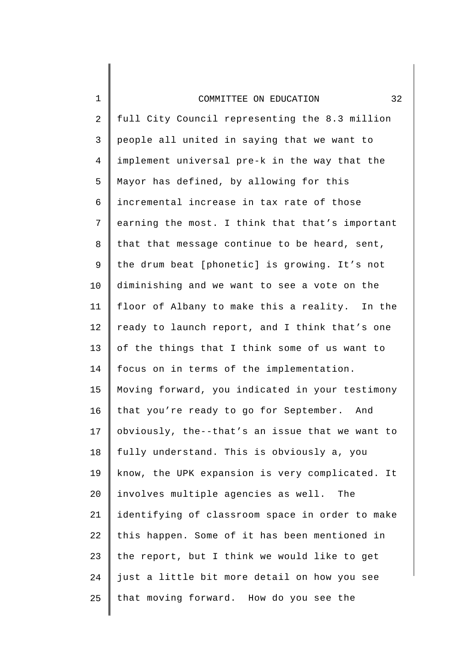1

2 3 4 5 6 7 8 9 10 11 12 13 14 15 16 17 18 19 20 21 22 23 24 25 full City Council representing the 8.3 million people all united in saying that we want to implement universal pre-k in the way that the Mayor has defined, by allowing for this incremental increase in tax rate of those earning the most. I think that that's important that that message continue to be heard, sent, the drum beat [phonetic] is growing. It's not diminishing and we want to see a vote on the floor of Albany to make this a reality. In the ready to launch report, and I think that's one of the things that I think some of us want to focus on in terms of the implementation. Moving forward, you indicated in your testimony that you're ready to go for September. And obviously, the--that's an issue that we want to fully understand. This is obviously a, you know, the UPK expansion is very complicated. It involves multiple agencies as well. The identifying of classroom space in order to make this happen. Some of it has been mentioned in the report, but I think we would like to get just a little bit more detail on how you see that moving forward. How do you see the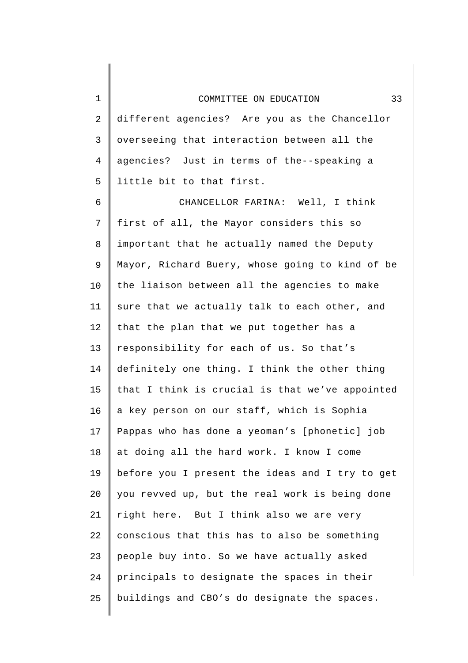| $\mathbf 1$    | 33<br>COMMITTEE ON EDUCATION                    |
|----------------|-------------------------------------------------|
| $\overline{2}$ | different agencies? Are you as the Chancellor   |
| 3              | overseeing that interaction between all the     |
| $\overline{4}$ | agencies? Just in terms of the--speaking a      |
| 5              | little bit to that first.                       |
| 6              | CHANCELLOR FARINA: Well, I think                |
| 7              | first of all, the Mayor considers this so       |
| 8              | important that he actually named the Deputy     |
| 9              | Mayor, Richard Buery, whose going to kind of be |
| 10             | the liaison between all the agencies to make    |
| 11             | sure that we actually talk to each other, and   |
| 12             | that the plan that we put together has a        |
| 13             | responsibility for each of us. So that's        |
| 14             | definitely one thing. I think the other thing   |
| 15             | that I think is crucial is that we've appointed |
| 16             | a key person on our staff, which is Sophia      |
| 17             | Pappas who has done a yeoman's [phonetic] job   |
| 18             | at doing all the hard work. I know I come       |
| 19             | before you I present the ideas and I try to get |
| 20             | you revved up, but the real work is being done  |
| 21             | right here. But I think also we are very        |
| 22             | conscious that this has to also be something    |
| 23             | people buy into. So we have actually asked      |
| 24             | principals to designate the spaces in their     |
| 25             | buildings and CBO's do designate the spaces.    |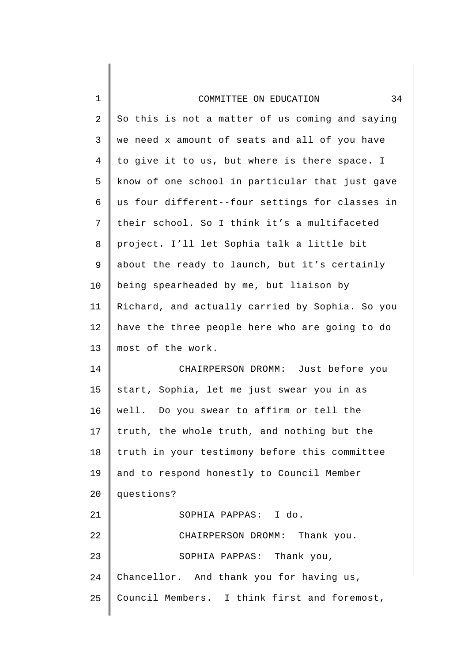| 1              | 34<br>COMMITTEE ON EDUCATION                    |
|----------------|-------------------------------------------------|
| $\overline{2}$ | So this is not a matter of us coming and saying |
| 3              | we need x amount of seats and all of you have   |
| $\overline{4}$ | to give it to us, but where is there space. I   |
| 5              | know of one school in particular that just gave |
| 6              | us four different--four settings for classes in |
| 7              | their school. So I think it's a multifaceted    |
| $8\,$          | project. I'll let Sophia talk a little bit      |
| $\mathsf 9$    | about the ready to launch, but it's certainly   |
| 10             | being spearheaded by me, but liaison by         |
| 11             | Richard, and actually carried by Sophia. So you |
| 12             | have the three people here who are going to do  |
| 13             | most of the work.                               |
| 14             | CHAIRPERSON DROMM: Just before you              |
| 15             | start, Sophia, let me just swear you in as      |
| 16             | well. Do you swear to affirm or tell the        |
| 17             | truth, the whole truth, and nothing but the     |
| 18             | truth in your testimony before this committee   |
| 19             | and to respond honestly to Council Member       |
| 20             | questions?                                      |
| 21             | SOPHIA PAPPAS: I do.                            |
| 22             | CHAIRPERSON DROMM: Thank you.                   |
| 23             | SOPHIA PAPPAS: Thank you,                       |
| 24             | Chancellor. And thank you for having us,        |
| 25             | Council Members. I think first and foremost,    |
|                |                                                 |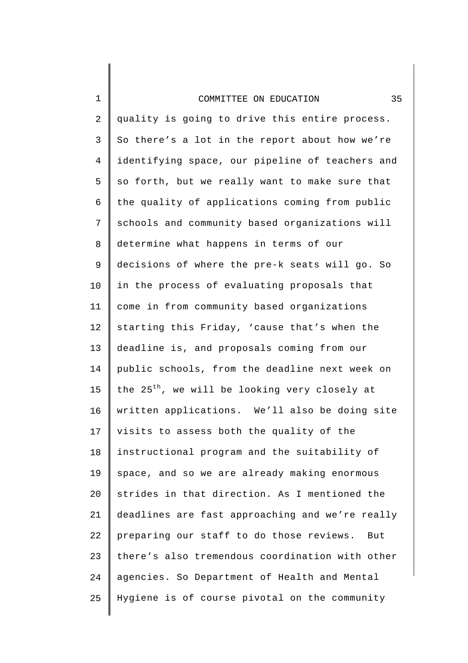1

2 3 4 5 6 7 8 9 10 11 12 13 14 15 16 17 18 19 20 21 22 23 24 25 quality is going to drive this entire process. So there's a lot in the report about how we're identifying space, our pipeline of teachers and so forth, but we really want to make sure that the quality of applications coming from public schools and community based organizations will determine what happens in terms of our decisions of where the pre-k seats will go. So in the process of evaluating proposals that come in from community based organizations starting this Friday, 'cause that's when the deadline is, and proposals coming from our public schools, from the deadline next week on the  $25<sup>th</sup>$ , we will be looking very closely at written applications. We'll also be doing site visits to assess both the quality of the instructional program and the suitability of space, and so we are already making enormous strides in that direction. As I mentioned the deadlines are fast approaching and we're really preparing our staff to do those reviews. But there's also tremendous coordination with other agencies. So Department of Health and Mental Hygiene is of course pivotal on the community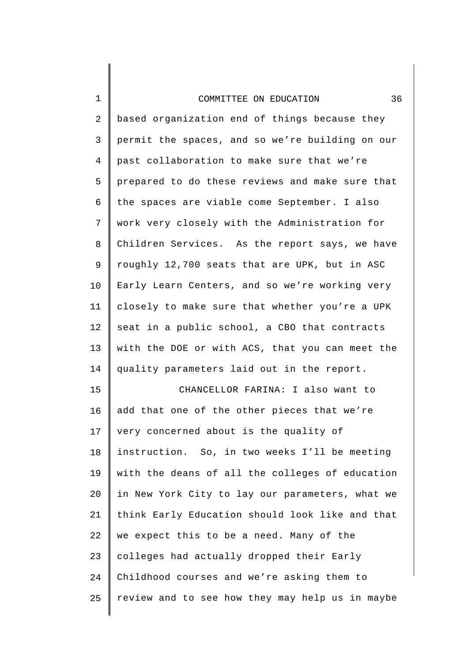1

2 3 4 5 6 7 8 9 10 11 12 13 14 15 based organization end of things because they permit the spaces, and so we're building on our past collaboration to make sure that we're prepared to do these reviews and make sure that the spaces are viable come September. I also work very closely with the Administration for Children Services. As the report says, we have roughly 12,700 seats that are UPK, but in ASC Early Learn Centers, and so we're working very closely to make sure that whether you're a UPK seat in a public school, a CBO that contracts with the DOE or with ACS, that you can meet the quality parameters laid out in the report. CHANCELLOR FARINA: I also want to

16 17 18 19 20 21 22 23 24 25 add that one of the other pieces that we're very concerned about is the quality of instruction. So, in two weeks I'll be meeting with the deans of all the colleges of education in New York City to lay our parameters, what we think Early Education should look like and that we expect this to be a need. Many of the colleges had actually dropped their Early Childhood courses and we're asking them to review and to see how they may help us in maybe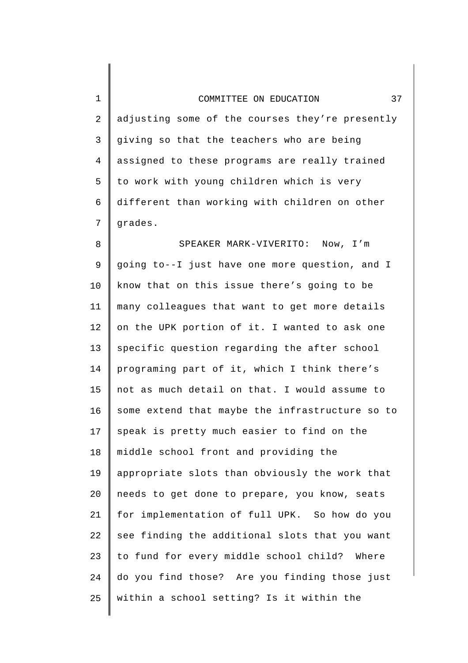| $\mathbf{1}$   | COMMITTEE ON EDUCATION                          | 37 |
|----------------|-------------------------------------------------|----|
| $\overline{2}$ | adjusting some of the courses they're presently |    |
| 3              | giving so that the teachers who are being       |    |
| $\overline{4}$ | assigned to these programs are really trained   |    |
| 5              | to work with young children which is very       |    |
| 6              | different than working with children on other   |    |
| 7              | grades.                                         |    |
| 8              | SPEAKER MARK-VIVERITO: Now, I'm                 |    |
| 9              | going to--I just have one more question, and I  |    |
| 10             | know that on this issue there's going to be     |    |
| 11             | many colleagues that want to get more details   |    |
| 12             | on the UPK portion of it. I wanted to ask one   |    |
| 13             | specific question regarding the after school    |    |
| 14             | programing part of it, which I think there's    |    |
| 15             | not as much detail on that. I would assume to   |    |

some extend that maybe the infrastructure so to

appropriate slots than obviously the work that

needs to get done to prepare, you know, seats

for implementation of full UPK. So how do you

see finding the additional slots that you want

to fund for every middle school child? Where

do you find those? Are you finding those just

within a school setting? Is it within the

speak is pretty much easier to find on the

middle school front and providing the

16

17

18

19

20

21

22

23

24

25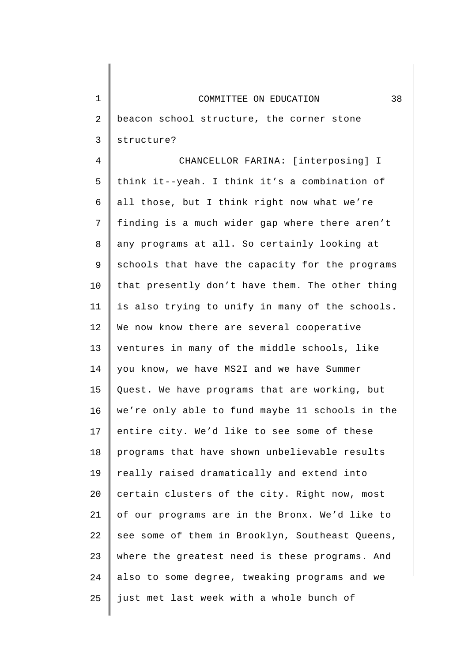2 3 beacon school structure, the corner stone structure?

1

4 5 6 7 8 9 10 11 12 13 14 15 16 17 18 19 20 21 22 23 24 25 CHANCELLOR FARINA: [interposing] I think it--yeah. I think it's a combination of all those, but I think right now what we're finding is a much wider gap where there aren't any programs at all. So certainly looking at schools that have the capacity for the programs that presently don't have them. The other thing is also trying to unify in many of the schools. We now know there are several cooperative ventures in many of the middle schools, like you know, we have MS2I and we have Summer Quest. We have programs that are working, but we're only able to fund maybe 11 schools in the entire city. We'd like to see some of these programs that have shown unbelievable results really raised dramatically and extend into certain clusters of the city. Right now, most of our programs are in the Bronx. We'd like to see some of them in Brooklyn, Southeast Queens, where the greatest need is these programs. And also to some degree, tweaking programs and we just met last week with a whole bunch of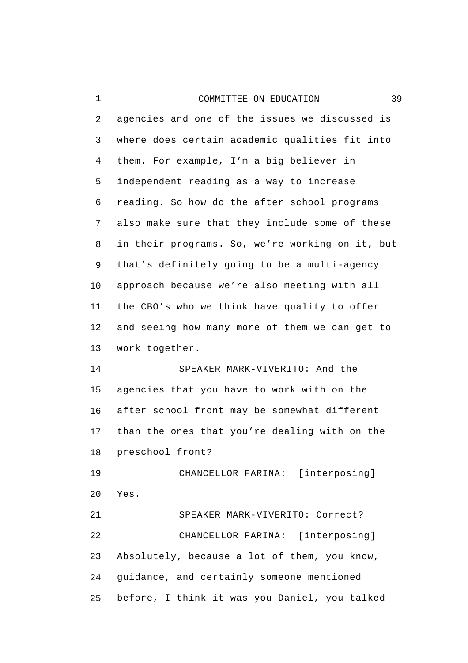1

2 3 4 5 6 7 8 9 10 11 12 13 14 15 16 17 18 19 20 21 22 agencies and one of the issues we discussed is where does certain academic qualities fit into them. For example, I'm a big believer in independent reading as a way to increase reading. So how do the after school programs also make sure that they include some of these in their programs. So, we're working on it, but that's definitely going to be a multi-agency approach because we're also meeting with all the CBO's who we think have quality to offer and seeing how many more of them we can get to work together. SPEAKER MARK-VIVERITO: And the agencies that you have to work with on the after school front may be somewhat different than the ones that you're dealing with on the preschool front? CHANCELLOR FARINA: [interposing] Yes. SPEAKER MARK-VIVERITO: Correct? CHANCELLOR FARINA: [interposing]

23 24 25 Absolutely, because a lot of them, you know, guidance, and certainly someone mentioned before, I think it was you Daniel, you talked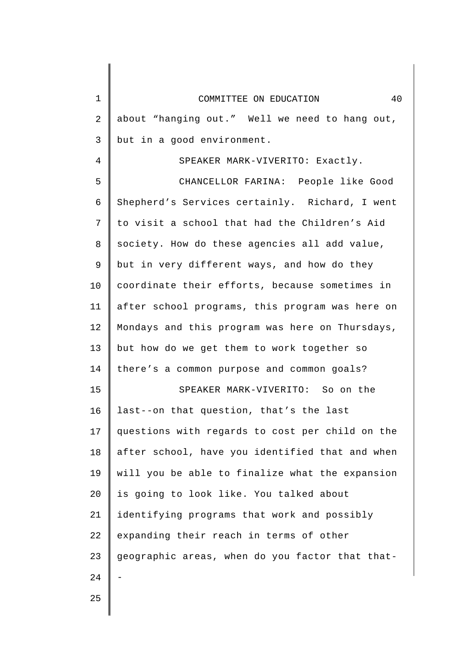| 1              | 40<br>COMMITTEE ON EDUCATION                    |
|----------------|-------------------------------------------------|
| $\overline{2}$ | about "hanging out." Well we need to hang out,  |
| 3              | but in a good environment.                      |
| 4              | SPEAKER MARK-VIVERITO: Exactly.                 |
| 5              | CHANCELLOR FARINA: People like Good             |
| 6              | Shepherd's Services certainly. Richard, I went  |
| 7              | to visit a school that had the Children's Aid   |
| 8              | society. How do these agencies all add value,   |
| 9              | but in very different ways, and how do they     |
| 10             | coordinate their efforts, because sometimes in  |
| 11             | after school programs, this program was here on |
| 12             | Mondays and this program was here on Thursdays, |
| 13             | but how do we get them to work together so      |
| 14             | there's a common purpose and common goals?      |
| 15             | SPEAKER MARK-VIVERITO: So on the                |
| 16             | last--on that question, that's the last         |
| 17             | questions with regards to cost per child on the |
| 18             | after school, have you identified that and when |
| 19             | will you be able to finalize what the expansion |
| 20             | is going to look like. You talked about         |
| 21             | identifying programs that work and possibly     |
| 22             | expanding their reach in terms of other         |
| 23             | geographic areas, when do you factor that that- |
| 24             |                                                 |
| 25             |                                                 |
|                |                                                 |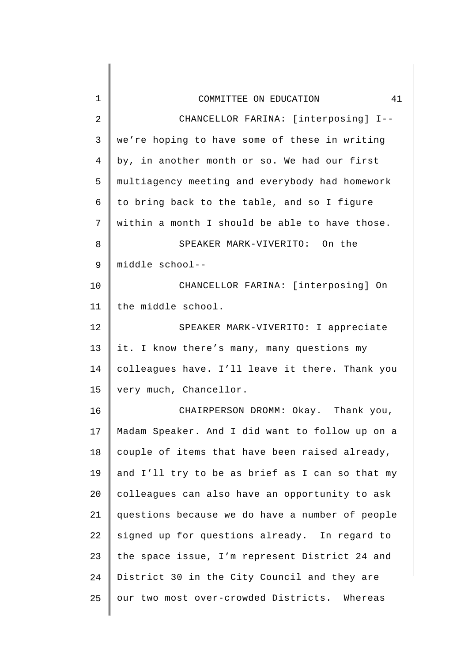| $\mathbf 1$    | 41<br>COMMITTEE ON EDUCATION                    |
|----------------|-------------------------------------------------|
| $\overline{2}$ | CHANCELLOR FARINA: [interposing] I--            |
| $\mathsf{3}$   | we're hoping to have some of these in writing   |
| $\overline{4}$ | by, in another month or so. We had our first    |
| 5              | multiagency meeting and everybody had homework  |
| 6              | to bring back to the table, and so I figure     |
| 7              | within a month I should be able to have those.  |
| 8              | SPEAKER MARK-VIVERITO: On the                   |
| 9              | middle school--                                 |
| 10             | CHANCELLOR FARINA: [interposing] On             |
| 11             | the middle school.                              |
| 12             | SPEAKER MARK-VIVERITO: I appreciate             |
| 13             | it. I know there's many, many questions my      |
| 14             | colleagues have. I'll leave it there. Thank you |
| 15             | very much, Chancellor.                          |
| 16             | CHAIRPERSON DROMM: Okay. Thank you,             |
| 17             | Madam Speaker. And I did want to follow up on a |
| 18             | couple of items that have been raised already,  |
| 19             | and I'll try to be as brief as I can so that my |
| 20             | colleagues can also have an opportunity to ask  |
| 21             | questions because we do have a number of people |
| 22             | signed up for questions already. In regard to   |
| 23             | the space issue, I'm represent District 24 and  |
| 24             | District 30 in the City Council and they are    |
| 25             | our two most over-crowded Districts. Whereas    |
|                |                                                 |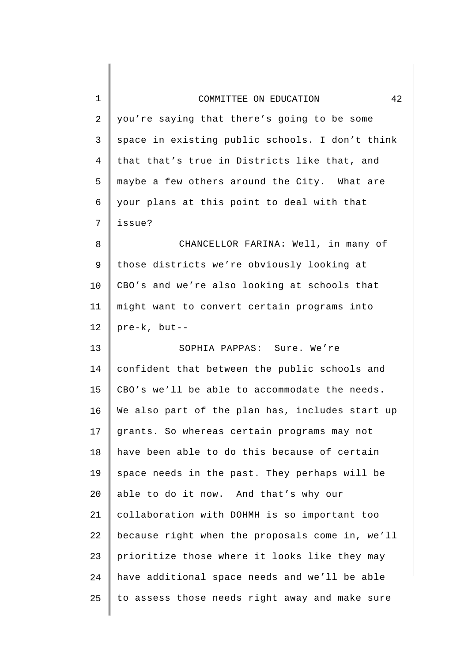| $\mathbf 1$    | 42<br>COMMITTEE ON EDUCATION                    |
|----------------|-------------------------------------------------|
| $\overline{2}$ | you're saying that there's going to be some     |
| 3              | space in existing public schools. I don't think |
| $\overline{4}$ | that that's true in Districts like that, and    |
| 5              | maybe a few others around the City. What are    |
| 6              | your plans at this point to deal with that      |
| 7              | issue?                                          |
| 8              | CHANCELLOR FARINA: Well, in many of             |
| $\mathsf 9$    | those districts we're obviously looking at      |
| 10             | CBO's and we're also looking at schools that    |
| 11             | might want to convert certain programs into     |
| 12             | pre-k, but--                                    |
| 13             | SOPHIA PAPPAS: Sure. We're                      |
| 14             | confident that between the public schools and   |
| 15             | CBO's we'll be able to accommodate the needs.   |
| 16             | We also part of the plan has, includes start up |
| 17             | grants. So whereas certain programs may not     |
| 18             | have been able to do this because of certain    |
| 19             | space needs in the past. They perhaps will be   |
| 20             | able to do it now. And that's why our           |
| 21             | collaboration with DOHMH is so important too    |
| 22             | because right when the proposals come in, we'll |
| 23             | prioritize those where it looks like they may   |
| 24             | have additional space needs and we'll be able   |
| 25             | to assess those needs right away and make sure  |
|                |                                                 |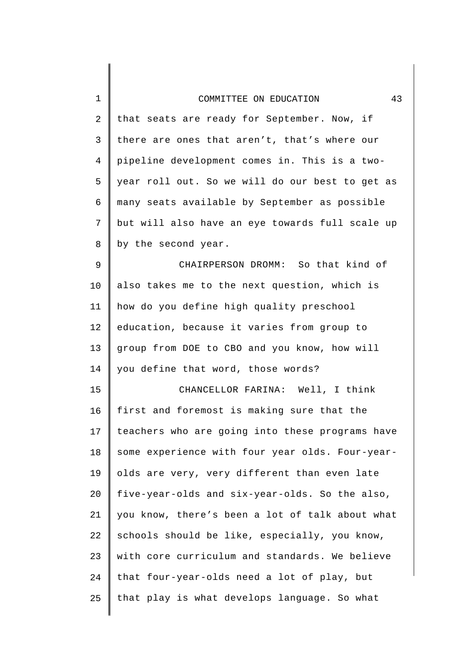| $\mathbf 1$ | 43<br>COMMITTEE ON EDUCATION                    |
|-------------|-------------------------------------------------|
| 2           | that seats are ready for September. Now, if     |
| 3           | there are ones that aren't, that's where our    |
| 4           | pipeline development comes in. This is a two-   |
| 5           | year roll out. So we will do our best to get as |
| 6           | many seats available by September as possible   |
| 7           | but will also have an eye towards full scale up |
| 8           | by the second year.                             |
| 9           | CHAIRPERSON DROMM: So that kind of              |
| 10          | also takes me to the next question, which is    |
| 11          | how do you define high quality preschool        |
| 12          | education, because it varies from group to      |
| 13          | group from DOE to CBO and you know, how will    |
| 14          | you define that word, those words?              |
| 15          | CHANCELLOR FARINA: Well, I think                |
| 16          | first and foremost is making sure that the      |
| 17          | teachers who are going into these programs have |
| 18          | some experience with four year olds. Four-year- |
| 19          | olds are very, very different than even late    |
| 20          | five-year-olds and six-year-olds. So the also,  |
| 21          | you know, there's been a lot of talk about what |
| 22          | schools should be like, especially, you know,   |
| 23          | with core curriculum and standards. We believe  |
| 24          | that four-year-olds need a lot of play, but     |
| 25          | that play is what develops language. So what    |
|             |                                                 |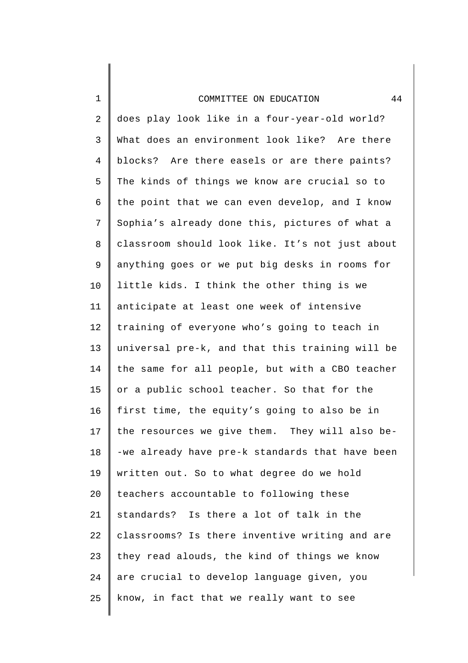1

2 3 4 5 6 7 8 9 10 11 12 13 14 15 16 17 18 19 20 21 22 23 24 25 does play look like in a four-year-old world? What does an environment look like? Are there blocks? Are there easels or are there paints? The kinds of things we know are crucial so to the point that we can even develop, and I know Sophia's already done this, pictures of what a classroom should look like. It's not just about anything goes or we put big desks in rooms for little kids. I think the other thing is we anticipate at least one week of intensive training of everyone who's going to teach in universal pre-k, and that this training will be the same for all people, but with a CBO teacher or a public school teacher. So that for the first time, the equity's going to also be in the resources we give them. They will also be- -we already have pre-k standards that have been written out. So to what degree do we hold teachers accountable to following these standards? Is there a lot of talk in the classrooms? Is there inventive writing and are they read alouds, the kind of things we know are crucial to develop language given, you know, in fact that we really want to see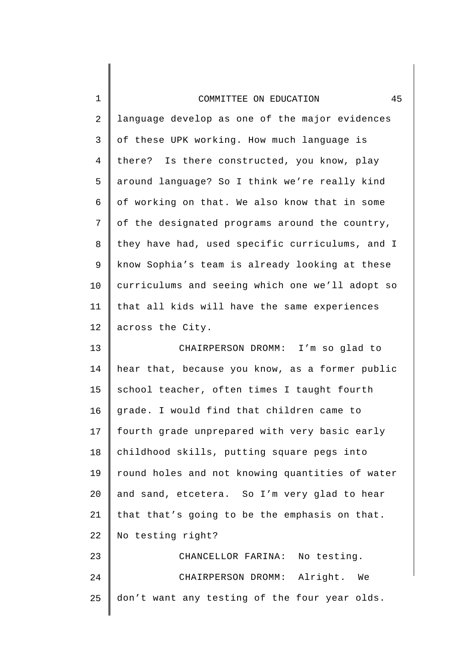| $\mathbf{1}$   | 45<br>COMMITTEE ON EDUCATION                    |
|----------------|-------------------------------------------------|
| $\overline{2}$ | language develop as one of the major evidences  |
| 3              | of these UPK working. How much language is      |
| 4              | there? Is there constructed, you know, play     |
| 5              | around language? So I think we're really kind   |
| 6              | of working on that. We also know that in some   |
| 7              | of the designated programs around the country,  |
| 8              | they have had, used specific curriculums, and I |
| 9              | know Sophia's team is already looking at these  |
| 10             | curriculums and seeing which one we'll adopt so |
| 11             | that all kids will have the same experiences    |
| 12             | across the City.                                |
| 13             | CHAIRPERSON DROMM: I'm so glad to               |
| 14             | hear that, because you know, as a former public |
| 15             | school teacher, often times I taught fourth     |
| 16             | grade. I would find that children came to       |
| 17             | fourth grade unprepared with very basic early   |
| 18             | childhood skills, putting square pegs into      |
| 19             | round holes and not knowing quantities of water |
| 20             | and sand, etcetera. So I'm very glad to hear    |
| 21             | that that's going to be the emphasis on that.   |
| 22             | No testing right?                               |
| 23             | CHANCELLOR FARINA: No testing.                  |
| 24             | CHAIRPERSON DROMM: Alright.<br>We               |
| 25             | don't want any testing of the four year olds.   |
|                |                                                 |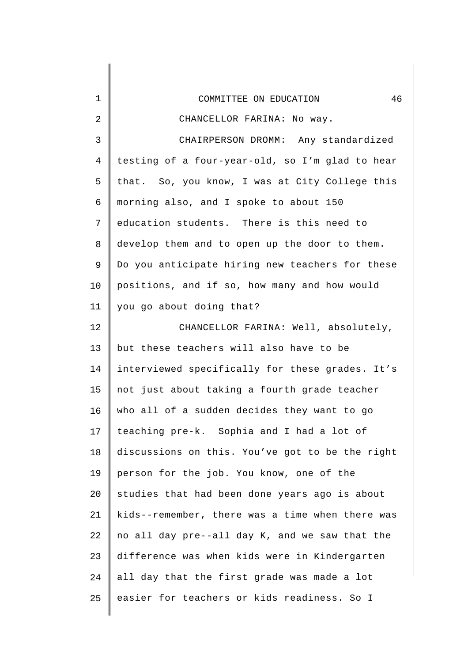| 1              | 46<br>COMMITTEE ON EDUCATION                    |
|----------------|-------------------------------------------------|
| $\overline{2}$ | CHANCELLOR FARINA: No way.                      |
| $\mathfrak{Z}$ | CHAIRPERSON DROMM: Any standardized             |
| $\overline{4}$ | testing of a four-year-old, so I'm glad to hear |
| 5              | that. So, you know, I was at City College this  |
| 6              | morning also, and I spoke to about 150          |
| 7              | education students. There is this need to       |
| 8              | develop them and to open up the door to them.   |
| $\mathsf 9$    | Do you anticipate hiring new teachers for these |
| 10             | positions, and if so, how many and how would    |
| 11             | you go about doing that?                        |
| 12             | CHANCELLOR FARINA: Well, absolutely,            |
| 13             | but these teachers will also have to be         |
| 14             | interviewed specifically for these grades. It's |
| 15             | not just about taking a fourth grade teacher    |
| 16             | who all of a sudden decides they want to go     |
| 17             | teaching pre-k. Sophia and I had a lot of       |
| 18             | discussions on this. You've got to be the right |
| 19             | person for the job. You know, one of the        |
| 20             | studies that had been done years ago is about   |
| 21             | kids--remember, there was a time when there was |
| 22             | no all day pre--all day K, and we saw that the  |
| 23             | difference was when kids were in Kindergarten   |
| 24             | all day that the first grade was made a lot     |
| 25             | easier for teachers or kids readiness. So I     |
|                |                                                 |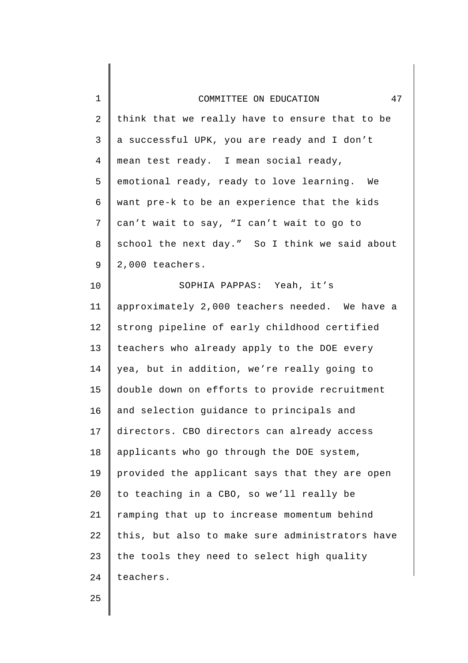| $\mathbf 1$ | 47<br>COMMITTEE ON EDUCATION                    |
|-------------|-------------------------------------------------|
| 2           | think that we really have to ensure that to be  |
| 3           | a successful UPK, you are ready and I don't     |
| 4           | mean test ready. I mean social ready,           |
| 5           | emotional ready, ready to love learning. We     |
| 6           | want pre-k to be an experience that the kids    |
| 7           | can't wait to say, "I can't wait to go to       |
| 8           | school the next day." So I think we said about  |
| 9           | 2,000 teachers.                                 |
| 10          | SOPHIA PAPPAS: Yeah, it's                       |
| 11          | approximately 2,000 teachers needed. We have a  |
| 12          | strong pipeline of early childhood certified    |
| 13          | teachers who already apply to the DOE every     |
| 14          | yea, but in addition, we're really going to     |
| 15          | double down on efforts to provide recruitment   |
| 16          | and selection guidance to principals and        |
| 17          | directors. CBO directors can already access     |
| 18          | applicants who go through the DOE system,       |
| 19          | provided the applicant says that they are open  |
| 20          | to teaching in a CBO, so we'll really be        |
| 21          | ramping that up to increase momentum behind     |
| 22          | this, but also to make sure administrators have |
| 23          | the tools they need to select high quality      |
| 24          | teachers.                                       |
| 25          |                                                 |
|             |                                                 |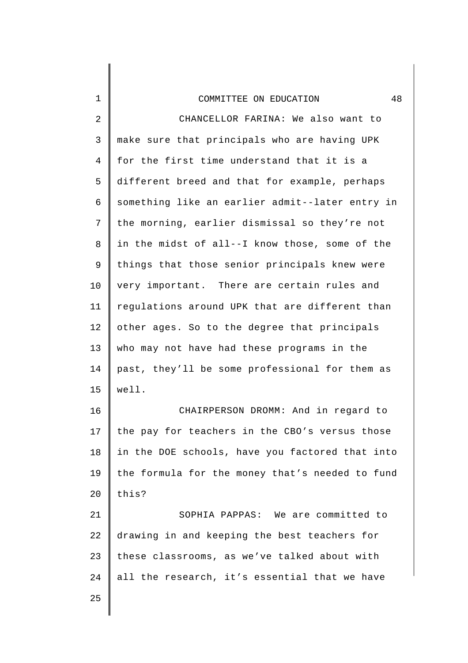| $\mathbf 1$    | 48<br>COMMITTEE ON EDUCATION                    |
|----------------|-------------------------------------------------|
| $\overline{2}$ | CHANCELLOR FARINA: We also want to              |
| 3              | make sure that principals who are having UPK    |
| $\overline{4}$ | for the first time understand that it is a      |
| 5              | different breed and that for example, perhaps   |
| 6              | something like an earlier admit--later entry in |
| 7              | the morning, earlier dismissal so they're not   |
| 8              | in the midst of all--I know those, some of the  |
| 9              | things that those senior principals knew were   |
| 10             | very important. There are certain rules and     |
| 11             | regulations around UPK that are different than  |
| 12             | other ages. So to the degree that principals    |
| 13             | who may not have had these programs in the      |
| 14             | past, they'll be some professional for them as  |
| 15             | well.                                           |
| 16             | CHAIRPERSON DROMM: And in regard to             |
| 17             | the pay for teachers in the CBO's versus those  |
| 18             | in the DOE schools, have you factored that into |
| 19             | the formula for the money that's needed to fund |
| 20             | this?                                           |
| 21             | SOPHIA PAPPAS: We are committed to              |
| 22             | drawing in and keeping the best teachers for    |
| 23             | these classrooms, as we've talked about with    |
| 24             | all the research, it's essential that we have   |
| 25             |                                                 |
|                |                                                 |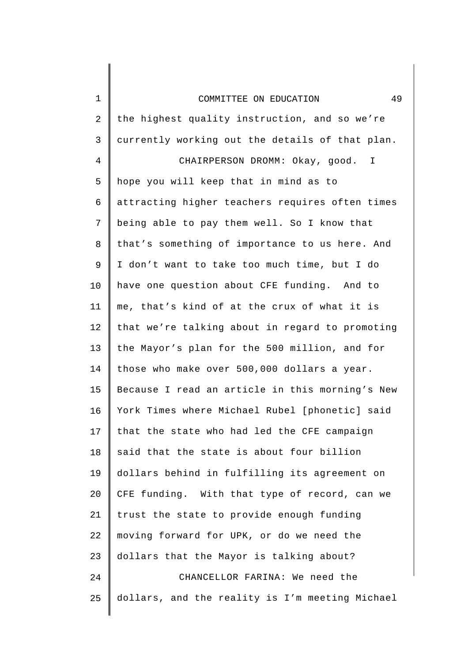| $\mathbf 1$    | 49<br>COMMITTEE ON EDUCATION                    |
|----------------|-------------------------------------------------|
| $\overline{2}$ | the highest quality instruction, and so we're   |
| $\mathsf{3}$   | currently working out the details of that plan. |
| $\overline{4}$ | CHAIRPERSON DROMM: Okay, good. I                |
| 5              | hope you will keep that in mind as to           |
| 6              | attracting higher teachers requires often times |
| 7              | being able to pay them well. So I know that     |
| 8              | that's something of importance to us here. And  |
| 9              | I don't want to take too much time, but I do    |
| 10             | have one question about CFE funding. And to     |
| 11             | me, that's kind of at the crux of what it is    |
| 12             | that we're talking about in regard to promoting |
| 13             | the Mayor's plan for the 500 million, and for   |
| 14             | those who make over 500,000 dollars a year.     |
| 15             | Because I read an article in this morning's New |
| 16             | York Times where Michael Rubel [phonetic] said  |
| 17             | that the state who had led the CFE campaign     |
| 18             | said that the state is about four billion       |
| 19             | dollars behind in fulfilling its agreement on   |
| 20             | CFE funding. With that type of record, can we   |
| 21             | trust the state to provide enough funding       |
| 22             | moving forward for UPK, or do we need the       |
| 23             | dollars that the Mayor is talking about?        |
| 24             | CHANCELLOR FARINA: We need the                  |
| 25             | dollars, and the reality is I'm meeting Michael |
|                |                                                 |

 $\begin{array}{c} \hline \end{array}$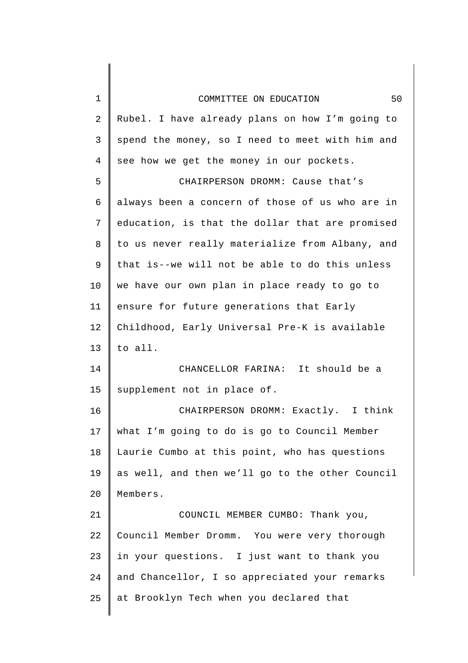| $1\,$          | 50<br>COMMITTEE ON EDUCATION                    |
|----------------|-------------------------------------------------|
| $\overline{2}$ | Rubel. I have already plans on how I'm going to |
| $\mathfrak{Z}$ | spend the money, so I need to meet with him and |
| 4              | see how we get the money in our pockets.        |
| 5              | CHAIRPERSON DROMM: Cause that's                 |
| 6              | always been a concern of those of us who are in |
| 7              | education, is that the dollar that are promised |
| 8              | to us never really materialize from Albany, and |
| 9              | that is--we will not be able to do this unless  |
| 10             | we have our own plan in place ready to go to    |
| 11             | ensure for future generations that Early        |
| 12             | Childhood, Early Universal Pre-K is available   |
| 13             | to all.                                         |
| 14             | CHANCELLOR FARINA: It should be a               |
| 15             | supplement not in place of.                     |
| 16             | CHAIRPERSON DROMM: Exactly. I think             |
| 17             | what I'm going to do is go to Council Member    |
| 18             | Laurie Cumbo at this point, who has questions   |
| 19             | as well, and then we'll go to the other Council |
| 20             | Members.                                        |
| 21             | COUNCIL MEMBER CUMBO: Thank you,                |
| 22             | Council Member Dromm. You were very thorough    |
| 23             | in your questions. I just want to thank you     |
| 24             | and Chancellor, I so appreciated your remarks   |
| 25             | at Brooklyn Tech when you declared that         |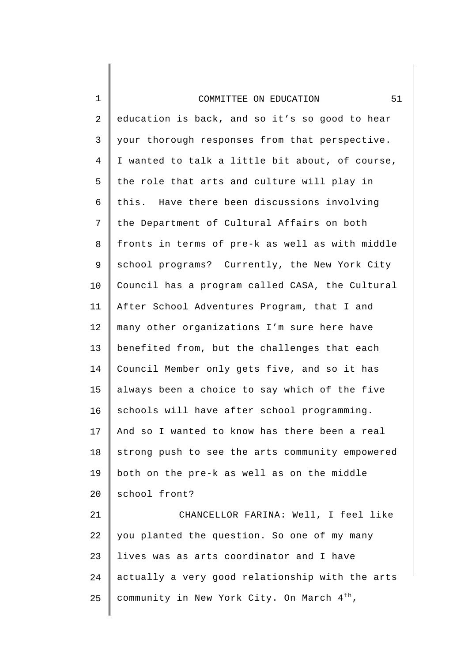1

25

2 3 4 5 6 7 8 9 10 11 12 13 14 15 16 17 18 19 20 21 22 23 24 education is back, and so it's so good to hear your thorough responses from that perspective. I wanted to talk a little bit about, of course, the role that arts and culture will play in this. Have there been discussions involving the Department of Cultural Affairs on both fronts in terms of pre-k as well as with middle school programs? Currently, the New York City Council has a program called CASA, the Cultural After School Adventures Program, that I and many other organizations I'm sure here have benefited from, but the challenges that each Council Member only gets five, and so it has always been a choice to say which of the five schools will have after school programming. And so I wanted to know has there been a real strong push to see the arts community empowered both on the pre-k as well as on the middle school front? CHANCELLOR FARINA: Well, I feel like you planted the question. So one of my many lives was as arts coordinator and I have actually a very good relationship with the arts community in New York City. On March  $4<sup>th</sup>$ ,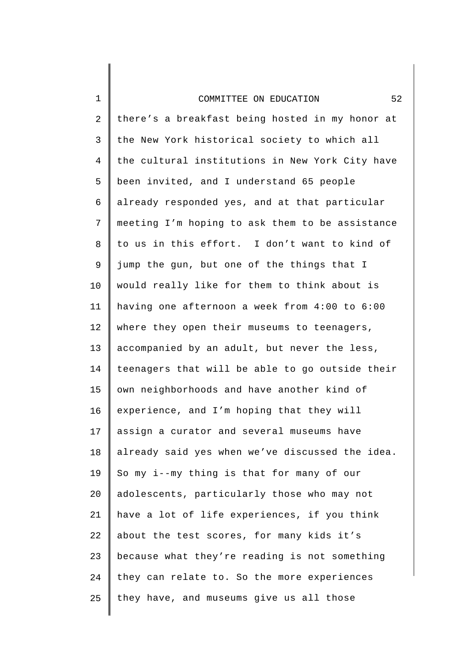1

2 3 4 5 6 7 8 9 10 11 12 13 14 15 16 17 18 19 20 21 22 23 24 25 there's a breakfast being hosted in my honor at the New York historical society to which all the cultural institutions in New York City have been invited, and I understand 65 people already responded yes, and at that particular meeting I'm hoping to ask them to be assistance to us in this effort. I don't want to kind of jump the gun, but one of the things that I would really like for them to think about is having one afternoon a week from 4:00 to 6:00 where they open their museums to teenagers, accompanied by an adult, but never the less, teenagers that will be able to go outside their own neighborhoods and have another kind of experience, and I'm hoping that they will assign a curator and several museums have already said yes when we've discussed the idea. So my i--my thing is that for many of our adolescents, particularly those who may not have a lot of life experiences, if you think about the test scores, for many kids it's because what they're reading is not something they can relate to. So the more experiences they have, and museums give us all those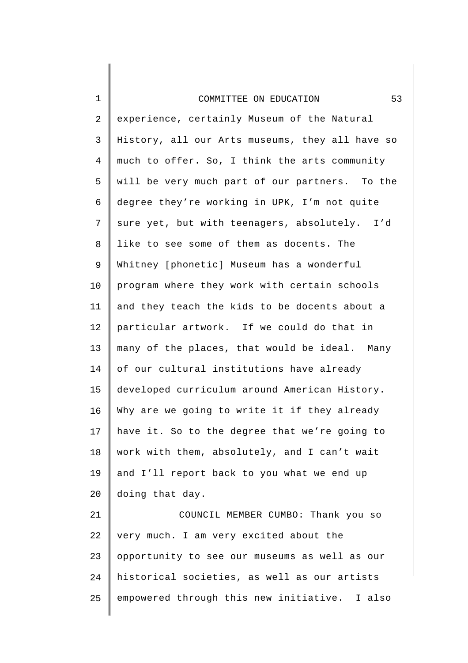1

2 3 4 5 6 7 8 9 10 11 12 13 14 15 16 17 18 19 20 21 experience, certainly Museum of the Natural History, all our Arts museums, they all have so much to offer. So, I think the arts community will be very much part of our partners. To the degree they're working in UPK, I'm not quite sure yet, but with teenagers, absolutely. I'd like to see some of them as docents. The Whitney [phonetic] Museum has a wonderful program where they work with certain schools and they teach the kids to be docents about a particular artwork. If we could do that in many of the places, that would be ideal. Many of our cultural institutions have already developed curriculum around American History. Why are we going to write it if they already have it. So to the degree that we're going to work with them, absolutely, and I can't wait and I'll report back to you what we end up doing that day. COUNCIL MEMBER CUMBO: Thank you so

22 23 24 25 very much. I am very excited about the opportunity to see our museums as well as our historical societies, as well as our artists empowered through this new initiative. I also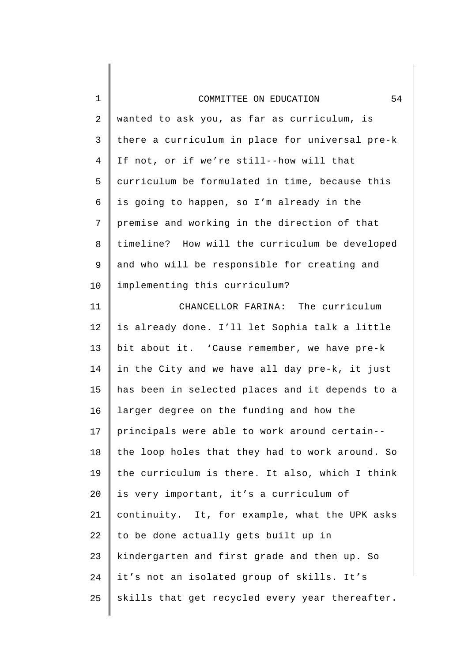1

| $\overline{2}$ | wanted to ask you, as far as curriculum, is     |
|----------------|-------------------------------------------------|
| $\mathsf{3}$   | there a curriculum in place for universal pre-k |
| $\overline{4}$ | If not, or if we're still--how will that        |
| 5              | curriculum be formulated in time, because this  |
| 6              | is going to happen, so I'm already in the       |
| 7              | premise and working in the direction of that    |
| 8              | timeline? How will the curriculum be developed  |
| $\mathsf 9$    | and who will be responsible for creating and    |
| 10             | implementing this curriculum?                   |
| 11             | CHANCELLOR FARINA: The curriculum               |
| 12             | is already done. I'll let Sophia talk a little  |
| 13             | bit about it. 'Cause remember, we have pre-k    |
| 14             | in the City and we have all day pre-k, it just  |
| 15             | has been in selected places and it depends to a |
| 16             | larger degree on the funding and how the        |
| 17             | principals were able to work around certain--   |
| 18             | the loop holes that they had to work around. So |
| 19             | the curriculum is there. It also, which I think |
| 20             | is very important, it's a curriculum of         |
| 21             | continuity. It, for example, what the UPK asks  |
| 22             | to be done actually gets built up in            |
| 23             | kindergarten and first grade and then up. So    |
| 24             | it's not an isolated group of skills. It's      |

25 skills that get recycled every year thereafter.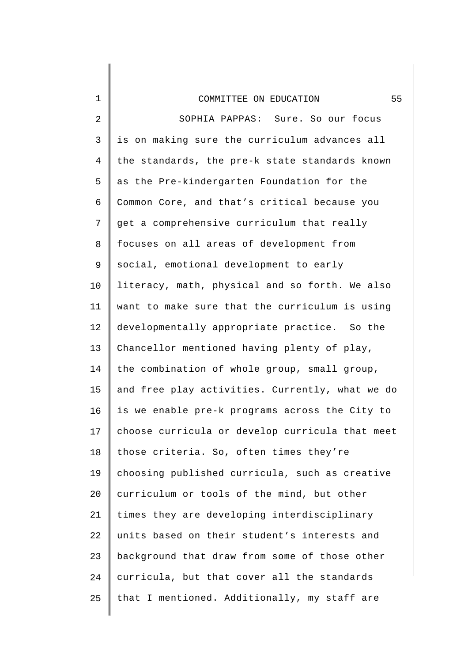| $\mathbf 1$    | 55<br>COMMITTEE ON EDUCATION                    |
|----------------|-------------------------------------------------|
| $\sqrt{2}$     | SOPHIA PAPPAS: Sure. So our focus               |
| $\mathsf{3}$   | is on making sure the curriculum advances all   |
| $\overline{4}$ | the standards, the pre-k state standards known  |
| 5              | as the Pre-kindergarten Foundation for the      |
| 6              | Common Core, and that's critical because you    |
| 7              | get a comprehensive curriculum that really      |
| 8              | focuses on all areas of development from        |
| 9              | social, emotional development to early          |
| 10             | literacy, math, physical and so forth. We also  |
| 11             | want to make sure that the curriculum is using  |
| 12             | developmentally appropriate practice. So the    |
| 13             | Chancellor mentioned having plenty of play,     |
| 14             | the combination of whole group, small group,    |
| 15             | and free play activities. Currently, what we do |
| 16             | is we enable pre-k programs across the City to  |
| 17             | choose curricula or develop curricula that meet |
| 18             | those criteria. So, often times they're         |
| 19             | choosing published curricula, such as creative  |
| 20             | curriculum or tools of the mind, but other      |
| 21             | times they are developing interdisciplinary     |
| 22             | units based on their student's interests and    |
| 23             | background that draw from some of those other   |
| 24             | curricula, but that cover all the standards     |
| 25             | that I mentioned. Additionally, my staff are    |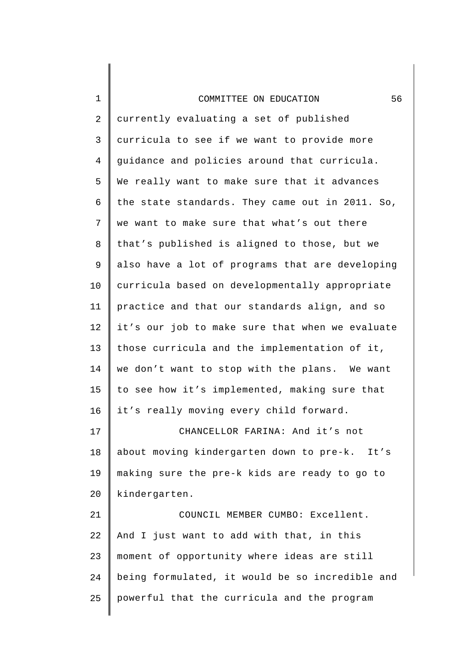1

25

2 3 4 5 6 7 8 9 10 11 12 13 14 15 16 17 18 19 20 21 22 23 24 currently evaluating a set of published curricula to see if we want to provide more guidance and policies around that curricula. We really want to make sure that it advances the state standards. They came out in 2011. So, we want to make sure that what's out there that's published is aligned to those, but we also have a lot of programs that are developing curricula based on developmentally appropriate practice and that our standards align, and so it's our job to make sure that when we evaluate those curricula and the implementation of it, we don't want to stop with the plans. We want to see how it's implemented, making sure that it's really moving every child forward. CHANCELLOR FARINA: And it's not about moving kindergarten down to pre-k. It's making sure the pre-k kids are ready to go to kindergarten. COUNCIL MEMBER CUMBO: Excellent. And I just want to add with that, in this moment of opportunity where ideas are still being formulated, it would be so incredible and

powerful that the curricula and the program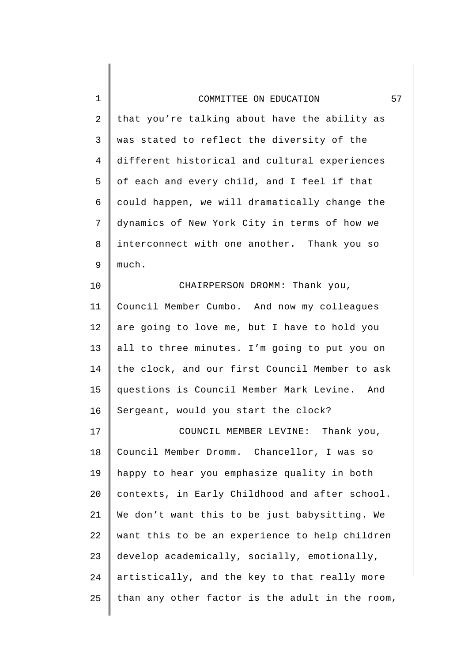| COMMITTEE ON EDUCATION                         |
|------------------------------------------------|
| that you're talking about have the ability as  |
| was stated to reflect the diversity of the     |
| different historical and cultural experiences  |
| of each and every child, and I feel if that    |
| could happen, we will dramatically change the  |
| dynamics of New York City in terms of how we   |
| interconnect with one another. Thank you so    |
| much.                                          |
| CHAIRPERSON DROMM: Thank you,                  |
| Council Member Cumbo. And now my colleagues    |
| are going to love me, but I have to hold you   |
| all to three minutes. I'm going to put you on  |
| the clock, and our first Council Member to ask |
| questions is Council Member Mark Levine. And   |
| Sergeant, would you start the clock?           |
| COUNCIL MEMBER LEVINE: Thank you,              |
| Council Member Dromm. Chancellor, I was so     |
| happy to hear you emphasize quality in both    |
| contexts, in Early Childhood and after school. |
| We don't want this to be just babysitting. We  |
| want this to be an experience to help children |
| develop academically, socially, emotionally,   |
| artistically, and the key to that really more  |
|                                                |

25 than any other factor is the adult in the room,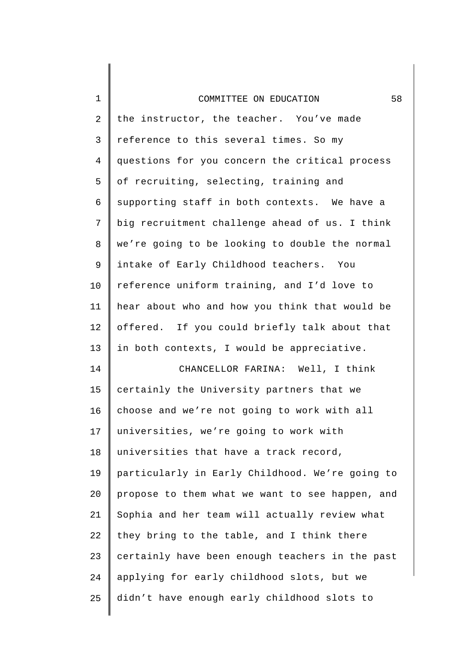| $\mathbf 1$    | 58<br>COMMITTEE ON EDUCATION                    |
|----------------|-------------------------------------------------|
| $\overline{2}$ | the instructor, the teacher. You've made        |
| $\mathsf{3}$   | reference to this several times. So my          |
| $\overline{4}$ | questions for you concern the critical process  |
| 5              | of recruiting, selecting, training and          |
| 6              | supporting staff in both contexts. We have a    |
| 7              | big recruitment challenge ahead of us. I think  |
| 8              | we're going to be looking to double the normal  |
| $\mathsf 9$    | intake of Early Childhood teachers. You         |
| 10             | reference uniform training, and I'd love to     |
| 11             | hear about who and how you think that would be  |
| 12             | offered. If you could briefly talk about that   |
| 13             | in both contexts, I would be appreciative.      |
| 14             | CHANCELLOR FARINA: Well, I think                |
| 15             | certainly the University partners that we       |
| 16             | choose and we're not going to work with all     |
| 17             | universities, we're going to work with          |
| 18             | universities that have a track record,          |
| 19             | particularly in Early Childhood. We're going to |
| 20             | propose to them what we want to see happen, and |
| 21             | Sophia and her team will actually review what   |
| 22             | they bring to the table, and I think there      |
| 23             | certainly have been enough teachers in the past |
| 24             | applying for early childhood slots, but we      |
| 25             | didn't have enough early childhood slots to     |

 $\begin{array}{c} \hline \end{array}$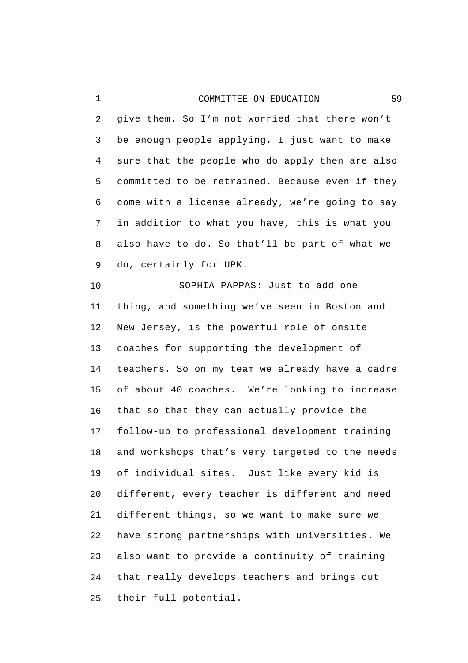1

2 3 4 5 6 7 8 9 10 11 12 give them. So I'm not worried that there won't be enough people applying. I just want to make sure that the people who do apply then are also committed to be retrained. Because even if they come with a license already, we're going to say in addition to what you have, this is what you also have to do. So that'll be part of what we do, certainly for UPK. SOPHIA PAPPAS: Just to add one thing, and something we've seen in Boston and New Jersey, is the powerful role of onsite

13 14 15 16 17 18 19 20 21 22 23 24 25 coaches for supporting the development of teachers. So on my team we already have a cadre of about 40 coaches. We're looking to increase that so that they can actually provide the follow-up to professional development training and workshops that's very targeted to the needs of individual sites. Just like every kid is different, every teacher is different and need different things, so we want to make sure we have strong partnerships with universities. We also want to provide a continuity of training that really develops teachers and brings out their full potential.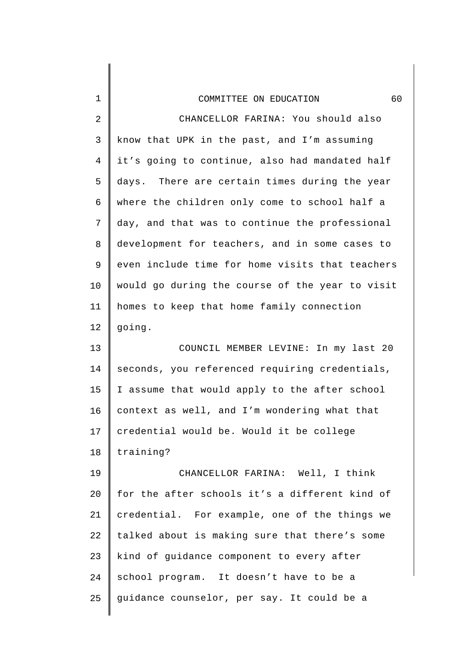| $\mathbf 1$    | 60<br>COMMITTEE ON EDUCATION                    |
|----------------|-------------------------------------------------|
| $\sqrt{2}$     | CHANCELLOR FARINA: You should also              |
| 3              | know that UPK in the past, and I'm assuming     |
| $\overline{4}$ | it's going to continue, also had mandated half  |
| 5              | days. There are certain times during the year   |
| 6              | where the children only come to school half a   |
| 7              | day, and that was to continue the professional  |
| 8              | development for teachers, and in some cases to  |
| $\mathsf 9$    | even include time for home visits that teachers |
| 10             | would go during the course of the year to visit |
| 11             | homes to keep that home family connection       |
| 12             | going.                                          |
| 13             | COUNCIL MEMBER LEVINE: In my last 20            |
| 14             | seconds, you referenced requiring credentials,  |
| 15             | I assume that would apply to the after school   |
| 16             | context as well, and I'm wondering what that    |
| 17             | credential would be. Would it be college        |
| 18             | training?                                       |
| 19             | CHANCELLOR FARINA: Well, I think                |
| 20             | for the after schools it's a different kind of  |
| 21             | credential. For example, one of the things we   |
| 22             | talked about is making sure that there's some   |
| 23             | kind of guidance component to every after       |
| 24             | school program. It doesn't have to be a         |
| 25             | guidance counselor, per say. It could be a      |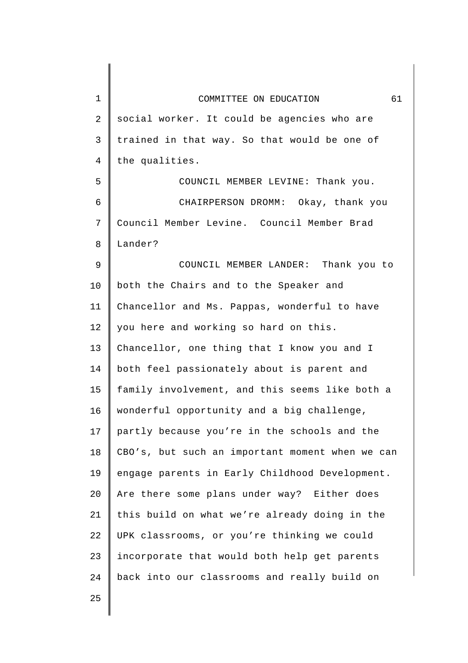| $\mathbf 1$    | 61<br>COMMITTEE ON EDUCATION                    |
|----------------|-------------------------------------------------|
| $\overline{2}$ | social worker. It could be agencies who are     |
| $\mathbf{3}$   | trained in that way. So that would be one of    |
| $\overline{4}$ | the qualities.                                  |
| 5              | COUNCIL MEMBER LEVINE: Thank you.               |
| 6              | CHAIRPERSON DROMM: Okay, thank you              |
| 7              | Council Member Levine. Council Member Brad      |
| 8              | Lander?                                         |
| 9              | COUNCIL MEMBER LANDER: Thank you to             |
| 10             | both the Chairs and to the Speaker and          |
| 11             | Chancellor and Ms. Pappas, wonderful to have    |
| 12             | you here and working so hard on this.           |
| 13             | Chancellor, one thing that I know you and I     |
| 14             | both feel passionately about is parent and      |
| 15             | family involvement, and this seems like both a  |
| 16             | wonderful opportunity and a big challenge,      |
| 17             | partly because you're in the schools and the    |
| 18             | CBO's, but such an important moment when we can |
| 19             | engage parents in Early Childhood Development.  |
| 20             | Are there some plans under way? Either does     |
| 21             | this build on what we're already doing in the   |
| 22             | UPK classrooms, or you're thinking we could     |
| 23             | incorporate that would both help get parents    |
| 24             | back into our classrooms and really build on    |
| 25             |                                                 |
|                |                                                 |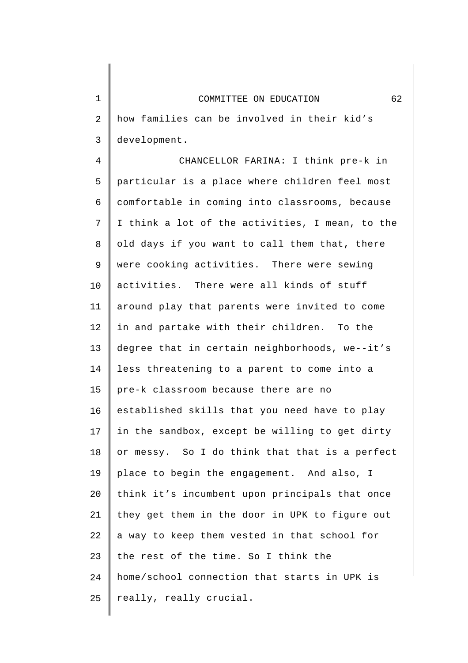2 3 how families can be involved in their kid's development.

4 5 6 7 8 9 10 11 12 13 14 15 16 17 18 19 20 21 22 23 24 25 CHANCELLOR FARINA: I think pre-k in particular is a place where children feel most comfortable in coming into classrooms, because I think a lot of the activities, I mean, to the old days if you want to call them that, there were cooking activities. There were sewing activities. There were all kinds of stuff around play that parents were invited to come in and partake with their children. To the degree that in certain neighborhoods, we--it's less threatening to a parent to come into a pre-k classroom because there are no established skills that you need have to play in the sandbox, except be willing to get dirty or messy. So I do think that that is a perfect place to begin the engagement. And also, I think it's incumbent upon principals that once they get them in the door in UPK to figure out a way to keep them vested in that school for the rest of the time. So I think the home/school connection that starts in UPK is really, really crucial.

1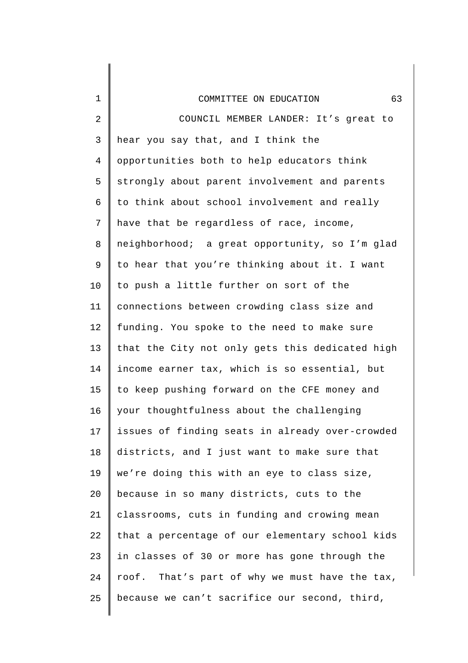| $\mathbf 1$    | 63<br>COMMITTEE ON EDUCATION                    |
|----------------|-------------------------------------------------|
| $\overline{2}$ | COUNCIL MEMBER LANDER: It's great to            |
| 3              | hear you say that, and I think the              |
| 4              | opportunities both to help educators think      |
| 5              | strongly about parent involvement and parents   |
| 6              | to think about school involvement and really    |
| 7              | have that be regardless of race, income,        |
| 8              | neighborhood; a great opportunity, so I'm glad  |
| 9              | to hear that you're thinking about it. I want   |
| 10             | to push a little further on sort of the         |
| 11             | connections between crowding class size and     |
| 12             | funding. You spoke to the need to make sure     |
| 13             | that the City not only gets this dedicated high |
| 14             | income earner tax, which is so essential, but   |
| 15             | to keep pushing forward on the CFE money and    |
| 16             | your thoughtfulness about the challenging       |
| 17             | issues of finding seats in already over-crowded |
| 18             | districts, and I just want to make sure that    |
| 19             | we're doing this with an eye to class size,     |
| 20             | because in so many districts, cuts to the       |
| 21             | classrooms, cuts in funding and crowing mean    |
| 22             | that a percentage of our elementary school kids |
| 23             | in classes of 30 or more has gone through the   |
| 24             | roof. That's part of why we must have the tax,  |
| 25             | because we can't sacrifice our second, third,   |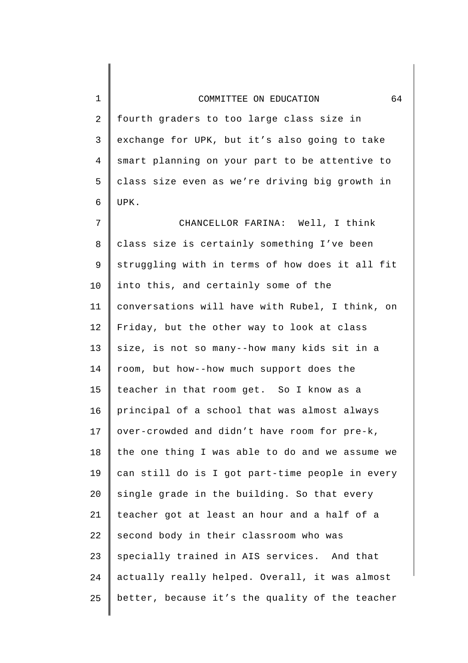1

2 3 4 5 6 7 8 9 10 11 12 13 14 15 16 17 18 19 20 21 22 23 24 25 fourth graders to too large class size in exchange for UPK, but it's also going to take smart planning on your part to be attentive to class size even as we're driving big growth in UPK. CHANCELLOR FARINA: Well, I think class size is certainly something I've been struggling with in terms of how does it all fit into this, and certainly some of the conversations will have with Rubel, I think, on Friday, but the other way to look at class size, is not so many--how many kids sit in a room, but how--how much support does the teacher in that room get. So I know as a principal of a school that was almost always over-crowded and didn't have room for pre-k, the one thing I was able to do and we assume we can still do is I got part-time people in every single grade in the building. So that every teacher got at least an hour and a half of a second body in their classroom who was specially trained in AIS services. And that actually really helped. Overall, it was almost better, because it's the quality of the teacher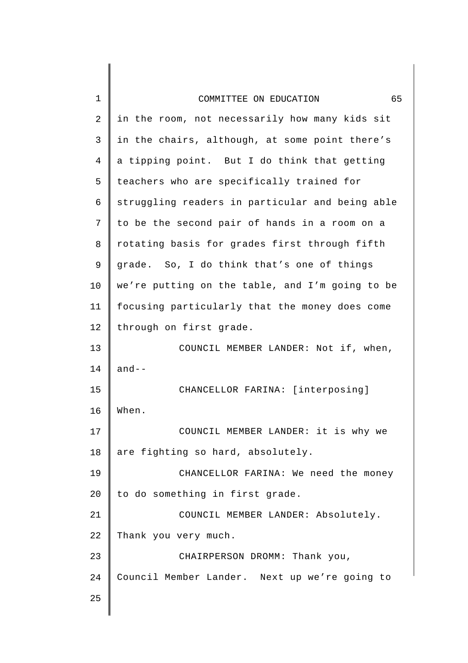| $\mathbf 1$ | 65<br>COMMITTEE ON EDUCATION                    |
|-------------|-------------------------------------------------|
| 2           | in the room, not necessarily how many kids sit  |
| 3           | in the chairs, although, at some point there's  |
| 4           | a tipping point. But I do think that getting    |
| 5           | teachers who are specifically trained for       |
| 6           | struggling readers in particular and being able |
| 7           | to be the second pair of hands in a room on a   |
| 8           | rotating basis for grades first through fifth   |
| 9           | grade. So, I do think that's one of things      |
| 10          | we're putting on the table, and I'm going to be |
| 11          | focusing particularly that the money does come  |
| 12          | through on first grade.                         |
| 13          | COUNCIL MEMBER LANDER: Not if, when,            |
| 14          | $and --$                                        |
| 15          | CHANCELLOR FARINA: [interposing]                |
| 16          | When.                                           |
| 17          | COUNCIL MEMBER LANDER: it is why we             |
| 18          | are fighting so hard, absolutely.               |
| 19          | CHANCELLOR FARINA: We need the money            |
| 20          | to do something in first grade.                 |
| 21          | COUNCIL MEMBER LANDER: Absolutely.              |
| 22          | Thank you very much.                            |
| 23          | CHAIRPERSON DROMM: Thank you,                   |
| 24          | Council Member Lander. Next up we're going to   |
| 25          |                                                 |
|             |                                                 |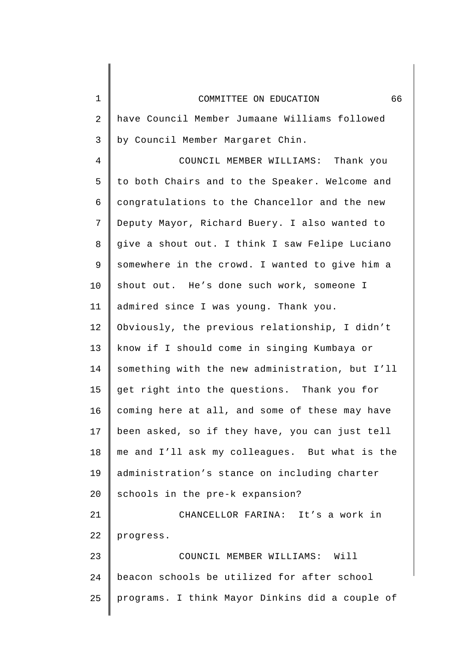1 2 3 4 5 6 7 8 9 10 11 12 13 14 15 16 17 18 19 20 21 22 23 24 25 COMMITTEE ON EDUCATION 66 have Council Member Jumaane Williams followed by Council Member Margaret Chin. COUNCIL MEMBER WILLIAMS: Thank you to both Chairs and to the Speaker. Welcome and congratulations to the Chancellor and the new Deputy Mayor, Richard Buery. I also wanted to give a shout out. I think I saw Felipe Luciano somewhere in the crowd. I wanted to give him a shout out. He's done such work, someone I admired since I was young. Thank you. Obviously, the previous relationship, I didn't know if I should come in singing Kumbaya or something with the new administration, but I'll get right into the questions. Thank you for coming here at all, and some of these may have been asked, so if they have, you can just tell me and I'll ask my colleagues. But what is the administration's stance on including charter schools in the pre-k expansion? CHANCELLOR FARINA: It's a work in progress. COUNCIL MEMBER WILLIAMS: Will beacon schools be utilized for after school programs. I think Mayor Dinkins did a couple of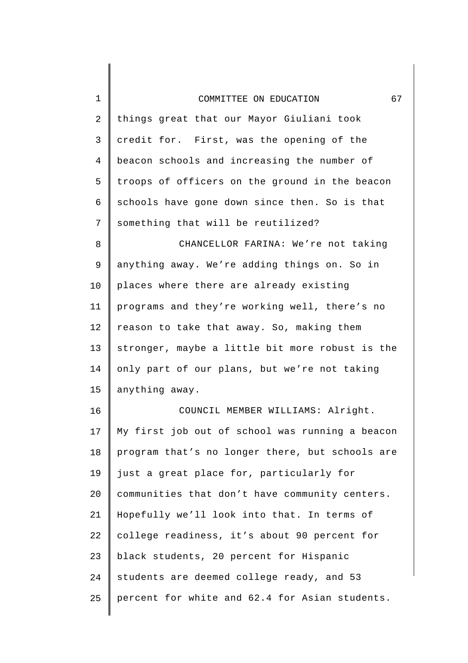| $1\,$          | 67<br>COMMITTEE ON EDUCATION                    |
|----------------|-------------------------------------------------|
| $\overline{2}$ | things great that our Mayor Giuliani took       |
| 3              | credit for. First, was the opening of the       |
| 4              | beacon schools and increasing the number of     |
| 5              | troops of officers on the ground in the beacon  |
| 6              | schools have gone down since then. So is that   |
| 7              | something that will be reutilized?              |
| 8              | CHANCELLOR FARINA: We're not taking             |
| 9              | anything away. We're adding things on. So in    |
| 10             | places where there are already existing         |
| 11             | programs and they're working well, there's no   |
| 12             | reason to take that away. So, making them       |
| 13             | stronger, maybe a little bit more robust is the |
| 14             | only part of our plans, but we're not taking    |
| 15             | anything away.                                  |
| 16             | COUNCIL MEMBER WILLIAMS: Alright.               |
| 17             | My first job out of school was running a beacon |
| 18             | program that's no longer there, but schools are |
| 19             | just a great place for, particularly for        |
| 20             | communities that don't have community centers.  |
| 21             | Hopefully we'll look into that. In terms of     |
| 22             | college readiness, it's about 90 percent for    |
| 23             | black students, 20 percent for Hispanic         |
| 24             | students are deemed college ready, and 53       |
| 25             | percent for white and 62.4 for Asian students.  |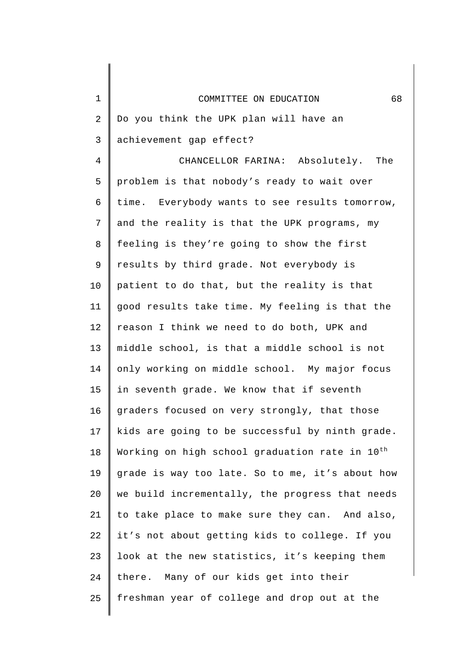| $\mathbf 1$    | 68<br>COMMITTEE ON EDUCATION                               |
|----------------|------------------------------------------------------------|
| $\overline{2}$ | Do you think the UPK plan will have an                     |
| $\mathsf 3$    | achievement gap effect?                                    |
| $\overline{4}$ | CHANCELLOR FARINA: Absolutely. The                         |
| 5              | problem is that nobody's ready to wait over                |
| 6              | time. Everybody wants to see results tomorrow,             |
| 7              | and the reality is that the UPK programs, my               |
| 8              | feeling is they're going to show the first                 |
| $\mathsf 9$    | results by third grade. Not everybody is                   |
| 10             | patient to do that, but the reality is that                |
| 11             | good results take time. My feeling is that the             |
| 12             | reason I think we need to do both, UPK and                 |
| 13             | middle school, is that a middle school is not              |
| 14             | only working on middle school. My major focus              |
| 15             | in seventh grade. We know that if seventh                  |
| 16             | graders focused on very strongly, that those               |
| 17             | kids are going to be successful by ninth grade.            |
| 18             | Working on high school graduation rate in 10 <sup>th</sup> |
| 19             | grade is way too late. So to me, it's about how            |
| 20             | we build incrementally, the progress that needs            |
| 21             | to take place to make sure they can. And also,             |
| 22             | it's not about getting kids to college. If you             |
| 23             | look at the new statistics, it's keeping them              |
| 24             | there. Many of our kids get into their                     |
| 25             | freshman year of college and drop out at the               |
|                |                                                            |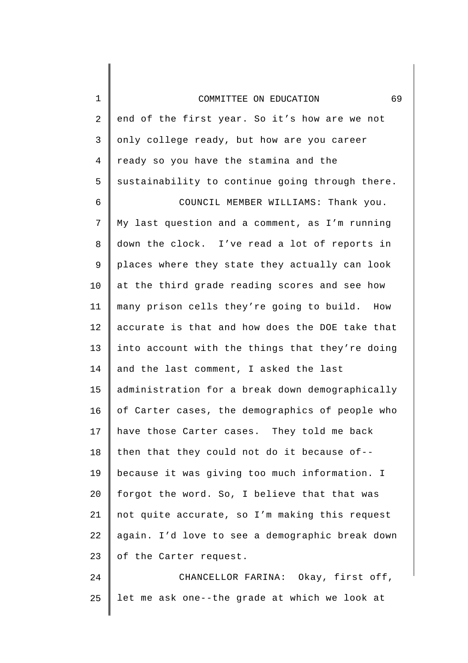| $\mathbf 1$    | 69<br>COMMITTEE ON EDUCATION                    |
|----------------|-------------------------------------------------|
| $\sqrt{2}$     | end of the first year. So it's how are we not   |
| 3              | only college ready, but how are you career      |
| $\overline{4}$ | ready so you have the stamina and the           |
| 5              | sustainability to continue going through there. |
| 6              | COUNCIL MEMBER WILLIAMS: Thank you.             |
| $\overline{7}$ | My last question and a comment, as I'm running  |
| 8              | down the clock. I've read a lot of reports in   |
| $\mathsf 9$    | places where they state they actually can look  |
| 10             | at the third grade reading scores and see how   |
| 11             | many prison cells they're going to build. How   |
| 12             | accurate is that and how does the DOE take that |
| 13             | into account with the things that they're doing |
| 14             | and the last comment, I asked the last          |
| 15             | administration for a break down demographically |
| 16             | of Carter cases, the demographics of people who |
| 17             | have those Carter cases. They told me back      |
| 18             | then that they could not do it because of--     |
| 19             | because it was giving too much information. I   |
| 20             | forgot the word. So, I believe that that was    |
| 21             | not quite accurate, so I'm making this request  |
| 22             | again. I'd love to see a demographic break down |
| 23             | of the Carter request.                          |
| 24             | CHANCELLOR FARINA: Okay, first off,             |

let me ask one--the grade at which we look at

25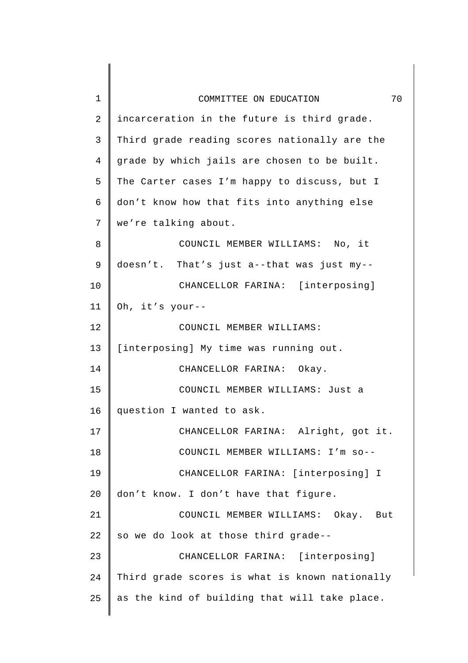| $\mathbf{1}$   | 70<br>COMMITTEE ON EDUCATION                   |
|----------------|------------------------------------------------|
| $\overline{2}$ | incarceration in the future is third grade.    |
| 3              | Third grade reading scores nationally are the  |
| $\overline{4}$ | grade by which jails are chosen to be built.   |
| 5              | The Carter cases I'm happy to discuss, but I   |
| 6              | don't know how that fits into anything else    |
| 7              | we're talking about.                           |
| 8              | COUNCIL MEMBER WILLIAMS: No, it                |
| 9              | doesn't. That's just a--that was just my--     |
| 10             | CHANCELLOR FARINA: [interposing]               |
| 11             | Oh, it's your--                                |
| 12             | COUNCIL MEMBER WILLIAMS:                       |
| 13             | [interposing] My time was running out.         |
| 14             | CHANCELLOR FARINA: Okay.                       |
| 15             | COUNCIL MEMBER WILLIAMS: Just a                |
| 16             | question I wanted to ask.                      |
| 17             | CHANCELLOR FARINA: Alright, got it.            |
| 18             | COUNCIL MEMBER WILLIAMS: I'm so--              |
| 19             | CHANCELLOR FARINA: [interposing] I             |
| 20             | don't know. I don't have that figure.          |
| 21             | COUNCIL MEMBER WILLIAMS: Okay. But             |
| 22             | so we do look at those third grade--           |
| 23             | CHANCELLOR FARINA: [interposing]               |
| 24             | Third grade scores is what is known nationally |
| 25             | as the kind of building that will take place.  |
|                |                                                |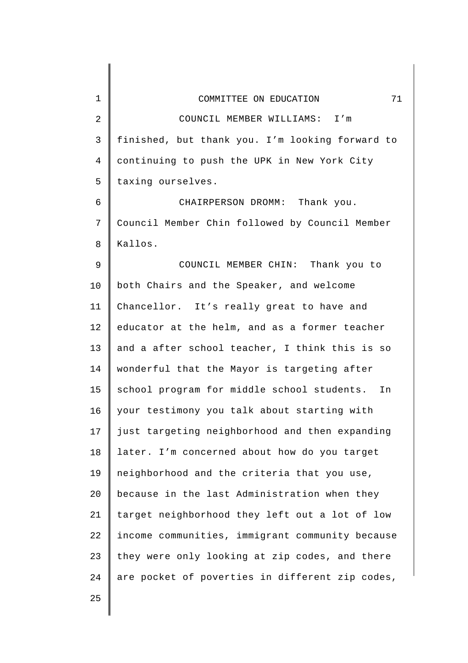| 1              | 71<br>COMMITTEE ON EDUCATION                     |
|----------------|--------------------------------------------------|
| $\overline{2}$ | COUNCIL MEMBER WILLIAMS: I'm                     |
| 3              | finished, but thank you. I'm looking forward to  |
| 4              | continuing to push the UPK in New York City      |
| 5              | taxing ourselves.                                |
| 6              | CHAIRPERSON DROMM: Thank you.                    |
| 7              | Council Member Chin followed by Council Member   |
| 8              | Kallos.                                          |
| 9              | COUNCIL MEMBER CHIN: Thank you to                |
| 10             | both Chairs and the Speaker, and welcome         |
| 11             | Chancellor. It's really great to have and        |
| 12             | educator at the helm, and as a former teacher    |
| 13             | and a after school teacher, I think this is so   |
| 14             | wonderful that the Mayor is targeting after      |
| 15             | school program for middle school students.<br>In |
| 16             | your testimony you talk about starting with      |
| 17             | just targeting neighborhood and then expanding   |
| 18             | later. I'm concerned about how do you target     |
| 19             | neighborhood and the criteria that you use,      |
| 20             | because in the last Administration when they     |
| 21             | target neighborhood they left out a lot of low   |
| 22             | income communities, immigrant community because  |
| 23             | they were only looking at zip codes, and there   |
| 24             | are pocket of poverties in different zip codes,  |
| 25             |                                                  |
|                |                                                  |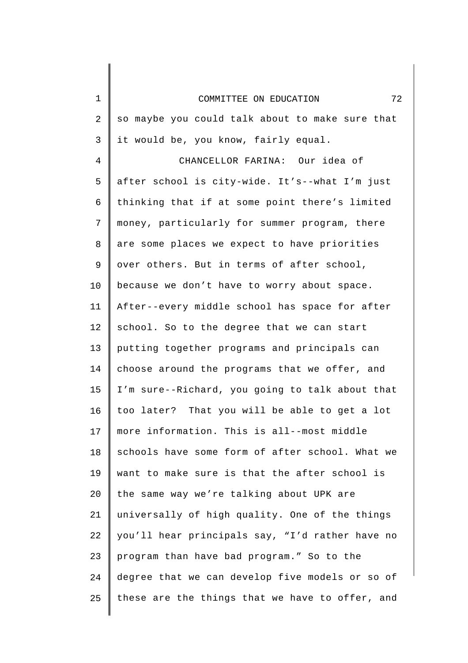| $\mathbf 1$    | 72<br>COMMITTEE ON EDUCATION                    |
|----------------|-------------------------------------------------|
| $\overline{2}$ | so maybe you could talk about to make sure that |
| 3              | it would be, you know, fairly equal.            |
| $\overline{4}$ | CHANCELLOR FARINA: Our idea of                  |
| 5              | after school is city-wide. It's--what I'm just  |
| 6              | thinking that if at some point there's limited  |
| 7              | money, particularly for summer program, there   |
| 8              | are some places we expect to have priorities    |
| $\mathsf 9$    | over others. But in terms of after school,      |
| 10             | because we don't have to worry about space.     |
| 11             | After--every middle school has space for after  |
| 12             | school. So to the degree that we can start      |
| 13             | putting together programs and principals can    |
| 14             | choose around the programs that we offer, and   |
| 15             | I'm sure--Richard, you going to talk about that |
| 16             | too later? That you will be able to get a lot   |
| 17             | more information. This is all--most middle      |
| 18             | schools have some form of after school. What we |
| 19             | want to make sure is that the after school is   |
| 20             | the same way we're talking about UPK are        |
| 21             | universally of high quality. One of the things  |
| 22             | you'll hear principals say, "I'd rather have no |
| 23             | program than have bad program." So to the       |
| 24             | degree that we can develop five models or so of |
| 25             | these are the things that we have to offer, and |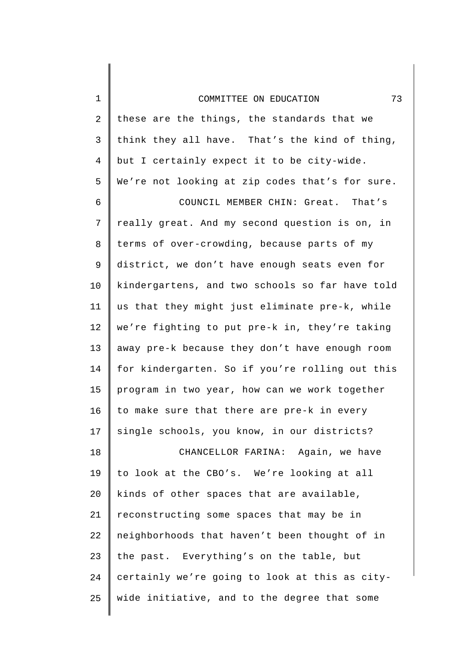| COMMITTEE ON EDUCATION |  |  |  |
|------------------------|--|--|--|
|------------------------|--|--|--|

| $\mathbf 1$  | 73<br>COMMITTEE ON EDUCATION                    |
|--------------|-------------------------------------------------|
| 2            | these are the things, the standards that we     |
| $\mathsf{3}$ | think they all have. That's the kind of thing,  |
| 4            | but I certainly expect it to be city-wide.      |
| 5            | We're not looking at zip codes that's for sure. |
| б            | COUNCIL MEMBER CHIN: Great. That's              |
| 7            | really great. And my second question is on, in  |
| 8            | terms of over-crowding, because parts of my     |
| 9            | district, we don't have enough seats even for   |
| 10           | kindergartens, and two schools so far have told |
| 11           | us that they might just eliminate pre-k, while  |
| 12           | we're fighting to put pre-k in, they're taking  |
| 13           | away pre-k because they don't have enough room  |
| 14           | for kindergarten. So if you're rolling out this |
| 15           | program in two year, how can we work together   |
| 16           | to make sure that there are pre-k in every      |
| 17           | single schools, you know, in our districts?     |
| 18           | CHANCELLOR FARINA: Again, we have               |
| 19           | to look at the CBO's. We're looking at all      |
| 20           | kinds of other spaces that are available,       |
| 21           | reconstructing some spaces that may be in       |
| 22           | neighborhoods that haven't been thought of in   |
| 23           | the past. Everything's on the table, but        |
| 24           | certainly we're going to look at this as city-  |
|              |                                                 |

25 wide initiative, and to the degree that some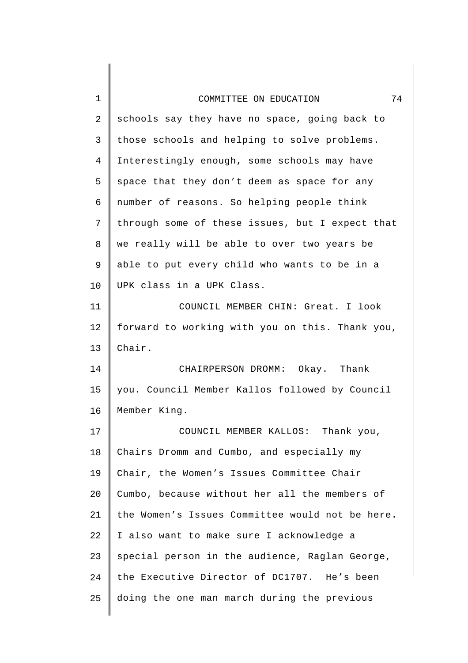| $\overline{2}$ | schools say they have no space, going back to   |
|----------------|-------------------------------------------------|
| $\mathsf{3}$   | those schools and helping to solve problems.    |
| $\overline{4}$ | Interestingly enough, some schools may have     |
| 5              | space that they don't deem as space for any     |
| 6              | number of reasons. So helping people think      |
| 7              | through some of these issues, but I expect that |
| 8              | we really will be able to over two years be     |
| 9              | able to put every child who wants to be in a    |
| 10             | UPK class in a UPK Class.                       |
| 11             | COUNCIL MEMBER CHIN: Great. I look              |
| 12             | forward to working with you on this. Thank you, |
| 13             | Chair.                                          |
| 14             | CHAIRPERSON DROMM: Okay. Thank                  |
| 15             | you. Council Member Kallos followed by Council  |
| 16             | Member King.                                    |
| 17             | COUNCIL MEMBER KALLOS: Thank you,               |
| 18             | Chairs Dromm and Cumbo, and especially my       |
| 19             | Chair, the Women's Issues Committee Chair       |
| 20             | Cumbo, because without her all the members of   |
| 21             | the Women's Issues Committee would not be here. |
| 22             | I also want to make sure I acknowledge a        |
| 23             | special person in the audience, Raglan George,  |
| 24             | the Executive Director of DC1707. He's been     |
| 25             | doing the one man march during the previous     |
|                |                                                 |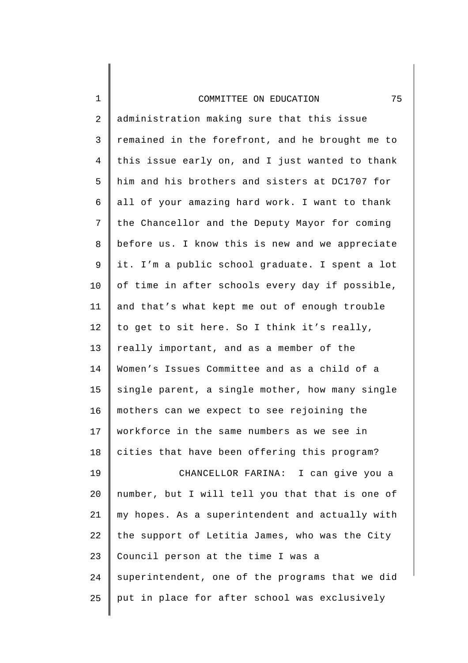1

22

2 3 4 5 6 7 8 9 10 11 12 13 14 15 16 17 18 19 20 21 administration making sure that this issue remained in the forefront, and he brought me to this issue early on, and I just wanted to thank him and his brothers and sisters at DC1707 for all of your amazing hard work. I want to thank the Chancellor and the Deputy Mayor for coming before us. I know this is new and we appreciate it. I'm a public school graduate. I spent a lot of time in after schools every day if possible, and that's what kept me out of enough trouble to get to sit here. So I think it's really, really important, and as a member of the Women's Issues Committee and as a child of a single parent, a single mother, how many single mothers can we expect to see rejoining the workforce in the same numbers as we see in cities that have been offering this program? CHANCELLOR FARINA: I can give you a number, but I will tell you that that is one of my hopes. As a superintendent and actually with

23 Council person at the time I was a

24 25 superintendent, one of the programs that we did put in place for after school was exclusively

the support of Letitia James, who was the City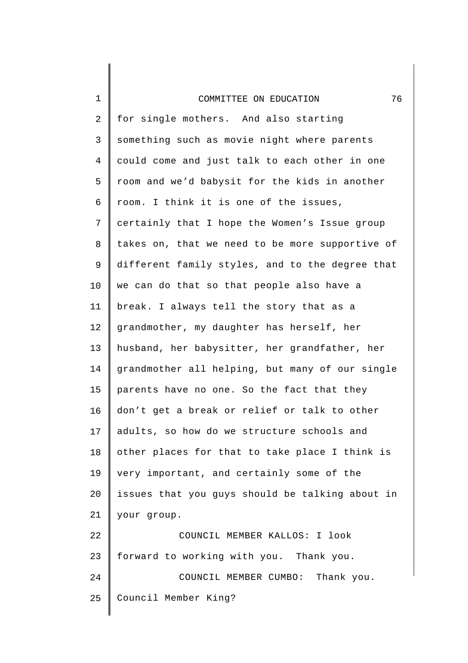1

25

Council Member King?

2 3 4 5 6 7 8 9 10 11 12 13 14 15 16 17 18 19 20 21 22 23 24 for single mothers. And also starting something such as movie night where parents could come and just talk to each other in one room and we'd babysit for the kids in another room. I think it is one of the issues, certainly that I hope the Women's Issue group takes on, that we need to be more supportive of different family styles, and to the degree that we can do that so that people also have a break. I always tell the story that as a grandmother, my daughter has herself, her husband, her babysitter, her grandfather, her grandmother all helping, but many of our single parents have no one. So the fact that they don't get a break or relief or talk to other adults, so how do we structure schools and other places for that to take place I think is very important, and certainly some of the issues that you guys should be talking about in your group. COUNCIL MEMBER KALLOS: I look forward to working with you. Thank you. COUNCIL MEMBER CUMBO: Thank you.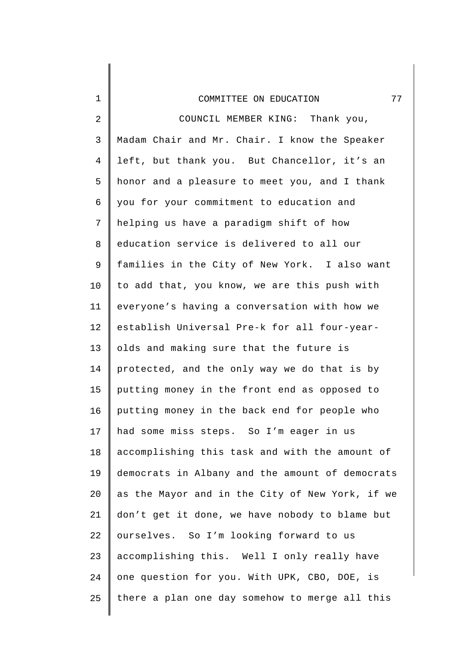| $\mathbf{1}$   | 77<br>COMMITTEE ON EDUCATION                    |
|----------------|-------------------------------------------------|
| 2              | COUNCIL MEMBER KING: Thank you,                 |
| $\mathsf{3}$   | Madam Chair and Mr. Chair. I know the Speaker   |
| $\overline{4}$ | left, but thank you. But Chancellor, it's an    |
| 5              | honor and a pleasure to meet you, and I thank   |
| 6              | you for your commitment to education and        |
| 7              | helping us have a paradigm shift of how         |
| 8              | education service is delivered to all our       |
| 9              | families in the City of New York. I also want   |
| 10             | to add that, you know, we are this push with    |
| 11             | everyone's having a conversation with how we    |
| 12             | establish Universal Pre-k for all four-year-    |
| 13             | olds and making sure that the future is         |
| 14             | protected, and the only way we do that is by    |
| 15             | putting money in the front end as opposed to    |
| 16             | putting money in the back end for people who    |
| 17             | had some miss steps. So I'm eager in us         |
| 18             | accomplishing this task and with the amount of  |
| 19             | democrats in Albany and the amount of democrats |
| 20             | as the Mayor and in the City of New York, if we |
| 21             | don't get it done, we have nobody to blame but  |
| 22             | ourselves. So I'm looking forward to us         |
| 23             | accomplishing this. Well I only really have     |
| 24             | one question for you. With UPK, CBO, DOE, is    |
| 25             | there a plan one day somehow to merge all this  |
|                |                                                 |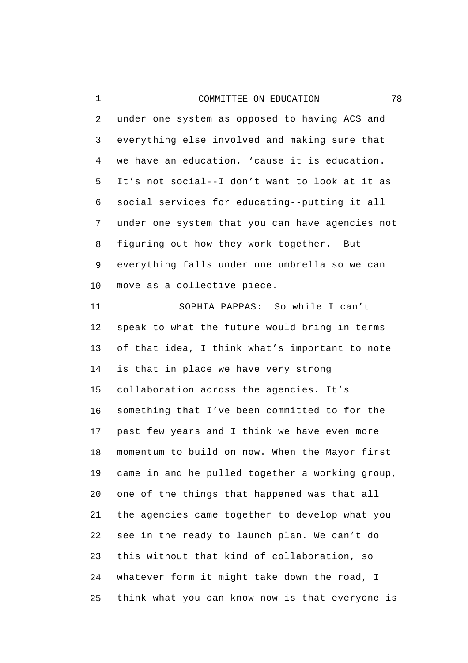1

2 3 4 5 6 7 8 9 10 under one system as opposed to having ACS and everything else involved and making sure that we have an education, 'cause it is education. It's not social--I don't want to look at it as social services for educating--putting it all under one system that you can have agencies not figuring out how they work together. But everything falls under one umbrella so we can move as a collective piece.

11 12 13 14 15 16 17 18 19 20 21 22 23 24 25 SOPHIA PAPPAS: So while I can't speak to what the future would bring in terms of that idea, I think what's important to note is that in place we have very strong collaboration across the agencies. It's something that I've been committed to for the past few years and I think we have even more momentum to build on now. When the Mayor first came in and he pulled together a working group, one of the things that happened was that all the agencies came together to develop what you see in the ready to launch plan. We can't do this without that kind of collaboration, so whatever form it might take down the road, I think what you can know now is that everyone is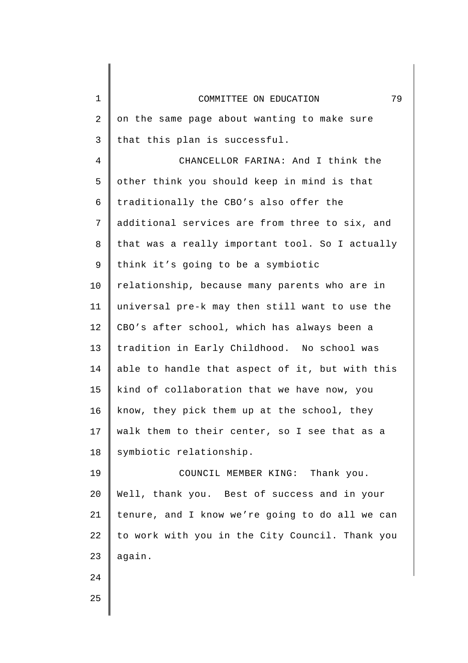| $\mathbf 1$<br>79<br>COMMITTEE ON EDUCATION<br>$\mathbf{2}$<br>on the same page about wanting to make sure<br>$\mathbf{3}$<br>that this plan is successful.<br>$\overline{4}$<br>CHANCELLOR FARINA: And I think the<br>5<br>other think you should keep in mind is that<br>traditionally the CBO's also offer the<br>6<br>additional services are from three to six, and<br>7<br>8<br>that was a really important tool. So I actually<br>9<br>think it's going to be a symbiotic<br>10<br>relationship, because many parents who are in<br>universal pre-k may then still want to use the<br>11<br>12<br>CBO's after school, which has always been a<br>tradition in Early Childhood. No school was<br>13<br>14<br>able to handle that aspect of it, but with this<br>15<br>kind of collaboration that we have now, you<br>know, they pick them up at the school, they<br>16<br>walk them to their center, so I see that as a<br>17<br>symbiotic relationship.<br>18<br>19 |
|----------------------------------------------------------------------------------------------------------------------------------------------------------------------------------------------------------------------------------------------------------------------------------------------------------------------------------------------------------------------------------------------------------------------------------------------------------------------------------------------------------------------------------------------------------------------------------------------------------------------------------------------------------------------------------------------------------------------------------------------------------------------------------------------------------------------------------------------------------------------------------------------------------------------------------------------------------------------------|
|                                                                                                                                                                                                                                                                                                                                                                                                                                                                                                                                                                                                                                                                                                                                                                                                                                                                                                                                                                            |
|                                                                                                                                                                                                                                                                                                                                                                                                                                                                                                                                                                                                                                                                                                                                                                                                                                                                                                                                                                            |
|                                                                                                                                                                                                                                                                                                                                                                                                                                                                                                                                                                                                                                                                                                                                                                                                                                                                                                                                                                            |
|                                                                                                                                                                                                                                                                                                                                                                                                                                                                                                                                                                                                                                                                                                                                                                                                                                                                                                                                                                            |
|                                                                                                                                                                                                                                                                                                                                                                                                                                                                                                                                                                                                                                                                                                                                                                                                                                                                                                                                                                            |
|                                                                                                                                                                                                                                                                                                                                                                                                                                                                                                                                                                                                                                                                                                                                                                                                                                                                                                                                                                            |
|                                                                                                                                                                                                                                                                                                                                                                                                                                                                                                                                                                                                                                                                                                                                                                                                                                                                                                                                                                            |
|                                                                                                                                                                                                                                                                                                                                                                                                                                                                                                                                                                                                                                                                                                                                                                                                                                                                                                                                                                            |
|                                                                                                                                                                                                                                                                                                                                                                                                                                                                                                                                                                                                                                                                                                                                                                                                                                                                                                                                                                            |
|                                                                                                                                                                                                                                                                                                                                                                                                                                                                                                                                                                                                                                                                                                                                                                                                                                                                                                                                                                            |
|                                                                                                                                                                                                                                                                                                                                                                                                                                                                                                                                                                                                                                                                                                                                                                                                                                                                                                                                                                            |
|                                                                                                                                                                                                                                                                                                                                                                                                                                                                                                                                                                                                                                                                                                                                                                                                                                                                                                                                                                            |
|                                                                                                                                                                                                                                                                                                                                                                                                                                                                                                                                                                                                                                                                                                                                                                                                                                                                                                                                                                            |
|                                                                                                                                                                                                                                                                                                                                                                                                                                                                                                                                                                                                                                                                                                                                                                                                                                                                                                                                                                            |
|                                                                                                                                                                                                                                                                                                                                                                                                                                                                                                                                                                                                                                                                                                                                                                                                                                                                                                                                                                            |
|                                                                                                                                                                                                                                                                                                                                                                                                                                                                                                                                                                                                                                                                                                                                                                                                                                                                                                                                                                            |
|                                                                                                                                                                                                                                                                                                                                                                                                                                                                                                                                                                                                                                                                                                                                                                                                                                                                                                                                                                            |
|                                                                                                                                                                                                                                                                                                                                                                                                                                                                                                                                                                                                                                                                                                                                                                                                                                                                                                                                                                            |
| COUNCIL MEMBER KING: Thank you.                                                                                                                                                                                                                                                                                                                                                                                                                                                                                                                                                                                                                                                                                                                                                                                                                                                                                                                                            |
| Well, thank you. Best of success and in your<br>20                                                                                                                                                                                                                                                                                                                                                                                                                                                                                                                                                                                                                                                                                                                                                                                                                                                                                                                         |
| tenure, and I know we're going to do all we can<br>21                                                                                                                                                                                                                                                                                                                                                                                                                                                                                                                                                                                                                                                                                                                                                                                                                                                                                                                      |
| 22<br>to work with you in the City Council. Thank you                                                                                                                                                                                                                                                                                                                                                                                                                                                                                                                                                                                                                                                                                                                                                                                                                                                                                                                      |
| 23<br>again.                                                                                                                                                                                                                                                                                                                                                                                                                                                                                                                                                                                                                                                                                                                                                                                                                                                                                                                                                               |
| 24                                                                                                                                                                                                                                                                                                                                                                                                                                                                                                                                                                                                                                                                                                                                                                                                                                                                                                                                                                         |
| 25                                                                                                                                                                                                                                                                                                                                                                                                                                                                                                                                                                                                                                                                                                                                                                                                                                                                                                                                                                         |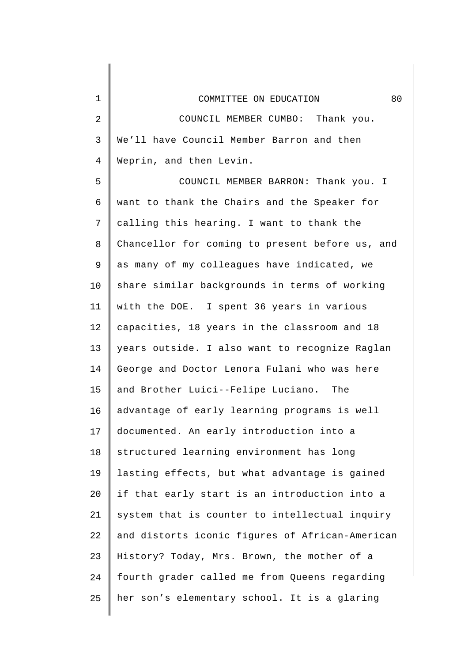| $\mathbf 1$    | 80<br>COMMITTEE ON EDUCATION                    |
|----------------|-------------------------------------------------|
| $\overline{2}$ | COUNCIL MEMBER CUMBO: Thank you.                |
| $\mathbf{3}$   | We'll have Council Member Barron and then       |
| 4              | Weprin, and then Levin.                         |
| 5              | COUNCIL MEMBER BARRON: Thank you. I             |
| 6              | want to thank the Chairs and the Speaker for    |
| $\overline{7}$ | calling this hearing. I want to thank the       |
| 8              | Chancellor for coming to present before us, and |
| 9              | as many of my colleagues have indicated, we     |
| 10             | share similar backgrounds in terms of working   |
| 11             | with the DOE. I spent 36 years in various       |
| 12             | capacities, 18 years in the classroom and 18    |
| 13             | years outside. I also want to recognize Raglan  |
| 14             | George and Doctor Lenora Fulani who was here    |
| 15             | and Brother Luici--Felipe Luciano. The          |
| 16             | advantage of early learning programs is well    |
| 17             | documented. An early introduction into a        |
| 18             | structured learning environment has long        |
| 19             | lasting effects, but what advantage is gained   |
| 20             | if that early start is an introduction into a   |
| 21             | system that is counter to intellectual inquiry  |
| 22             | and distorts iconic figures of African-American |
| 23             | History? Today, Mrs. Brown, the mother of a     |
| 24             | fourth grader called me from Queens regarding   |
| 25             | her son's elementary school. It is a glaring    |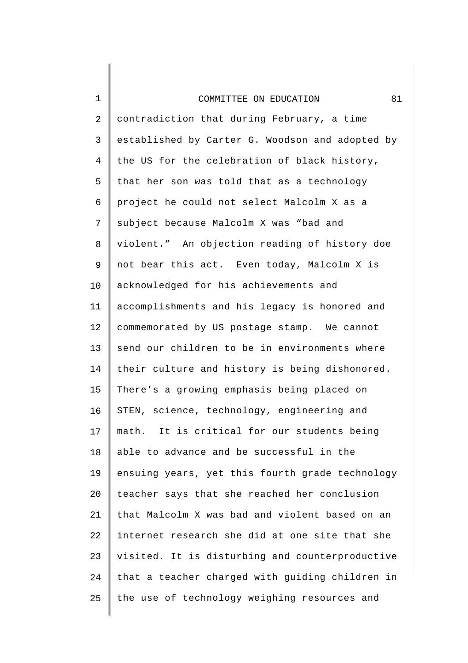1

2 3 4 5 6 7 8 9 10 11 12 13 14 15 16 17 18 19 20 21 22 23 24 25 contradiction that during February, a time established by Carter G. Woodson and adopted by the US for the celebration of black history, that her son was told that as a technology project he could not select Malcolm X as a subject because Malcolm X was "bad and violent." An objection reading of history doe not bear this act. Even today, Malcolm X is acknowledged for his achievements and accomplishments and his legacy is honored and commemorated by US postage stamp. We cannot send our children to be in environments where their culture and history is being dishonored. There's a growing emphasis being placed on STEN, science, technology, engineering and math. It is critical for our students being able to advance and be successful in the ensuing years, yet this fourth grade technology teacher says that she reached her conclusion that Malcolm X was bad and violent based on an internet research she did at one site that she visited. It is disturbing and counterproductive that a teacher charged with guiding children in the use of technology weighing resources and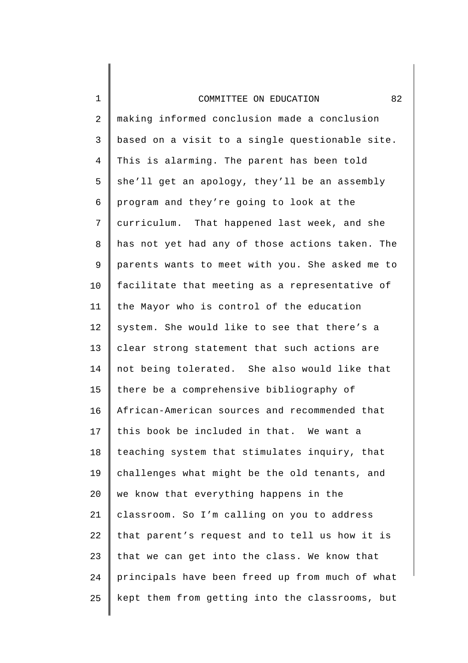1

2 3 4 5 6 7 8 9 10 11 12 13 14 15 16 17 18 19 20 21 22 23 24 25 making informed conclusion made a conclusion based on a visit to a single questionable site. This is alarming. The parent has been told she'll get an apology, they'll be an assembly program and they're going to look at the curriculum. That happened last week, and she has not yet had any of those actions taken. The parents wants to meet with you. She asked me to facilitate that meeting as a representative of the Mayor who is control of the education system. She would like to see that there's a clear strong statement that such actions are not being tolerated. She also would like that there be a comprehensive bibliography of African-American sources and recommended that this book be included in that. We want a teaching system that stimulates inquiry, that challenges what might be the old tenants, and we know that everything happens in the classroom. So I'm calling on you to address that parent's request and to tell us how it is that we can get into the class. We know that principals have been freed up from much of what kept them from getting into the classrooms, but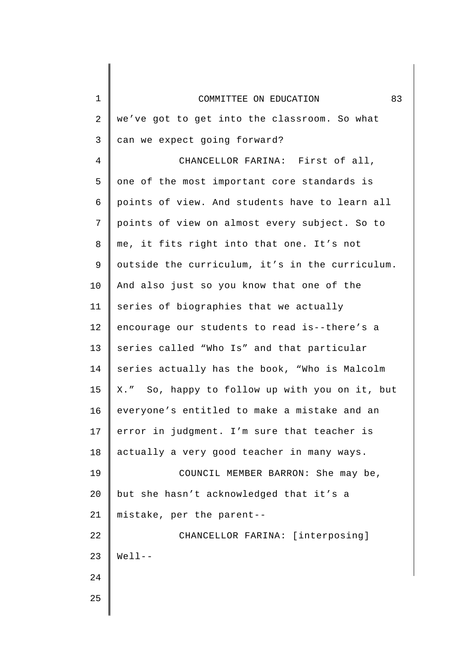| $\mathbf 1$    | 83<br>COMMITTEE ON EDUCATION                    |
|----------------|-------------------------------------------------|
| $\overline{2}$ | we've got to get into the classroom. So what    |
| $\mathsf{3}$   | can we expect going forward?                    |
| $\overline{4}$ | CHANCELLOR FARINA: First of all,                |
| 5              | one of the most important core standards is     |
| 6              | points of view. And students have to learn all  |
| 7              | points of view on almost every subject. So to   |
| $\,8\,$        | me, it fits right into that one. It's not       |
| 9              | outside the curriculum, it's in the curriculum. |
| 10             | And also just so you know that one of the       |
| 11             | series of biographies that we actually          |
| 12             | encourage our students to read is--there's a    |
| 13             | series called "Who Is" and that particular      |
| 14             | series actually has the book, "Who is Malcolm   |
| 15             | X." So, happy to follow up with you on it, but  |
| 16             | everyone's entitled to make a mistake and an    |
| 17             | error in judgment. I'm sure that teacher is     |
| 18             | actually a very good teacher in many ways.      |
| 19             | COUNCIL MEMBER BARRON: She may be,              |
| 20             | but she hasn't acknowledged that it's a         |
| 21             | mistake, per the parent--                       |
| 22             | CHANCELLOR FARINA: [interposing]                |
| 23             | $Well1$ --                                      |
| 24             |                                                 |
| 25             |                                                 |
|                |                                                 |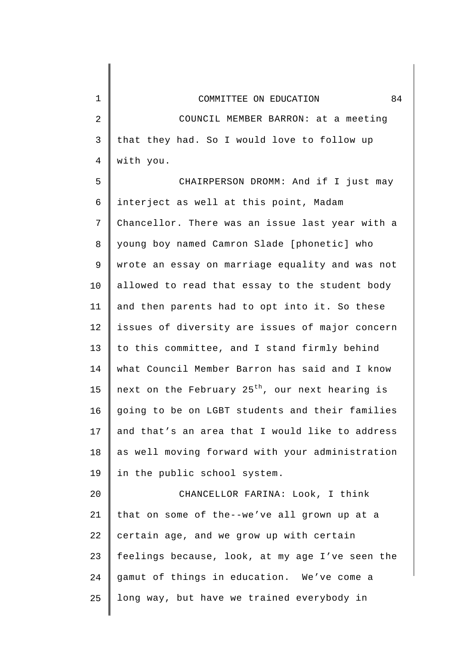| $\mathbf 1$    | 84<br>COMMITTEE ON EDUCATION                                |
|----------------|-------------------------------------------------------------|
| $\sqrt{2}$     | COUNCIL MEMBER BARRON: at a meeting                         |
| $\mathbf{3}$   | that they had. So I would love to follow up                 |
| $\overline{4}$ | with you.                                                   |
| 5              | CHAIRPERSON DROMM: And if I just may                        |
| 6              | interject as well at this point, Madam                      |
| 7              | Chancellor. There was an issue last year with a             |
| 8              | young boy named Camron Slade [phonetic] who                 |
| 9              | wrote an essay on marriage equality and was not             |
| 10             | allowed to read that essay to the student body              |
| 11             | and then parents had to opt into it. So these               |
| 12             | issues of diversity are issues of major concern             |
| 13             | to this committee, and I stand firmly behind                |
| 14             | what Council Member Barron has said and I know              |
| 15             | next on the February 25 <sup>th</sup> , our next hearing is |
| 16             | going to be on LGBT students and their families             |
| 17             | and that's an area that I would like to address             |
| 18             | as well moving forward with your administration             |
| 19             | in the public school system.                                |
| 20             | CHANCELLOR FARINA: Look, I think                            |
| 21             | that on some of the--we've all grown up at a                |
| 22             | certain age, and we grow up with certain                    |
| 23             | feelings because, look, at my age I've seen the             |
| 24             | gamut of things in education. We've come a                  |
| 25             | long way, but have we trained everybody in                  |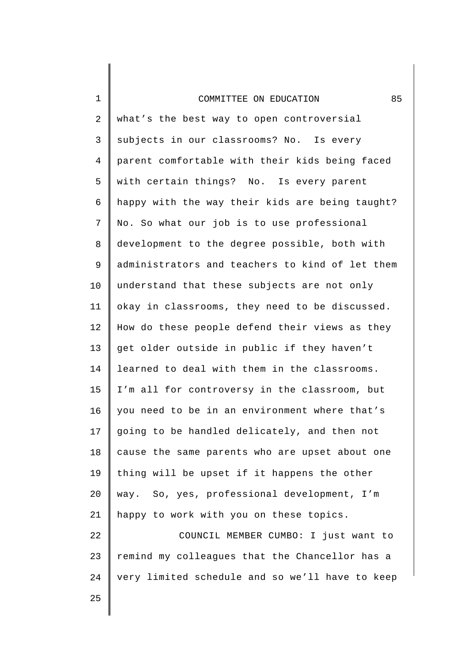2 3 4 5 6 7 8 9 10 11 12 13 14 15 16 17 18 19 20 21 22 what's the best way to open controversial subjects in our classrooms? No. Is every parent comfortable with their kids being faced with certain things? No. Is every parent happy with the way their kids are being taught? No. So what our job is to use professional development to the degree possible, both with administrators and teachers to kind of let them understand that these subjects are not only okay in classrooms, they need to be discussed. How do these people defend their views as they get older outside in public if they haven't learned to deal with them in the classrooms. I'm all for controversy in the classroom, but you need to be in an environment where that's going to be handled delicately, and then not cause the same parents who are upset about one thing will be upset if it happens the other way. So, yes, professional development, I'm happy to work with you on these topics. COUNCIL MEMBER CUMBO: I just want to

23 24 remind my colleagues that the Chancellor has a very limited schedule and so we'll have to keep

25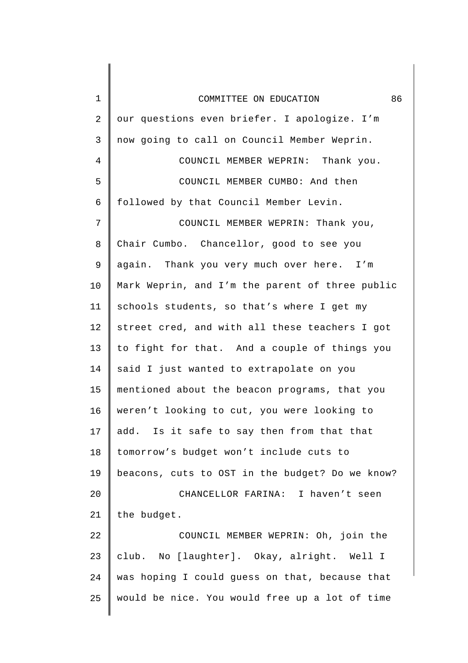| $\mathbf{1}$   | 86<br>COMMITTEE ON EDUCATION                    |
|----------------|-------------------------------------------------|
| $\overline{a}$ | our questions even briefer. I apologize. I'm    |
| 3              | now going to call on Council Member Weprin.     |
| 4              | COUNCIL MEMBER WEPRIN: Thank you.               |
| 5              | COUNCIL MEMBER CUMBO: And then                  |
| 6              | followed by that Council Member Levin.          |
| 7              | COUNCIL MEMBER WEPRIN: Thank you,               |
| 8              | Chair Cumbo. Chancellor, good to see you        |
| 9              | again. Thank you very much over here. I'm       |
| 10             | Mark Weprin, and I'm the parent of three public |
| 11             | schools students, so that's where I get my      |
| 12             | street cred, and with all these teachers I got  |
| 13             | to fight for that. And a couple of things you   |
| 14             | said I just wanted to extrapolate on you        |
| 15             | mentioned about the beacon programs, that you   |
| 16             | weren't looking to cut, you were looking to     |
| 17             | add. Is it safe to say then from that that      |
| 18             | tomorrow's budget won't include cuts to         |
| 19             | beacons, cuts to OST in the budget? Do we know? |
| 20             | CHANCELLOR FARINA: I haven't seen               |
| 21             | the budget.                                     |
| 22             | COUNCIL MEMBER WEPRIN: Oh, join the             |
| 23             | club. No [laughter]. Okay, alright. Well I      |
| 24             | was hoping I could guess on that, because that  |
| 25             | would be nice. You would free up a lot of time  |
|                |                                                 |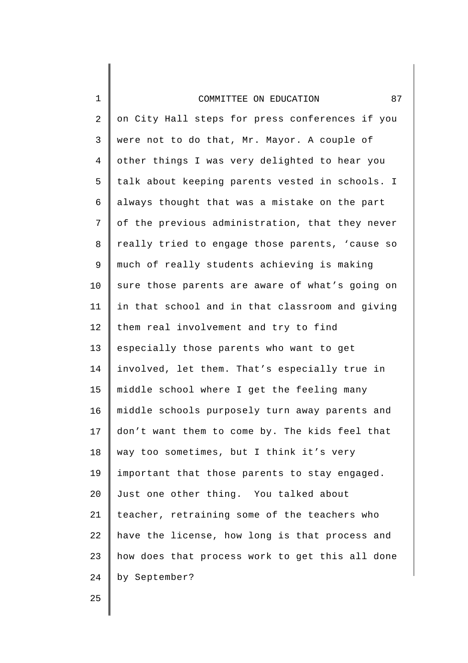2 3 4 5 6 7 8 9 10 11 12 13 14 15 16 17 18 19 20 21 22 23 24 on City Hall steps for press conferences if you were not to do that, Mr. Mayor. A couple of other things I was very delighted to hear you talk about keeping parents vested in schools. I always thought that was a mistake on the part of the previous administration, that they never really tried to engage those parents, 'cause so much of really students achieving is making sure those parents are aware of what's going on in that school and in that classroom and giving them real involvement and try to find especially those parents who want to get involved, let them. That's especially true in middle school where I get the feeling many middle schools purposely turn away parents and don't want them to come by. The kids feel that way too sometimes, but I think it's very important that those parents to stay engaged. Just one other thing. You talked about teacher, retraining some of the teachers who have the license, how long is that process and how does that process work to get this all done by September?

25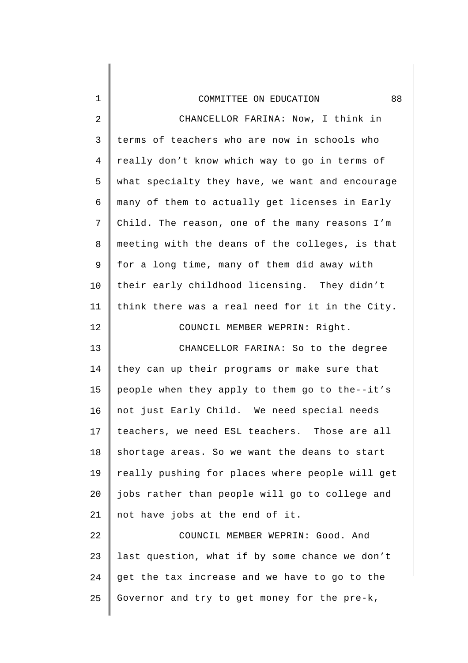| 1              | 88<br>COMMITTEE ON EDUCATION                    |
|----------------|-------------------------------------------------|
| $\sqrt{2}$     | CHANCELLOR FARINA: Now, I think in              |
| $\mathsf{3}$   | terms of teachers who are now in schools who    |
| $\overline{4}$ | really don't know which way to go in terms of   |
| 5              | what specialty they have, we want and encourage |
| 6              | many of them to actually get licenses in Early  |
| 7              | Child. The reason, one of the many reasons I'm  |
| 8              | meeting with the deans of the colleges, is that |
| $\mathsf 9$    | for a long time, many of them did away with     |
| 10             | their early childhood licensing. They didn't    |
| 11             | think there was a real need for it in the City. |
| 12             | COUNCIL MEMBER WEPRIN: Right.                   |
| 13             | CHANCELLOR FARINA: So to the degree             |
| 14             | they can up their programs or make sure that    |
| 15             | people when they apply to them go to the--it's  |
| 16             | not just Early Child. We need special needs     |
| 17             | teachers, we need ESL teachers. Those are all   |
| 18             | shortage areas. So we want the deans to start   |
| 19             | really pushing for places where people will get |
| 20             | jobs rather than people will go to college and  |
| 21             | not have jobs at the end of it.                 |
| 22             | COUNCIL MEMBER WEPRIN: Good. And                |
| 23             | last question, what if by some chance we don't  |
| 24             | get the tax increase and we have to go to the   |
| 25             | Governor and try to get money for the pre-k,    |
|                |                                                 |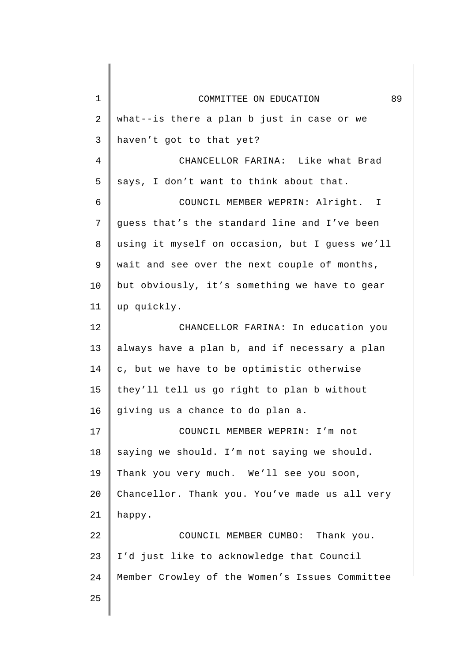| $1\,$          | 89<br>COMMITTEE ON EDUCATION                   |
|----------------|------------------------------------------------|
| $\overline{2}$ | what--is there a plan b just in case or we     |
| $\mathsf{3}$   | haven't got to that yet?                       |
| $\overline{4}$ | CHANCELLOR FARINA: Like what Brad              |
| 5              | says, I don't want to think about that.        |
| 6              | COUNCIL MEMBER WEPRIN: Alright. I              |
| 7              | guess that's the standard line and I've been   |
| 8              | using it myself on occasion, but I guess we'll |
| 9              | wait and see over the next couple of months,   |
| 10             | but obviously, it's something we have to gear  |
| 11             | up quickly.                                    |
| 12             | CHANCELLOR FARINA: In education you            |
| 13             | always have a plan b, and if necessary a plan  |
| 14             | c, but we have to be optimistic otherwise      |
| 15             | they'll tell us go right to plan b without     |
| 16             | giving us a chance to do plan a.               |
| 17             | COUNCIL MEMBER WEPRIN: I'm not                 |
| 18             | saying we should. I'm not saying we should.    |
| 19             | Thank you very much. We'll see you soon,       |
| 20             | Chancellor. Thank you. You've made us all very |
| 21             | happy.                                         |
| 22             | COUNCIL MEMBER CUMBO: Thank you.               |
| 23             | I'd just like to acknowledge that Council      |
| 24             | Member Crowley of the Women's Issues Committee |
| 25             |                                                |
|                |                                                |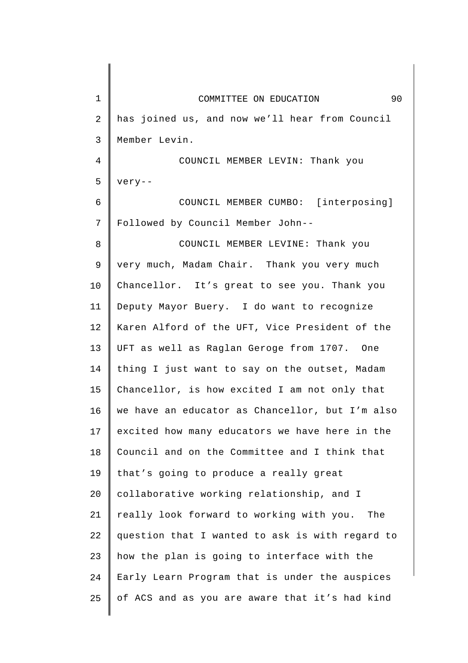| $\mathbf 1$    | 90<br>COMMITTEE ON EDUCATION                    |
|----------------|-------------------------------------------------|
| $\overline{2}$ | has joined us, and now we'll hear from Council  |
| 3              | Member Levin.                                   |
| 4              | COUNCIL MEMBER LEVIN: Thank you                 |
| 5              | $very--$                                        |
| 6              | COUNCIL MEMBER CUMBO: [interposing]             |
| 7              | Followed by Council Member John--               |
| 8              | COUNCIL MEMBER LEVINE: Thank you                |
| 9              | very much, Madam Chair. Thank you very much     |
| 10             | Chancellor. It's great to see you. Thank you    |
| 11             | Deputy Mayor Buery. I do want to recognize      |
| 12             | Karen Alford of the UFT, Vice President of the  |
| 13             | UFT as well as Raglan Geroge from 1707. One     |
| 14             | thing I just want to say on the outset, Madam   |
| 15             | Chancellor, is how excited I am not only that   |
| 16             | we have an educator as Chancellor, but I'm also |
| 17             | excited how many educators we have here in the  |
| 18             | Council and on the Committee and I think that   |
| 19             | that's going to produce a really great          |
| 20             | collaborative working relationship, and I       |
| 21             | really look forward to working with you. The    |
| 22             | question that I wanted to ask is with regard to |
| 23             | how the plan is going to interface with the     |
| 24             | Early Learn Program that is under the auspices  |
| 25             | of ACS and as you are aware that it's had kind  |
|                |                                                 |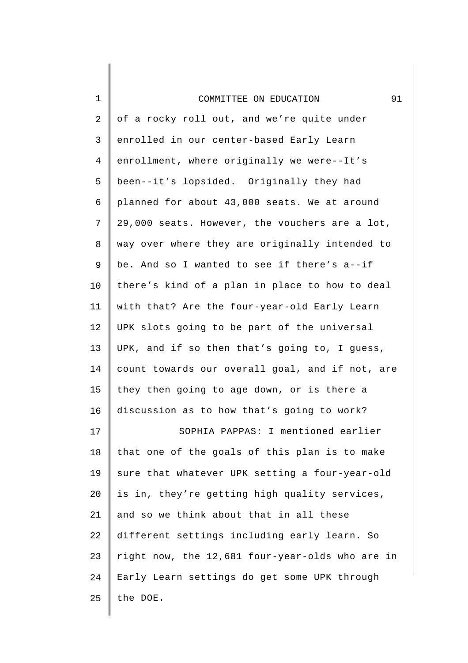1

2 3 4 5 6 7 8 9 10 11 12 13 14 15 16 17 18 19 20 21 22 23 24 25 of a rocky roll out, and we're quite under enrolled in our center-based Early Learn enrollment, where originally we were--It's been--it's lopsided. Originally they had planned for about 43,000 seats. We at around 29,000 seats. However, the vouchers are a lot, way over where they are originally intended to be. And so I wanted to see if there's a--if there's kind of a plan in place to how to deal with that? Are the four-year-old Early Learn UPK slots going to be part of the universal UPK, and if so then that's going to, I guess, count towards our overall goal, and if not, are they then going to age down, or is there a discussion as to how that's going to work? SOPHIA PAPPAS: I mentioned earlier that one of the goals of this plan is to make sure that whatever UPK setting a four-year-old is in, they're getting high quality services, and so we think about that in all these different settings including early learn. So right now, the 12,681 four-year-olds who are in Early Learn settings do get some UPK through the DOE.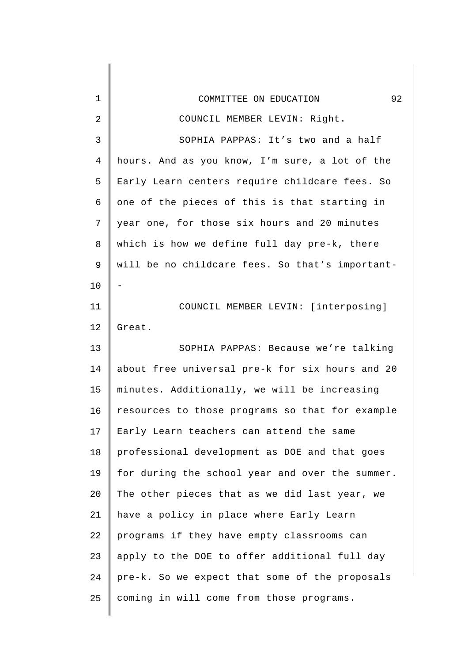| 1              | 92<br>COMMITTEE ON EDUCATION                    |
|----------------|-------------------------------------------------|
| $\overline{2}$ | COUNCIL MEMBER LEVIN: Right.                    |
| $\mathsf{3}$   | SOPHIA PAPPAS: It's two and a half              |
| $\overline{4}$ | hours. And as you know, I'm sure, a lot of the  |
| 5              | Early Learn centers require childcare fees. So  |
| 6              | one of the pieces of this is that starting in   |
| 7              | year one, for those six hours and 20 minutes    |
| $\,8\,$        | which is how we define full day pre-k, there    |
| $\mathsf 9$    | will be no childcare fees. So that's important- |
| 10             |                                                 |
| 11             | COUNCIL MEMBER LEVIN: [interposing]             |
| 12             | Great.                                          |
| 13             | SOPHIA PAPPAS: Because we're talking            |
| 14             | about free universal pre-k for six hours and 20 |
| 15             | minutes. Additionally, we will be increasing    |
| 16             | resources to those programs so that for example |
| 17             | Early Learn teachers can attend the same        |
| 18             | professional development as DOE and that goes   |
| 19             | for during the school year and over the summer. |
| 20             | The other pieces that as we did last year, we   |
| 21             | have a policy in place where Early Learn        |
| 22             | programs if they have empty classrooms can      |
| 23             | apply to the DOE to offer additional full day   |
| 24             | pre-k. So we expect that some of the proposals  |
| 25             | coming in will come from those programs.        |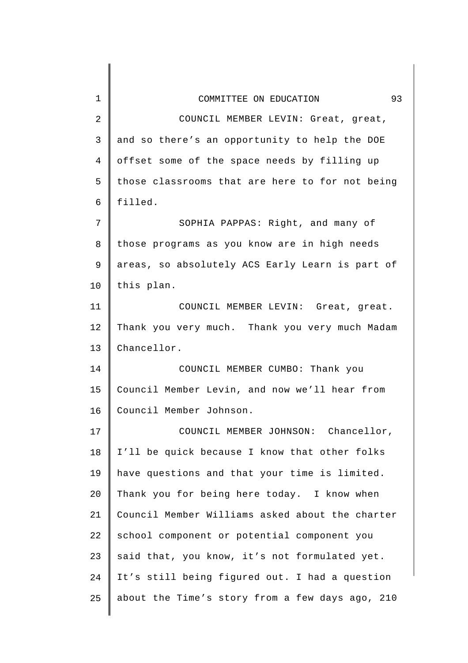| 1  | 93<br>COMMITTEE ON EDUCATION                    |
|----|-------------------------------------------------|
| 2  | COUNCIL MEMBER LEVIN: Great, great,             |
| 3  | and so there's an opportunity to help the DOE   |
| 4  | offset some of the space needs by filling up    |
| 5  | those classrooms that are here to for not being |
| 6  | filled.                                         |
| 7  | SOPHIA PAPPAS: Right, and many of               |
| 8  | those programs as you know are in high needs    |
| 9  | areas, so absolutely ACS Early Learn is part of |
| 10 | this plan.                                      |
| 11 | COUNCIL MEMBER LEVIN: Great, great.             |
| 12 | Thank you very much. Thank you very much Madam  |
| 13 | Chancellor.                                     |
| 14 | COUNCIL MEMBER CUMBO: Thank you                 |
| 15 | Council Member Levin, and now we'll hear from   |
| 16 | Council Member Johnson.                         |
| 17 | COUNCIL MEMBER JOHNSON: Chancellor,             |
| 18 | I'll be quick because I know that other folks   |
| 19 | have questions and that your time is limited.   |
| 20 | Thank you for being here today. I know when     |
| 21 | Council Member Williams asked about the charter |
| 22 | school component or potential component you     |
| 23 | said that, you know, it's not formulated yet.   |
| 24 | It's still being figured out. I had a question  |
| 25 | about the Time's story from a few days ago, 210 |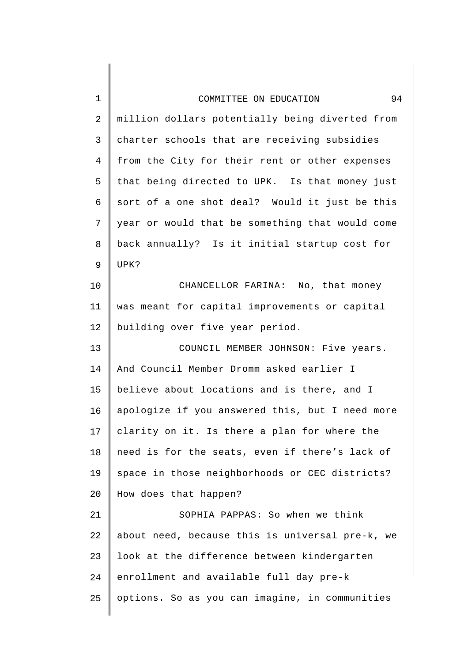| $\mathbf 1$    | 94<br>COMMITTEE ON EDUCATION                    |
|----------------|-------------------------------------------------|
| $\overline{2}$ | million dollars potentially being diverted from |
| $\mathsf{3}$   | charter schools that are receiving subsidies    |
| $\overline{4}$ | from the City for their rent or other expenses  |
| 5              | that being directed to UPK. Is that money just  |
| 6              | sort of a one shot deal? Would it just be this  |
| 7              | year or would that be something that would come |
| 8              | back annually? Is it initial startup cost for   |
| $\mathsf 9$    | UPK?                                            |
| 10             | CHANCELLOR FARINA: No, that money               |
| 11             | was meant for capital improvements or capital   |
| 12             | building over five year period.                 |
| 13             | COUNCIL MEMBER JOHNSON: Five years.             |
| 14             | And Council Member Dromm asked earlier I        |
| 15             | believe about locations and is there, and I     |
| 16             | apologize if you answered this, but I need more |
| 17             | clarity on it. Is there a plan for where the    |
| 18             | need is for the seats, even if there's lack of  |
| 19             | space in those neighborhoods or CEC districts?  |
| 20             | How does that happen?                           |
| 21             | SOPHIA PAPPAS: So when we think                 |
| 22             | about need, because this is universal pre-k, we |
| 23             | look at the difference between kindergarten     |
| 24             | enrollment and available full day pre-k         |
| 25             | options. So as you can imagine, in communities  |
|                |                                                 |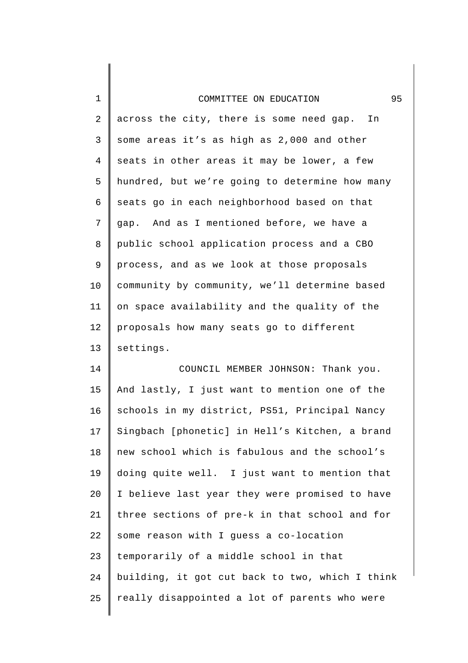1

2 3 4 5 6 7 8 9 10 11 12 13 across the city, there is some need gap. In some areas it's as high as 2,000 and other seats in other areas it may be lower, a few hundred, but we're going to determine how many seats go in each neighborhood based on that gap. And as I mentioned before, we have a public school application process and a CBO process, and as we look at those proposals community by community, we'll determine based on space availability and the quality of the proposals how many seats go to different settings.

14 15 16 17 18 19 20 21 22 23 24 25 COUNCIL MEMBER JOHNSON: Thank you. And lastly, I just want to mention one of the schools in my district, PS51, Principal Nancy Singbach [phonetic] in Hell's Kitchen, a brand new school which is fabulous and the school's doing quite well. I just want to mention that I believe last year they were promised to have three sections of pre-k in that school and for some reason with I guess a co-location temporarily of a middle school in that building, it got cut back to two, which I think really disappointed a lot of parents who were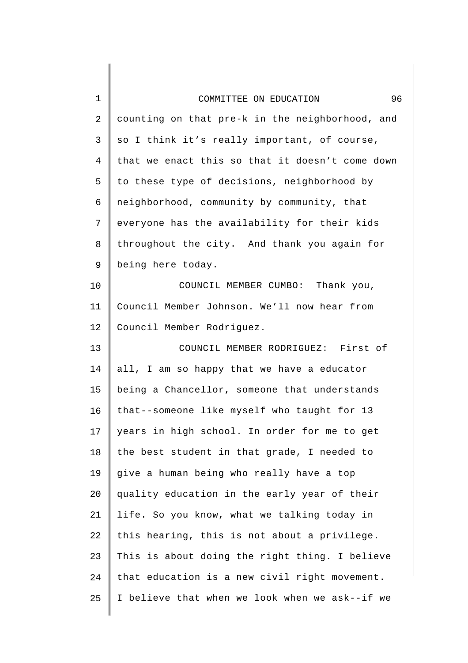| $\mathbf 1$ | 96<br>COMMITTEE ON EDUCATION                    |
|-------------|-------------------------------------------------|
| 2           | counting on that pre-k in the neighborhood, and |
| 3           | so I think it's really important, of course,    |
| 4           | that we enact this so that it doesn't come down |
| 5           | to these type of decisions, neighborhood by     |
| 6           | neighborhood, community by community, that      |
| 7           | everyone has the availability for their kids    |
| 8           | throughout the city. And thank you again for    |
| 9           | being here today.                               |
| 10          | COUNCIL MEMBER CUMBO: Thank you,                |
| 11          | Council Member Johnson. We'll now hear from     |
| 12          | Council Member Rodriguez.                       |
| 13          | COUNCIL MEMBER RODRIGUEZ: First of              |
| 14          | all, I am so happy that we have a educator      |
| 15          | being a Chancellor, someone that understands    |
| 16          | that--someone like myself who taught for 13     |
| 17          | years in high school. In order for me to get    |
| 18          | the best student in that grade, I needed to     |
| 19          | give a human being who really have a top        |
| 20          | quality education in the early year of their    |
| 21          | life. So you know, what we talking today in     |
| 22          | this hearing, this is not about a privilege.    |
| 23          | This is about doing the right thing. I believe  |
| 24          | that education is a new civil right movement.   |
| 25          | I believe that when we look when we ask--if we  |
|             |                                                 |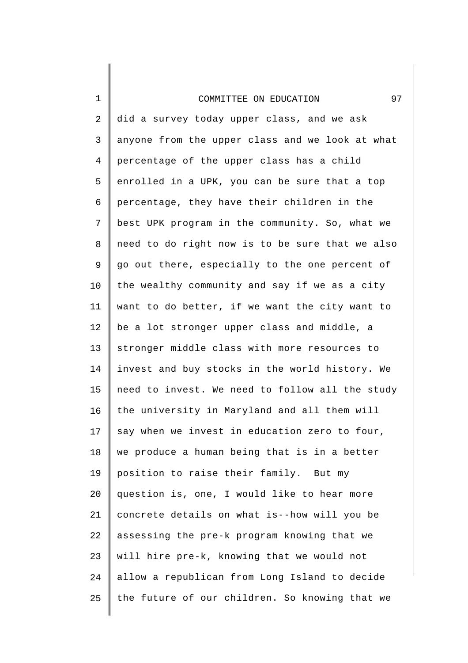1

2 3 4 5 6 7 8 9 10 11 12 13 14 15 16 17 18 19 20 21 22 23 24 25 did a survey today upper class, and we ask anyone from the upper class and we look at what percentage of the upper class has a child enrolled in a UPK, you can be sure that a top percentage, they have their children in the best UPK program in the community. So, what we need to do right now is to be sure that we also go out there, especially to the one percent of the wealthy community and say if we as a city want to do better, if we want the city want to be a lot stronger upper class and middle, a stronger middle class with more resources to invest and buy stocks in the world history. We need to invest. We need to follow all the study the university in Maryland and all them will say when we invest in education zero to four, we produce a human being that is in a better position to raise their family. But my question is, one, I would like to hear more concrete details on what is--how will you be assessing the pre-k program knowing that we will hire pre-k, knowing that we would not allow a republican from Long Island to decide the future of our children. So knowing that we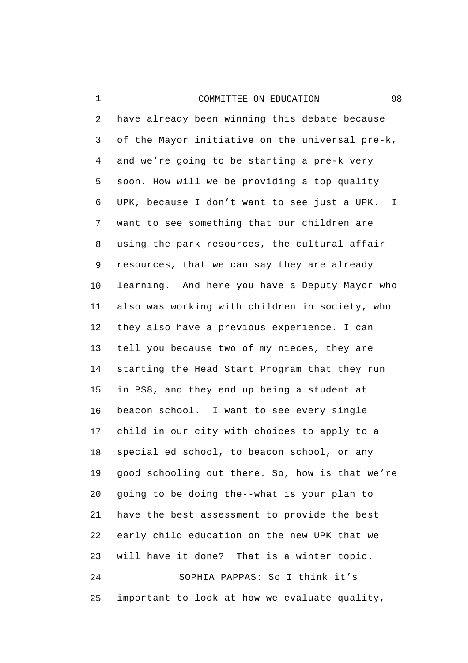1

2 3 4 5 6 7 8 9 10 11 12 13 14 15 16 17 18 19 20 21 22 23 24 25 have already been winning this debate because of the Mayor initiative on the universal pre-k, and we're going to be starting a pre-k very soon. How will we be providing a top quality UPK, because I don't want to see just a UPK. I want to see something that our children are using the park resources, the cultural affair resources, that we can say they are already learning. And here you have a Deputy Mayor who also was working with children in society, who they also have a previous experience. I can tell you because two of my nieces, they are starting the Head Start Program that they run in PS8, and they end up being a student at beacon school. I want to see every single child in our city with choices to apply to a special ed school, to beacon school, or any good schooling out there. So, how is that we're going to be doing the--what is your plan to have the best assessment to provide the best early child education on the new UPK that we will have it done? That is a winter topic. SOPHIA PAPPAS: So I think it's important to look at how we evaluate quality,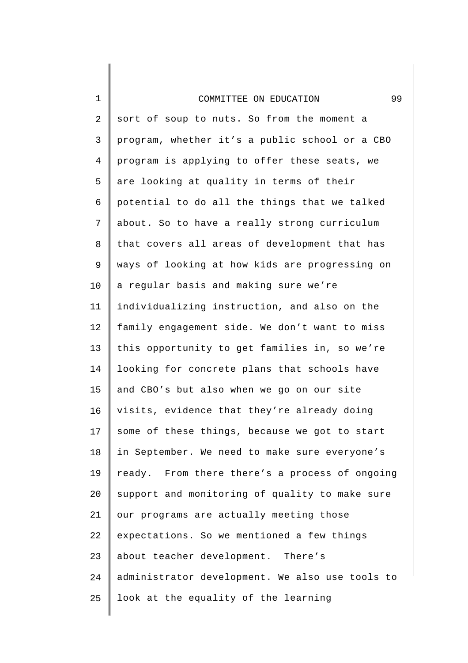1

2 3 4 5 6 7 8 9 10 11 12 13 14 15 16 17 18 19 20 21 22 23 24 25 sort of soup to nuts. So from the moment a program, whether it's a public school or a CBO program is applying to offer these seats, we are looking at quality in terms of their potential to do all the things that we talked about. So to have a really strong curriculum that covers all areas of development that has ways of looking at how kids are progressing on a regular basis and making sure we're individualizing instruction, and also on the family engagement side. We don't want to miss this opportunity to get families in, so we're looking for concrete plans that schools have and CBO's but also when we go on our site visits, evidence that they're already doing some of these things, because we got to start in September. We need to make sure everyone's ready. From there there's a process of ongoing support and monitoring of quality to make sure our programs are actually meeting those expectations. So we mentioned a few things about teacher development. There's administrator development. We also use tools to look at the equality of the learning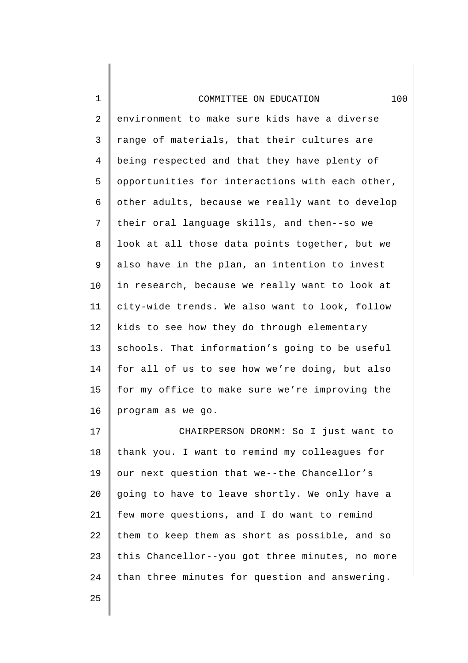2 3 4 5 6 7 8 9 10 11 12 13 14 15 16 environment to make sure kids have a diverse range of materials, that their cultures are being respected and that they have plenty of opportunities for interactions with each other, other adults, because we really want to develop their oral language skills, and then--so we look at all those data points together, but we also have in the plan, an intention to invest in research, because we really want to look at city-wide trends. We also want to look, follow kids to see how they do through elementary schools. That information's going to be useful for all of us to see how we're doing, but also for my office to make sure we're improving the program as we go.

17 18 19 20 21 22 23 24 CHAIRPERSON DROMM: So I just want to thank you. I want to remind my colleagues for our next question that we--the Chancellor's going to have to leave shortly. We only have a few more questions, and I do want to remind them to keep them as short as possible, and so this Chancellor--you got three minutes, no more than three minutes for question and answering.

25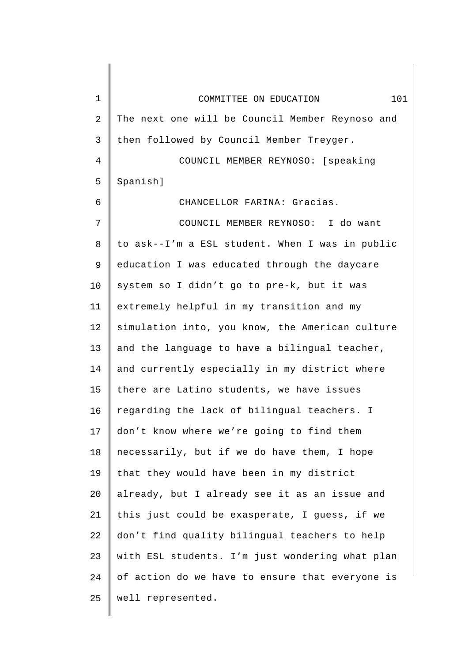| $\mathbf 1$    | 101<br>COMMITTEE ON EDUCATION                   |
|----------------|-------------------------------------------------|
| 2              | The next one will be Council Member Reynoso and |
| $\mathsf{3}$   | then followed by Council Member Treyger.        |
| $\overline{4}$ | COUNCIL MEMBER REYNOSO: [speaking               |
| 5              | Spanish]                                        |
| 6              | CHANCELLOR FARINA: Gracias.                     |
| 7              | COUNCIL MEMBER REYNOSO: I do want               |
| 8              | to ask--I'm a ESL student. When I was in public |
| 9              | education I was educated through the daycare    |
| 10             | system so I didn't go to pre-k, but it was      |
| 11             | extremely helpful in my transition and my       |
| 12             | simulation into, you know, the American culture |
| 13             | and the language to have a bilingual teacher,   |
| 14             | and currently especially in my district where   |
| 15             | there are Latino students, we have issues       |
| 16             | regarding the lack of bilingual teachers. I     |
| 17             | don't know where we're going to find them       |
| 18             | necessarily, but if we do have them, I hope     |
| 19             | that they would have been in my district        |
| 20             | already, but I already see it as an issue and   |
| 21             | this just could be exasperate, I guess, if we   |
| 22             | don't find quality bilingual teachers to help   |
| 23             | with ESL students. I'm just wondering what plan |
| 24             | of action do we have to ensure that everyone is |
| 25             | well represented.                               |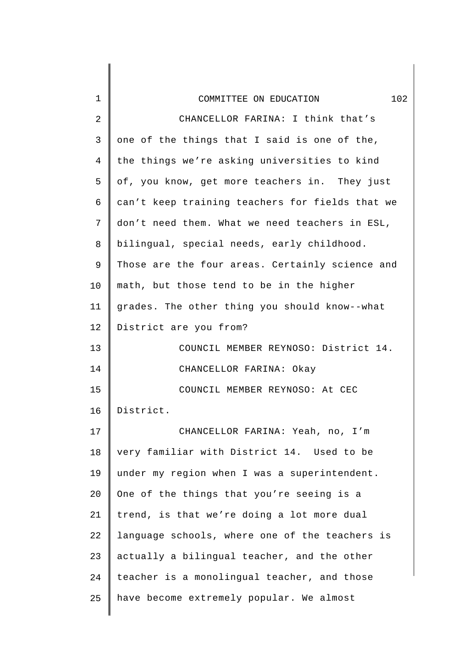| $\mathbf 1$    | 102<br>COMMITTEE ON EDUCATION                   |
|----------------|-------------------------------------------------|
| $\overline{2}$ | CHANCELLOR FARINA: I think that's               |
| $\mathsf{3}$   | one of the things that I said is one of the,    |
| 4              | the things we're asking universities to kind    |
| 5              | of, you know, get more teachers in. They just   |
| 6              | can't keep training teachers for fields that we |
| 7              | don't need them. What we need teachers in ESL,  |
| 8              | bilingual, special needs, early childhood.      |
| 9              | Those are the four areas. Certainly science and |
| 10             | math, but those tend to be in the higher        |
| 11             | grades. The other thing you should know--what   |
| 12             | District are you from?                          |
| 13             | COUNCIL MEMBER REYNOSO: District 14.            |
| 14             | CHANCELLOR FARINA: Okay                         |
| 15             | COUNCIL MEMBER REYNOSO: At CEC                  |
| 16             | District.                                       |
| 17             | CHANCELLOR FARINA: Yeah, no, I'm                |
| 18             | very familiar with District 14. Used to be      |
| 19             | under my region when I was a superintendent.    |
| 20             | One of the things that you're seeing is a       |
| 21             | trend, is that we're doing a lot more dual      |
| 22             | language schools, where one of the teachers is  |
| 23             | actually a bilingual teacher, and the other     |
| 24             | teacher is a monolingual teacher, and those     |
| 25             | have become extremely popular. We almost        |
|                |                                                 |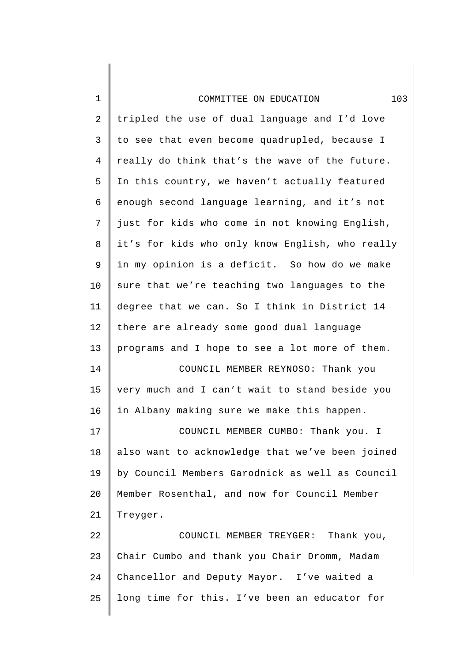1

 $\mathfrak{D}$ 3 4 5 6 7 8 9 10 11 12 13 14 15 16 17 18 19 20 21 22 tripled the use of dual language and I'd love to see that even become quadrupled, because I really do think that's the wave of the future. In this country, we haven't actually featured enough second language learning, and it's not just for kids who come in not knowing English, it's for kids who only know English, who really in my opinion is a deficit. So how do we make sure that we're teaching two languages to the degree that we can. So I think in District 14 there are already some good dual language programs and I hope to see a lot more of them. COUNCIL MEMBER REYNOSO: Thank you very much and I can't wait to stand beside you in Albany making sure we make this happen. COUNCIL MEMBER CUMBO: Thank you. I also want to acknowledge that we've been joined by Council Members Garodnick as well as Council Member Rosenthal, and now for Council Member Treyger. COUNCIL MEMBER TREYGER: Thank you,

23 24 25 Chair Cumbo and thank you Chair Dromm, Madam Chancellor and Deputy Mayor. I've waited a long time for this. I've been an educator for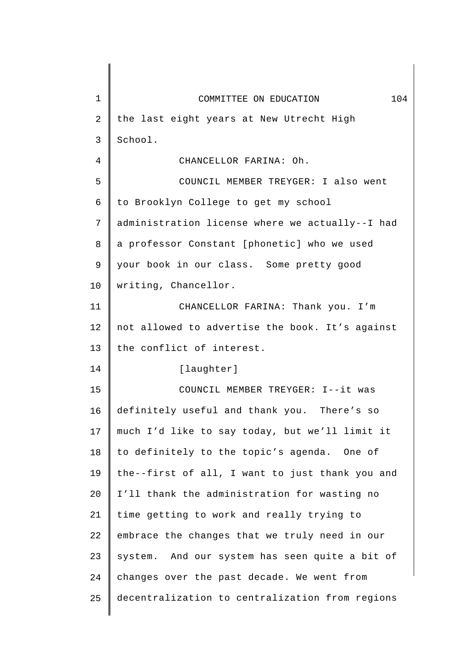| $\mathbf{1}$ | 104<br>COMMITTEE ON EDUCATION                   |
|--------------|-------------------------------------------------|
| 2            | the last eight years at New Utrecht High        |
| 3            | School.                                         |
| 4            | CHANCELLOR FARINA: Oh.                          |
| 5            | COUNCIL MEMBER TREYGER: I also went             |
| 6            | to Brooklyn College to get my school            |
| 7            | administration license where we actually--I had |
| 8            | a professor Constant [phonetic] who we used     |
| 9            | your book in our class. Some pretty good        |
| 10           | writing, Chancellor.                            |
| 11           | CHANCELLOR FARINA: Thank you. I'm               |
| 12           | not allowed to advertise the book. It's against |
| 13           | the conflict of interest.                       |
| 14           | [laughter]                                      |
| 15           | COUNCIL MEMBER TREYGER: I--it was               |
| 16           | definitely useful and thank you.<br>There's so  |
| 17           | much I'd like to say today, but we'll limit it  |
| 18           | to definitely to the topic's agenda. One of     |
| 19           | the--first of all, I want to just thank you and |
| 20           | I'll thank the administration for wasting no    |
| 21           | time getting to work and really trying to       |
| 22           | embrace the changes that we truly need in our   |
| 23           | system. And our system has seen quite a bit of  |
| 24           | changes over the past decade. We went from      |
| 25           | decentralization to centralization from regions |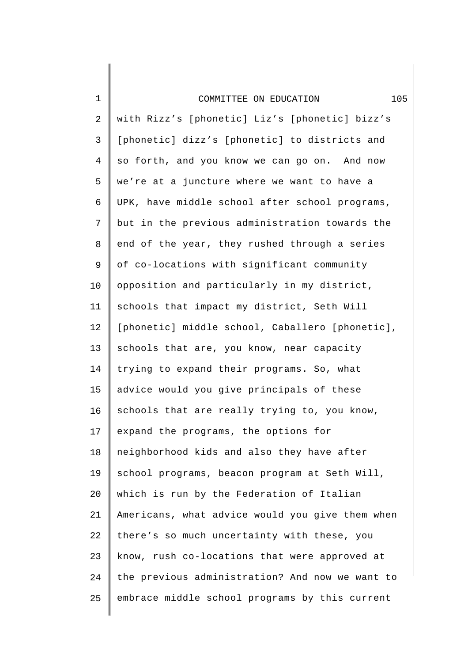1

2 3 4 5 6 7 8 9 10 11 12 13 14 15 16 17 18 19 20 21 22 23 24 25 with Rizz's [phonetic] Liz's [phonetic] bizz's [phonetic] dizz's [phonetic] to districts and so forth, and you know we can go on. And now we're at a juncture where we want to have a UPK, have middle school after school programs, but in the previous administration towards the end of the year, they rushed through a series of co-locations with significant community opposition and particularly in my district, schools that impact my district, Seth Will [phonetic] middle school, Caballero [phonetic], schools that are, you know, near capacity trying to expand their programs. So, what advice would you give principals of these schools that are really trying to, you know, expand the programs, the options for neighborhood kids and also they have after school programs, beacon program at Seth Will, which is run by the Federation of Italian Americans, what advice would you give them when there's so much uncertainty with these, you know, rush co-locations that were approved at the previous administration? And now we want to embrace middle school programs by this current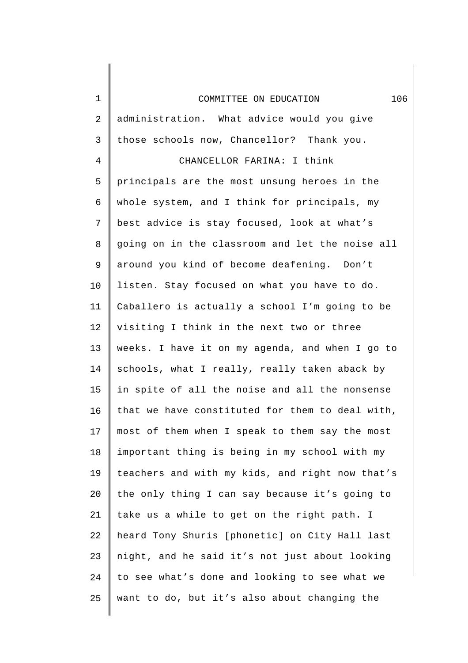1 2 3 4 5 6 7 8 9 10 11 12 13 14 15 16 17 18 19 20 21 22 23 24 25 COMMITTEE ON EDUCATION 106 administration. What advice would you give those schools now, Chancellor? Thank you. CHANCELLOR FARINA: I think principals are the most unsung heroes in the whole system, and I think for principals, my best advice is stay focused, look at what's going on in the classroom and let the noise all around you kind of become deafening. Don't listen. Stay focused on what you have to do. Caballero is actually a school I'm going to be visiting I think in the next two or three weeks. I have it on my agenda, and when I go to schools, what I really, really taken aback by in spite of all the noise and all the nonsense that we have constituted for them to deal with, most of them when I speak to them say the most important thing is being in my school with my teachers and with my kids, and right now that's the only thing I can say because it's going to take us a while to get on the right path. I heard Tony Shuris [phonetic] on City Hall last night, and he said it's not just about looking to see what's done and looking to see what we want to do, but it's also about changing the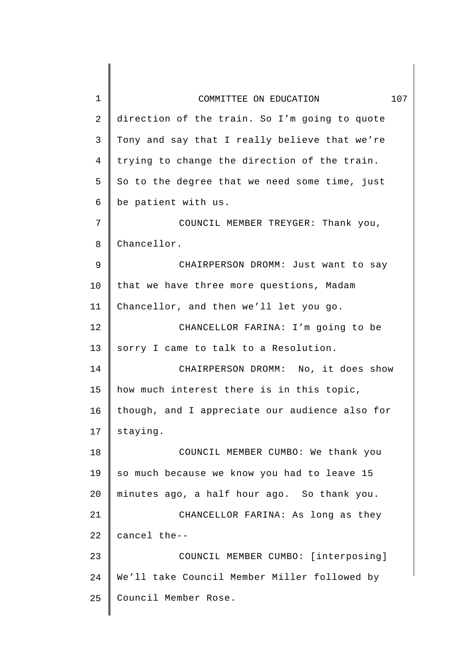| $\mathbf 1$    | 107<br>COMMITTEE ON EDUCATION                  |
|----------------|------------------------------------------------|
| $\mathbf{2}$   | direction of the train. So I'm going to quote  |
| $\mathfrak{Z}$ | Tony and say that I really believe that we're  |
| $\overline{4}$ | trying to change the direction of the train.   |
| 5              | So to the degree that we need some time, just  |
| 6              | be patient with us.                            |
| 7              | COUNCIL MEMBER TREYGER: Thank you,             |
| 8              | Chancellor.                                    |
| 9              | CHAIRPERSON DROMM: Just want to say            |
| 10             | that we have three more questions, Madam       |
| 11             | Chancellor, and then we'll let you go.         |
| 12             | CHANCELLOR FARINA: I'm going to be             |
| 13             | sorry I came to talk to a Resolution.          |
| 14             | CHAIRPERSON DROMM: No, it does show            |
| 15             | how much interest there is in this topic,      |
| 16             | though, and I appreciate our audience also for |
| 17             | staying.                                       |
| 18             | COUNCIL MEMBER CUMBO: We thank you             |
| 19             | so much because we know you had to leave 15    |
| 20             | minutes ago, a half hour ago. So thank you.    |
| 21             | CHANCELLOR FARINA: As long as they             |
| 22             | cancel the--                                   |
| 23             | COUNCIL MEMBER CUMBO: [interposing]            |
| 24             | We'll take Council Member Miller followed by   |
| 25             | Council Member Rose.                           |
|                |                                                |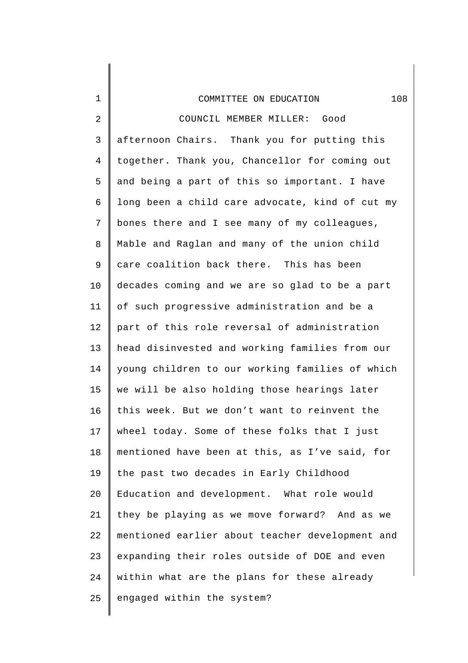| $\mathbf{1}$   | 108<br>COMMITTEE ON EDUCATION                   |
|----------------|-------------------------------------------------|
| 2              | COUNCIL MEMBER MILLER: Good                     |
| $\mathsf{3}$   | afternoon Chairs. Thank you for putting this    |
| $\overline{4}$ | together. Thank you, Chancellor for coming out  |
| 5              | and being a part of this so important. I have   |
| 6              | long been a child care advocate, kind of cut my |
| 7              | bones there and I see many of my colleagues,    |
| 8              | Mable and Raglan and many of the union child    |
| 9              | care coalition back there. This has been        |
| 10             | decades coming and we are so glad to be a part  |
| 11             | of such progressive administration and be a     |
| 12             | part of this role reversal of administration    |
| 13             | head disinvested and working families from our  |
| 14             | young children to our working families of which |
| 15             | we will be also holding those hearings later    |
| 16             | this week. But we don't want to reinvent the    |
| 17             | wheel today. Some of these folks that I just    |
| 18             | mentioned have been at this, as I've said, for  |
| 19             | the past two decades in Early Childhood         |
| 20             | Education and development. What role would      |
| 21             | they be playing as we move forward? And as we   |
| 22             | mentioned earlier about teacher development and |
| 23             | expanding their roles outside of DOE and even   |
| 24             | within what are the plans for these already     |
| 25             | engaged within the system?                      |
|                |                                                 |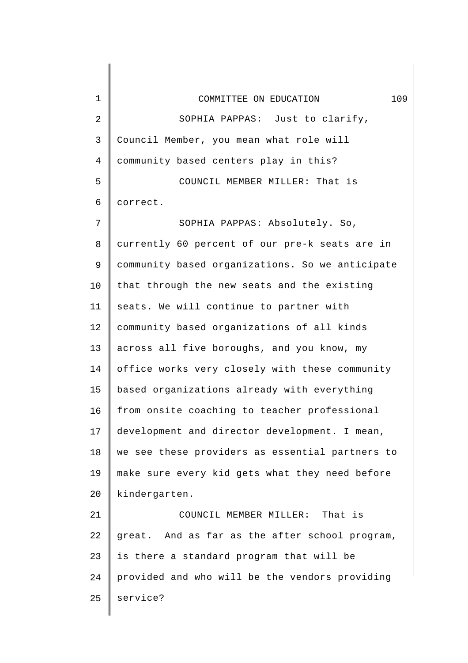| $\mathbf 1$ | 109<br>COMMITTEE ON EDUCATION                   |
|-------------|-------------------------------------------------|
| 2           | SOPHIA PAPPAS: Just to clarify,                 |
| 3           | Council Member, you mean what role will         |
| 4           | community based centers play in this?           |
| 5           | COUNCIL MEMBER MILLER: That is                  |
| 6           | correct.                                        |
| 7           | SOPHIA PAPPAS: Absolutely. So,                  |
| 8           | currently 60 percent of our pre-k seats are in  |
| 9           | community based organizations. So we anticipate |
| 10          | that through the new seats and the existing     |
| 11          | seats. We will continue to partner with         |
| 12          | community based organizations of all kinds      |
| 13          | across all five boroughs, and you know, my      |
| 14          | office works very closely with these community  |
| 15          | based organizations already with everything     |
| 16          | from onsite coaching to teacher professional    |
| 17          | development and director development. I mean,   |
| 18          | we see these providers as essential partners to |
| 19          | make sure every kid gets what they need before  |
| 20          | kindergarten.                                   |
| 21          | COUNCIL MEMBER MILLER: That is                  |
| 22          | great. And as far as the after school program,  |
| 23          | is there a standard program that will be        |
| 24          | provided and who will be the vendors providing  |
| 25          | service?                                        |
|             |                                                 |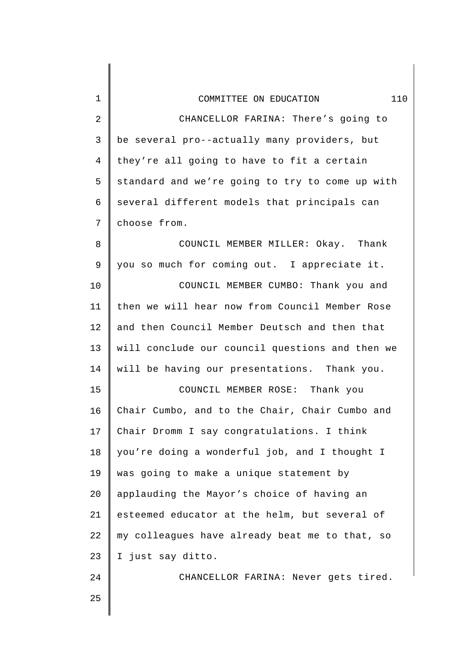| $\mathbf 1$    | 110<br>COMMITTEE ON EDUCATION                   |
|----------------|-------------------------------------------------|
| 2              | CHANCELLOR FARINA: There's going to             |
| 3              | be several pro--actually many providers, but    |
| $\overline{4}$ | they're all going to have to fit a certain      |
| 5              | standard and we're going to try to come up with |
| 6              | several different models that principals can    |
| 7              | choose from.                                    |
| 8              | COUNCIL MEMBER MILLER: Okay. Thank              |
| 9              | you so much for coming out. I appreciate it.    |
| 10             | COUNCIL MEMBER CUMBO: Thank you and             |
| 11             | then we will hear now from Council Member Rose  |
| 12             | and then Council Member Deutsch and then that   |
| 13             | will conclude our council questions and then we |
| 14             | will be having our presentations. Thank you.    |
| 15             | COUNCIL MEMBER ROSE: Thank you                  |
| 16             | Chair Cumbo, and to the Chair, Chair Cumbo and  |
| 17             | Chair Dromm I say congratulations. I think      |
| 18             | you're doing a wonderful job, and I thought I   |
| 19             | was going to make a unique statement by         |
| 20             | applauding the Mayor's choice of having an      |
| 21             | esteemed educator at the helm, but several of   |
| 22             | my colleagues have already beat me to that, so  |
| 23             | I just say ditto.                               |
| 24             | CHANCELLOR FARINA: Never gets tired.            |
| 25             |                                                 |
|                |                                                 |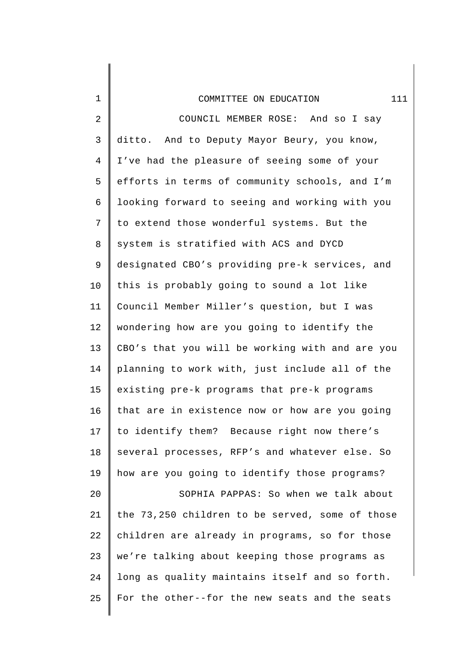| $\mathbf 1$    | 111<br>COMMITTEE ON EDUCATION                   |
|----------------|-------------------------------------------------|
| $\overline{2}$ | COUNCIL MEMBER ROSE: And so I say               |
| $\mathbf{3}$   | ditto. And to Deputy Mayor Beury, you know,     |
| $\overline{4}$ | I've had the pleasure of seeing some of your    |
| 5              | efforts in terms of community schools, and I'm  |
| 6              | looking forward to seeing and working with you  |
| $\overline{7}$ | to extend those wonderful systems. But the      |
| 8              | system is stratified with ACS and DYCD          |
| $\mathsf 9$    | designated CBO's providing pre-k services, and  |
| 10             | this is probably going to sound a lot like      |
| 11             | Council Member Miller's question, but I was     |
| 12             | wondering how are you going to identify the     |
| 13             | CBO's that you will be working with and are you |
| 14             | planning to work with, just include all of the  |
| 15             | existing pre-k programs that pre-k programs     |
| 16             | that are in existence now or how are you going  |
| 17             | to identify them? Because right now there's     |
| 18             | several processes, RFP's and whatever else. So  |
| 19             | how are you going to identify those programs?   |
| 20             | SOPHIA PAPPAS: So when we talk about            |
| 21             | the 73,250 children to be served, some of those |
| 22             | children are already in programs, so for those  |
| 23             | we're talking about keeping those programs as   |
| 24             | long as quality maintains itself and so forth.  |
| 25             | For the other--for the new seats and the seats  |
|                |                                                 |

 $\mathbb{I}$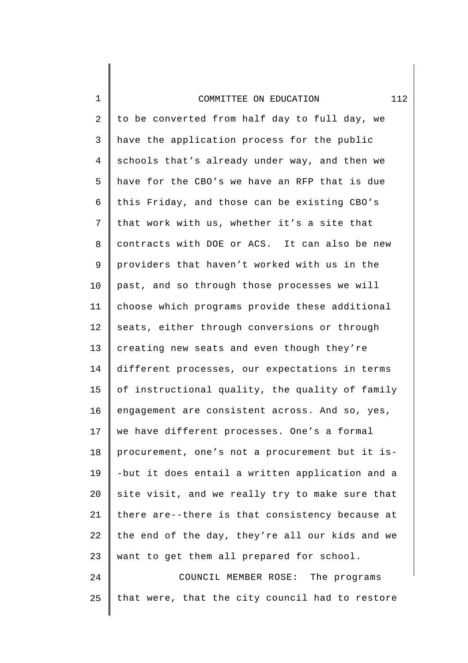| $\mathbf 1$    | COMMITTEE ON EDUCATION<br>112                   |
|----------------|-------------------------------------------------|
| $\overline{2}$ | to be converted from half day to full day, we   |
| $\mathsf{3}$   | have the application process for the public     |
| $\overline{4}$ | schools that's already under way, and then we   |
| 5              | have for the CBO's we have an RFP that is due   |
| 6              | this Friday, and those can be existing CBO's    |
| $\overline{7}$ | that work with us, whether it's a site that     |
| 8              | contracts with DOE or ACS. It can also be new   |
| $\mathsf 9$    | providers that haven't worked with us in the    |
| 10             | past, and so through those processes we will    |
| 11             | choose which programs provide these additional  |
| 12             | seats, either through conversions or through    |
| 13             | creating new seats and even though they're      |
| 14             | different processes, our expectations in terms  |
| 15             | of instructional quality, the quality of family |
| 16             | engagement are consistent across. And so, yes,  |
| 17             | we have different processes. One's a formal     |
| 18             | procurement, one's not a procurement but it is- |
| 19             | -but it does entail a written application and a |
| 20             | site visit, and we really try to make sure that |
| 21             | there are--there is that consistency because at |
| 22             | the end of the day, they're all our kids and we |
| 23             | want to get them all prepared for school.       |
| 24             | COUNCIL MEMBER ROSE:<br>The programs            |

25 that were, that the city council had to restore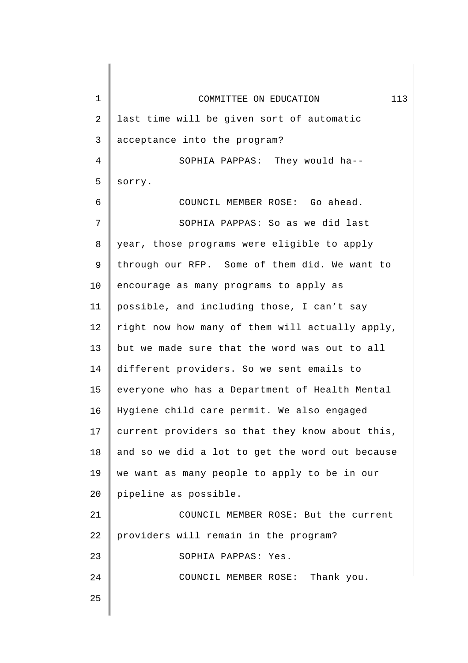| $\mathbf 1$    | 113<br>COMMITTEE ON EDUCATION                   |
|----------------|-------------------------------------------------|
| $\overline{2}$ | last time will be given sort of automatic       |
| 3              | acceptance into the program?                    |
| $\overline{4}$ | SOPHIA PAPPAS: They would ha--                  |
| 5              | sorry.                                          |
| 6              | COUNCIL MEMBER ROSE: Go ahead.                  |
| 7              | SOPHIA PAPPAS: So as we did last                |
| 8              | year, those programs were eligible to apply     |
| 9              | through our RFP. Some of them did. We want to   |
| 10             | encourage as many programs to apply as          |
| 11             | possible, and including those, I can't say      |
| 12             | right now how many of them will actually apply, |
| 13             | but we made sure that the word was out to all   |
| 14             | different providers. So we sent emails to       |
| 15             | everyone who has a Department of Health Mental  |
| 16             | Hygiene child care permit. We also engaged      |
| 17             | current providers so that they know about this, |
| 18             | and so we did a lot to get the word out because |
| 19             | we want as many people to apply to be in our    |
| 20             | pipeline as possible.                           |
| 21             | COUNCIL MEMBER ROSE: But the current            |
| 22             | providers will remain in the program?           |
| 23             | SOPHIA PAPPAS: Yes.                             |
| 24             | COUNCIL MEMBER ROSE: Thank you.                 |
| 25             |                                                 |
|                |                                                 |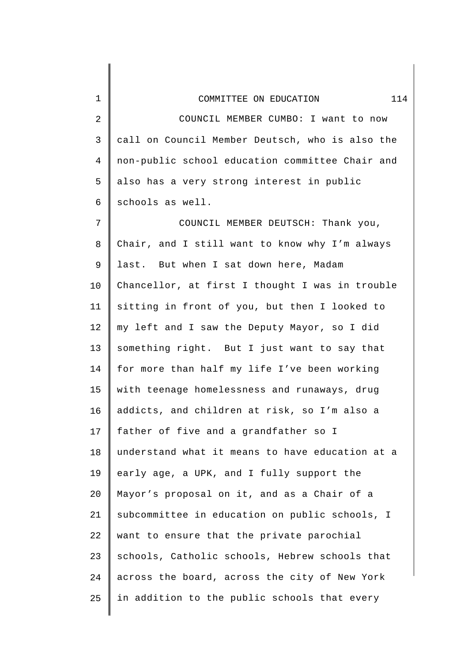| 1              | 114<br>COMMITTEE ON EDUCATION                   |
|----------------|-------------------------------------------------|
| $\sqrt{2}$     | COUNCIL MEMBER CUMBO: I want to now             |
| 3              | call on Council Member Deutsch, who is also the |
| $\overline{4}$ | non-public school education committee Chair and |
| 5              | also has a very strong interest in public       |
| 6              | schools as well.                                |
| 7              | COUNCIL MEMBER DEUTSCH: Thank you,              |
| 8              | Chair, and I still want to know why I'm always  |
| 9              | last. But when I sat down here, Madam           |
| 10             | Chancellor, at first I thought I was in trouble |
| 11             | sitting in front of you, but then I looked to   |
| 12             | my left and I saw the Deputy Mayor, so I did    |
| 13             | something right. But I just want to say that    |
| 14             | for more than half my life I've been working    |
| 15             | with teenage homelessness and runaways, drug    |
| 16             | addicts, and children at risk, so I'm also a    |
| 17             | father of five and a grandfather so I           |
| 18             | understand what it means to have education at a |
| 19             | early age, a UPK, and I fully support the       |
| 20             | Mayor's proposal on it, and as a Chair of a     |
| 21             | subcommittee in education on public schools, I  |
| 22             | want to ensure that the private parochial       |
| 23             | schools, Catholic schools, Hebrew schools that  |
| 24             | across the board, across the city of New York   |
| 25             | in addition to the public schools that every    |
|                |                                                 |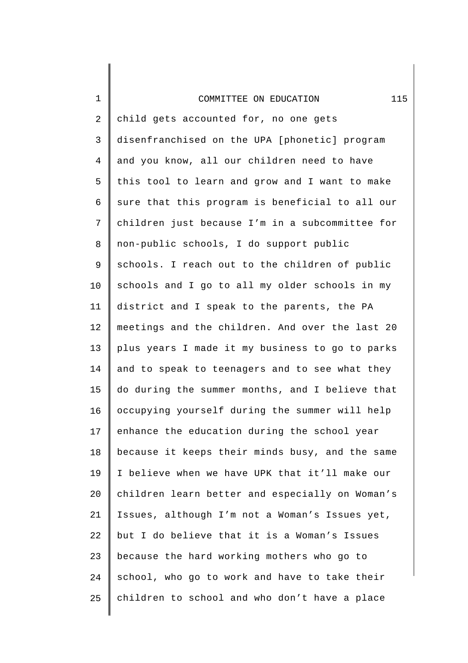1

2 3 4 5 6 7 8 9 10 11 12 13 14 15 16 17 18 19 20 21 22 23 24 25 child gets accounted for, no one gets disenfranchised on the UPA [phonetic] program and you know, all our children need to have this tool to learn and grow and I want to make sure that this program is beneficial to all our children just because I'm in a subcommittee for non-public schools, I do support public schools. I reach out to the children of public schools and I go to all my older schools in my district and I speak to the parents, the PA meetings and the children. And over the last 20 plus years I made it my business to go to parks and to speak to teenagers and to see what they do during the summer months, and I believe that occupying yourself during the summer will help enhance the education during the school year because it keeps their minds busy, and the same I believe when we have UPK that it'll make our children learn better and especially on Woman's Issues, although I'm not a Woman's Issues yet, but I do believe that it is a Woman's Issues because the hard working mothers who go to school, who go to work and have to take their children to school and who don't have a place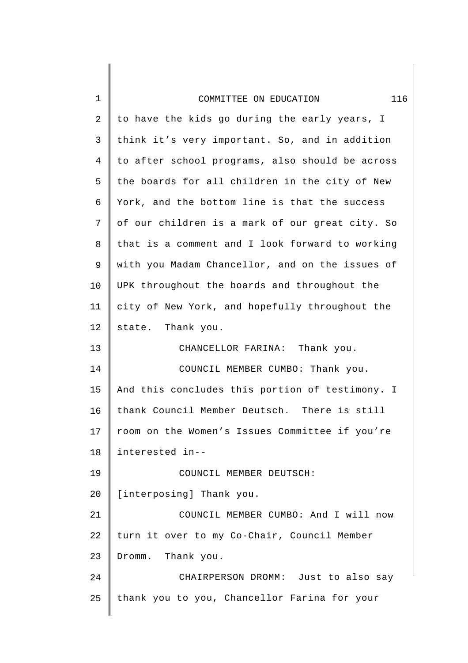| $\mathbf 1$    | 116<br>COMMITTEE ON EDUCATION                   |
|----------------|-------------------------------------------------|
| $\overline{2}$ | to have the kids go during the early years, I   |
| 3              | think it's very important. So, and in addition  |
| 4              | to after school programs, also should be across |
| 5              | the boards for all children in the city of New  |
| 6              | York, and the bottom line is that the success   |
| 7              | of our children is a mark of our great city. So |
| 8              | that is a comment and I look forward to working |
| 9              | with you Madam Chancellor, and on the issues of |
| 10             | UPK throughout the boards and throughout the    |
| 11             | city of New York, and hopefully throughout the  |
| 12             | state. Thank you.                               |
| 13             | CHANCELLOR FARINA: Thank you.                   |
| 14             | COUNCIL MEMBER CUMBO: Thank you.                |
| 15             | And this concludes this portion of testimony. I |
| 16             | thank Council Member Deutsch. There is still    |
| 17             | room on the Women's Issues Committee if you're  |
| 18             | interested in--                                 |
| 19             | COUNCIL MEMBER DEUTSCH:                         |
| 20             | [interposing] Thank you.                        |
| 21             | COUNCIL MEMBER CUMBO: And I will now            |
| 22             | turn it over to my Co-Chair, Council Member     |
| 23             | Dromm. Thank you.                               |
| 24             | CHAIRPERSON DROMM: Just to also say             |
| 25             | thank you to you, Chancellor Farina for your    |

 $\mathbb{I}$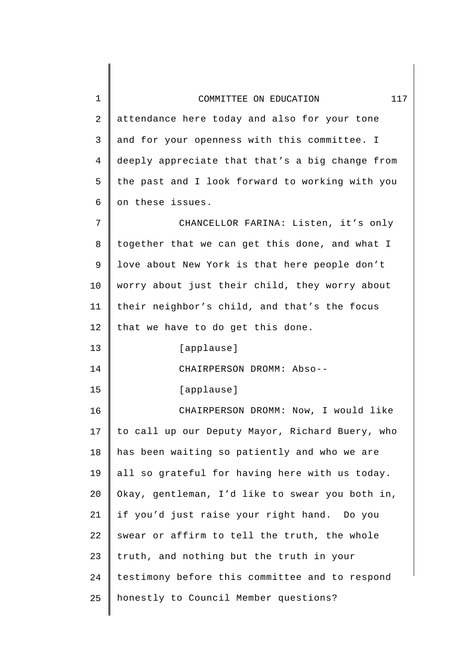| $\mathbf 1$    | 117<br>COMMITTEE ON EDUCATION                   |
|----------------|-------------------------------------------------|
| $\overline{2}$ | attendance here today and also for your tone    |
| $\mathsf{3}$   | and for your openness with this committee. I    |
| 4              | deeply appreciate that that's a big change from |
| 5              | the past and I look forward to working with you |
| 6              | on these issues.                                |
| 7              | CHANCELLOR FARINA: Listen, it's only            |
| 8              | together that we can get this done, and what I  |
| 9              | love about New York is that here people don't   |
| 10             | worry about just their child, they worry about  |
| 11             | their neighbor's child, and that's the focus    |
| 12             | that we have to do get this done.               |
| 13             | [applause]                                      |
| 14             | CHAIRPERSON DROMM: Abso--                       |
| 15             | [applause]                                      |
| 16             | CHAIRPERSON DROMM: Now, I would like            |
| 17             | to call up our Deputy Mayor, Richard Buery, who |
| 18             | has been waiting so patiently and who we are    |
| 19             | all so grateful for having here with us today.  |
| 20             | Okay, gentleman, I'd like to swear you both in, |
| 21             | if you'd just raise your right hand. Do you     |
| 22             | swear or affirm to tell the truth, the whole    |
| 23             | truth, and nothing but the truth in your        |
| 24             | testimony before this committee and to respond  |
| 25             | honestly to Council Member questions?           |
|                |                                                 |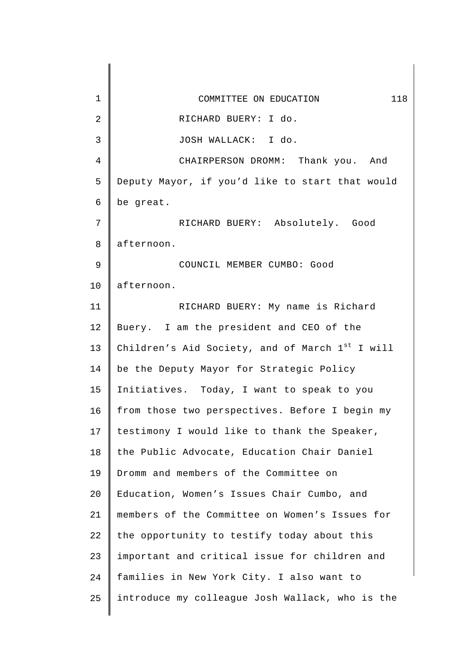1 2 3 4 5 6 7 8 9 10 11 12 13 14 15 16 17 18 19 20 21 22 23 24 25 COMMITTEE ON EDUCATION 118 RICHARD BUERY: I do. JOSH WALLACK: I do. CHAIRPERSON DROMM: Thank you. And Deputy Mayor, if you'd like to start that would be great. RICHARD BUERY: Absolutely. Good afternoon. COUNCIL MEMBER CUMBO: Good afternoon. RICHARD BUERY: My name is Richard Buery. I am the president and CEO of the Children's Aid Society, and of March 1<sup>st</sup> I will be the Deputy Mayor for Strategic Policy Initiatives. Today, I want to speak to you from those two perspectives. Before I begin my testimony I would like to thank the Speaker, the Public Advocate, Education Chair Daniel Dromm and members of the Committee on Education, Women's Issues Chair Cumbo, and members of the Committee on Women's Issues for the opportunity to testify today about this important and critical issue for children and families in New York City. I also want to introduce my colleague Josh Wallack, who is the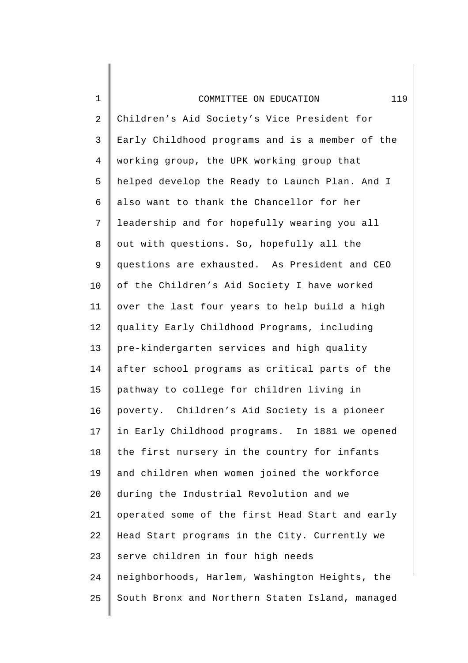1

2 3 4 5 6 7 8 9 10 11 12 13 14 15 16 17 18 19 20 21 22 23 24 25 Children's Aid Society's Vice President for Early Childhood programs and is a member of the working group, the UPK working group that helped develop the Ready to Launch Plan. And I also want to thank the Chancellor for her leadership and for hopefully wearing you all out with questions. So, hopefully all the questions are exhausted. As President and CEO of the Children's Aid Society I have worked over the last four years to help build a high quality Early Childhood Programs, including pre-kindergarten services and high quality after school programs as critical parts of the pathway to college for children living in poverty. Children's Aid Society is a pioneer in Early Childhood programs. In 1881 we opened the first nursery in the country for infants and children when women joined the workforce during the Industrial Revolution and we operated some of the first Head Start and early Head Start programs in the City. Currently we serve children in four high needs neighborhoods, Harlem, Washington Heights, the South Bronx and Northern Staten Island, managed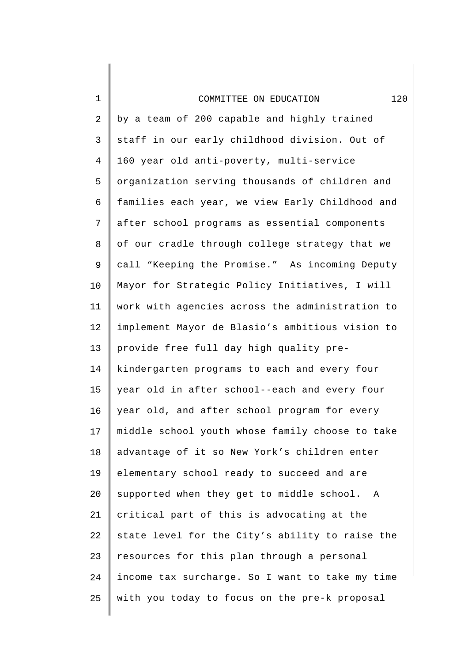1

2 3 4 5 6 7 8 9 10 11 12 13 14 15 16 17 18 19 20 21 22 23 24 25 by a team of 200 capable and highly trained staff in our early childhood division. Out of 160 year old anti-poverty, multi-service organization serving thousands of children and families each year, we view Early Childhood and after school programs as essential components of our cradle through college strategy that we call "Keeping the Promise." As incoming Deputy Mayor for Strategic Policy Initiatives, I will work with agencies across the administration to implement Mayor de Blasio's ambitious vision to provide free full day high quality prekindergarten programs to each and every four year old in after school--each and every four year old, and after school program for every middle school youth whose family choose to take advantage of it so New York's children enter elementary school ready to succeed and are supported when they get to middle school. A critical part of this is advocating at the state level for the City's ability to raise the resources for this plan through a personal income tax surcharge. So I want to take my time with you today to focus on the pre-k proposal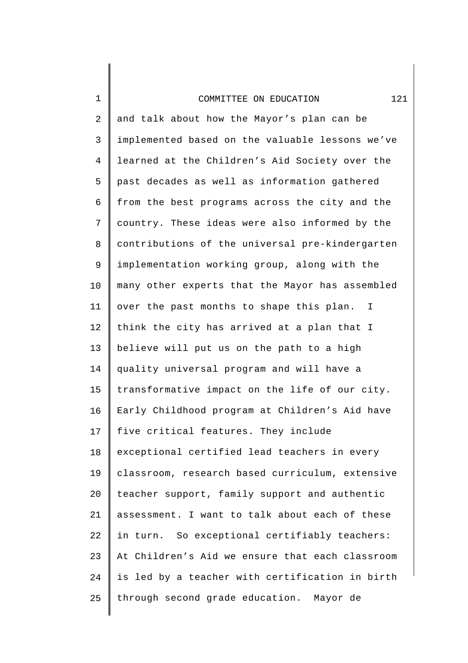1

2 3 4 5 6 7 8 9 10 11 12 13 14 15 16 17 18 19 20 21 22 23 24 25 and talk about how the Mayor's plan can be implemented based on the valuable lessons we've learned at the Children's Aid Society over the past decades as well as information gathered from the best programs across the city and the country. These ideas were also informed by the contributions of the universal pre-kindergarten implementation working group, along with the many other experts that the Mayor has assembled over the past months to shape this plan. I think the city has arrived at a plan that I believe will put us on the path to a high quality universal program and will have a transformative impact on the life of our city. Early Childhood program at Children's Aid have five critical features. They include exceptional certified lead teachers in every classroom, research based curriculum, extensive teacher support, family support and authentic assessment. I want to talk about each of these in turn. So exceptional certifiably teachers: At Children's Aid we ensure that each classroom is led by a teacher with certification in birth through second grade education. Mayor de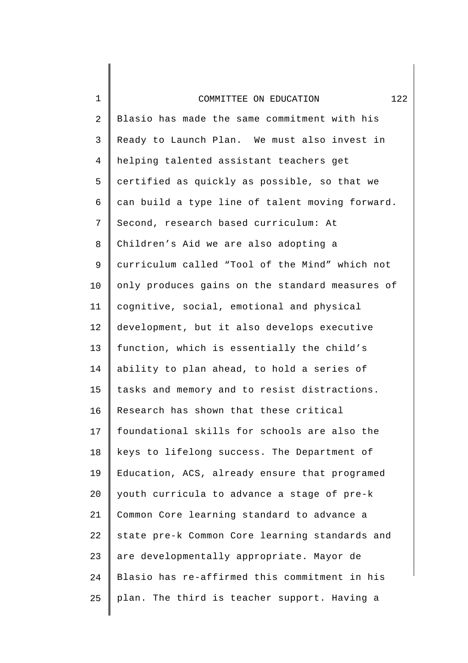1

2 3 4 5 6 7 8 9 10 11 12 13 14 15 16 17 18 19 20 21 22 23 24 25 Blasio has made the same commitment with his Ready to Launch Plan. We must also invest in helping talented assistant teachers get certified as quickly as possible, so that we can build a type line of talent moving forward. Second, research based curriculum: At Children's Aid we are also adopting a curriculum called "Tool of the Mind" which not only produces gains on the standard measures of cognitive, social, emotional and physical development, but it also develops executive function, which is essentially the child's ability to plan ahead, to hold a series of tasks and memory and to resist distractions. Research has shown that these critical foundational skills for schools are also the keys to lifelong success. The Department of Education, ACS, already ensure that programed youth curricula to advance a stage of pre-k Common Core learning standard to advance a state pre-k Common Core learning standards and are developmentally appropriate. Mayor de Blasio has re-affirmed this commitment in his plan. The third is teacher support. Having a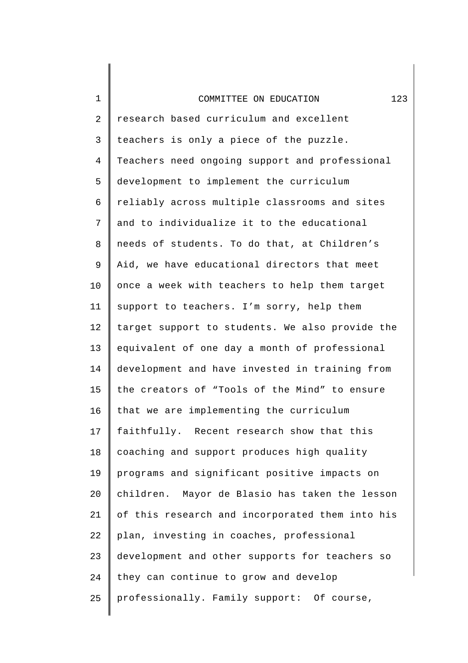1

2 3 4 5 6 7 8 9 10 11 12 13 14 15 16 17 18 19 20 21 22 23 24 25 research based curriculum and excellent teachers is only a piece of the puzzle. Teachers need ongoing support and professional development to implement the curriculum reliably across multiple classrooms and sites and to individualize it to the educational needs of students. To do that, at Children's Aid, we have educational directors that meet once a week with teachers to help them target support to teachers. I'm sorry, help them target support to students. We also provide the equivalent of one day a month of professional development and have invested in training from the creators of "Tools of the Mind" to ensure that we are implementing the curriculum faithfully. Recent research show that this coaching and support produces high quality programs and significant positive impacts on children. Mayor de Blasio has taken the lesson of this research and incorporated them into his plan, investing in coaches, professional development and other supports for teachers so they can continue to grow and develop professionally. Family support: Of course,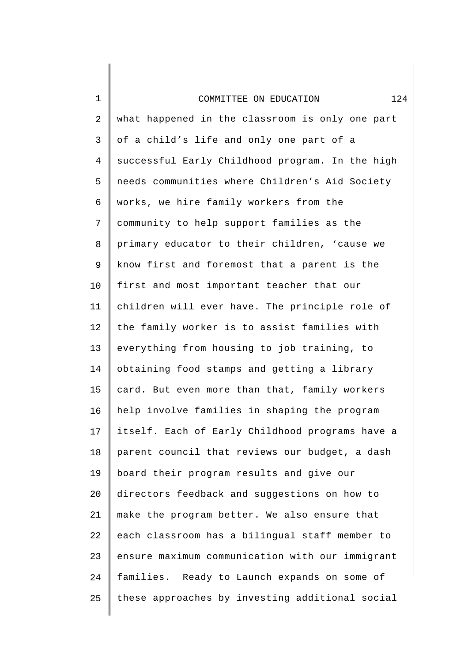| $\mathbf 1$    | 124<br>COMMITTEE ON EDUCATION                   |
|----------------|-------------------------------------------------|
| $\sqrt{2}$     | what happened in the classroom is only one part |
| $\mathsf{3}$   | of a child's life and only one part of a        |
| $\overline{4}$ | successful Early Childhood program. In the high |
| 5              | needs communities where Children's Aid Society  |
| 6              | works, we hire family workers from the          |
| 7              | community to help support families as the       |
| 8              | primary educator to their children, 'cause we   |
| 9              | know first and foremost that a parent is the    |
| 10             | first and most important teacher that our       |
| 11             | children will ever have. The principle role of  |
| 12             | the family worker is to assist families with    |
| 13             | everything from housing to job training, to     |
| 14             | obtaining food stamps and getting a library     |
| 15             | card. But even more than that, family workers   |
| 16             | help involve families in shaping the program    |
| 17             | itself. Each of Early Childhood programs have a |
| 18             | parent council that reviews our budget, a dash  |
| 19             | board their program results and give our        |
| 20             | directors feedback and suggestions on how to    |
| 21             | make the program better. We also ensure that    |
| 22             | each classroom has a bilingual staff member to  |
| 23             | ensure maximum communication with our immigrant |
| 24             | families. Ready to Launch expands on some of    |
| 25             | these approaches by investing additional social |
|                |                                                 |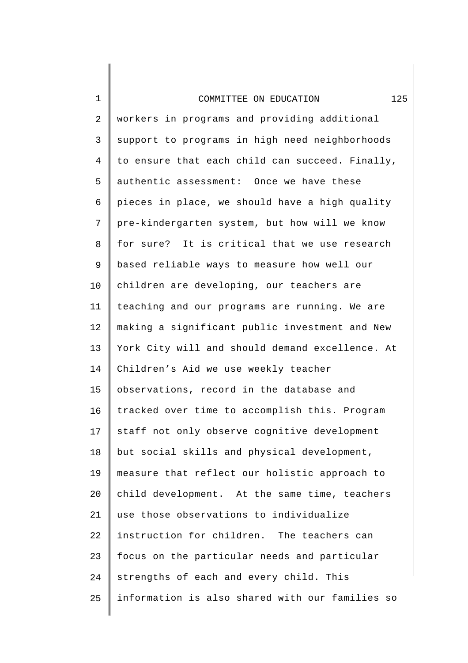1

2 3 4 5 6 7 8 9 10 11 12 13 14 15 16 17 18 19 20 21 22 23 24 25 workers in programs and providing additional support to programs in high need neighborhoods to ensure that each child can succeed. Finally, authentic assessment: Once we have these pieces in place, we should have a high quality pre-kindergarten system, but how will we know for sure? It is critical that we use research based reliable ways to measure how well our children are developing, our teachers are teaching and our programs are running. We are making a significant public investment and New York City will and should demand excellence. At Children's Aid we use weekly teacher observations, record in the database and tracked over time to accomplish this. Program staff not only observe cognitive development but social skills and physical development, measure that reflect our holistic approach to child development. At the same time, teachers use those observations to individualize instruction for children. The teachers can focus on the particular needs and particular strengths of each and every child. This information is also shared with our families so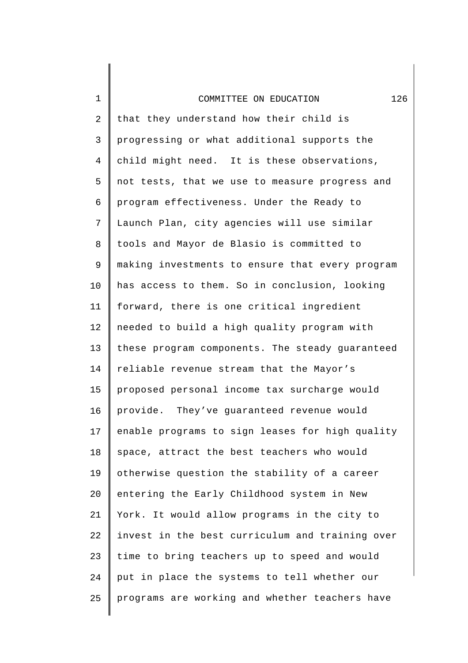1

2 3 4 5 6 7 8 9 10 11 12 13 14 15 16 17 18 19 20 21 22 23 24 25 that they understand how their child is progressing or what additional supports the child might need. It is these observations, not tests, that we use to measure progress and program effectiveness. Under the Ready to Launch Plan, city agencies will use similar tools and Mayor de Blasio is committed to making investments to ensure that every program has access to them. So in conclusion, looking forward, there is one critical ingredient needed to build a high quality program with these program components. The steady guaranteed reliable revenue stream that the Mayor's proposed personal income tax surcharge would provide. They've guaranteed revenue would enable programs to sign leases for high quality space, attract the best teachers who would otherwise question the stability of a career entering the Early Childhood system in New York. It would allow programs in the city to invest in the best curriculum and training over time to bring teachers up to speed and would put in place the systems to tell whether our programs are working and whether teachers have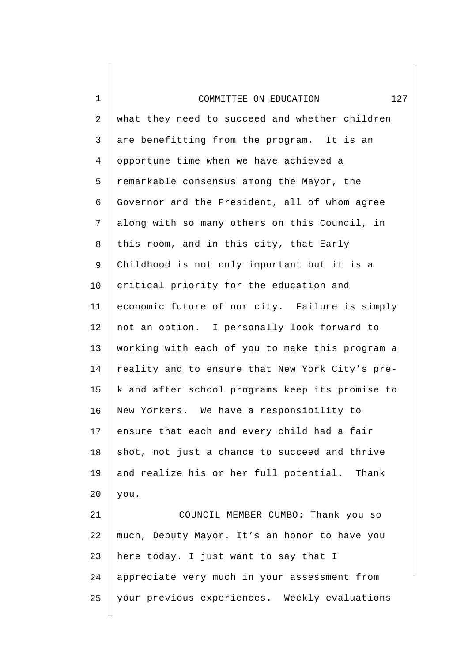| $\mathbf 1$    | 127<br>COMMITTEE ON EDUCATION                   |
|----------------|-------------------------------------------------|
| $\overline{2}$ | what they need to succeed and whether children  |
| 3              | are benefitting from the program. It is an      |
| $\overline{4}$ | opportune time when we have achieved a          |
| 5              | remarkable consensus among the Mayor, the       |
| б              | Governor and the President, all of whom agree   |
| $\overline{7}$ | along with so many others on this Council, in   |
| 8              | this room, and in this city, that Early         |
| 9              | Childhood is not only important but it is a     |
| 10             | critical priority for the education and         |
| 11             | economic future of our city. Failure is simply  |
| 12             | not an option. I personally look forward to     |
| 13             | working with each of you to make this program a |
| 14             | reality and to ensure that New York City's pre- |
| 15             | k and after school programs keep its promise to |
| 16             | New Yorkers. We have a responsibility to        |
| 17             | ensure that each and every child had a fair     |
| 18             | shot, not just a chance to succeed and thrive   |
| 19             | and realize his or her full potential. Thank    |
| 20             | you.                                            |
| 21             | COUNCIL MEMBER CUMBO: Thank you so              |
| 22             | much, Deputy Mayor. It's an honor to have you   |
| 23             | here today. I just want to say that I           |
| 24             | appreciate very much in your assessment from    |
|                |                                                 |

 $\begin{array}{c} \hline \end{array}$ 

25 your previous experiences. Weekly evaluations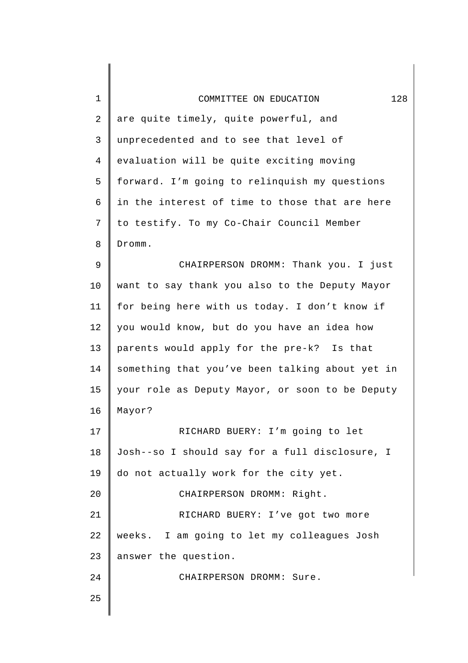| $\mathbf 1$    | 128<br>COMMITTEE ON EDUCATION                   |
|----------------|-------------------------------------------------|
| 2              | are quite timely, quite powerful, and           |
| 3              | unprecedented and to see that level of          |
| $\overline{4}$ | evaluation will be quite exciting moving        |
| 5              | forward. I'm going to relinquish my questions   |
| 6              | in the interest of time to those that are here  |
| 7              | to testify. To my Co-Chair Council Member       |
| 8              | Dromm.                                          |
| 9              | CHAIRPERSON DROMM: Thank you. I just            |
| 10             | want to say thank you also to the Deputy Mayor  |
| 11             | for being here with us today. I don't know if   |
| 12             | you would know, but do you have an idea how     |
| 13             | parents would apply for the pre-k? Is that      |
| 14             | something that you've been talking about yet in |
| 15             | your role as Deputy Mayor, or soon to be Deputy |
| 16             | Mayor?                                          |
| 17             | RICHARD BUERY: I'm going to let                 |
| 18             | Josh--so I should say for a full disclosure, I  |
| 19             | do not actually work for the city yet.          |
| 20             | CHAIRPERSON DROMM: Right.                       |
| 21             | RICHARD BUERY: I've got two more                |
| 22             | weeks. I am going to let my colleagues Josh     |
| 23             | answer the question.                            |
| 24             | CHAIRPERSON DROMM: Sure.                        |
| 25             |                                                 |
|                |                                                 |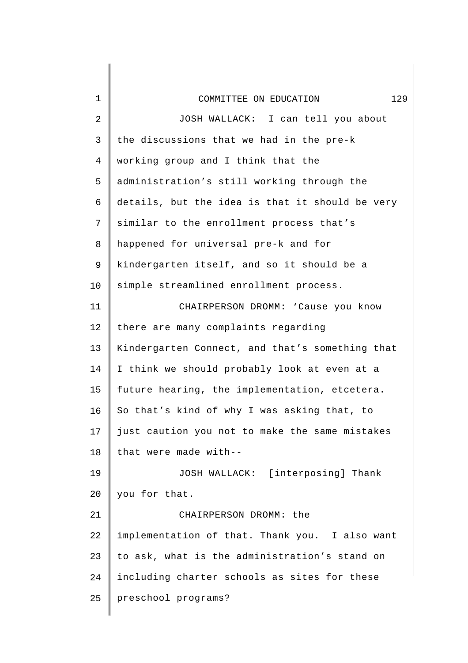| 1              | 129<br>COMMITTEE ON EDUCATION                   |
|----------------|-------------------------------------------------|
| $\overline{2}$ | JOSH WALLACK: I can tell you about              |
| 3              | the discussions that we had in the pre-k        |
| $\overline{4}$ | working group and I think that the              |
| 5              | administration's still working through the      |
| 6              | details, but the idea is that it should be very |
| 7              | similar to the enrollment process that's        |
| 8              | happened for universal pre-k and for            |
| 9              | kindergarten itself, and so it should be a      |
| 10             | simple streamlined enrollment process.          |
| 11             | CHAIRPERSON DROMM: 'Cause you know              |
| 12             | there are many complaints regarding             |
| 13             | Kindergarten Connect, and that's something that |
| 14             | I think we should probably look at even at a    |
| 15             | future hearing, the implementation, etcetera.   |
| 16             | So that's kind of why I was asking that, to     |
| 17             | just caution you not to make the same mistakes  |
| 18             | that were made with--                           |
| 19             | JOSH WALLACK: [interposing] Thank               |
| 20             | you for that.                                   |
| 21             | CHAIRPERSON DROMM: the                          |
| 22             | implementation of that. Thank you. I also want  |
| 23             | to ask, what is the administration's stand on   |
| 24             | including charter schools as sites for these    |
| 25             | preschool programs?                             |
|                |                                                 |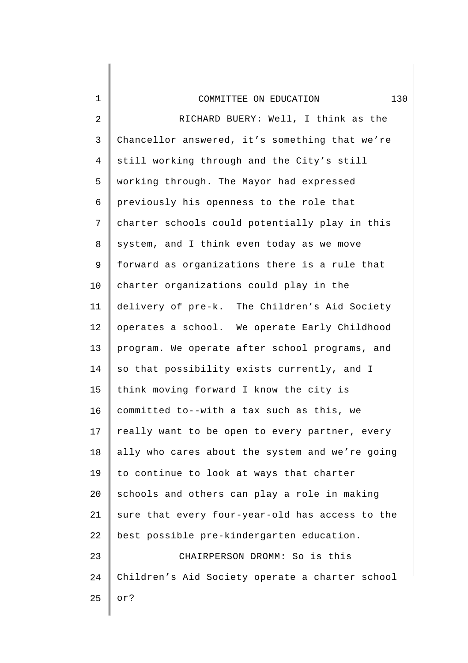| $\mathbf 1$    | 130<br>COMMITTEE ON EDUCATION                   |
|----------------|-------------------------------------------------|
| $\sqrt{2}$     | RICHARD BUERY: Well, I think as the             |
| $\mathsf{3}$   | Chancellor answered, it's something that we're  |
| $\overline{4}$ | still working through and the City's still      |
| 5              | working through. The Mayor had expressed        |
| 6              | previously his openness to the role that        |
| 7              | charter schools could potentially play in this  |
| 8              | system, and I think even today as we move       |
| $\mathsf 9$    | forward as organizations there is a rule that   |
| 10             | charter organizations could play in the         |
| 11             | delivery of pre-k. The Children's Aid Society   |
| 12             | operates a school. We operate Early Childhood   |
| 13             | program. We operate after school programs, and  |
| 14             | so that possibility exists currently, and I     |
| 15             | think moving forward I know the city is         |
| 16             | committed to--with a tax such as this, we       |
| 17             | really want to be open to every partner, every  |
| 18             | ally who cares about the system and we're going |
| 19             | to continue to look at ways that charter        |
| 20             | schools and others can play a role in making    |
| 21             | sure that every four-year-old has access to the |
| 22             | best possible pre-kindergarten education.       |
| 23             | CHAIRPERSON DROMM: So is this                   |
| 24             | Children's Aid Society operate a charter school |
| 25             | or?                                             |
|                |                                                 |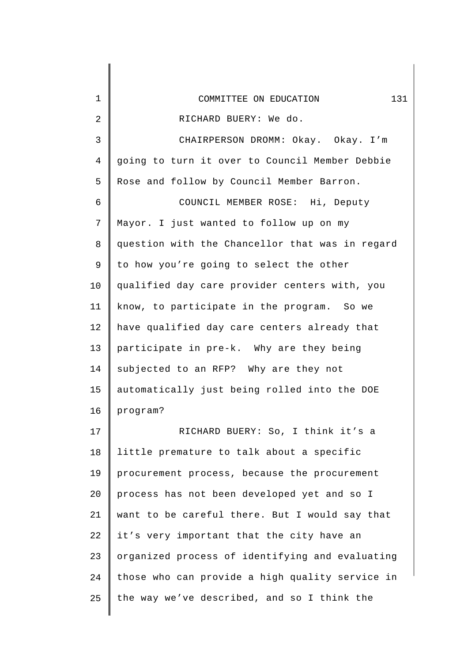| $\mathbf 1$    | 131<br>COMMITTEE ON EDUCATION                   |
|----------------|-------------------------------------------------|
| 2              | RICHARD BUERY: We do.                           |
| 3              | CHAIRPERSON DROMM: Okay. Okay. I'm              |
| $\overline{4}$ | going to turn it over to Council Member Debbie  |
| 5              | Rose and follow by Council Member Barron.       |
| 6              | COUNCIL MEMBER ROSE: Hi, Deputy                 |
| 7              | Mayor. I just wanted to follow up on my         |
| 8              | question with the Chancellor that was in regard |
| 9              | to how you're going to select the other         |
| 10             | qualified day care provider centers with, you   |
| 11             | know, to participate in the program. So we      |
| 12             | have qualified day care centers already that    |
| 13             | participate in pre-k. Why are they being        |
| 14             | subjected to an RFP? Why are they not           |
| 15             | automatically just being rolled into the DOE    |
| 16             | program?                                        |
| 17             | RICHARD BUERY: So, I think it's a               |
| 18             | little premature to talk about a specific       |
| 19             | procurement process, because the procurement    |
| 20             | process has not been developed yet and so I     |
| 21             | want to be careful there. But I would say that  |
| 22             | it's very important that the city have an       |
| 23             | organized process of identifying and evaluating |
| 24             | those who can provide a high quality service in |
| 25             | the way we've described, and so I think the     |
|                |                                                 |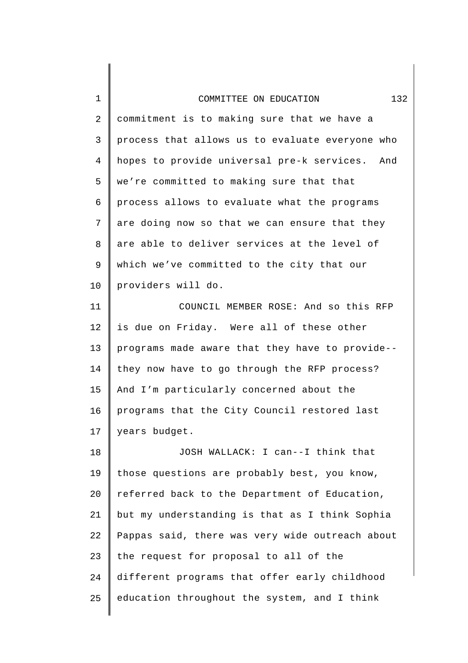| $\mathbf 1$    | 132<br>COMMITTEE ON EDUCATION                     |
|----------------|---------------------------------------------------|
| 2              | commitment is to making sure that we have a       |
| 3              | process that allows us to evaluate everyone who   |
| $\overline{4}$ | hopes to provide universal pre-k services.<br>And |
| 5              | we're committed to making sure that that          |
| 6              | process allows to evaluate what the programs      |
| 7              | are doing now so that we can ensure that they     |
| 8              | are able to deliver services at the level of      |
| 9              | which we've committed to the city that our        |
| 10             | providers will do.                                |
| 11             | COUNCIL MEMBER ROSE: And so this RFP              |
| 12             | is due on Friday. Were all of these other         |
| 13             | programs made aware that they have to provide--   |
| 14             | they now have to go through the RFP process?      |
| 15             | And I'm particularly concerned about the          |
| 16             | programs that the City Council restored last      |
| 17             | years budget.                                     |
| 18             | JOSH WALLACK: I can--I think that                 |
| 19             | those questions are probably best, you know,      |
| 20             | referred back to the Department of Education,     |
| 21             | but my understanding is that as I think Sophia    |
| 22             | Pappas said, there was very wide outreach about   |
| 23             | the request for proposal to all of the            |
| 24             | different programs that offer early childhood     |
| 25             | education throughout the system, and I think      |
|                |                                                   |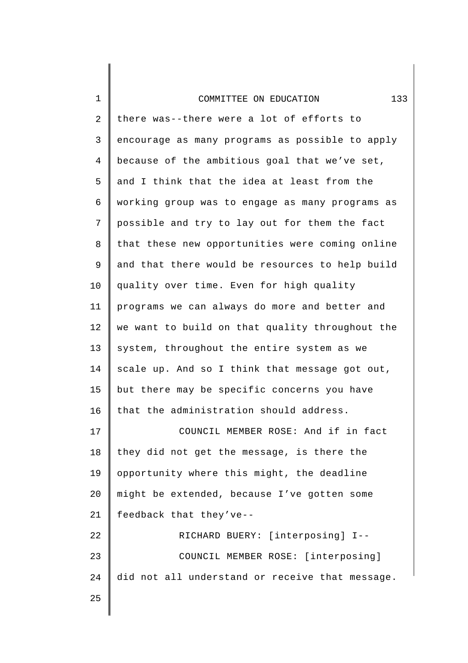| 1  | 133<br>COMMITTEE ON EDUCATION                   |
|----|-------------------------------------------------|
| 2  | there was--there were a lot of efforts to       |
| 3  | encourage as many programs as possible to apply |
| 4  | because of the ambitious goal that we've set,   |
| 5  | and I think that the idea at least from the     |
| 6  | working group was to engage as many programs as |
| 7  | possible and try to lay out for them the fact   |
| 8  | that these new opportunities were coming online |
| 9  | and that there would be resources to help build |
| 10 | quality over time. Even for high quality        |
| 11 | programs we can always do more and better and   |
| 12 | we want to build on that quality throughout the |
| 13 | system, throughout the entire system as we      |
| 14 | scale up. And so I think that message got out,  |
| 15 | but there may be specific concerns you have     |
| 16 | that the administration should address.         |
| 17 | COUNCIL MEMBER ROSE: And if in fact             |
| 18 | they did not get the message, is there the      |
| 19 | opportunity where this might, the deadline      |
| 20 | might be extended, because I've gotten some     |
| 21 | feedback that they've--                         |
| 22 | RICHARD BUERY: [interposing] I--                |
| 23 | COUNCIL MEMBER ROSE: [interposing]              |
| 24 | did not all understand or receive that message. |
| 25 |                                                 |
|    |                                                 |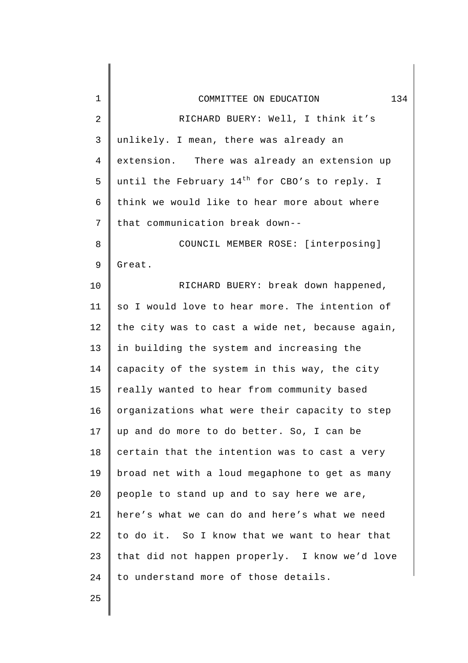| 1          | 134<br>COMMITTEE ON EDUCATION                             |
|------------|-----------------------------------------------------------|
| $\sqrt{2}$ | RICHARD BUERY: Well, I think it's                         |
| 3          | unlikely. I mean, there was already an                    |
| 4          | extension. There was already an extension up              |
| 5          | until the February 14 <sup>th</sup> for CBO's to reply. I |
| 6          | think we would like to hear more about where              |
| 7          | that communication break down--                           |
| 8          | COUNCIL MEMBER ROSE: [interposing]                        |
| 9          | Great.                                                    |
| 10         | RICHARD BUERY: break down happened,                       |
| 11         | so I would love to hear more. The intention of            |
| 12         | the city was to cast a wide net, because again,           |
| 13         | in building the system and increasing the                 |
| 14         | capacity of the system in this way, the city              |
| 15         | really wanted to hear from community based                |
| 16         | organizations what were their capacity to step            |
| 17         | up and do more to do better. So, I can be                 |
| 18         | certain that the intention was to cast a very             |
| 19         | broad net with a loud megaphone to get as many            |
| 20         | people to stand up and to say here we are,                |
| 21         | here's what we can do and here's what we need             |
| 22         | to do it. So I know that we want to hear that             |
| 23         | that did not happen properly. I know we'd love            |
| 24         | to understand more of those details.                      |
| 25         |                                                           |
|            |                                                           |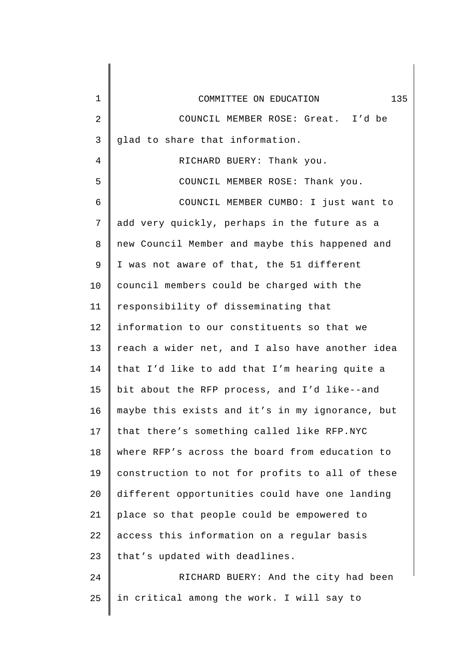| 1  | 135<br>COMMITTEE ON EDUCATION                   |
|----|-------------------------------------------------|
| 2  | COUNCIL MEMBER ROSE: Great. I'd be              |
| 3  | glad to share that information.                 |
| 4  | RICHARD BUERY: Thank you.                       |
| 5  | COUNCIL MEMBER ROSE: Thank you.                 |
| 6  | COUNCIL MEMBER CUMBO: I just want to            |
| 7  | add very quickly, perhaps in the future as a    |
| 8  | new Council Member and maybe this happened and  |
| 9  | I was not aware of that, the 51 different       |
| 10 | council members could be charged with the       |
| 11 | responsibility of disseminating that            |
| 12 | information to our constituents so that we      |
| 13 | reach a wider net, and I also have another idea |
| 14 | that I'd like to add that I'm hearing quite a   |
| 15 | bit about the RFP process, and I'd like--and    |
| 16 | maybe this exists and it's in my ignorance, but |
| 17 | that there's something called like RFP.NYC      |
| 18 | where RFP's across the board from education to  |
| 19 | construction to not for profits to all of these |
| 20 | different opportunities could have one landing  |
| 21 | place so that people could be empowered to      |
| 22 | access this information on a regular basis      |
| 23 | that's updated with deadlines.                  |
| 24 | RICHARD BUERY: And the city had been            |
| 25 | in critical among the work. I will say to       |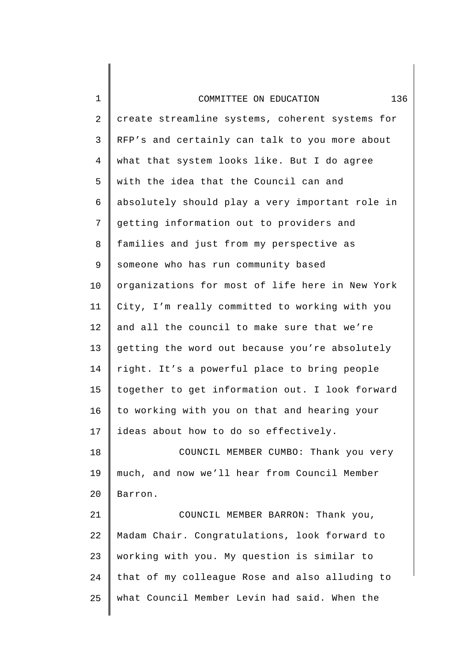| $\mathbf 1$    | 136<br>COMMITTEE ON EDUCATION                   |
|----------------|-------------------------------------------------|
| $\overline{2}$ | create streamline systems, coherent systems for |
| $\mathsf{3}$   | RFP's and certainly can talk to you more about  |
| 4              | what that system looks like. But I do agree     |
| 5              | with the idea that the Council can and          |
| 6              | absolutely should play a very important role in |
| 7              | getting information out to providers and        |
| 8              | families and just from my perspective as        |
| 9              | someone who has run community based             |
| 10             | organizations for most of life here in New York |
| 11             | City, I'm really committed to working with you  |
| 12             | and all the council to make sure that we're     |
| 13             | getting the word out because you're absolutely  |
| 14             | right. It's a powerful place to bring people    |
| 15             | together to get information out. I look forward |
| 16             | to working with you on that and hearing your    |
| 17             | ideas about how to do so effectively.           |
| 18             | COUNCIL MEMBER CUMBO: Thank you very            |
| 19             | much, and now we'll hear from Council Member    |
| 20             | Barron.                                         |
| 21             | COUNCIL MEMBER BARRON: Thank you,               |
| 22             | Madam Chair. Congratulations, look forward to   |
| 23             | working with you. My question is similar to     |
| 24             | that of my colleague Rose and also alluding to  |
| 25             | what Council Member Levin had said. When the    |
|                |                                                 |

 $\begin{array}{c} \hline \end{array}$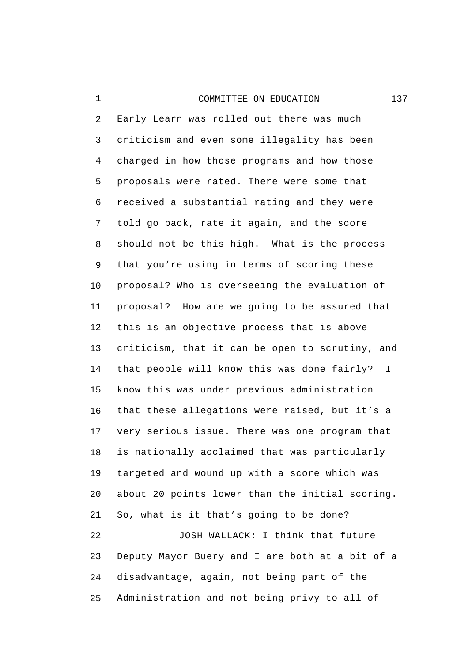1

25

2 3 4 5 6 7 8 9 10 11 12 13 14 15 16 17 18 19 20 21 22 23 24 Early Learn was rolled out there was much criticism and even some illegality has been charged in how those programs and how those proposals were rated. There were some that received a substantial rating and they were told go back, rate it again, and the score should not be this high. What is the process that you're using in terms of scoring these proposal? Who is overseeing the evaluation of proposal? How are we going to be assured that this is an objective process that is above criticism, that it can be open to scrutiny, and that people will know this was done fairly? I know this was under previous administration that these allegations were raised, but it's a very serious issue. There was one program that is nationally acclaimed that was particularly targeted and wound up with a score which was about 20 points lower than the initial scoring. So, what is it that's going to be done? JOSH WALLACK: I think that future Deputy Mayor Buery and I are both at a bit of a disadvantage, again, not being part of the

Administration and not being privy to all of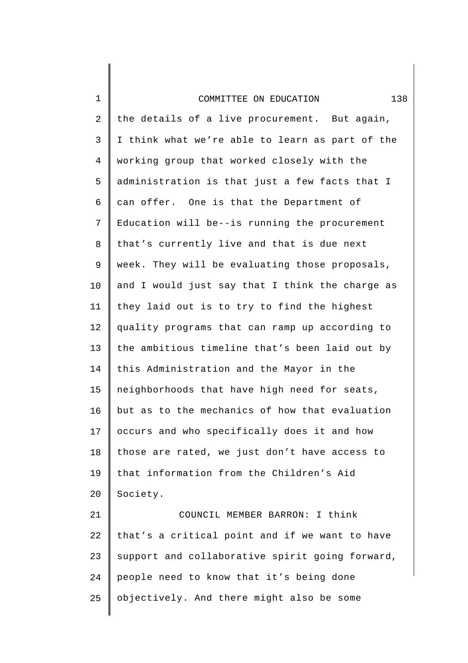| COMMITTEE ON EDUCATION |  |
|------------------------|--|
|------------------------|--|

1

2 3 4 5 6 7 8 9 10 11 12 13 14 15 16 17 18 19 20 21 22 the details of a live procurement. But again, I think what we're able to learn as part of the working group that worked closely with the administration is that just a few facts that I can offer. One is that the Department of Education will be--is running the procurement that's currently live and that is due next week. They will be evaluating those proposals, and I would just say that I think the charge as they laid out is to try to find the highest quality programs that can ramp up according to the ambitious timeline that's been laid out by this Administration and the Mayor in the neighborhoods that have high need for seats, but as to the mechanics of how that evaluation occurs and who specifically does it and how those are rated, we just don't have access to that information from the Children's Aid Society. COUNCIL MEMBER BARRON: I think that's a critical point and if we want to have

23 24 25 support and collaborative spirit going forward, people need to know that it's being done objectively. And there might also be some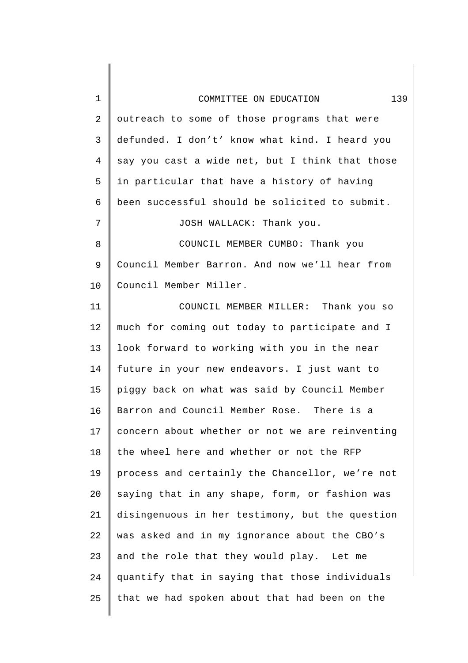| 1              | 139<br>COMMITTEE ON EDUCATION                   |
|----------------|-------------------------------------------------|
| $\overline{2}$ | outreach to some of those programs that were    |
| 3              | defunded. I don't' know what kind. I heard you  |
| 4              | say you cast a wide net, but I think that those |
| 5              | in particular that have a history of having     |
| 6              | been successful should be solicited to submit.  |
| 7              | JOSH WALLACK: Thank you.                        |
| 8              | COUNCIL MEMBER CUMBO: Thank you                 |
| 9              | Council Member Barron. And now we'll hear from  |
| 10             | Council Member Miller.                          |
| 11             | COUNCIL MEMBER MILLER: Thank you so             |
| 12             | much for coming out today to participate and I  |
| 13             | look forward to working with you in the near    |
| 14             | future in your new endeavors. I just want to    |
| 15             | piggy back on what was said by Council Member   |
| 16             | Barron and Council Member Rose. There is a      |
| 17             | concern about whether or not we are reinventing |
| 18             | the wheel here and whether or not the RFP       |
| 19             | process and certainly the Chancellor, we're not |
| 20             | saying that in any shape, form, or fashion was  |
| 21             | disingenuous in her testimony, but the question |
| 22             | was asked and in my ignorance about the CBO's   |
| 23             | and the role that they would play. Let me       |
| 24             | quantify that in saying that those individuals  |
| 25             | that we had spoken about that had been on the   |
|                |                                                 |

 $\frac{1}{\sqrt{2}}$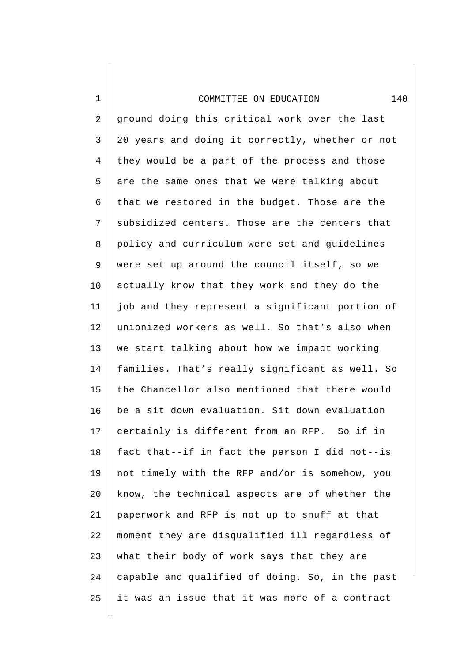1

2 3 4 5 6 7 8 9 10 11 12 13 14 15 16 17 18 19 20 21 22 23 24 25 ground doing this critical work over the last 20 years and doing it correctly, whether or not they would be a part of the process and those are the same ones that we were talking about that we restored in the budget. Those are the subsidized centers. Those are the centers that policy and curriculum were set and guidelines were set up around the council itself, so we actually know that they work and they do the job and they represent a significant portion of unionized workers as well. So that's also when we start talking about how we impact working families. That's really significant as well. So the Chancellor also mentioned that there would be a sit down evaluation. Sit down evaluation certainly is different from an RFP. So if in fact that--if in fact the person I did not--is not timely with the RFP and/or is somehow, you know, the technical aspects are of whether the paperwork and RFP is not up to snuff at that moment they are disqualified ill regardless of what their body of work says that they are capable and qualified of doing. So, in the past it was an issue that it was more of a contract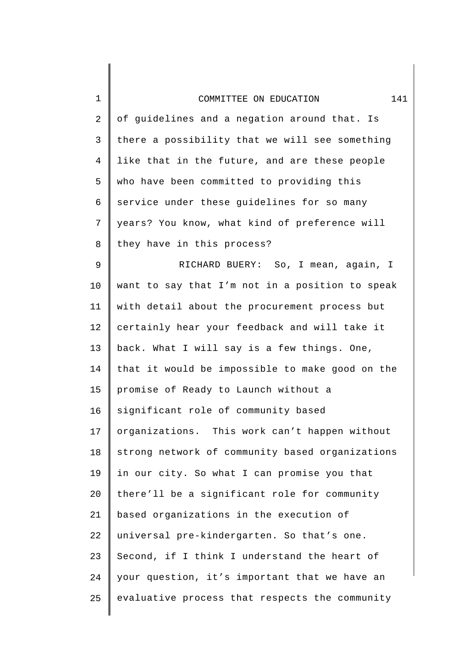| $1\,$          | 141<br>COMMITTEE ON EDUCATION                   |
|----------------|-------------------------------------------------|
| $\overline{2}$ | of guidelines and a negation around that. Is    |
| 3              | there a possibility that we will see something  |
| $\overline{4}$ | like that in the future, and are these people   |
| 5              | who have been committed to providing this       |
| 6              | service under these guidelines for so many      |
| 7              | years? You know, what kind of preference will   |
| 8              | they have in this process?                      |
| 9              | RICHARD BUERY: So, I mean, again, I             |
| 10             | want to say that I'm not in a position to speak |
| 11             | with detail about the procurement process but   |
| 12             | certainly hear your feedback and will take it   |
| 13             | back. What I will say is a few things. One,     |
| 14             | that it would be impossible to make good on the |
| 15             | promise of Ready to Launch without a            |
| 16             | significant role of community based             |
| 17             | organizations. This work can't happen without   |
| 18             | strong network of community based organizations |
| 19             | in our city. So what I can promise you that     |
| 20             | there'll be a significant role for community    |
| 21             | based organizations in the execution of         |
| 22             | universal pre-kindergarten. So that's one.      |
| 23             | Second, if I think I understand the heart of    |
| 24             | your question, it's important that we have an   |
| 25             | evaluative process that respects the community  |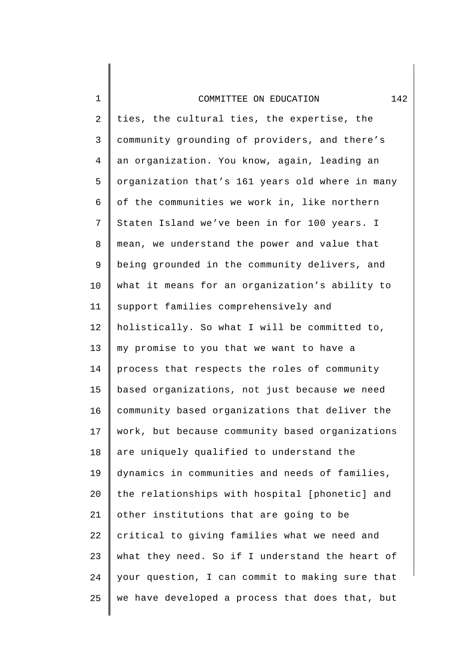1

2 3 4 5 6 7 8 9 10 11 12 13 14 15 16 17 18 19 20 21 22 23 24 25 ties, the cultural ties, the expertise, the community grounding of providers, and there's an organization. You know, again, leading an organization that's 161 years old where in many of the communities we work in, like northern Staten Island we've been in for 100 years. I mean, we understand the power and value that being grounded in the community delivers, and what it means for an organization's ability to support families comprehensively and holistically. So what I will be committed to, my promise to you that we want to have a process that respects the roles of community based organizations, not just because we need community based organizations that deliver the work, but because community based organizations are uniquely qualified to understand the dynamics in communities and needs of families, the relationships with hospital [phonetic] and other institutions that are going to be critical to giving families what we need and what they need. So if I understand the heart of your question, I can commit to making sure that we have developed a process that does that, but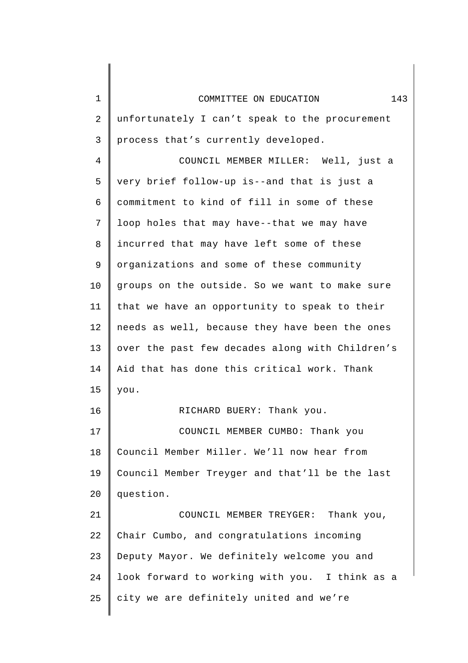| $\mathbf 1$ | 143<br>COMMITTEE ON EDUCATION                   |
|-------------|-------------------------------------------------|
| 2           | unfortunately I can't speak to the procurement  |
| 3           | process that's currently developed.             |
| 4           | COUNCIL MEMBER MILLER: Well, just a             |
| 5           | very brief follow-up is--and that is just a     |
| 6           | commitment to kind of fill in some of these     |
| 7           | loop holes that may have--that we may have      |
| 8           | incurred that may have left some of these       |
| 9           | organizations and some of these community       |
| 10          | groups on the outside. So we want to make sure  |
| 11          | that we have an opportunity to speak to their   |
| 12          | needs as well, because they have been the ones  |
| 13          | over the past few decades along with Children's |
| 14          | Aid that has done this critical work. Thank     |
| 15          | you.                                            |
| 16          | RICHARD BUERY: Thank you.                       |
| 17          | COUNCIL MEMBER CUMBO: Thank you                 |
| 18          | Council Member Miller. We'll now hear from      |
| 19          | Council Member Treyger and that'll be the last  |
| 20          | question.                                       |
| 21          | COUNCIL MEMBER TREYGER: Thank you,              |
| 22          | Chair Cumbo, and congratulations incoming       |
| 23          | Deputy Mayor. We definitely welcome you and     |
| 24          | look forward to working with you. I think as a  |
| 25          | city we are definitely united and we're         |
|             |                                                 |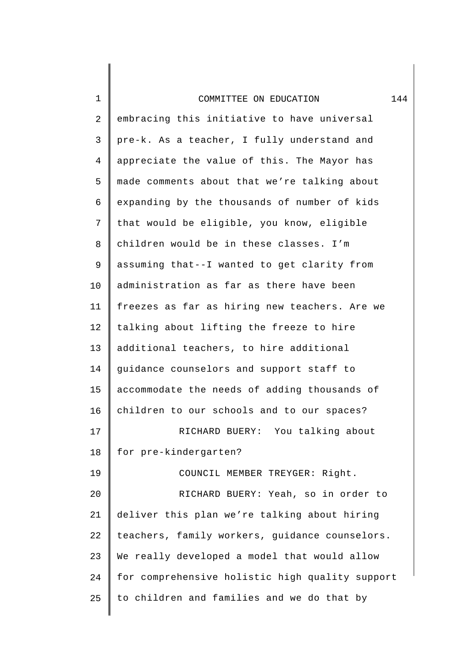1

2 3 4 5 6 7 8 9 10 11 12 13 14 15 16 17 18 19 20 21 22 23 24 25 embracing this initiative to have universal pre-k. As a teacher, I fully understand and appreciate the value of this. The Mayor has made comments about that we're talking about expanding by the thousands of number of kids that would be eligible, you know, eligible children would be in these classes. I'm assuming that--I wanted to get clarity from administration as far as there have been freezes as far as hiring new teachers. Are we talking about lifting the freeze to hire additional teachers, to hire additional guidance counselors and support staff to accommodate the needs of adding thousands of children to our schools and to our spaces? RICHARD BUERY: You talking about for pre-kindergarten? COUNCIL MEMBER TREYGER: Right. RICHARD BUERY: Yeah, so in order to deliver this plan we're talking about hiring teachers, family workers, guidance counselors. We really developed a model that would allow for comprehensive holistic high quality support to children and families and we do that by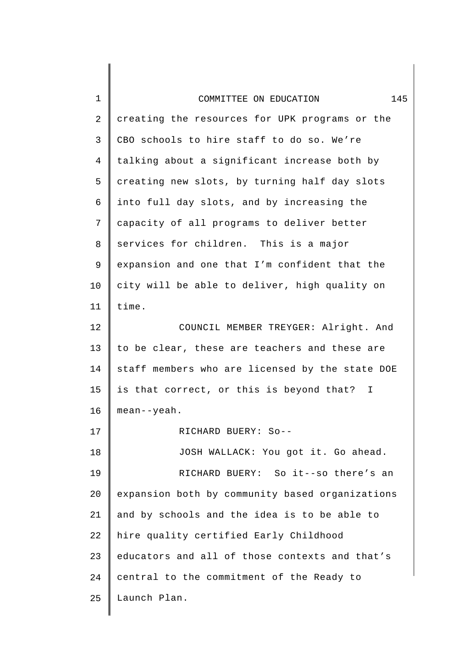| $\mathbf 1$    | 145<br>COMMITTEE ON EDUCATION                   |
|----------------|-------------------------------------------------|
| 2              | creating the resources for UPK programs or the  |
| 3              | CBO schools to hire staff to do so. We're       |
| $\overline{4}$ | talking about a significant increase both by    |
| 5              | creating new slots, by turning half day slots   |
| 6              | into full day slots, and by increasing the      |
| 7              | capacity of all programs to deliver better      |
| 8              | services for children. This is a major          |
| 9              | expansion and one that I'm confident that the   |
| 10             | city will be able to deliver, high quality on   |
| 11             | time.                                           |
| 12             | COUNCIL MEMBER TREYGER: Alright. And            |
| 13             | to be clear, these are teachers and these are   |
| 14             | staff members who are licensed by the state DOE |
| 15             | is that correct, or this is beyond that? I      |
| 16             | mean--yeah.                                     |
| 17             | RICHARD BUERY: So--                             |
| 18             | JOSH WALLACK: You got it. Go ahead.             |
| 19             | RICHARD BUERY: So it--so there's an             |
| 20             | expansion both by community based organizations |
| 21             | and by schools and the idea is to be able to    |
| 22             | hire quality certified Early Childhood          |
| 23             | educators and all of those contexts and that's  |
| 24             | central to the commitment of the Ready to       |
| 25             | Launch Plan.                                    |
|                |                                                 |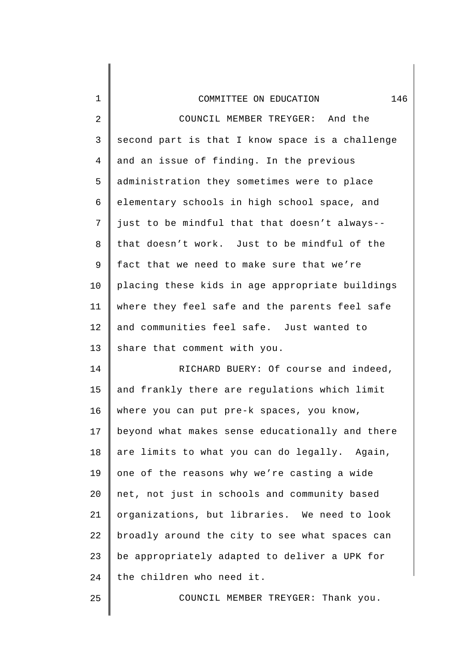| $\mathbf 1$    | 146<br>COMMITTEE ON EDUCATION                   |
|----------------|-------------------------------------------------|
| $\sqrt{2}$     | COUNCIL MEMBER TREYGER: And the                 |
| 3              | second part is that I know space is a challenge |
| $\overline{4}$ | and an issue of finding. In the previous        |
| 5              | administration they sometimes were to place     |
| 6              | elementary schools in high school space, and    |
| 7              | just to be mindful that that doesn't always--   |
| 8              | that doesn't work. Just to be mindful of the    |
| 9              | fact that we need to make sure that we're       |
| 10             | placing these kids in age appropriate buildings |
| 11             | where they feel safe and the parents feel safe  |
| 12             | and communities feel safe. Just wanted to       |
| 13             | share that comment with you.                    |
| 14             | RICHARD BUERY: Of course and indeed,            |
| 15             | and frankly there are regulations which limit   |
| 16             | where you can put pre-k spaces, you know,       |
| 17             | beyond what makes sense educationally and there |
| 18             | are limits to what you can do legally. Again,   |
| 19             | one of the reasons why we're casting a wide     |
| 20             | net, not just in schools and community based    |
| 21             | organizations, but libraries. We need to look   |
| 22             | broadly around the city to see what spaces can  |
| 23             | be appropriately adapted to deliver a UPK for   |
| 24             | the children who need it.                       |
| 25             | COUNCIL MEMBER TREYGER: Thank you.              |
|                |                                                 |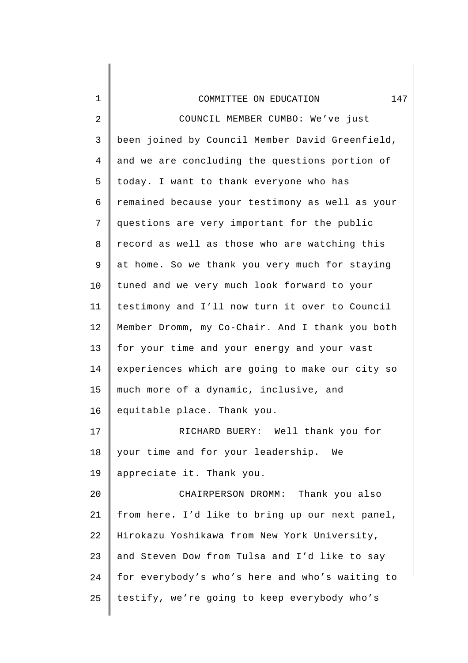| $\mathbf 1$    | 147<br>COMMITTEE ON EDUCATION                   |
|----------------|-------------------------------------------------|
| $\overline{2}$ | COUNCIL MEMBER CUMBO: We've just                |
| 3              | been joined by Council Member David Greenfield, |
| $\overline{4}$ | and we are concluding the questions portion of  |
| 5              | today. I want to thank everyone who has         |
| 6              | remained because your testimony as well as your |
| 7              | questions are very important for the public     |
| 8              | record as well as those who are watching this   |
| 9              | at home. So we thank you very much for staying  |
| 10             | tuned and we very much look forward to your     |
| 11             | testimony and I'll now turn it over to Council  |
| 12             | Member Dromm, my Co-Chair. And I thank you both |
| 13             | for your time and your energy and your vast     |
| 14             | experiences which are going to make our city so |
| 15             | much more of a dynamic, inclusive, and          |
| 16             | equitable place. Thank you.                     |
| 17             | RICHARD BUERY: Well thank you for               |
| 18             | your time and for your leadership. We           |
| 19             | appreciate it. Thank you.                       |
| 20             | CHAIRPERSON DROMM: Thank you also               |
| 21             | from here. I'd like to bring up our next panel, |
| 22             | Hirokazu Yoshikawa from New York University,    |
| 23             | and Steven Dow from Tulsa and I'd like to say   |
| 24             | for everybody's who's here and who's waiting to |
| 25             | testify, we're going to keep everybody who's    |
|                |                                                 |

 $\Big\|$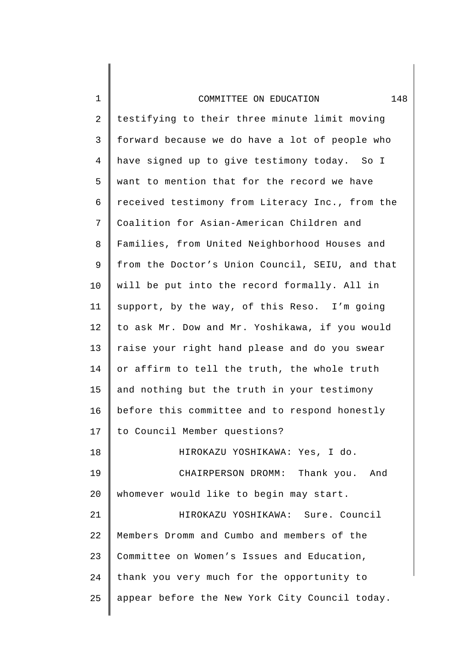1

23

2 3 4 5 6 7 8 9 10 11 12 13 14 15 16 17 18 19 20 21 22 testifying to their three minute limit moving forward because we do have a lot of people who have signed up to give testimony today. So I want to mention that for the record we have received testimony from Literacy Inc., from the Coalition for Asian-American Children and Families, from United Neighborhood Houses and from the Doctor's Union Council, SEIU, and that will be put into the record formally. All in support, by the way, of this Reso. I'm going to ask Mr. Dow and Mr. Yoshikawa, if you would raise your right hand please and do you swear or affirm to tell the truth, the whole truth and nothing but the truth in your testimony before this committee and to respond honestly to Council Member questions? HIROKAZU YOSHIKAWA: Yes, I do. CHAIRPERSON DROMM: Thank you. And whomever would like to begin may start. HIROKAZU YOSHIKAWA: Sure. Council Members Dromm and Cumbo and members of the

24 25 thank you very much for the opportunity to appear before the New York City Council today.

Committee on Women's Issues and Education,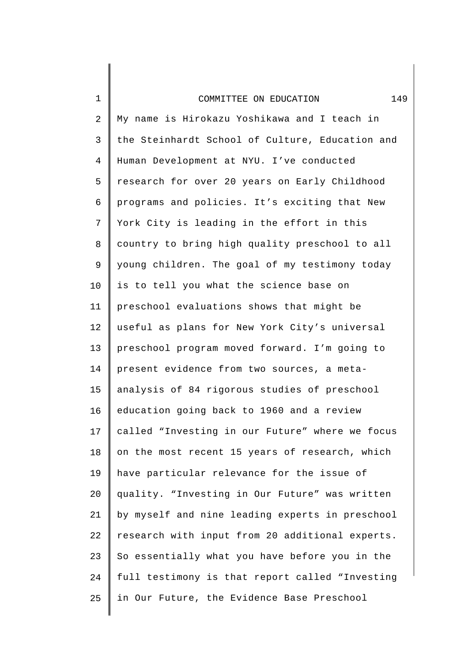1

2 3 4 5 6 7 8 9 10 11 12 13 14 15 16 17 18 19 20 21 22 23 24 25 My name is Hirokazu Yoshikawa and I teach in the Steinhardt School of Culture, Education and Human Development at NYU. I've conducted research for over 20 years on Early Childhood programs and policies. It's exciting that New York City is leading in the effort in this country to bring high quality preschool to all young children. The goal of my testimony today is to tell you what the science base on preschool evaluations shows that might be useful as plans for New York City's universal preschool program moved forward. I'm going to present evidence from two sources, a metaanalysis of 84 rigorous studies of preschool education going back to 1960 and a review called "Investing in our Future" where we focus on the most recent 15 years of research, which have particular relevance for the issue of quality. "Investing in Our Future" was written by myself and nine leading experts in preschool research with input from 20 additional experts. So essentially what you have before you in the full testimony is that report called "Investing in Our Future, the Evidence Base Preschool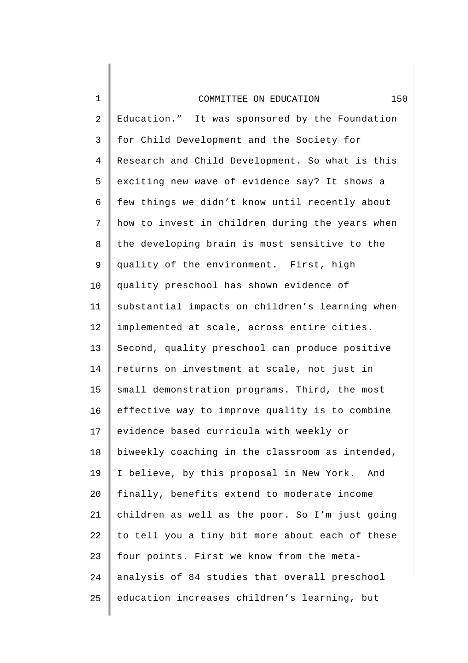1

2 3 4 5 6 7 8 9 10 11 12 13 14 15 16 17 18 19 20 21 22 23 24 25 Education." It was sponsored by the Foundation for Child Development and the Society for Research and Child Development. So what is this exciting new wave of evidence say? It shows a few things we didn't know until recently about how to invest in children during the years when the developing brain is most sensitive to the quality of the environment. First, high quality preschool has shown evidence of substantial impacts on children's learning when implemented at scale, across entire cities. Second, quality preschool can produce positive returns on investment at scale, not just in small demonstration programs. Third, the most effective way to improve quality is to combine evidence based curricula with weekly or biweekly coaching in the classroom as intended, I believe, by this proposal in New York. And finally, benefits extend to moderate income children as well as the poor. So I'm just going to tell you a tiny bit more about each of these four points. First we know from the metaanalysis of 84 studies that overall preschool education increases children's learning, but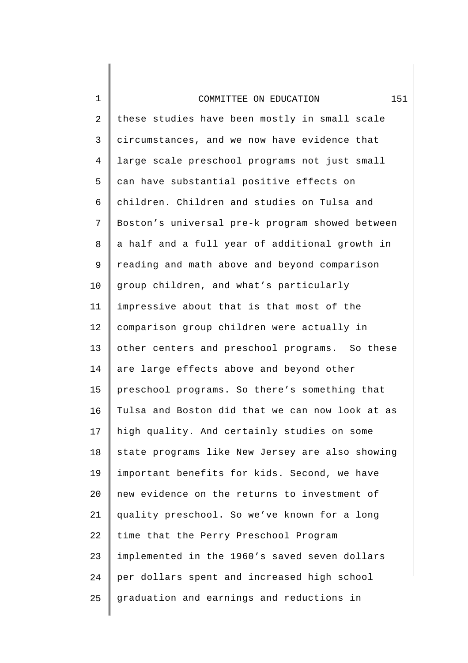1

2 3 4 5 6 7 8 9 10 11 12 13 14 15 16 17 18 19 20 21 22 23 24 25 these studies have been mostly in small scale circumstances, and we now have evidence that large scale preschool programs not just small can have substantial positive effects on children. Children and studies on Tulsa and Boston's universal pre-k program showed between a half and a full year of additional growth in reading and math above and beyond comparison group children, and what's particularly impressive about that is that most of the comparison group children were actually in other centers and preschool programs. So these are large effects above and beyond other preschool programs. So there's something that Tulsa and Boston did that we can now look at as high quality. And certainly studies on some state programs like New Jersey are also showing important benefits for kids. Second, we have new evidence on the returns to investment of quality preschool. So we've known for a long time that the Perry Preschool Program implemented in the 1960's saved seven dollars per dollars spent and increased high school graduation and earnings and reductions in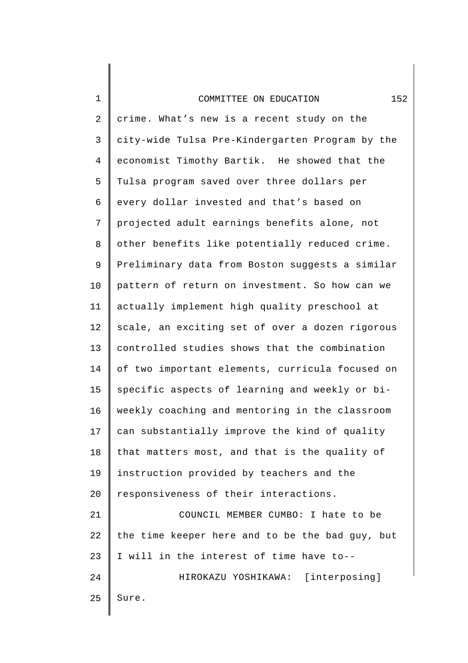2 3 4 5 6 7 8 9 10 11 12 13 14 15 16 17 18 19 20 21 22 23 24 crime. What's new is a recent study on the city-wide Tulsa Pre-Kindergarten Program by the economist Timothy Bartik. He showed that the Tulsa program saved over three dollars per every dollar invested and that's based on projected adult earnings benefits alone, not other benefits like potentially reduced crime. Preliminary data from Boston suggests a similar pattern of return on investment. So how can we actually implement high quality preschool at scale, an exciting set of over a dozen rigorous controlled studies shows that the combination of two important elements, curricula focused on specific aspects of learning and weekly or biweekly coaching and mentoring in the classroom can substantially improve the kind of quality that matters most, and that is the quality of instruction provided by teachers and the responsiveness of their interactions. COUNCIL MEMBER CUMBO: I hate to be the time keeper here and to be the bad guy, but I will in the interest of time have to-- HIROKAZU YOSHIKAWA: [interposing]

25 Sure.

1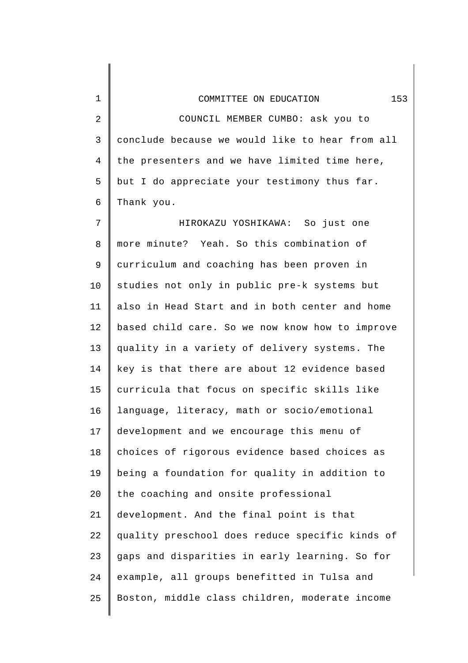| $\mathbf 1$    | 153<br>COMMITTEE ON EDUCATION                   |
|----------------|-------------------------------------------------|
| $\overline{2}$ | COUNCIL MEMBER CUMBO: ask you to                |
| $\mathsf{3}$   | conclude because we would like to hear from all |
| $\overline{4}$ | the presenters and we have limited time here,   |
| 5              | but I do appreciate your testimony thus far.    |
| 6              | Thank you.                                      |
| 7              | HIROKAZU YOSHIKAWA: So just one                 |
| 8              | more minute? Yeah. So this combination of       |
| 9              | curriculum and coaching has been proven in      |
| 10             | studies not only in public pre-k systems but    |
| 11             | also in Head Start and in both center and home  |
| 12             | based child care. So we now know how to improve |
| 13             | quality in a variety of delivery systems. The   |
| 14             | key is that there are about 12 evidence based   |
| 15             | curricula that focus on specific skills like    |
| 16             | language, literacy, math or socio/emotional     |
| 17             | development and we encourage this menu of       |
| 18             | choices of rigorous evidence based choices as   |
| 19             | being a foundation for quality in addition to   |
| 20             | the coaching and onsite professional            |
| 21             | development. And the final point is that        |
| 22             | quality preschool does reduce specific kinds of |
| 23             | gaps and disparities in early learning. So for  |
| 24             | example, all groups benefitted in Tulsa and     |
| 25             | Boston, middle class children, moderate income  |

 $\begin{array}{c} \hline \end{array}$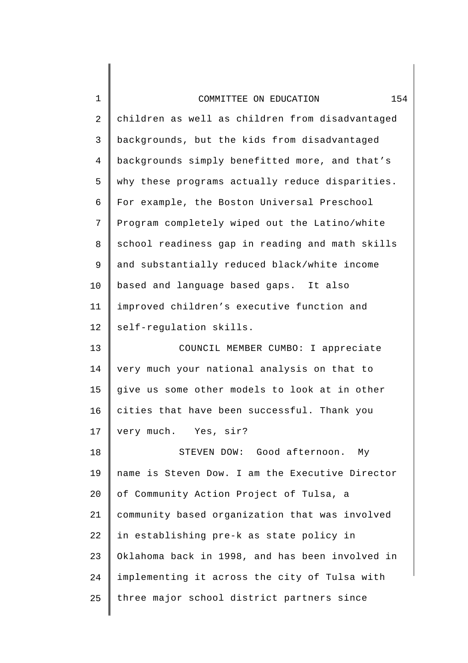| $\mathbf 1$ | 154<br>COMMITTEE ON EDUCATION                   |
|-------------|-------------------------------------------------|
| 2           | children as well as children from disadvantaged |
| 3           | backgrounds, but the kids from disadvantaged    |
| 4           | backgrounds simply benefitted more, and that's  |
| 5           | why these programs actually reduce disparities. |
| 6           | For example, the Boston Universal Preschool     |
| 7           | Program completely wiped out the Latino/white   |
| 8           | school readiness gap in reading and math skills |
| 9           | and substantially reduced black/white income    |
| 10          | based and language based gaps. It also          |
| 11          | improved children's executive function and      |
| 12          | self-regulation skills.                         |
| 13          | COUNCIL MEMBER CUMBO: I appreciate              |
| 14          | very much your national analysis on that to     |
| 15          | give us some other models to look at in other   |
| 16          | cities that have been successful. Thank you     |
| 17          | very much. Yes, sir?                            |
| 18          | STEVEN DOW: Good afternoon. My                  |
| 19          | name is Steven Dow. I am the Executive Director |
| 20          | of Community Action Project of Tulsa, a         |
| 21          | community based organization that was involved  |
| 22          | in establishing pre-k as state policy in        |
| 23          | Oklahoma back in 1998, and has been involved in |
| 24          | implementing it across the city of Tulsa with   |
| 25          | three major school district partners since      |

 $\begin{array}{c} \hline \end{array}$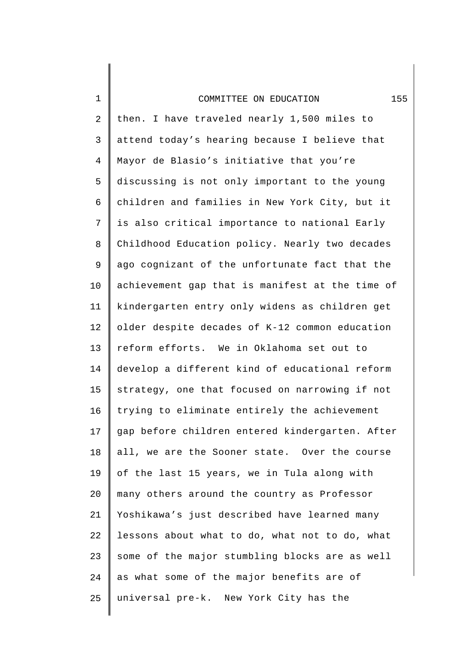1

2 3 4 5 6 7 8 9 10 11 12 13 14 15 16 17 18 19 20 21 22 23 24 25 then. I have traveled nearly 1,500 miles to attend today's hearing because I believe that Mayor de Blasio's initiative that you're discussing is not only important to the young children and families in New York City, but it is also critical importance to national Early Childhood Education policy. Nearly two decades ago cognizant of the unfortunate fact that the achievement gap that is manifest at the time of kindergarten entry only widens as children get older despite decades of K-12 common education reform efforts. We in Oklahoma set out to develop a different kind of educational reform strategy, one that focused on narrowing if not trying to eliminate entirely the achievement gap before children entered kindergarten. After all, we are the Sooner state. Over the course of the last 15 years, we in Tula along with many others around the country as Professor Yoshikawa's just described have learned many lessons about what to do, what not to do, what some of the major stumbling blocks are as well as what some of the major benefits are of universal pre-k. New York City has the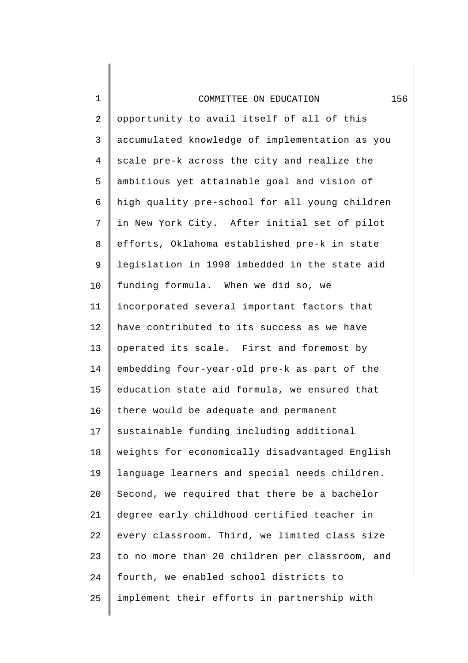1

2 3 4 5 6 7 8 9 10 11 12 13 14 15 16 17 18 19 20 21 22 23 24 25 opportunity to avail itself of all of this accumulated knowledge of implementation as you scale pre-k across the city and realize the ambitious yet attainable goal and vision of high quality pre-school for all young children in New York City. After initial set of pilot efforts, Oklahoma established pre-k in state legislation in 1998 imbedded in the state aid funding formula. When we did so, we incorporated several important factors that have contributed to its success as we have operated its scale. First and foremost by embedding four-year-old pre-k as part of the education state aid formula, we ensured that there would be adequate and permanent sustainable funding including additional weights for economically disadvantaged English language learners and special needs children. Second, we required that there be a bachelor degree early childhood certified teacher in every classroom. Third, we limited class size to no more than 20 children per classroom, and fourth, we enabled school districts to implement their efforts in partnership with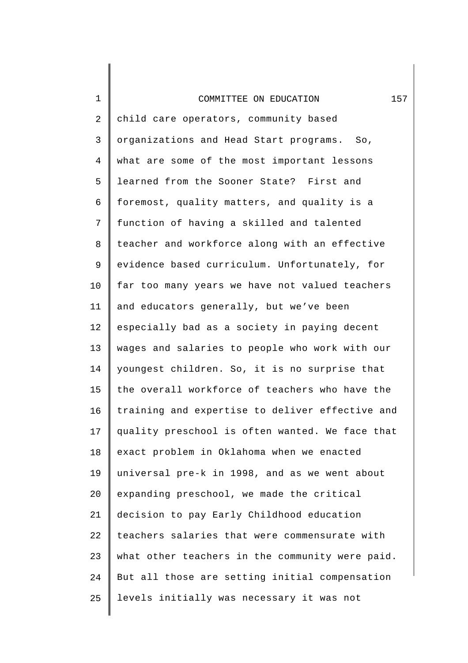1

2 3 4 5 6 7 8 9 10 11 12 13 14 15 16 17 18 19 20 21 22 23 24 25 child care operators, community based organizations and Head Start programs. So, what are some of the most important lessons learned from the Sooner State? First and foremost, quality matters, and quality is a function of having a skilled and talented teacher and workforce along with an effective evidence based curriculum. Unfortunately, for far too many years we have not valued teachers and educators generally, but we've been especially bad as a society in paying decent wages and salaries to people who work with our youngest children. So, it is no surprise that the overall workforce of teachers who have the training and expertise to deliver effective and quality preschool is often wanted. We face that exact problem in Oklahoma when we enacted universal pre-k in 1998, and as we went about expanding preschool, we made the critical decision to pay Early Childhood education teachers salaries that were commensurate with what other teachers in the community were paid. But all those are setting initial compensation levels initially was necessary it was not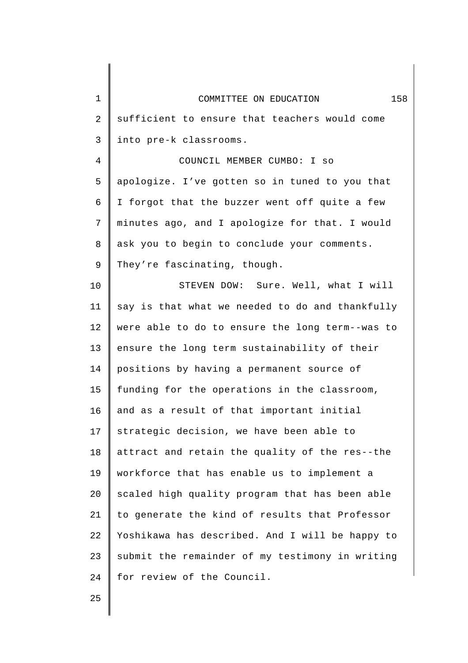| $\mathbf 1$    | 158<br>COMMITTEE ON EDUCATION                   |
|----------------|-------------------------------------------------|
| $\overline{2}$ | sufficient to ensure that teachers would come   |
| 3              | into pre-k classrooms.                          |
| 4              | COUNCIL MEMBER CUMBO: I so                      |
| 5              | apologize. I've gotten so in tuned to you that  |
| 6              | I forgot that the buzzer went off quite a few   |
| 7              | minutes ago, and I apologize for that. I would  |
| 8              | ask you to begin to conclude your comments.     |
| 9              | They're fascinating, though.                    |
| 10             | STEVEN DOW: Sure. Well, what I will             |
| 11             | say is that what we needed to do and thankfully |
| 12             | were able to do to ensure the long term--was to |
| 13             | ensure the long term sustainability of their    |
| 14             | positions by having a permanent source of       |
| 15             | funding for the operations in the classroom,    |
| 16             | and as a result of that important initial       |
| 17             | strategic decision, we have been able to        |
| 18             | attract and retain the quality of the res--the  |
| 19             | workforce that has enable us to implement a     |
| 20             | scaled high quality program that has been able  |
| 21             | to generate the kind of results that Professor  |
| 22             | Yoshikawa has described. And I will be happy to |
| 23             | submit the remainder of my testimony in writing |
| 24             | for review of the Council.                      |
| 25             |                                                 |
|                |                                                 |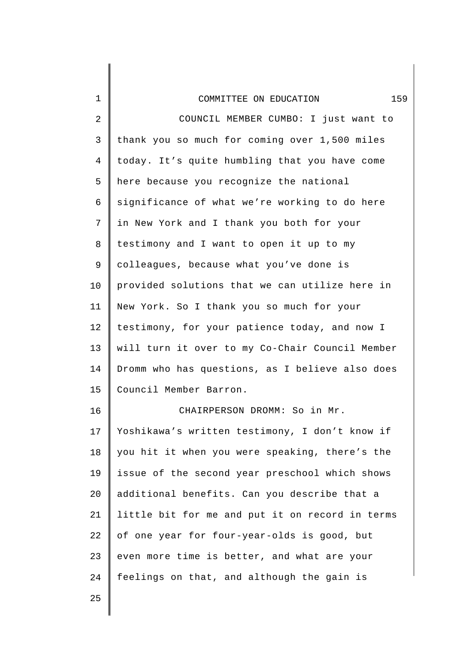| 1              | 159<br>COMMITTEE ON EDUCATION                   |
|----------------|-------------------------------------------------|
| $\overline{2}$ | COUNCIL MEMBER CUMBO: I just want to            |
| 3              | thank you so much for coming over 1,500 miles   |
| 4              | today. It's quite humbling that you have come   |
| 5              | here because you recognize the national         |
| 6              | significance of what we're working to do here   |
| 7              | in New York and I thank you both for your       |
| 8              | testimony and I want to open it up to my        |
| 9              | colleagues, because what you've done is         |
| 10             | provided solutions that we can utilize here in  |
| 11             | New York. So I thank you so much for your       |
| 12             | testimony, for your patience today, and now I   |
| 13             | will turn it over to my Co-Chair Council Member |
| 14             | Dromm who has questions, as I believe also does |
| 15             | Council Member Barron.                          |
| 16             | CHAIRPERSON DROMM: So in Mr.                    |
| 17             | Yoshikawa's written testimony, I don't know if  |
| 18             | you hit it when you were speaking, there's the  |
| 19             | issue of the second year preschool which shows  |
| 20             | additional benefits. Can you describe that a    |
| 21             | little bit for me and put it on record in terms |
| 22             | of one year for four-year-olds is good, but     |
| 23             | even more time is better, and what are your     |
| 24             | feelings on that, and although the gain is      |
| 25             |                                                 |
|                |                                                 |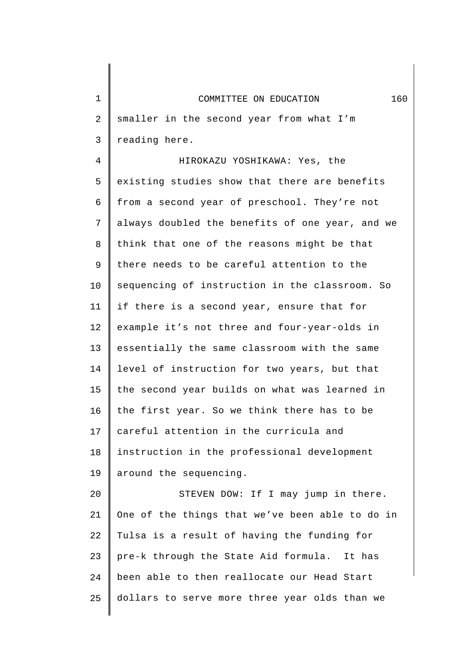1 2 3 4 5 6 7 8 9 10 11 12 13 14 15 16 17 18 19 20 21 22 COMMITTEE ON EDUCATION 160 smaller in the second year from what I'm reading here. HIROKAZU YOSHIKAWA: Yes, the existing studies show that there are benefits from a second year of preschool. They're not always doubled the benefits of one year, and we think that one of the reasons might be that there needs to be careful attention to the sequencing of instruction in the classroom. So if there is a second year, ensure that for example it's not three and four-year-olds in essentially the same classroom with the same level of instruction for two years, but that the second year builds on what was learned in the first year. So we think there has to be careful attention in the curricula and instruction in the professional development around the sequencing. STEVEN DOW: If I may jump in there. One of the things that we've been able to do in Tulsa is a result of having the funding for pre-k through the State Aid formula. It has

been able to then reallocate our Head Start

dollars to serve more three year olds than we

23

24

25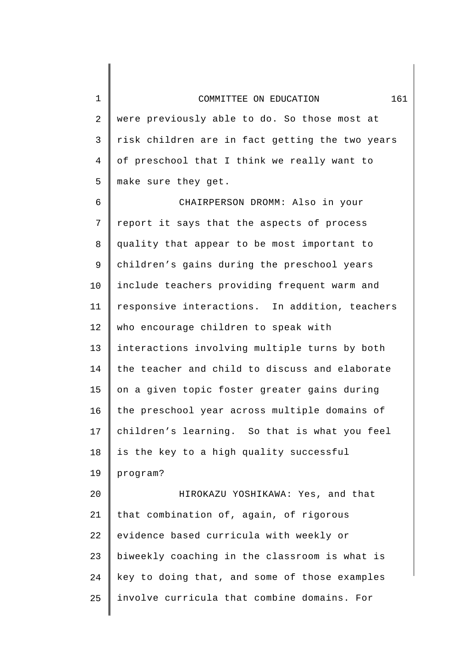1

2 3 4 5 were previously able to do. So those most at risk children are in fact getting the two years of preschool that I think we really want to make sure they get.

6 7 8 9 10 11 12 13 14 15 16 17 18 19 CHAIRPERSON DROMM: Also in your report it says that the aspects of process quality that appear to be most important to children's gains during the preschool years include teachers providing frequent warm and responsive interactions. In addition, teachers who encourage children to speak with interactions involving multiple turns by both the teacher and child to discuss and elaborate on a given topic foster greater gains during the preschool year across multiple domains of children's learning. So that is what you feel is the key to a high quality successful program?

20 21 22 23 24 25 HIROKAZU YOSHIKAWA: Yes, and that that combination of, again, of rigorous evidence based curricula with weekly or biweekly coaching in the classroom is what is key to doing that, and some of those examples involve curricula that combine domains. For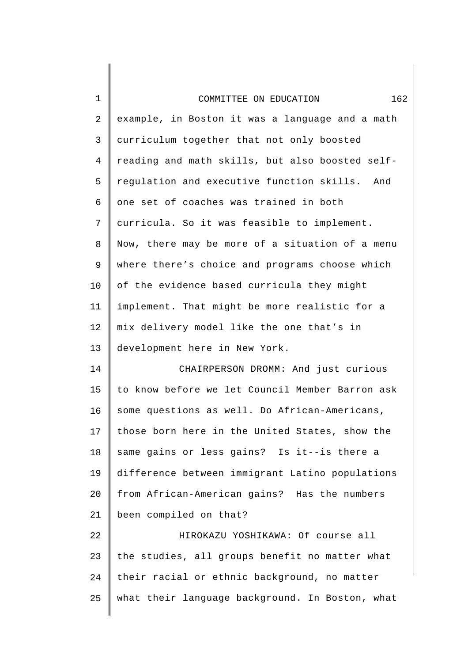1

21

2 3 4 5 6 7 8 9 10 11 12 13 14 15 16 17 18 19 20 example, in Boston it was a language and a math curriculum together that not only boosted reading and math skills, but also boosted selfregulation and executive function skills. And one set of coaches was trained in both curricula. So it was feasible to implement. Now, there may be more of a situation of a menu where there's choice and programs choose which of the evidence based curricula they might implement. That might be more realistic for a mix delivery model like the one that's in development here in New York. CHAIRPERSON DROMM: And just curious to know before we let Council Member Barron ask some questions as well. Do African-Americans, those born here in the United States, show the same gains or less gains? Is it--is there a difference between immigrant Latino populations from African-American gains? Has the numbers

22 23 24 25 HIROKAZU YOSHIKAWA: Of course all the studies, all groups benefit no matter what their racial or ethnic background, no matter what their language background. In Boston, what

been compiled on that?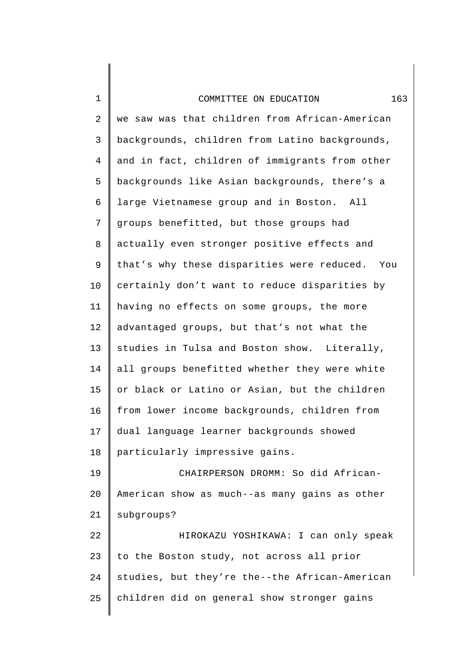1

2 3 4 5 6 7 8 9 10 11 12 13 14 15 16 17 18 we saw was that children from African-American backgrounds, children from Latino backgrounds, and in fact, children of immigrants from other backgrounds like Asian backgrounds, there's a large Vietnamese group and in Boston. All groups benefitted, but those groups had actually even stronger positive effects and that's why these disparities were reduced. You certainly don't want to reduce disparities by having no effects on some groups, the more advantaged groups, but that's not what the studies in Tulsa and Boston show. Literally, all groups benefitted whether they were white or black or Latino or Asian, but the children from lower income backgrounds, children from dual language learner backgrounds showed particularly impressive gains.

19 20 21 CHAIRPERSON DROMM: So did African-American show as much--as many gains as other subgroups?

22 23 24 25 HIROKAZU YOSHIKAWA: I can only speak to the Boston study, not across all prior studies, but they're the--the African-American children did on general show stronger gains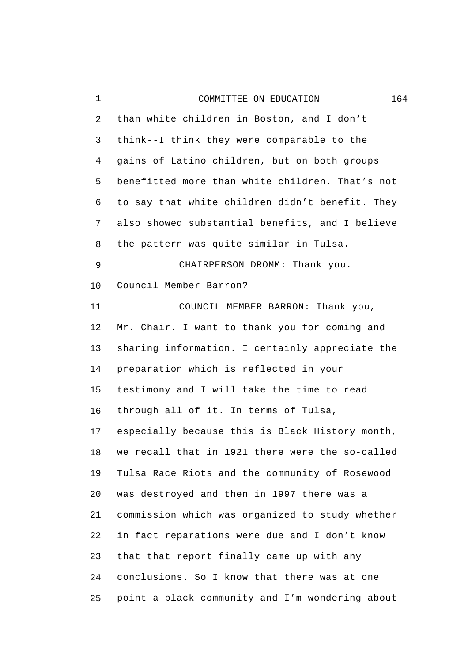| 1            | 164<br>COMMITTEE ON EDUCATION                   |
|--------------|-------------------------------------------------|
| $\mathbf{2}$ | than white children in Boston, and I don't      |
| 3            | think--I think they were comparable to the      |
| 4            | gains of Latino children, but on both groups    |
| 5            | benefitted more than white children. That's not |
| 6            | to say that white children didn't benefit. They |
| 7            | also showed substantial benefits, and I believe |
| 8            | the pattern was quite similar in Tulsa.         |
| $\mathsf 9$  | CHAIRPERSON DROMM: Thank you.                   |
| 10           | Council Member Barron?                          |
| 11           | COUNCIL MEMBER BARRON: Thank you,               |
| 12           | Mr. Chair. I want to thank you for coming and   |
| 13           | sharing information. I certainly appreciate the |
| 14           | preparation which is reflected in your          |
| 15           | testimony and I will take the time to read      |
| 16           | through all of it. In terms of Tulsa,           |
| 17           | especially because this is Black History month, |
| 18           | we recall that in 1921 there were the so-called |
| 19           | Tulsa Race Riots and the community of Rosewood  |
| 20           | was destroyed and then in 1997 there was a      |
| 21           | commission which was organized to study whether |
| 22           | in fact reparations were due and I don't know   |
| 23           | that that report finally came up with any       |
| 24           | conclusions. So I know that there was at one    |
| 25           | point a black community and I'm wondering about |
|              |                                                 |

 $\begin{array}{c} \hline \end{array}$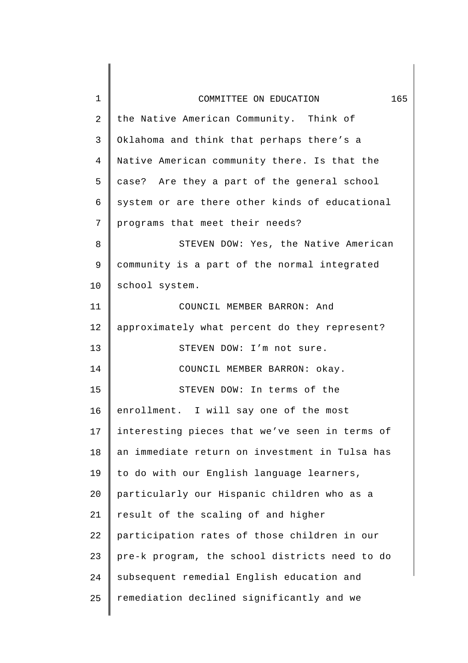| $\mathbf 1$    | 165<br>COMMITTEE ON EDUCATION                  |
|----------------|------------------------------------------------|
| $\overline{a}$ | the Native American Community. Think of        |
| $\mathsf{3}$   | Oklahoma and think that perhaps there's a      |
| $\overline{4}$ | Native American community there. Is that the   |
| 5              | case? Are they a part of the general school    |
| 6              | system or are there other kinds of educational |
| 7              | programs that meet their needs?                |
| 8              | STEVEN DOW: Yes, the Native American           |
| 9              | community is a part of the normal integrated   |
| 10             | school system.                                 |
| 11             | COUNCIL MEMBER BARRON: And                     |
| 12             | approximately what percent do they represent?  |
| 13             | STEVEN DOW: I'm not sure.                      |
| 14             | COUNCIL MEMBER BARRON: okay.                   |
| 15             | STEVEN DOW: In terms of the                    |
| 16             | enrollment. I will say one of the most         |
| 17             | interesting pieces that we've seen in terms of |
| 18             | an immediate return on investment in Tulsa has |
| 19             | to do with our English language learners,      |
| 20             | particularly our Hispanic children who as a    |
| 21             | result of the scaling of and higher            |
| 22             | participation rates of those children in our   |
| 23             | pre-k program, the school districts need to do |
| 24             | subsequent remedial English education and      |
| 25             | remediation declined significantly and we      |
|                |                                                |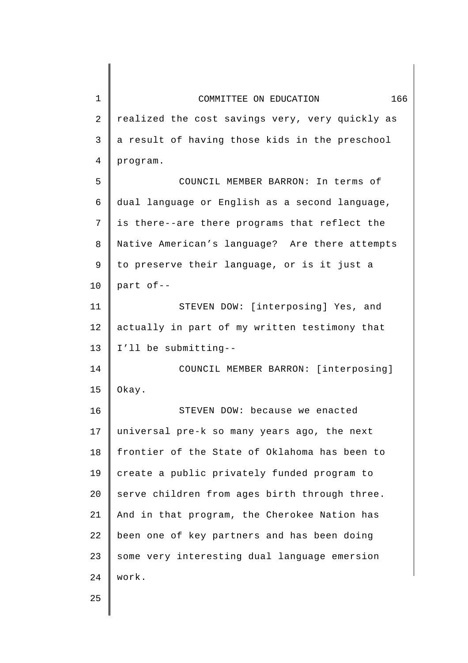| $\mathbf 1$    | 166<br>COMMITTEE ON EDUCATION                   |
|----------------|-------------------------------------------------|
| $\overline{2}$ | realized the cost savings very, very quickly as |
| 3              | a result of having those kids in the preschool  |
| 4              | program.                                        |
| 5              | COUNCIL MEMBER BARRON: In terms of              |
| б              | dual language or English as a second language,  |
| 7              | is there--are there programs that reflect the   |
| 8              | Native American's language? Are there attempts  |
| 9              | to preserve their language, or is it just a     |
| 10             | part of--                                       |
| 11             | STEVEN DOW: [interposing] Yes, and              |
| 12             | actually in part of my written testimony that   |
| 13             | I'll be submitting--                            |
| 14             | COUNCIL MEMBER BARRON: [interposing]            |
| 15             | Okay.                                           |
| 16             | STEVEN DOW: because we enacted                  |
| 17             | universal pre-k so many years ago, the next     |
| 18             | frontier of the State of Oklahoma has been to   |
| 19             | create a public privately funded program to     |
| 20             | serve children from ages birth through three.   |
| 21             | And in that program, the Cherokee Nation has    |
| 22             | been one of key partners and has been doing     |
| 23             | some very interesting dual language emersion    |
| 24             | work.                                           |
| 25             |                                                 |
|                |                                                 |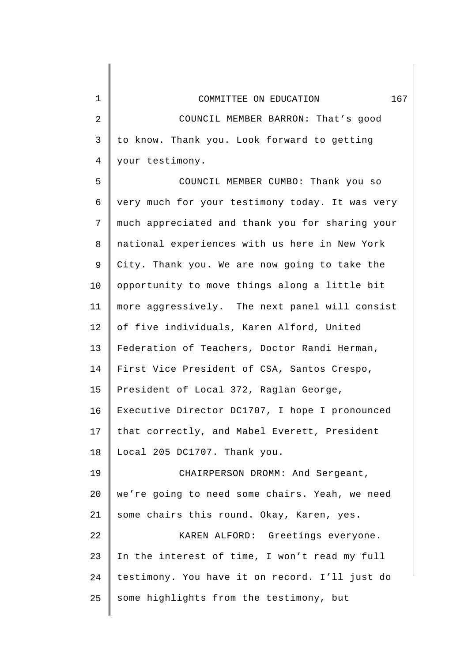| $\mathbf{1}$ | 167<br>COMMITTEE ON EDUCATION                   |
|--------------|-------------------------------------------------|
| $\mathbf{2}$ | COUNCIL MEMBER BARRON: That's good              |
| $\mathsf{3}$ | to know. Thank you. Look forward to getting     |
| 4            | your testimony.                                 |
| 5            | COUNCIL MEMBER CUMBO: Thank you so              |
| 6            | very much for your testimony today. It was very |
| 7            | much appreciated and thank you for sharing your |
| 8            | national experiences with us here in New York   |
| 9            | City. Thank you. We are now going to take the   |
| 10           | opportunity to move things along a little bit   |
| 11           | more aggressively. The next panel will consist  |
| 12           | of five individuals, Karen Alford, United       |
| 13           | Federation of Teachers, Doctor Randi Herman,    |
| 14           | First Vice President of CSA, Santos Crespo,     |
| 15           | President of Local 372, Raglan George,          |
| 16           | Executive Director DC1707, I hope I pronounced  |
| 17           | that correctly, and Mabel Everett, President    |
| 18           | Local 205 DC1707. Thank you.                    |
| 19           | CHAIRPERSON DROMM: And Sergeant,                |
| 20           | we're going to need some chairs. Yeah, we need  |
| 21           | some chairs this round. Okay, Karen, yes.       |
| 22           | KAREN ALFORD: Greetings everyone.               |
| 23           | In the interest of time, I won't read my full   |
| 24           | testimony. You have it on record. I'll just do  |
| 25           | some highlights from the testimony, but         |
|              |                                                 |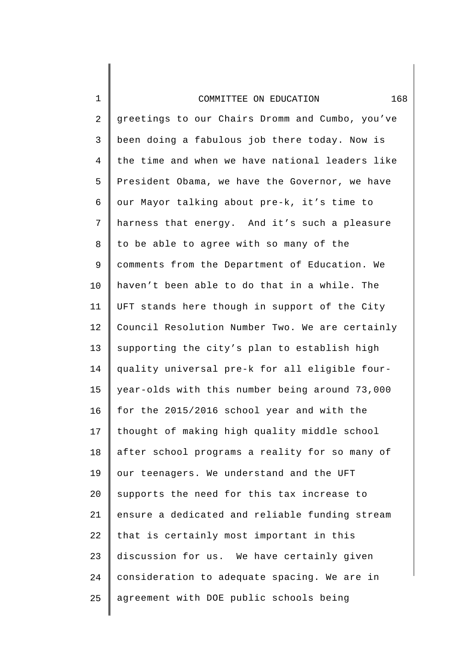1

2 3 4 5 6 7 8 9 10 11 12 13 14 15 16 17 18 19 20 21 22 23 24 25 greetings to our Chairs Dromm and Cumbo, you've been doing a fabulous job there today. Now is the time and when we have national leaders like President Obama, we have the Governor, we have our Mayor talking about pre-k, it's time to harness that energy. And it's such a pleasure to be able to agree with so many of the comments from the Department of Education. We haven't been able to do that in a while. The UFT stands here though in support of the City Council Resolution Number Two. We are certainly supporting the city's plan to establish high quality universal pre-k for all eligible fouryear-olds with this number being around 73,000 for the 2015/2016 school year and with the thought of making high quality middle school after school programs a reality for so many of our teenagers. We understand and the UFT supports the need for this tax increase to ensure a dedicated and reliable funding stream that is certainly most important in this discussion for us. We have certainly given consideration to adequate spacing. We are in agreement with DOE public schools being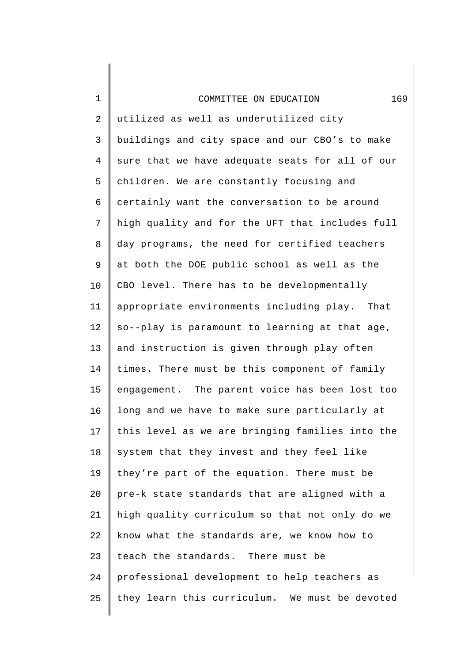| utilized as well as underutilized city          |
|-------------------------------------------------|
| buildings and city space and our CBO's to make  |
| sure that we have adequate seats for all of our |
| children. We are constantly focusing and        |
| certainly want the conversation to be around    |
| high quality and for the UFT that includes full |
| day programs, the need for certified teachers   |
| at both the DOE public school as well as the    |
| CBO level. There has to be developmentally      |
| appropriate environments including play. That   |
| so--play is paramount to learning at that age,  |
| and instruction is given through play often     |
| times. There must be this component of family   |
| engagement. The parent voice has been lost too  |
| long and we have to make sure particularly at   |

1

2

3

4 5 6 7 8 9 10 11 12 13 14 15 16 17 18 19 20 21  $2.2<sub>1</sub>$ 23 24 25 children. We are constantly focusing and certainly want the conversation to be around high quality and for the UFT that includes full day programs, the need for certified teachers at both the DOE public school as well as the CBO level. There has to be developmentally appropriate environments including play. That so--play is paramount to learning at that age, and instruction is given through play often times. There must be this component of family engagement. The parent voice has been lost too long and we have to make sure particularly at this level as we are bringing families into the system that they invest and they feel like they're part of the equation. There must be pre-k state standards that are aligned with a high quality curriculum so that not only do we know what the standards are, we know how to teach the standards. There must be professional development to help teachers as they learn this curriculum. We must be devoted

#### COMMITTEE ON EDUCATION 169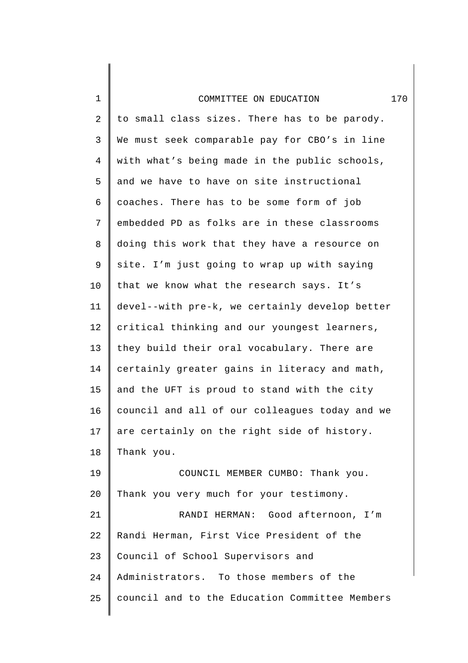| $\mathbf 1$ | 170<br>COMMITTEE ON EDUCATION                  |
|-------------|------------------------------------------------|
| 2           | to small class sizes. There has to be parody.  |
| 3           | We must seek comparable pay for CBO's in line  |
| 4           | with what's being made in the public schools,  |
| 5           | and we have to have on site instructional      |
| 6           | coaches. There has to be some form of job      |
| 7           | embedded PD as folks are in these classrooms   |
| 8           | doing this work that they have a resource on   |
| 9           | site. I'm just going to wrap up with saying    |
| 10          | that we know what the research says. It's      |
| 11          | devel--with pre-k, we certainly develop better |
| 12          | critical thinking and our youngest learners,   |
| 13          | they build their oral vocabulary. There are    |
| 14          | certainly greater gains in literacy and math,  |
| 15          | and the UFT is proud to stand with the city    |
| 16          | council and all of our colleagues today and we |
| 17          | are certainly on the right side of history.    |
| 18          | Thank you.                                     |
| 19          | COUNCIL MEMBER CUMBO: Thank you.               |
| 20          | Thank you very much for your testimony.        |
| 21          | RANDI HERMAN: Good afternoon, I'm              |
| 22          | Randi Herman, First Vice President of the      |
| 23          | Council of School Supervisors and              |
| 24          | Administrators. To those members of the        |
| 25          | council and to the Education Committee Members |

 $\begin{array}{c} \hline \end{array}$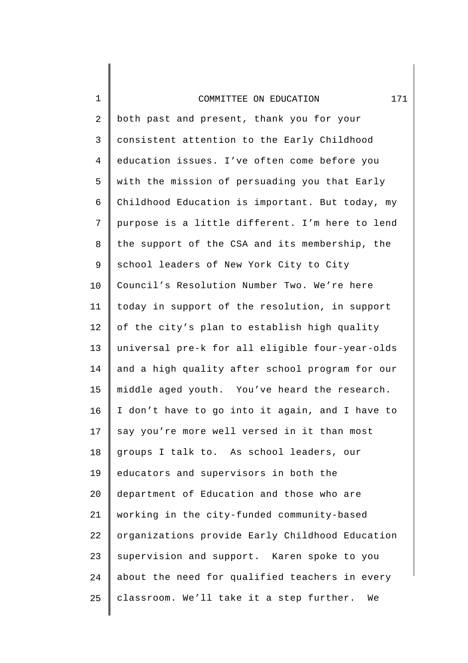1

2 3 4 5 6 7 8 9 10 11 12 13 14 15 16 17 18 19 20 21 22 23 24 25 both past and present, thank you for your consistent attention to the Early Childhood education issues. I've often come before you with the mission of persuading you that Early Childhood Education is important. But today, my purpose is a little different. I'm here to lend the support of the CSA and its membership, the school leaders of New York City to City Council's Resolution Number Two. We're here today in support of the resolution, in support of the city's plan to establish high quality universal pre-k for all eligible four-year-olds and a high quality after school program for our middle aged youth. You've heard the research. I don't have to go into it again, and I have to say you're more well versed in it than most groups I talk to. As school leaders, our educators and supervisors in both the department of Education and those who are working in the city-funded community-based organizations provide Early Childhood Education supervision and support. Karen spoke to you about the need for qualified teachers in every classroom. We'll take it a step further. We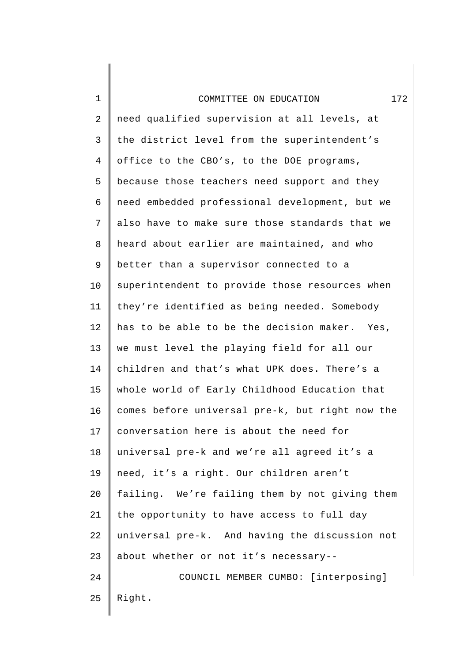2 3 4 5 6 7 8 9 10 11 12 13 14 15 16 17 18 19 20 21 22 23 24 need qualified supervision at all levels, at the district level from the superintendent's office to the CBO's, to the DOE programs, because those teachers need support and they need embedded professional development, but we also have to make sure those standards that we heard about earlier are maintained, and who better than a supervisor connected to a superintendent to provide those resources when they're identified as being needed. Somebody has to be able to be the decision maker. Yes, we must level the playing field for all our children and that's what UPK does. There's a whole world of Early Childhood Education that comes before universal pre-k, but right now the conversation here is about the need for universal pre-k and we're all agreed it's a need, it's a right. Our children aren't failing. We're failing them by not giving them the opportunity to have access to full day universal pre-k. And having the discussion not about whether or not it's necessary-- COUNCIL MEMBER CUMBO: [interposing]

25 Right.

1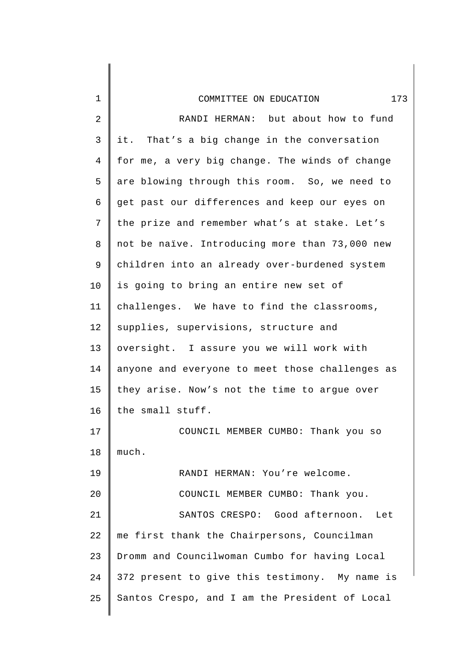| $\mathbf 1$    | 173<br>COMMITTEE ON EDUCATION                   |
|----------------|-------------------------------------------------|
| 2              | RANDI HERMAN: but about how to fund             |
| $\mathsf{3}$   | it. That's a big change in the conversation     |
| $\overline{4}$ | for me, a very big change. The winds of change  |
| 5              | are blowing through this room. So, we need to   |
| 6              | get past our differences and keep our eyes on   |
| 7              | the prize and remember what's at stake. Let's   |
| 8              | not be naive. Introducing more than 73,000 new  |
| 9              | children into an already over-burdened system   |
| 10             | is going to bring an entire new set of          |
| 11             | challenges. We have to find the classrooms,     |
| 12             | supplies, supervisions, structure and           |
| 13             | oversight. I assure you we will work with       |
| 14             | anyone and everyone to meet those challenges as |
| 15             | they arise. Now's not the time to argue over    |
| 16             | the small stuff.                                |
| 17             | COUNCIL MEMBER CUMBO: Thank you so              |
| 18             | much.                                           |
| 19             | RANDI HERMAN: You're welcome.                   |
| 20             | COUNCIL MEMBER CUMBO: Thank you.                |
| 21             | SANTOS CRESPO: Good afternoon. Let              |
| 22             | me first thank the Chairpersons, Councilman     |
| 23             | Dromm and Councilwoman Cumbo for having Local   |
| 24             | 372 present to give this testimony. My name is  |
| 25             | Santos Crespo, and I am the President of Local  |
|                |                                                 |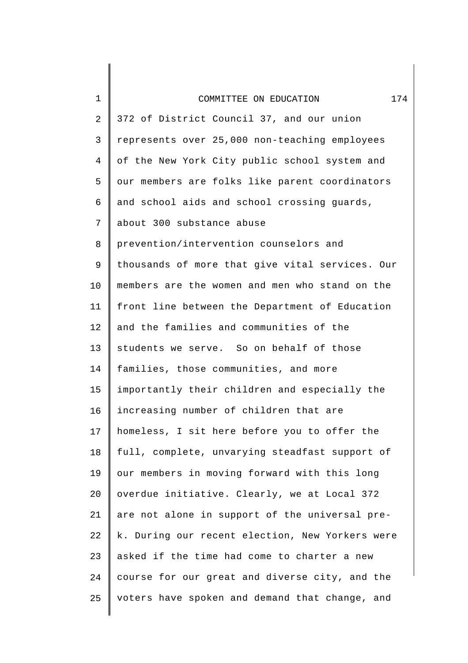| $\mathbf 1$    | 174<br>COMMITTEE ON EDUCATION                   |
|----------------|-------------------------------------------------|
| $\overline{2}$ | 372 of District Council 37, and our union       |
| $\mathsf{3}$   | represents over 25,000 non-teaching employees   |
| 4              | of the New York City public school system and   |
| 5              | our members are folks like parent coordinators  |
| 6              | and school aids and school crossing guards,     |
| 7              | about 300 substance abuse                       |
| 8              | prevention/intervention counselors and          |
| 9              | thousands of more that give vital services. Our |
| 10             | members are the women and men who stand on the  |
| 11             | front line between the Department of Education  |
| 12             | and the families and communities of the         |
| 13             | students we serve. So on behalf of those        |
| 14             | families, those communities, and more           |
| 15             | importantly their children and especially the   |
| 16             | increasing number of children that are          |
| 17             | homeless, I sit here before you to offer the    |
| 18             | full, complete, unvarying steadfast support of  |
| 19             | our members in moving forward with this long    |
| 20             | overdue initiative. Clearly, we at Local 372    |
| 21             | are not alone in support of the universal pre-  |
| 22             | k. During our recent election, New Yorkers were |
| 23             | asked if the time had come to charter a new     |
| 24             | course for our great and diverse city, and the  |
| 25             | voters have spoken and demand that change, and  |
|                |                                                 |

 $\begin{array}{c} \hline \end{array}$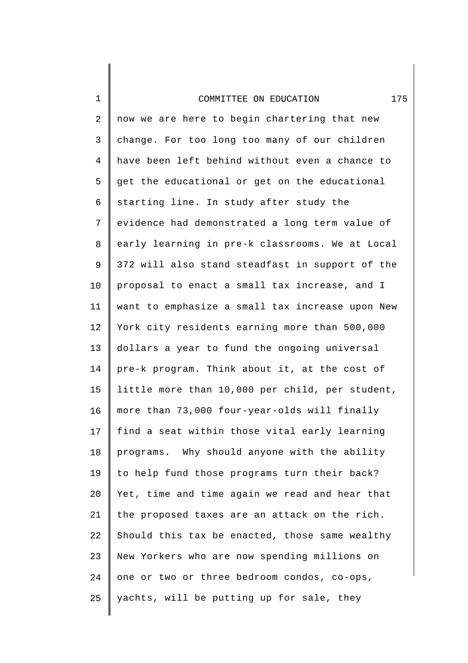1

2 3 4 5 6 7 8 9 10 11 12 13 14 15 16 17 18 19 20 21 22 23 24 25 now we are here to begin chartering that new change. For too long too many of our children have been left behind without even a chance to get the educational or get on the educational starting line. In study after study the evidence had demonstrated a long term value of early learning in pre-k classrooms. We at Local 372 will also stand steadfast in support of the proposal to enact a small tax increase, and I want to emphasize a small tax increase upon New York city residents earning more than 500,000 dollars a year to fund the ongoing universal pre-k program. Think about it, at the cost of little more than 10,000 per child, per student, more than 73,000 four-year-olds will finally find a seat within those vital early learning programs. Why should anyone with the ability to help fund those programs turn their back? Yet, time and time again we read and hear that the proposed taxes are an attack on the rich. Should this tax be enacted, those same wealthy New Yorkers who are now spending millions on one or two or three bedroom condos, co-ops, yachts, will be putting up for sale, they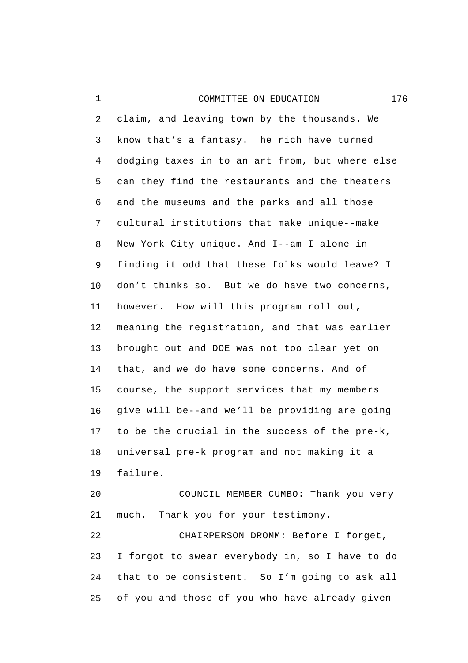1

21

2 3 4 5 6 7 8 9 10 11 12 13 14 15 16 17 18 19 20 claim, and leaving town by the thousands. We know that's a fantasy. The rich have turned dodging taxes in to an art from, but where else can they find the restaurants and the theaters and the museums and the parks and all those cultural institutions that make unique--make New York City unique. And I--am I alone in finding it odd that these folks would leave? I don't thinks so. But we do have two concerns, however. How will this program roll out, meaning the registration, and that was earlier brought out and DOE was not too clear yet on that, and we do have some concerns. And of course, the support services that my members give will be--and we'll be providing are going to be the crucial in the success of the pre-k, universal pre-k program and not making it a failure. COUNCIL MEMBER CUMBO: Thank you very

22 23 24 25 CHAIRPERSON DROMM: Before I forget, I forgot to swear everybody in, so I have to do that to be consistent. So I'm going to ask all of you and those of you who have already given

much. Thank you for your testimony.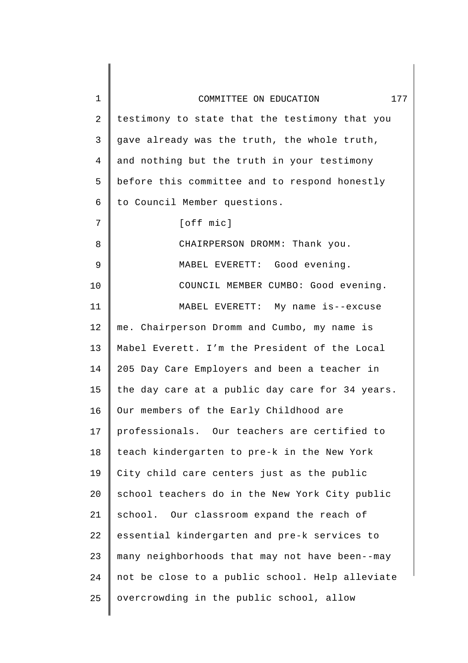| $\mathbf 1$ | 177<br>COMMITTEE ON EDUCATION                   |
|-------------|-------------------------------------------------|
| 2           | testimony to state that the testimony that you  |
| 3           | gave already was the truth, the whole truth,    |
| 4           | and nothing but the truth in your testimony     |
| 5           | before this committee and to respond honestly   |
| 6           | to Council Member questions.                    |
| 7           | [off mic]                                       |
| 8           | CHAIRPERSON DROMM: Thank you.                   |
| 9           | MABEL EVERETT: Good evening.                    |
| 10          | COUNCIL MEMBER CUMBO: Good evening.             |
| 11          | MABEL EVERETT: My name is--excuse               |
| 12          | me. Chairperson Dromm and Cumbo, my name is     |
| 13          | Mabel Everett. I'm the President of the Local   |
| 14          | 205 Day Care Employers and been a teacher in    |
| 15          | the day care at a public day care for 34 years. |
| 16          | Our members of the Early Childhood are          |
| 17          | professionals. Our teachers are certified to    |
| 18          | teach kindergarten to pre-k in the New York     |
| 19          | City child care centers just as the public      |
| 20          | school teachers do in the New York City public  |
| 21          | school. Our classroom expand the reach of       |
| 22          | essential kindergarten and pre-k services to    |
| 23          | many neighborhoods that may not have been--may  |
| 24          | not be close to a public school. Help alleviate |
| 25          | overcrowding in the public school, allow        |
|             |                                                 |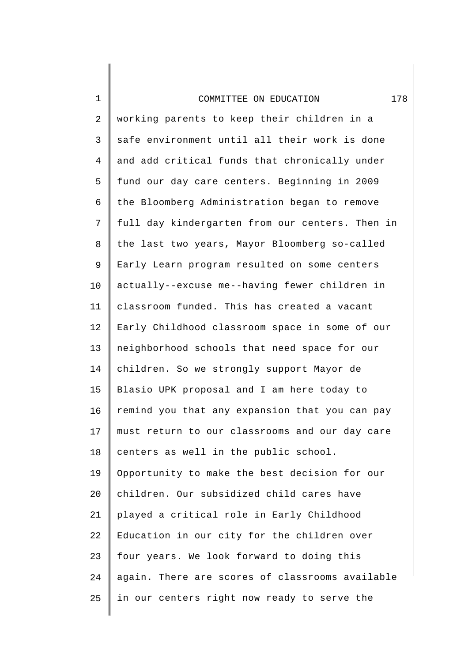1

2 3 4 5 6 7 8 9 10 11 12 13 14 15 16 17 18 19 20 21 22 23 24 25 working parents to keep their children in a safe environment until all their work is done and add critical funds that chronically under fund our day care centers. Beginning in 2009 the Bloomberg Administration began to remove full day kindergarten from our centers. Then in the last two years, Mayor Bloomberg so-called Early Learn program resulted on some centers actually--excuse me--having fewer children in classroom funded. This has created a vacant Early Childhood classroom space in some of our neighborhood schools that need space for our children. So we strongly support Mayor de Blasio UPK proposal and I am here today to remind you that any expansion that you can pay must return to our classrooms and our day care centers as well in the public school. Opportunity to make the best decision for our children. Our subsidized child cares have played a critical role in Early Childhood Education in our city for the children over four years. We look forward to doing this again. There are scores of classrooms available in our centers right now ready to serve the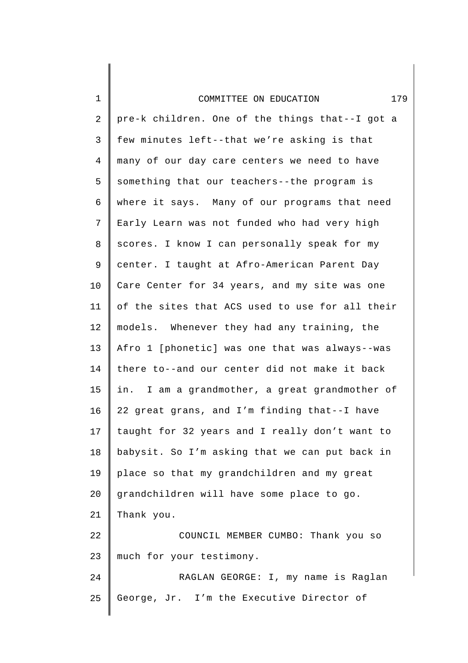| 179<br>COMMITTEE ON EDUCATION |  |
|-------------------------------|--|
|                               |  |

1

2 3 4 5 6 7 8 9 10 11 12 13 14 15 16 17 18 19 20 21 22 23 24 pre-k children. One of the things that--I got a few minutes left--that we're asking is that many of our day care centers we need to have something that our teachers--the program is where it says. Many of our programs that need Early Learn was not funded who had very high scores. I know I can personally speak for my center. I taught at Afro-American Parent Day Care Center for 34 years, and my site was one of the sites that ACS used to use for all their models. Whenever they had any training, the Afro 1 [phonetic] was one that was always--was there to--and our center did not make it back in. I am a grandmother, a great grandmother of 22 great grans, and I'm finding that--I have taught for 32 years and I really don't want to babysit. So I'm asking that we can put back in place so that my grandchildren and my great grandchildren will have some place to go. Thank you. COUNCIL MEMBER CUMBO: Thank you so much for your testimony. RAGLAN GEORGE: I, my name is Raglan

25 George, Jr. I'm the Executive Director of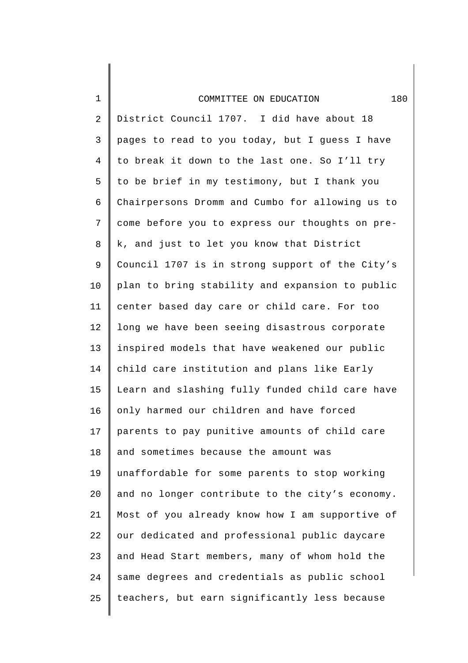| COMMITTEE ON EDUCATION |  |  |  |  |  |
|------------------------|--|--|--|--|--|
|------------------------|--|--|--|--|--|

1

2 3 4 5 6 7 8 9 10 11 12 13 14 15 16 17 18 19 20 21 22 23 24 25 District Council 1707. I did have about 18 pages to read to you today, but I guess I have to break it down to the last one. So I'll try to be brief in my testimony, but I thank you Chairpersons Dromm and Cumbo for allowing us to come before you to express our thoughts on prek, and just to let you know that District Council 1707 is in strong support of the City's plan to bring stability and expansion to public center based day care or child care. For too long we have been seeing disastrous corporate inspired models that have weakened our public child care institution and plans like Early Learn and slashing fully funded child care have only harmed our children and have forced parents to pay punitive amounts of child care and sometimes because the amount was unaffordable for some parents to stop working and no longer contribute to the city's economy. Most of you already know how I am supportive of our dedicated and professional public daycare and Head Start members, many of whom hold the same degrees and credentials as public school teachers, but earn significantly less because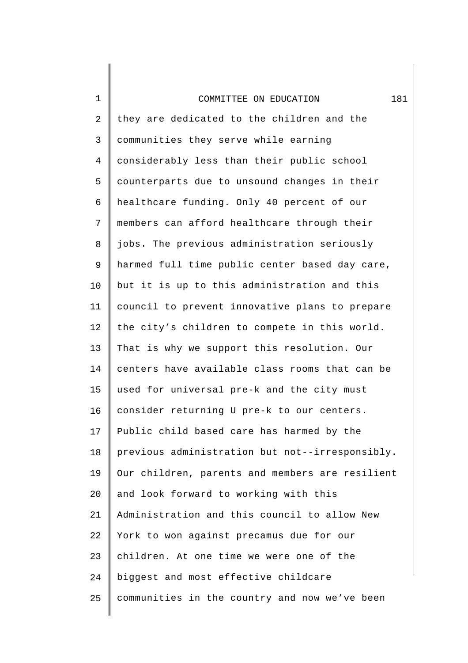1

2 3 4 5 6 7 8 9 10 11 12 13 14 15 16 17 18 19 20 21 22 23 24 25 they are dedicated to the children and the communities they serve while earning considerably less than their public school counterparts due to unsound changes in their healthcare funding. Only 40 percent of our members can afford healthcare through their jobs. The previous administration seriously harmed full time public center based day care, but it is up to this administration and this council to prevent innovative plans to prepare the city's children to compete in this world. That is why we support this resolution. Our centers have available class rooms that can be used for universal pre-k and the city must consider returning U pre-k to our centers. Public child based care has harmed by the previous administration but not--irresponsibly. Our children, parents and members are resilient and look forward to working with this Administration and this council to allow New York to won against precamus due for our children. At one time we were one of the biggest and most effective childcare communities in the country and now we've been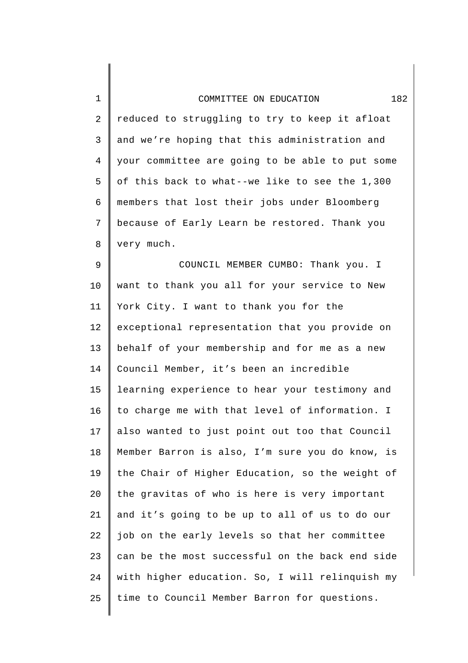1

2 3 4 5 6 7 8 reduced to struggling to try to keep it afloat and we're hoping that this administration and your committee are going to be able to put some of this back to what--we like to see the 1,300 members that lost their jobs under Bloomberg because of Early Learn be restored. Thank you very much.

9 10 11 12 13 14 15 16 17 18 19 20 21 22 23 24 25 COUNCIL MEMBER CUMBO: Thank you. I want to thank you all for your service to New York City. I want to thank you for the exceptional representation that you provide on behalf of your membership and for me as a new Council Member, it's been an incredible learning experience to hear your testimony and to charge me with that level of information. I also wanted to just point out too that Council Member Barron is also, I'm sure you do know, is the Chair of Higher Education, so the weight of the gravitas of who is here is very important and it's going to be up to all of us to do our job on the early levels so that her committee can be the most successful on the back end side with higher education. So, I will relinquish my time to Council Member Barron for questions.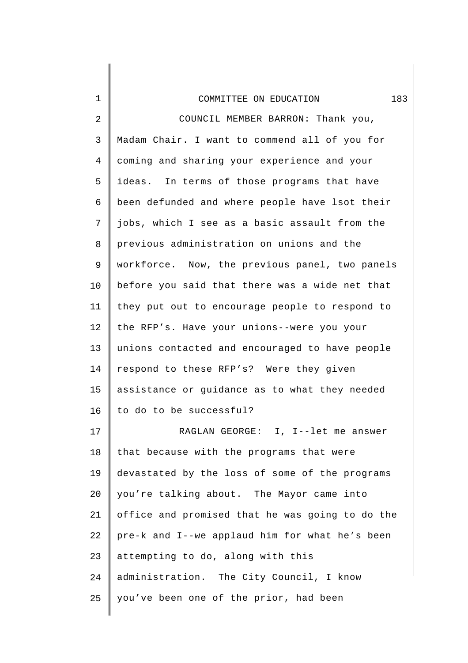| $\mathbf 1$ | 183<br>COMMITTEE ON EDUCATION                   |
|-------------|-------------------------------------------------|
| 2           | COUNCIL MEMBER BARRON: Thank you,               |
| 3           | Madam Chair. I want to commend all of you for   |
| 4           | coming and sharing your experience and your     |
| 5           | ideas. In terms of those programs that have     |
| 6           | been defunded and where people have lsot their  |
| 7           | jobs, which I see as a basic assault from the   |
| 8           | previous administration on unions and the       |
| 9           | workforce. Now, the previous panel, two panels  |
| 10          | before you said that there was a wide net that  |
| 11          | they put out to encourage people to respond to  |
| 12          | the RFP's. Have your unions--were you your      |
| 13          | unions contacted and encouraged to have people  |
| 14          | respond to these RFP's? Were they given         |
| 15          | assistance or guidance as to what they needed   |
| 16          | to do to be successful?                         |
| 17          | RAGLAN GEORGE: I, I--let me answer              |
| 18          | that because with the programs that were        |
| 19          | devastated by the loss of some of the programs  |
| 20          | you're talking about. The Mayor came into       |
| 21          | office and promised that he was going to do the |
| 22          | pre-k and I--we applaud him for what he's been  |
| 23          | attempting to do, along with this               |
| 24          | administration. The City Council, I know        |
| 25          | you've been one of the prior, had been          |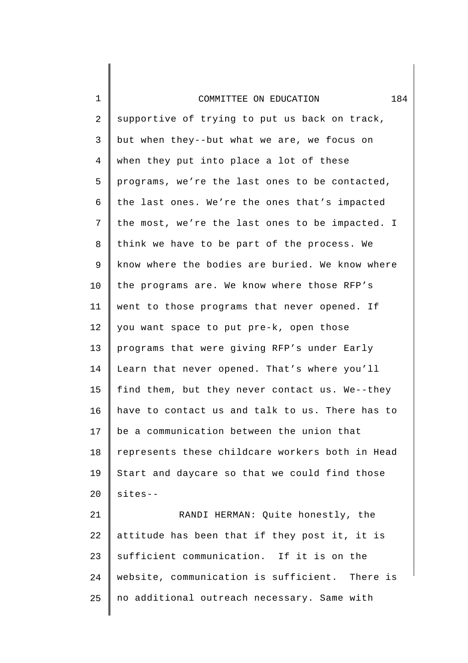1

2 3 4 5 6 7 8 9 10 11 12 13 14 15 16 17 18 19 20 supportive of trying to put us back on track, but when they--but what we are, we focus on when they put into place a lot of these programs, we're the last ones to be contacted, the last ones. We're the ones that's impacted the most, we're the last ones to be impacted. I think we have to be part of the process. We know where the bodies are buried. We know where the programs are. We know where those RFP's went to those programs that never opened. If you want space to put pre-k, open those programs that were giving RFP's under Early Learn that never opened. That's where you'll find them, but they never contact us. We--they have to contact us and talk to us. There has to be a communication between the union that represents these childcare workers both in Head Start and daycare so that we could find those sites--

21 22 23 24 25 RANDI HERMAN: Quite honestly, the attitude has been that if they post it, it is sufficient communication. If it is on the website, communication is sufficient. There is no additional outreach necessary. Same with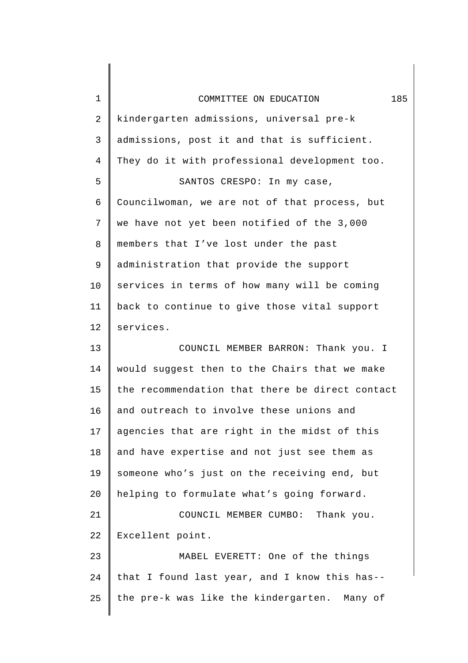| $\mathbf 1$    | 185<br>COMMITTEE ON EDUCATION                   |
|----------------|-------------------------------------------------|
| $\overline{2}$ | kindergarten admissions, universal pre-k        |
| 3              | admissions, post it and that is sufficient.     |
| $\overline{4}$ | They do it with professional development too.   |
| 5              | SANTOS CRESPO: In my case,                      |
| 6              | Councilwoman, we are not of that process, but   |
| 7              | we have not yet been notified of the 3,000      |
| 8              | members that I've lost under the past           |
| 9              | administration that provide the support         |
| 10             | services in terms of how many will be coming    |
| 11             | back to continue to give those vital support    |
| 12             | services.                                       |
| 13             | COUNCIL MEMBER BARRON: Thank you. I             |
| 14             | would suggest then to the Chairs that we make   |
| 15             | the recommendation that there be direct contact |
| 16             | and outreach to involve these unions and        |
| 17             | agencies that are right in the midst of this    |
| 18             | and have expertise and not just see them as     |
| 19             | someone who's just on the receiving end, but    |
| 20             | helping to formulate what's going forward.      |
| 21             | COUNCIL MEMBER CUMBO: Thank you.                |
| 22             | Excellent point.                                |
| 23             | MABEL EVERETT: One of the things                |
| 24             | that I found last year, and I know this has--   |
| 25             | the pre-k was like the kindergarten. Many of    |
|                |                                                 |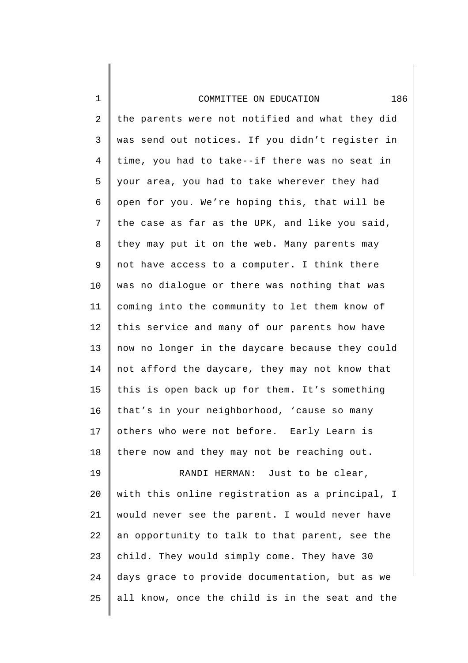| $\mathbf 1$    | 186<br>COMMITTEE ON EDUCATION                   |
|----------------|-------------------------------------------------|
| $\overline{2}$ | the parents were not notified and what they did |
| $\mathsf{3}$   | was send out notices. If you didn't register in |
| $\overline{4}$ | time, you had to take--if there was no seat in  |
| 5              | your area, you had to take wherever they had    |
| б              | open for you. We're hoping this, that will be   |
| 7              | the case as far as the UPK, and like you said,  |
| 8              | they may put it on the web. Many parents may    |
| 9              | not have access to a computer. I think there    |
| 10             | was no dialogue or there was nothing that was   |
| 11             | coming into the community to let them know of   |
| 12             | this service and many of our parents how have   |
| 13             | now no longer in the daycare because they could |
| 14             | not afford the daycare, they may not know that  |
| 15             | this is open back up for them. It's something   |
| 16             | that's in your neighborhood, 'cause so many     |
| 17             | others who were not before. Early Learn is      |
| 18             | there now and they may not be reaching out.     |
| 19             | RANDI HERMAN: Just to be clear,                 |
| 20             | with this online registration as a principal, I |
| 21             | would never see the parent. I would never have  |
| 22             | an opportunity to talk to that parent, see the  |
| 23             | child. They would simply come. They have 30     |
| 24             | days grace to provide documentation, but as we  |
| 25             | all know, once the child is in the seat and the |
|                |                                                 |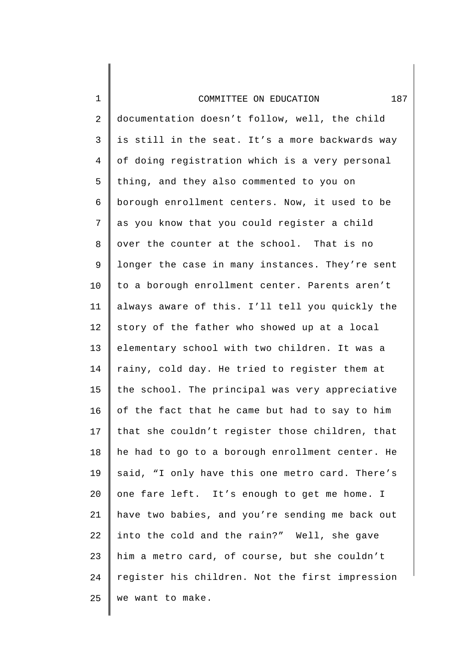1

2 3 4 5 6 7 8 9 10 11 12 13 14 15 16 17 18 19 20 21 22 23 24 25 documentation doesn't follow, well, the child is still in the seat. It's a more backwards way of doing registration which is a very personal thing, and they also commented to you on borough enrollment centers. Now, it used to be as you know that you could register a child over the counter at the school. That is no longer the case in many instances. They're sent to a borough enrollment center. Parents aren't always aware of this. I'll tell you quickly the story of the father who showed up at a local elementary school with two children. It was a rainy, cold day. He tried to register them at the school. The principal was very appreciative of the fact that he came but had to say to him that she couldn't register those children, that he had to go to a borough enrollment center. He said, "I only have this one metro card. There's one fare left. It's enough to get me home. I have two babies, and you're sending me back out into the cold and the rain?" Well, she gave him a metro card, of course, but she couldn't register his children. Not the first impression we want to make.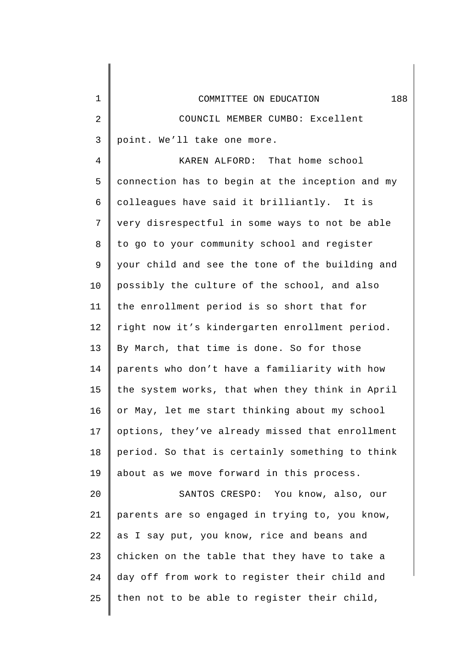| $\mathbf 1$    | 188<br>COMMITTEE ON EDUCATION                   |
|----------------|-------------------------------------------------|
| 2              | COUNCIL MEMBER CUMBO: Excellent                 |
| $\mathsf 3$    | point. We'll take one more.                     |
| $\overline{4}$ | KAREN ALFORD: That home school                  |
| 5              | connection has to begin at the inception and my |
| 6              | colleagues have said it brilliantly. It is      |
| 7              | very disrespectful in some ways to not be able  |
| 8              | to go to your community school and register     |
| 9              | your child and see the tone of the building and |
| 10             | possibly the culture of the school, and also    |
| 11             | the enrollment period is so short that for      |
| 12             | right now it's kindergarten enrollment period.  |
| 13             | By March, that time is done. So for those       |
| 14             | parents who don't have a familiarity with how   |
| 15             | the system works, that when they think in April |
| 16             | or May, let me start thinking about my school   |
| 17             | options, they've already missed that enrollment |
| 18             | period. So that is certainly something to think |
| 19             | about as we move forward in this process.       |
| 20             | SANTOS CRESPO: You know, also, our              |
| 21             | parents are so engaged in trying to, you know,  |
| 22             | as I say put, you know, rice and beans and      |
| 23             | chicken on the table that they have to take a   |
| 24             | day off from work to register their child and   |
| 25             | then not to be able to register their child,    |
|                |                                                 |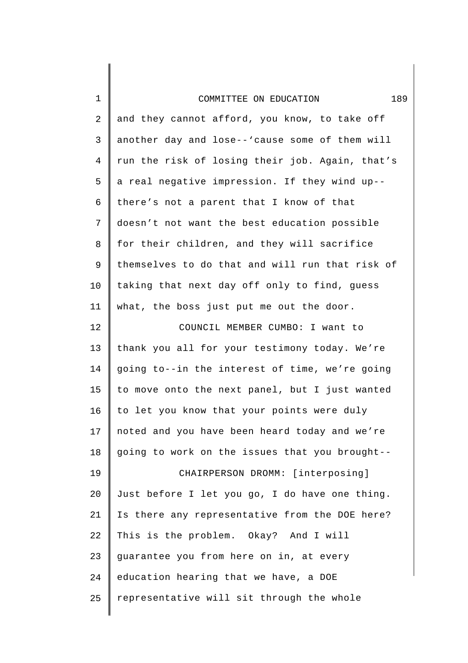| $\mathbf 1$ | 189<br>COMMITTEE ON EDUCATION                   |
|-------------|-------------------------------------------------|
| 2           | and they cannot afford, you know, to take off   |
| 3           | another day and lose--'cause some of them will  |
| 4           | run the risk of losing their job. Again, that's |
| 5           | a real negative impression. If they wind up--   |
| 6           | there's not a parent that I know of that        |
| 7           | doesn't not want the best education possible    |
| 8           | for their children, and they will sacrifice     |
| 9           | themselves to do that and will run that risk of |
| 10          | taking that next day off only to find, guess    |
| 11          | what, the boss just put me out the door.        |
| 12          | COUNCIL MEMBER CUMBO: I want to                 |
| 13          | thank you all for your testimony today. We're   |
| 14          | going to--in the interest of time, we're going  |
| 15          | to move onto the next panel, but I just wanted  |
| 16          | to let you know that your points were duly      |
| 17          | noted and you have been heard today and we're   |
| 18          | going to work on the issues that you brought--  |
| 19          | CHAIRPERSON DROMM: [interposing]                |
| 20          | Just before I let you go, I do have one thing.  |
| 21          | Is there any representative from the DOE here?  |
| 22          | This is the problem. Okay? And I will           |
| 23          | guarantee you from here on in, at every         |
| 24          | education hearing that we have, a DOE           |
| 25          | representative will sit through the whole       |
|             |                                                 |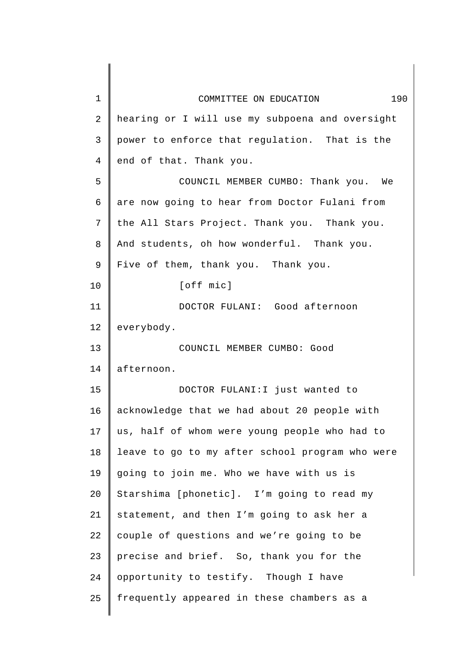| $\mathbf 1$    | 190<br>COMMITTEE ON EDUCATION                   |
|----------------|-------------------------------------------------|
| $\overline{2}$ | hearing or I will use my subpoena and oversight |
| 3              | power to enforce that regulation. That is the   |
| $\overline{4}$ | end of that. Thank you.                         |
| 5              | COUNCIL MEMBER CUMBO: Thank you. We             |
| 6              | are now going to hear from Doctor Fulani from   |
| 7              | the All Stars Project. Thank you. Thank you.    |
| 8              | And students, oh how wonderful. Thank you.      |
| 9              | Five of them, thank you. Thank you.             |
| 10             | [off mic]                                       |
| 11             | DOCTOR FULANI: Good afternoon                   |
| 12             | everybody.                                      |
| 13             | COUNCIL MEMBER CUMBO: Good                      |
| 14             | afternoon.                                      |
| 15             | DOCTOR FULANI: I just wanted to                 |
| 16             | acknowledge that we had about 20 people with    |
| 17             | us, half of whom were young people who had to   |
| 18             | leave to go to my after school program who were |
| 19             | going to join me. Who we have with us is        |
| 20             | Starshima [phonetic]. I'm going to read my      |
| 21             | statement, and then I'm going to ask her a      |
| 22             | couple of questions and we're going to be       |
| 23             | precise and brief. So, thank you for the        |
| 24             | opportunity to testify. Though I have           |
| 25             | frequently appeared in these chambers as a      |
|                |                                                 |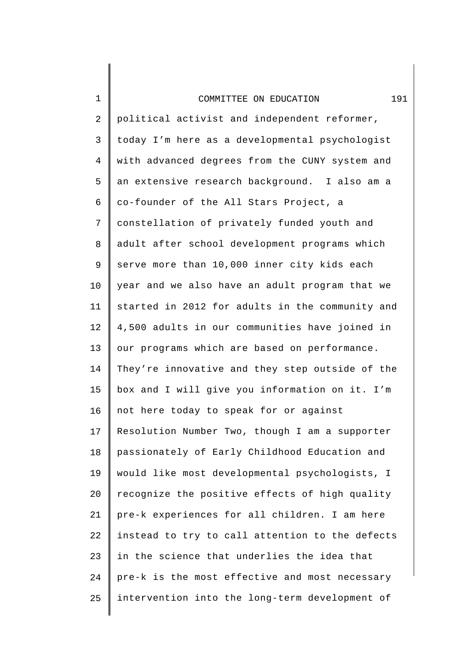1

2 3 4 5 6 7 8 9 10 11 12 13 14 15 16 17 18 19 20 21 22 23 24 25 political activist and independent reformer, today I'm here as a developmental psychologist with advanced degrees from the CUNY system and an extensive research background. I also am a co-founder of the All Stars Project, a constellation of privately funded youth and adult after school development programs which serve more than 10,000 inner city kids each year and we also have an adult program that we started in 2012 for adults in the community and 4,500 adults in our communities have joined in our programs which are based on performance. They're innovative and they step outside of the box and I will give you information on it. I'm not here today to speak for or against Resolution Number Two, though I am a supporter passionately of Early Childhood Education and would like most developmental psychologists, I recognize the positive effects of high quality pre-k experiences for all children. I am here instead to try to call attention to the defects in the science that underlies the idea that pre-k is the most effective and most necessary intervention into the long-term development of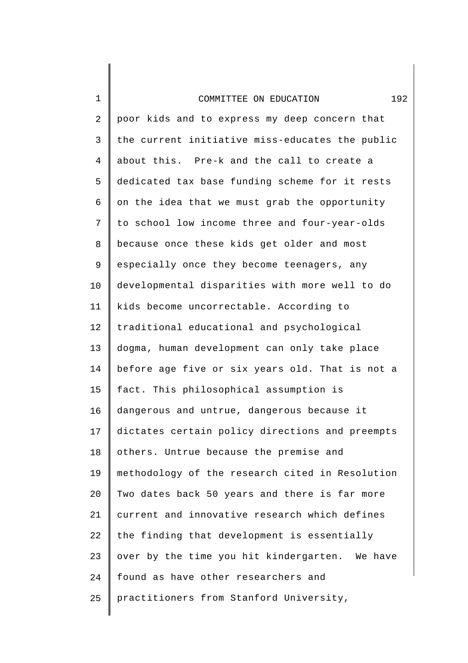1

2 3 4 5 6 7 8 9 10 11 12 13 14 15 16 17 18 19 20 21 22 23 24 25 poor kids and to express my deep concern that the current initiative miss-educates the public about this. Pre-k and the call to create a dedicated tax base funding scheme for it rests on the idea that we must grab the opportunity to school low income three and four-year-olds because once these kids get older and most especially once they become teenagers, any developmental disparities with more well to do kids become uncorrectable. According to traditional educational and psychological dogma, human development can only take place before age five or six years old. That is not a fact. This philosophical assumption is dangerous and untrue, dangerous because it dictates certain policy directions and preempts others. Untrue because the premise and methodology of the research cited in Resolution Two dates back 50 years and there is far more current and innovative research which defines the finding that development is essentially over by the time you hit kindergarten. We have found as have other researchers and practitioners from Stanford University,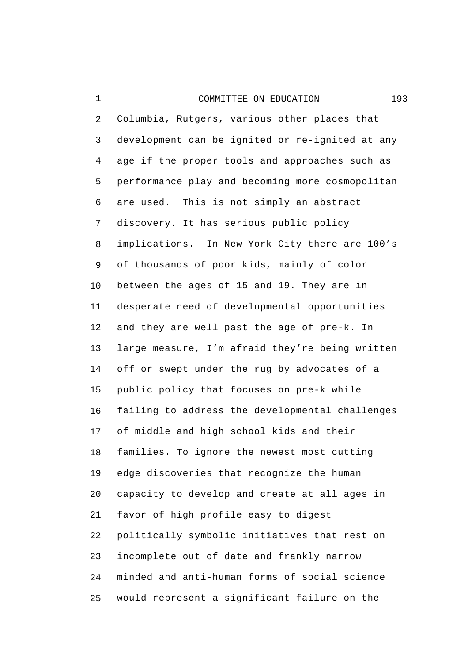1

2 3 4 5 6 7 8 9 10 11 12 13 14 15 16 17 18 19 20 21 22 23 24 25 Columbia, Rutgers, various other places that development can be ignited or re-ignited at any age if the proper tools and approaches such as performance play and becoming more cosmopolitan are used. This is not simply an abstract discovery. It has serious public policy implications. In New York City there are 100's of thousands of poor kids, mainly of color between the ages of 15 and 19. They are in desperate need of developmental opportunities and they are well past the age of pre-k. In large measure, I'm afraid they're being written off or swept under the rug by advocates of a public policy that focuses on pre-k while failing to address the developmental challenges of middle and high school kids and their families. To ignore the newest most cutting edge discoveries that recognize the human capacity to develop and create at all ages in favor of high profile easy to digest politically symbolic initiatives that rest on incomplete out of date and frankly narrow minded and anti-human forms of social science would represent a significant failure on the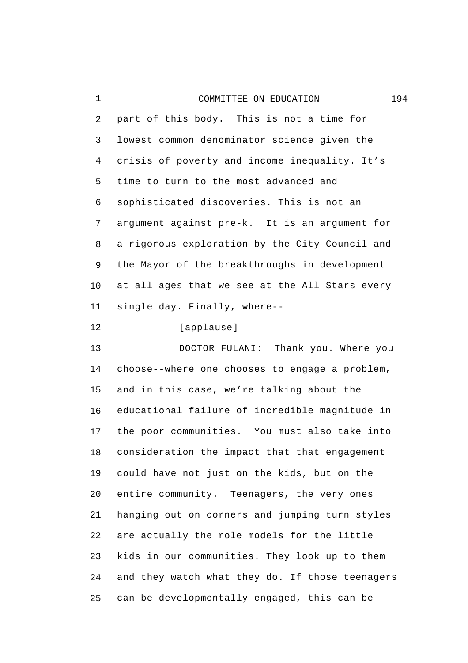| $\mathbf 1$    | 194<br>COMMITTEE ON EDUCATION                   |
|----------------|-------------------------------------------------|
| $\overline{a}$ | part of this body. This is not a time for       |
| 3              | lowest common denominator science given the     |
| 4              | crisis of poverty and income inequality. It's   |
| 5              | time to turn to the most advanced and           |
| 6              | sophisticated discoveries. This is not an       |
| 7              | argument against pre-k. It is an argument for   |
| 8              | a rigorous exploration by the City Council and  |
| 9              | the Mayor of the breakthroughs in development   |
| 10             | at all ages that we see at the All Stars every  |
| 11             | single day. Finally, where--                    |
| 12             | [applause]                                      |
| 13             | DOCTOR FULANI: Thank you. Where you             |
| 14             | choose--where one chooses to engage a problem,  |
| 15             | and in this case, we're talking about the       |
| 16             | educational failure of incredible magnitude in  |
| 17             | the poor communities. You must also take into   |
| 18             | consideration the impact that that engagement   |
| 19             | could have not just on the kids, but on the     |
| 20             | entire community. Teenagers, the very ones      |
| 21             | hanging out on corners and jumping turn styles  |
| 22             | are actually the role models for the little     |
| 23             | kids in our communities. They look up to them   |
| 24             | and they watch what they do. If those teenagers |
| 25             | can be developmentally engaged, this can be     |
|                |                                                 |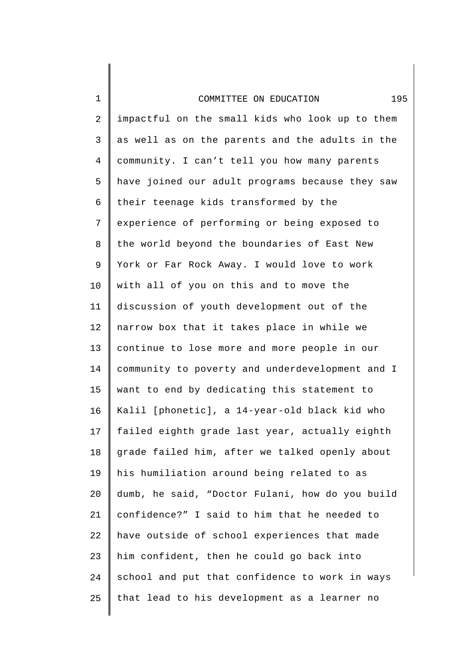| $1\,$          | 195<br>COMMITTEE ON EDUCATION                   |
|----------------|-------------------------------------------------|
| $\overline{2}$ | impactful on the small kids who look up to them |
| 3              | as well as on the parents and the adults in the |
| $\overline{4}$ | community. I can't tell you how many parents    |
| 5              | have joined our adult programs because they saw |
| 6              | their teenage kids transformed by the           |
| 7              | experience of performing or being exposed to    |
| 8              | the world beyond the boundaries of East New     |
| 9              | York or Far Rock Away. I would love to work     |
| 10             | with all of you on this and to move the         |
| 11             | discussion of youth development out of the      |
| 12             | narrow box that it takes place in while we      |
| 13             | continue to lose more and more people in our    |
| 14             | community to poverty and underdevelopment and I |
| 15             | want to end by dedicating this statement to     |
| 16             | Kalil [phonetic], a 14-year-old black kid who   |
| 17             | failed eighth grade last year, actually eighth  |
| 18             | grade failed him, after we talked openly about  |
| 19             | his humiliation around being related to as      |
| 20             | dumb, he said, "Doctor Fulani, how do you build |
| 21             | confidence?" I said to him that he needed to    |
| 22             | have outside of school experiences that made    |
| 23             | him confident, then he could go back into       |
| 24             | school and put that confidence to work in ways  |
| 25             | that lead to his development as a learner no    |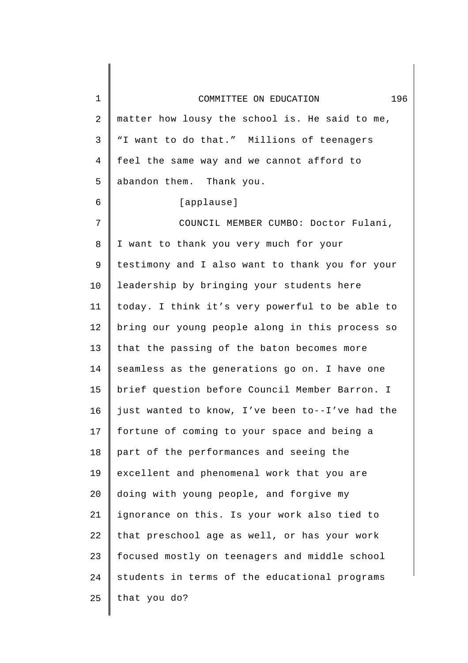| $\mathbf{1}$ | 196<br>COMMITTEE ON EDUCATION                   |
|--------------|-------------------------------------------------|
| 2            | matter how lousy the school is. He said to me,  |
| 3            | "I want to do that." Millions of teenagers      |
| 4            | feel the same way and we cannot afford to       |
| 5            | abandon them. Thank you.                        |
| 6            | [applause]                                      |
| 7            | COUNCIL MEMBER CUMBO: Doctor Fulani,            |
| 8            | I want to thank you very much for your          |
| 9            | testimony and I also want to thank you for your |
| 10           | leadership by bringing your students here       |
| 11           | today. I think it's very powerful to be able to |
| 12           | bring our young people along in this process so |
| 13           | that the passing of the baton becomes more      |
| 14           | seamless as the generations go on. I have one   |
| 15           | brief question before Council Member Barron. I  |
| 16           | just wanted to know, I've been to--I've had the |
| 17           | fortune of coming to your space and being a     |
| 18           | part of the performances and seeing the         |
| 19           | excellent and phenomenal work that you are      |
| 20           | doing with young people, and forgive my         |
| 21           | ignorance on this. Is your work also tied to    |
| 22           | that preschool age as well, or has your work    |
| 23           | focused mostly on teenagers and middle school   |
| 24           | students in terms of the educational programs   |
| 25           | that you do?                                    |
|              |                                                 |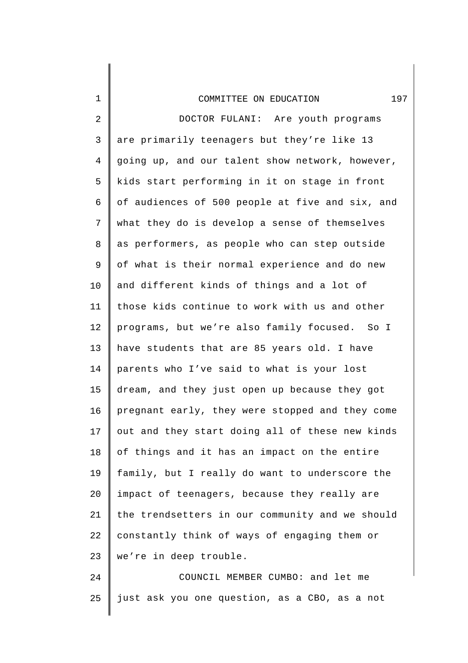| 1              | 197<br>COMMITTEE ON EDUCATION                   |
|----------------|-------------------------------------------------|
| $\overline{2}$ | DOCTOR FULANI: Are youth programs               |
| 3              | are primarily teenagers but they're like 13     |
| 4              | going up, and our talent show network, however, |
| 5              | kids start performing in it on stage in front   |
| 6              | of audiences of 500 people at five and six, and |
| 7              | what they do is develop a sense of themselves   |
| 8              | as performers, as people who can step outside   |
| 9              | of what is their normal experience and do new   |
| 10             | and different kinds of things and a lot of      |
| 11             | those kids continue to work with us and other   |
| 12             | programs, but we're also family focused. So I   |
| 13             | have students that are 85 years old. I have     |
| 14             | parents who I've said to what is your lost      |
| 15             | dream, and they just open up because they got   |
| 16             | pregnant early, they were stopped and they come |
| 17             | out and they start doing all of these new kinds |
| 18             | of things and it has an impact on the entire    |
| 19             | family, but I really do want to underscore the  |
| 20             | impact of teenagers, because they really are    |
| 21             | the trendsetters in our community and we should |
| 22             | constantly think of ways of engaging them or    |
| 23             | we're in deep trouble.                          |
| 24             | COUNCIL MEMBER CUMBO: and let me                |
| 25             | just ask you one question, as a CBO, as a not   |
|                |                                                 |

 $\begin{array}{c} \hline \end{array}$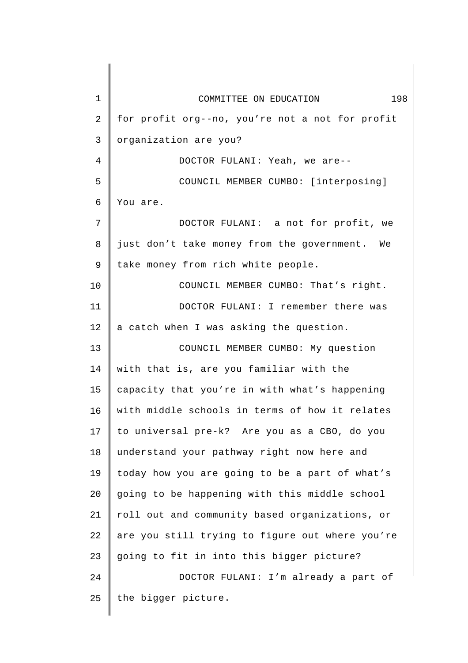| $\mathbf 1$    | 198<br>COMMITTEE ON EDUCATION                   |
|----------------|-------------------------------------------------|
| 2              | for profit org--no, you're not a not for profit |
| 3              | organization are you?                           |
| $\overline{4}$ | DOCTOR FULANI: Yeah, we are--                   |
| 5              | COUNCIL MEMBER CUMBO: [interposing]             |
| 6              | You are.                                        |
| 7              | DOCTOR FULANI: a not for profit, we             |
| 8              | just don't take money from the government. We   |
| 9              | take money from rich white people.              |
| 10             | COUNCIL MEMBER CUMBO: That's right.             |
| 11             | DOCTOR FULANI: I remember there was             |
| 12             | a catch when I was asking the question.         |
| 13             | COUNCIL MEMBER CUMBO: My question               |
| 14             | with that is, are you familiar with the         |
| 15             | capacity that you're in with what's happening   |
| 16             | with middle schools in terms of how it relates  |
| 17             | to universal pre-k? Are you as a CBO, do you    |
| 18             | understand your pathway right now here and      |
| 19             | today how you are going to be a part of what's  |
| 20             | going to be happening with this middle school   |
| 21             | roll out and community based organizations, or  |
| 22             | are you still trying to figure out where you're |
| 23             | going to fit in into this bigger picture?       |
| 24             | DOCTOR FULANI: I'm already a part of            |
| 25             | the bigger picture.                             |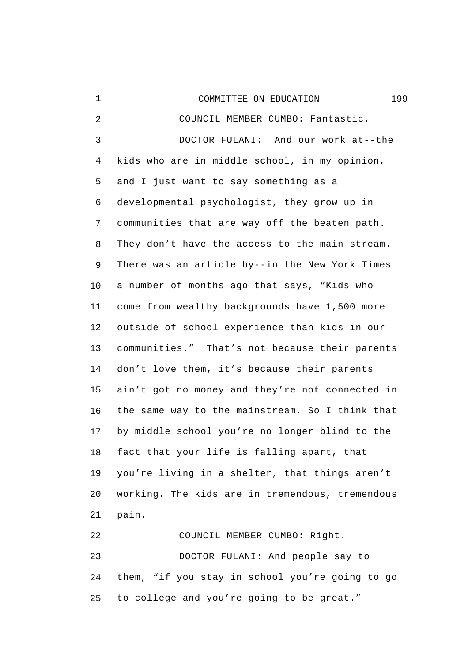| $\mathbf 1$    | 199<br>COMMITTEE ON EDUCATION                   |
|----------------|-------------------------------------------------|
| 2              | COUNCIL MEMBER CUMBO: Fantastic.                |
| $\mathsf{3}$   | DOCTOR FULANI: And our work at--the             |
| $\overline{4}$ | kids who are in middle school, in my opinion,   |
| 5              | and I just want to say something as a           |
| 6              | developmental psychologist, they grow up in     |
| 7              | communities that are way off the beaten path.   |
| 8              | They don't have the access to the main stream.  |
| 9              | There was an article by--in the New York Times  |
| 10             | a number of months ago that says, "Kids who     |
| 11             | come from wealthy backgrounds have 1,500 more   |
| 12             | outside of school experience than kids in our   |
| 13             | communities." That's not because their parents  |
| 14             | don't love them, it's because their parents     |
| 15             | ain't got no money and they're not connected in |
| 16             | the same way to the mainstream. So I think that |
| 17             | by middle school you're no longer blind to the  |
| 18             | fact that your life is falling apart, that      |
| 19             | you're living in a shelter, that things aren't  |
| 20             | working. The kids are in tremendous, tremendous |
| 21             | pain.                                           |
| 22             | COUNCIL MEMBER CUMBO: Right.                    |
| 23             | DOCTOR FULANI: And people say to                |
| 24             | them, "if you stay in school you're going to go |
| 25             | to college and you're going to be great."       |
|                |                                                 |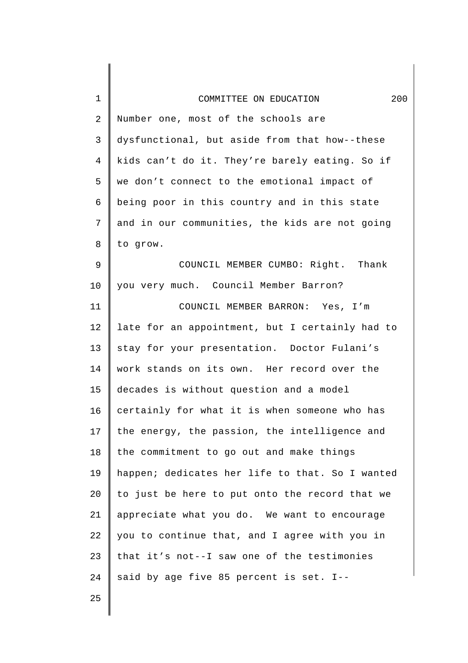| $\mathbf 1$    | 200<br>COMMITTEE ON EDUCATION                   |
|----------------|-------------------------------------------------|
| $\overline{2}$ | Number one, most of the schools are             |
| 3              | dysfunctional, but aside from that how--these   |
| $\overline{4}$ | kids can't do it. They're barely eating. So if  |
| 5              | we don't connect to the emotional impact of     |
| 6              | being poor in this country and in this state    |
| 7              | and in our communities, the kids are not going  |
| 8              | to grow.                                        |
| 9              | COUNCIL MEMBER CUMBO: Right. Thank              |
| 10             | you very much. Council Member Barron?           |
| 11             | COUNCIL MEMBER BARRON: Yes, I'm                 |
| 12             | late for an appointment, but I certainly had to |
| 13             | stay for your presentation. Doctor Fulani's     |
| 14             | work stands on its own. Her record over the     |
| 15             | decades is without question and a model         |
| 16             | certainly for what it is when someone who has   |
| 17             | the energy, the passion, the intelligence and   |
| 18             | the commitment to go out and make things        |
| 19             | happen; dedicates her life to that. So I wanted |
| 20             | to just be here to put onto the record that we  |
| 21             | appreciate what you do. We want to encourage    |
| 22             | you to continue that, and I agree with you in   |
| 23             | that it's not--I saw one of the testimonies     |
| 24             | said by age five 85 percent is set. I--         |
| 25             |                                                 |
|                |                                                 |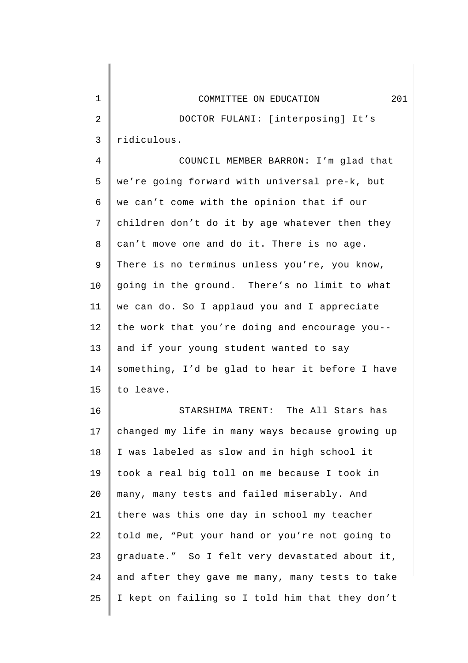| $\mathbf 1$    | 201<br>COMMITTEE ON EDUCATION                   |
|----------------|-------------------------------------------------|
| $\overline{2}$ | DOCTOR FULANI: [interposing] It's               |
| 3              | ridiculous.                                     |
| 4              | COUNCIL MEMBER BARRON: I'm glad that            |
| 5              | we're going forward with universal pre-k, but   |
| 6              | we can't come with the opinion that if our      |
| 7              | children don't do it by age whatever then they  |
| 8              | can't move one and do it. There is no age.      |
| 9              | There is no terminus unless you're, you know,   |
| 10             | going in the ground. There's no limit to what   |
| 11             | we can do. So I applaud you and I appreciate    |
| 12             | the work that you're doing and encourage you--  |
| 13             | and if your young student wanted to say         |
| 14             | something, I'd be glad to hear it before I have |
| 15             | to leave.                                       |
| 16             | STARSHIMA TRENT: The All Stars has              |
| 17             | changed my life in many ways because growing up |
| 18             | I was labeled as slow and in high school it     |
| 19             | took a real big toll on me because I took in    |
| 20             | many, many tests and failed miserably. And      |
| 21             | there was this one day in school my teacher     |
| 22             | told me, "Put your hand or you're not going to  |
| 23             | graduate." So I felt very devastated about it,  |
| 24             | and after they gave me many, many tests to take |
| 25             | I kept on failing so I told him that they don't |
|                |                                                 |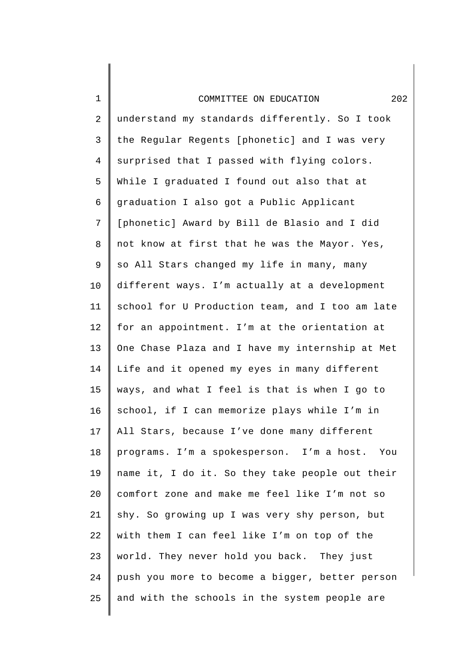1

2 3 4 5 6 7 8 9 10 11 12 13 14 15 16 17 18 19 20 21 22 23 24 25 understand my standards differently. So I took the Regular Regents [phonetic] and I was very surprised that I passed with flying colors. While I graduated I found out also that at graduation I also got a Public Applicant [phonetic] Award by Bill de Blasio and I did not know at first that he was the Mayor. Yes, so All Stars changed my life in many, many different ways. I'm actually at a development school for U Production team, and I too am late for an appointment. I'm at the orientation at One Chase Plaza and I have my internship at Met Life and it opened my eyes in many different ways, and what I feel is that is when I go to school, if I can memorize plays while I'm in All Stars, because I've done many different programs. I'm a spokesperson. I'm a host. You name it, I do it. So they take people out their comfort zone and make me feel like I'm not so shy. So growing up I was very shy person, but with them I can feel like I'm on top of the world. They never hold you back. They just push you more to become a bigger, better person and with the schools in the system people are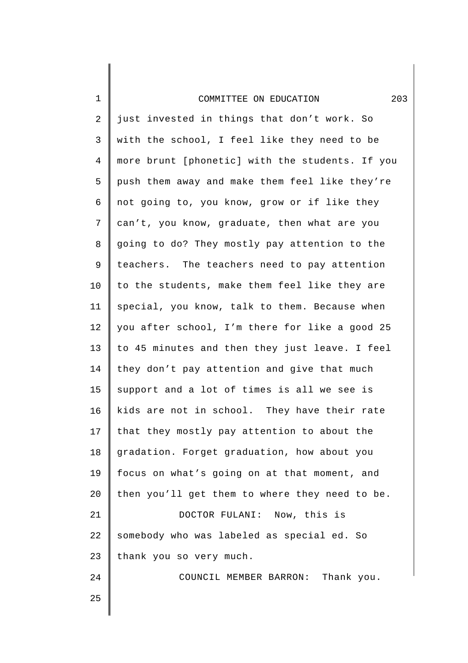2 3 4 5 6 7 8 9 10 11 12 13 14 15 16 17 18 19 20 21 22 23 24 just invested in things that don't work. So with the school, I feel like they need to be more brunt [phonetic] with the students. If you push them away and make them feel like they're not going to, you know, grow or if like they can't, you know, graduate, then what are you going to do? They mostly pay attention to the teachers. The teachers need to pay attention to the students, make them feel like they are special, you know, talk to them. Because when you after school, I'm there for like a good 25 to 45 minutes and then they just leave. I feel they don't pay attention and give that much support and a lot of times is all we see is kids are not in school. They have their rate that they mostly pay attention to about the gradation. Forget graduation, how about you focus on what's going on at that moment, and then you'll get them to where they need to be. DOCTOR FULANI: Now, this is somebody who was labeled as special ed. So thank you so very much. COUNCIL MEMBER BARRON: Thank you.

25

1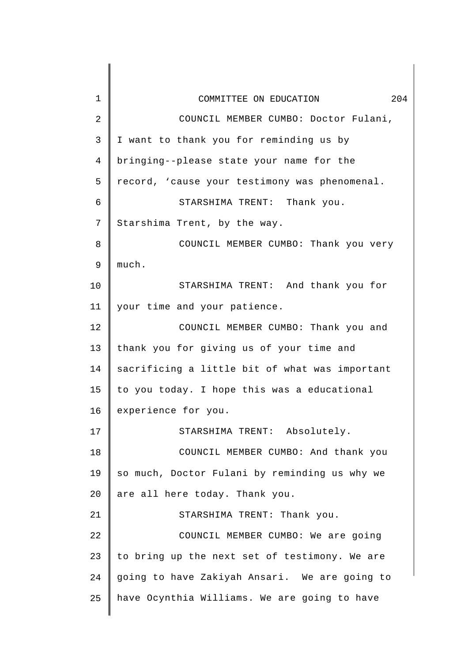| 1              | 204<br>COMMITTEE ON EDUCATION                  |
|----------------|------------------------------------------------|
| $\overline{2}$ | COUNCIL MEMBER CUMBO: Doctor Fulani,           |
| 3              | I want to thank you for reminding us by        |
| 4              | bringing--please state your name for the       |
| 5              | record, 'cause your testimony was phenomenal.  |
| 6              | STARSHIMA TRENT: Thank you.                    |
| 7              | Starshima Trent, by the way.                   |
| 8              | COUNCIL MEMBER CUMBO: Thank you very           |
| 9              | much.                                          |
| 10             | STARSHIMA TRENT: And thank you for             |
| 11             | your time and your patience.                   |
| 12             | COUNCIL MEMBER CUMBO: Thank you and            |
| 13             | thank you for giving us of your time and       |
| 14             | sacrificing a little bit of what was important |
| 15             | to you today. I hope this was a educational    |
| 16             | experience for you.                            |
| 17             | STARSHIMA TRENT: Absolutely.                   |
| 18             | COUNCIL MEMBER CUMBO: And thank you            |
| 19             | so much, Doctor Fulani by reminding us why we  |
| 20             | are all here today. Thank you.                 |
| 21             | STARSHIMA TRENT: Thank you.                    |
| 22             | COUNCIL MEMBER CUMBO: We are going             |
| 23             | to bring up the next set of testimony. We are  |
| 24             | going to have Zakiyah Ansari. We are going to  |
| 25             | have Ocynthia Williams. We are going to have   |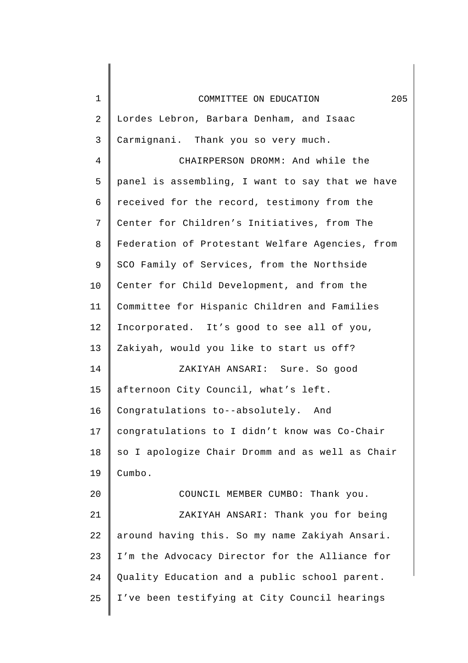| $\mathbf 1$    | 205<br>COMMITTEE ON EDUCATION                   |
|----------------|-------------------------------------------------|
| $\overline{2}$ | Lordes Lebron, Barbara Denham, and Isaac        |
| $\mathsf{3}$   | Carmignani. Thank you so very much.             |
| $\overline{4}$ | CHAIRPERSON DROMM: And while the                |
| 5              | panel is assembling, I want to say that we have |
| 6              | received for the record, testimony from the     |
| 7              | Center for Children's Initiatives, from The     |
| 8              | Federation of Protestant Welfare Agencies, from |
| 9              | SCO Family of Services, from the Northside      |
| 10             | Center for Child Development, and from the      |
| 11             | Committee for Hispanic Children and Families    |
| 12             | Incorporated. It's good to see all of you,      |
| 13             | Zakiyah, would you like to start us off?        |
| 14             | ZAKIYAH ANSARI: Sure. So good                   |
| 15             | afternoon City Council, what's left.            |
| 16             | Congratulations to--absolutely.<br>And          |
| 17             | congratulations to I didn't know was Co-Chair   |
| 18             | so I apologize Chair Dromm and as well as Chair |
| 19             | Cumbo.                                          |
| 20             | COUNCIL MEMBER CUMBO: Thank you.                |
| 21             | ZAKIYAH ANSARI: Thank you for being             |
| 22             | around having this. So my name Zakiyah Ansari.  |
| 23             | I'm the Advocacy Director for the Alliance for  |
| 24             | Quality Education and a public school parent.   |
| 25             | I've been testifying at City Council hearings   |
|                |                                                 |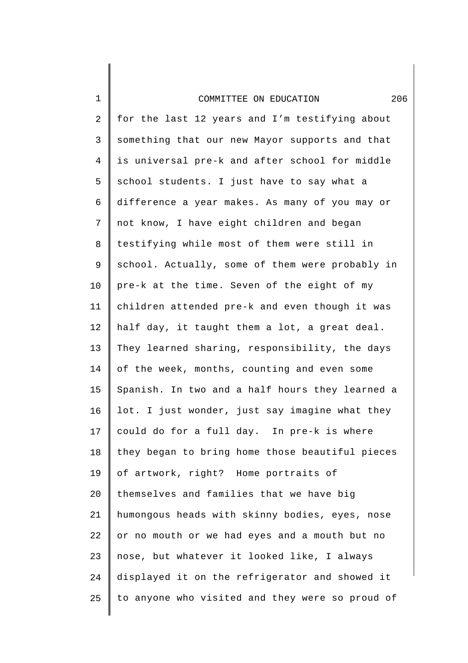1

2 3 4 5 6 7 8 9 10 11 12 13 14 15 16 17 18 19 20 21 22 23 24 25 for the last 12 years and I'm testifying about something that our new Mayor supports and that is universal pre-k and after school for middle school students. I just have to say what a difference a year makes. As many of you may or not know, I have eight children and began testifying while most of them were still in school. Actually, some of them were probably in pre-k at the time. Seven of the eight of my children attended pre-k and even though it was half day, it taught them a lot, a great deal. They learned sharing, responsibility, the days of the week, months, counting and even some Spanish. In two and a half hours they learned a lot. I just wonder, just say imagine what they could do for a full day. In pre-k is where they began to bring home those beautiful pieces of artwork, right? Home portraits of themselves and families that we have big humongous heads with skinny bodies, eyes, nose or no mouth or we had eyes and a mouth but no nose, but whatever it looked like, I always displayed it on the refrigerator and showed it to anyone who visited and they were so proud of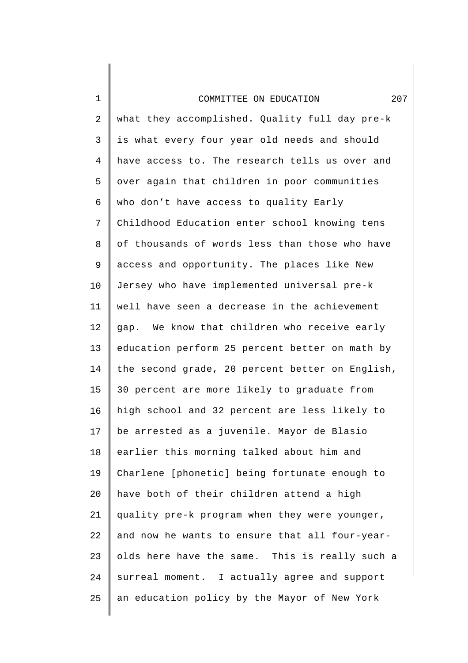| $\mathbf 1$    | COMMITTEE ON EDUCATION<br>207                   |
|----------------|-------------------------------------------------|
| $\overline{2}$ | what they accomplished. Quality full day pre-k  |
| 3              | is what every four year old needs and should    |
| $\overline{4}$ | have access to. The research tells us over and  |
| 5              | over again that children in poor communities    |
| б              | who don't have access to quality Early          |
| 7              | Childhood Education enter school knowing tens   |
| 8              | of thousands of words less than those who have  |
| 9              | access and opportunity. The places like New     |
| 10             | Jersey who have implemented universal pre-k     |
| 11             | well have seen a decrease in the achievement    |
| 12             | gap. We know that children who receive early    |
| 13             | education perform 25 percent better on math by  |
| 14             | the second grade, 20 percent better on English, |
| 15             | 30 percent are more likely to graduate from     |
| 16             | high school and 32 percent are less likely to   |
| 17             | be arrested as a juvenile. Mayor de Blasio      |
| 18             | earlier this morning talked about him and       |
| 19             | Charlene [phonetic] being fortunate enough to   |
| 20             | have both of their children attend a high       |
| 21             | quality pre-k program when they were younger,   |
| 22             | and now he wants to ensure that all four-year-  |
| 23             | olds here have the same. This is really such a  |
| 24             | surreal moment. I actually agree and support    |
| 25             | an education policy by the Mayor of New York    |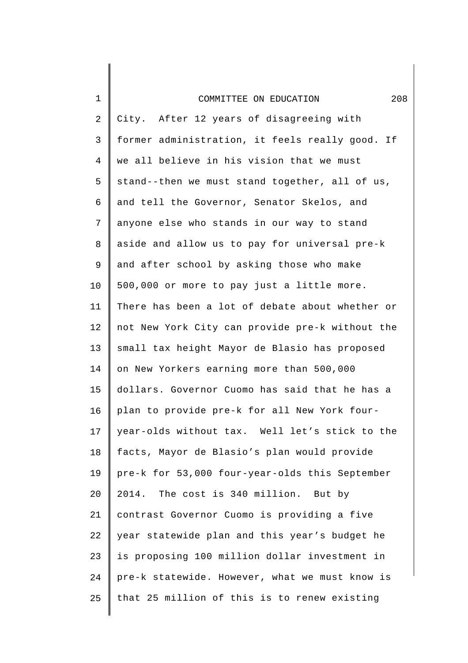1

2 3 4 5 6 7 8 9 10 11 12 13 14 15 16 17 18 19 20 21 22 23 24 25 City. After 12 years of disagreeing with former administration, it feels really good. If we all believe in his vision that we must stand--then we must stand together, all of us, and tell the Governor, Senator Skelos, and anyone else who stands in our way to stand aside and allow us to pay for universal pre-k and after school by asking those who make 500,000 or more to pay just a little more. There has been a lot of debate about whether or not New York City can provide pre-k without the small tax height Mayor de Blasio has proposed on New Yorkers earning more than 500,000 dollars. Governor Cuomo has said that he has a plan to provide pre-k for all New York fouryear-olds without tax. Well let's stick to the facts, Mayor de Blasio's plan would provide pre-k for 53,000 four-year-olds this September 2014. The cost is 340 million. But by contrast Governor Cuomo is providing a five year statewide plan and this year's budget he is proposing 100 million dollar investment in pre-k statewide. However, what we must know is that 25 million of this is to renew existing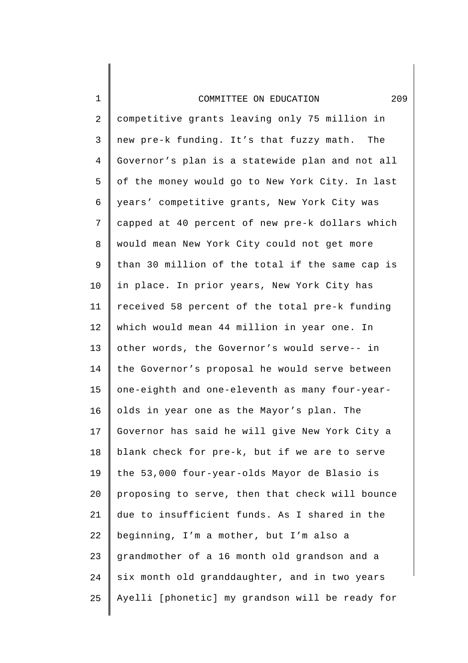1

2 3 4 5 6 7 8 9 10 11 12 13 14 15 16 17 18 19 20 21 22 23 24 25 competitive grants leaving only 75 million in new pre-k funding. It's that fuzzy math. The Governor's plan is a statewide plan and not all of the money would go to New York City. In last years' competitive grants, New York City was capped at 40 percent of new pre-k dollars which would mean New York City could not get more than 30 million of the total if the same cap is in place. In prior years, New York City has received 58 percent of the total pre-k funding which would mean 44 million in year one. In other words, the Governor's would serve-- in the Governor's proposal he would serve between one-eighth and one-eleventh as many four-yearolds in year one as the Mayor's plan. The Governor has said he will give New York City a blank check for pre-k, but if we are to serve the 53,000 four-year-olds Mayor de Blasio is proposing to serve, then that check will bounce due to insufficient funds. As I shared in the beginning, I'm a mother, but I'm also a grandmother of a 16 month old grandson and a six month old granddaughter, and in two years Ayelli [phonetic] my grandson will be ready for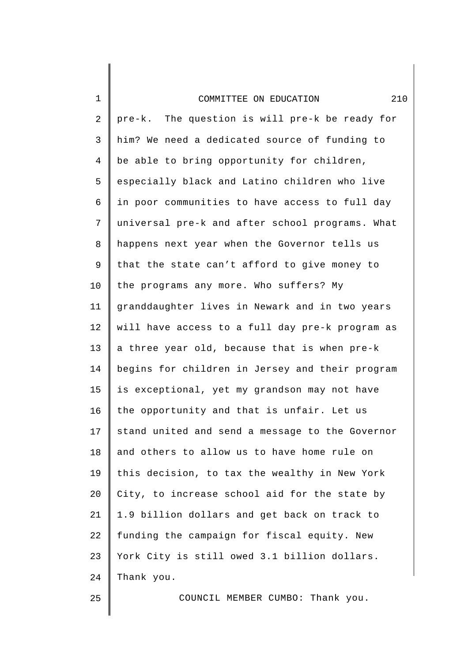2 3 4 5 6 7 8 9 10 11 12 13 14 15 16 17 18 19 20 21 22 23 24 pre-k. The question is will pre-k be ready for him? We need a dedicated source of funding to be able to bring opportunity for children, especially black and Latino children who live in poor communities to have access to full day universal pre-k and after school programs. What happens next year when the Governor tells us that the state can't afford to give money to the programs any more. Who suffers? My granddaughter lives in Newark and in two years will have access to a full day pre-k program as a three year old, because that is when pre-k begins for children in Jersey and their program is exceptional, yet my grandson may not have the opportunity and that is unfair. Let us stand united and send a message to the Governor and others to allow us to have home rule on this decision, to tax the wealthy in New York City, to increase school aid for the state by 1.9 billion dollars and get back on track to funding the campaign for fiscal equity. New York City is still owed 3.1 billion dollars. Thank you.

25

1

COUNCIL MEMBER CUMBO: Thank you.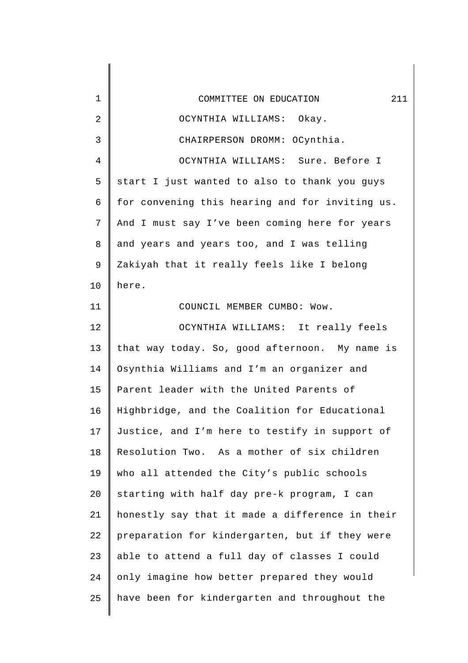| $\mathbf 1$    | 211<br>COMMITTEE ON EDUCATION                   |
|----------------|-------------------------------------------------|
| $\overline{2}$ | OCYNTHIA WILLIAMS: Okay.                        |
| $\mathsf{3}$   | CHAIRPERSON DROMM: OCynthia.                    |
| $\overline{4}$ | OCYNTHIA WILLIAMS: Sure. Before I               |
| 5              | start I just wanted to also to thank you guys   |
| 6              | for convening this hearing and for inviting us. |
| 7              | And I must say I've been coming here for years  |
| 8              | and years and years too, and I was telling      |
| $\mathsf 9$    | Zakiyah that it really feels like I belong      |
| 10             | here.                                           |
| 11             | COUNCIL MEMBER CUMBO: Wow.                      |
| 12             | OCYNTHIA WILLIAMS: It really feels              |
| 13             | that way today. So, good afternoon. My name is  |
| 14             | Osynthia Williams and I'm an organizer and      |
| 15             | Parent leader with the United Parents of        |
| 16             | Highbridge, and the Coalition for Educational   |
| 17             | Justice, and I'm here to testify in support of  |
| 18             | Resolution Two. As a mother of six children     |
| 19             | who all attended the City's public schools      |
| 20             | starting with half day pre-k program, I can     |
| 21             | honestly say that it made a difference in their |
| 22             | preparation for kindergarten, but if they were  |
| 23             | able to attend a full day of classes I could    |
| 24             | only imagine how better prepared they would     |
| 25             | have been for kindergarten and throughout the   |
|                |                                                 |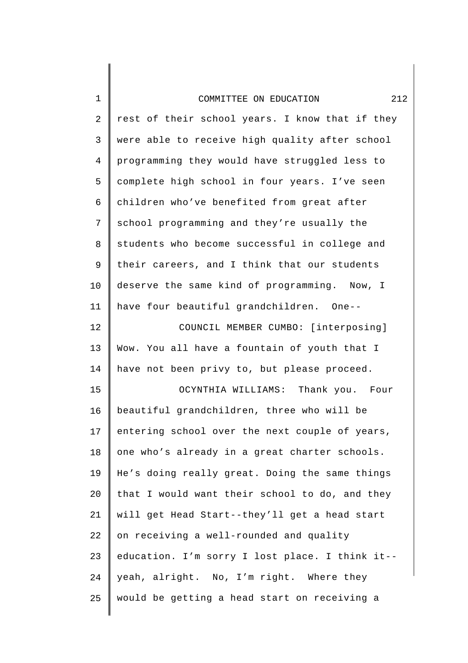1

2 3 4 5 6 7 8 9 10 11 12 13 14 15 16 17 18 19 20 21 22 23 24 25 rest of their school years. I know that if they were able to receive high quality after school programming they would have struggled less to complete high school in four years. I've seen children who've benefited from great after school programming and they're usually the students who become successful in college and their careers, and I think that our students deserve the same kind of programming. Now, I have four beautiful grandchildren. One-- COUNCIL MEMBER CUMBO: [interposing] Wow. You all have a fountain of youth that I have not been privy to, but please proceed. OCYNTHIA WILLIAMS: Thank you. Four beautiful grandchildren, three who will be entering school over the next couple of years, one who's already in a great charter schools. He's doing really great. Doing the same things that I would want their school to do, and they will get Head Start--they'll get a head start on receiving a well-rounded and quality education. I'm sorry I lost place. I think it- yeah, alright. No, I'm right. Where they would be getting a head start on receiving a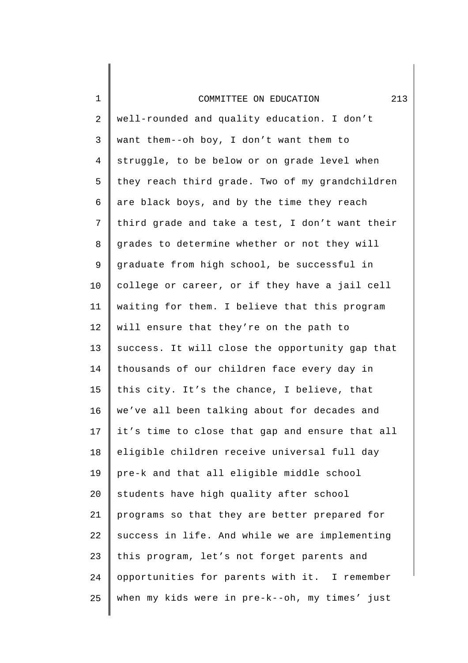1

2 3 4 5 6 7 8 9 10 11 12 13 14 15 16 17 18 19 20 21 22 23 24 25 well-rounded and quality education. I don't want them--oh boy, I don't want them to struggle, to be below or on grade level when they reach third grade. Two of my grandchildren are black boys, and by the time they reach third grade and take a test, I don't want their grades to determine whether or not they will graduate from high school, be successful in college or career, or if they have a jail cell waiting for them. I believe that this program will ensure that they're on the path to success. It will close the opportunity gap that thousands of our children face every day in this city. It's the chance, I believe, that we've all been talking about for decades and it's time to close that gap and ensure that all eligible children receive universal full day pre-k and that all eligible middle school students have high quality after school programs so that they are better prepared for success in life. And while we are implementing this program, let's not forget parents and opportunities for parents with it. I remember when my kids were in pre-k--oh, my times' just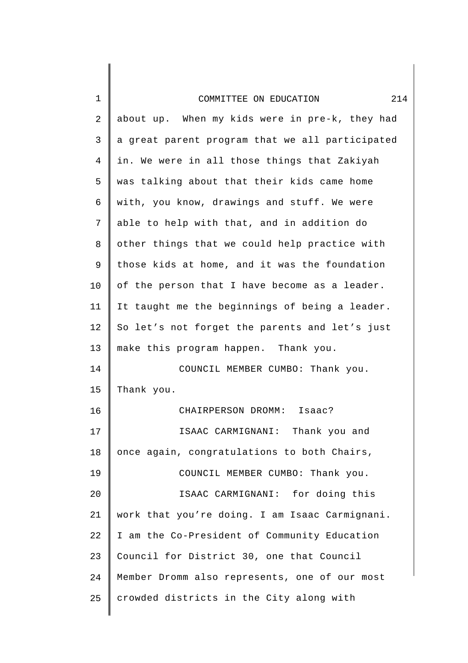1

2 3 4 5 6 7 8 9 10 11 12 13 14 15 16 17 18 19 20 21 22 23 24 25 about up. When my kids were in pre-k, they had a great parent program that we all participated in. We were in all those things that Zakiyah was talking about that their kids came home with, you know, drawings and stuff. We were able to help with that, and in addition do other things that we could help practice with those kids at home, and it was the foundation of the person that I have become as a leader. It taught me the beginnings of being a leader. So let's not forget the parents and let's just make this program happen. Thank you. COUNCIL MEMBER CUMBO: Thank you. Thank you. CHAIRPERSON DROMM: Isaac? ISAAC CARMIGNANI: Thank you and once again, congratulations to both Chairs, COUNCIL MEMBER CUMBO: Thank you. ISAAC CARMIGNANI: for doing this work that you're doing. I am Isaac Carmignani. I am the Co-President of Community Education Council for District 30, one that Council Member Dromm also represents, one of our most crowded districts in the City along with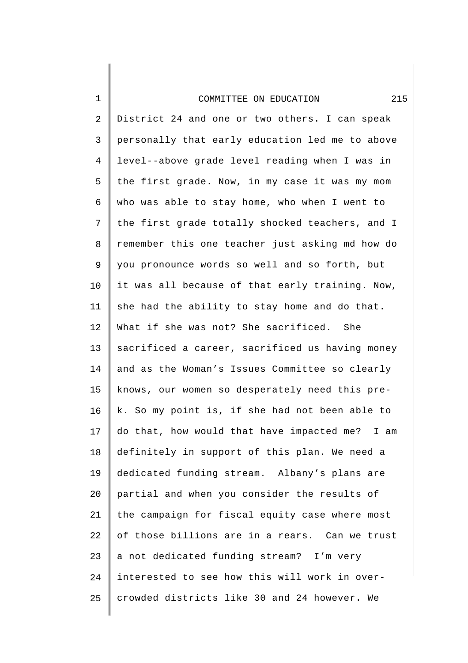1

2 3 4 5 6 7 8 9 10 11 12 13 14 15 16 17 18 19 20 21 22 23 24 25 District 24 and one or two others. I can speak personally that early education led me to above level--above grade level reading when I was in the first grade. Now, in my case it was my mom who was able to stay home, who when I went to the first grade totally shocked teachers, and I remember this one teacher just asking md how do you pronounce words so well and so forth, but it was all because of that early training. Now, she had the ability to stay home and do that. What if she was not? She sacrificed. She sacrificed a career, sacrificed us having money and as the Woman's Issues Committee so clearly knows, our women so desperately need this prek. So my point is, if she had not been able to do that, how would that have impacted me? I am definitely in support of this plan. We need a dedicated funding stream. Albany's plans are partial and when you consider the results of the campaign for fiscal equity case where most of those billions are in a rears. Can we trust a not dedicated funding stream? I'm very interested to see how this will work in overcrowded districts like 30 and 24 however. We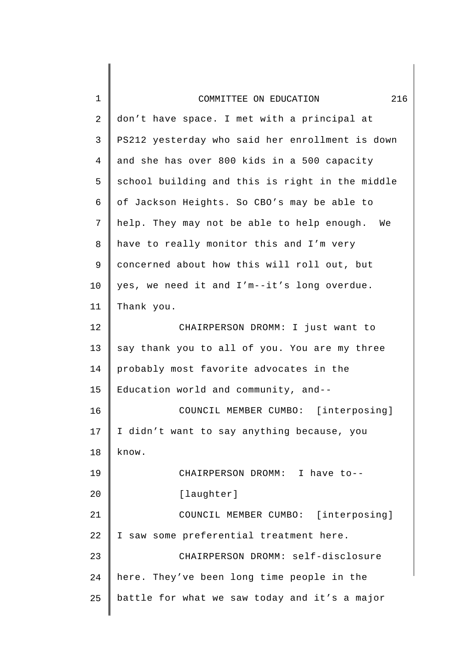| $\mathbf 1$    | 216<br>COMMITTEE ON EDUCATION                   |
|----------------|-------------------------------------------------|
| $\overline{2}$ | don't have space. I met with a principal at     |
| 3              | PS212 yesterday who said her enrollment is down |
| $\overline{4}$ | and she has over 800 kids in a 500 capacity     |
| 5              | school building and this is right in the middle |
| 6              | of Jackson Heights. So CBO's may be able to     |
| 7              | help. They may not be able to help enough. We   |
| 8              | have to really monitor this and I'm very        |
| 9              | concerned about how this will roll out, but     |
| 10             | yes, we need it and I'm--it's long overdue.     |
| 11             | Thank you.                                      |
| 12             | CHAIRPERSON DROMM: I just want to               |
| 13             | say thank you to all of you. You are my three   |
| 14             | probably most favorite advocates in the         |
| 15             | Education world and community, and--            |
| 16             | COUNCIL MEMBER CUMBO: [interposing]             |
| 17             | I didn't want to say anything because, you      |
| 18             | know.                                           |
| 19             | CHAIRPERSON DROMM: I have to--                  |
| 20             | [laughter]                                      |
| 21             | COUNCIL MEMBER CUMBO: [interposing]             |
| 22             | I saw some preferential treatment here.         |
| 23             | CHAIRPERSON DROMM: self-disclosure              |
| 24             | here. They've been long time people in the      |
| 25             | battle for what we saw today and it's a major   |
|                |                                                 |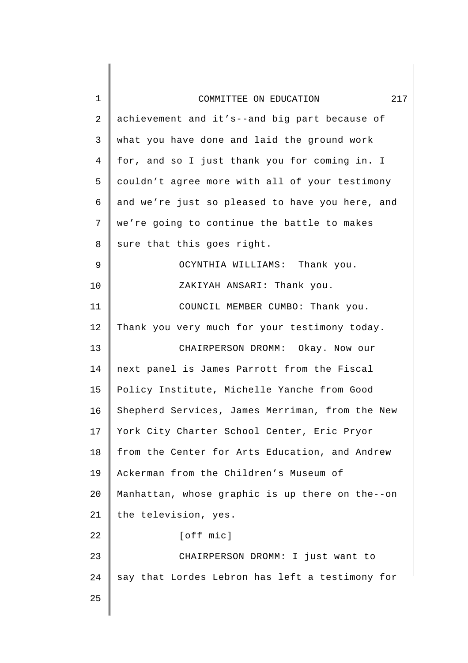| $\mathbf 1$    | 217<br>COMMITTEE ON EDUCATION                   |
|----------------|-------------------------------------------------|
| $\overline{a}$ | achievement and it's--and big part because of   |
| $\mathsf{3}$   | what you have done and laid the ground work     |
| $\overline{4}$ | for, and so I just thank you for coming in. I   |
| 5              | couldn't agree more with all of your testimony  |
| 6              | and we're just so pleased to have you here, and |
| 7              | we're going to continue the battle to makes     |
| 8              | sure that this goes right.                      |
| 9              | OCYNTHIA WILLIAMS: Thank you.                   |
| 10             | ZAKIYAH ANSARI: Thank you.                      |
| 11             | COUNCIL MEMBER CUMBO: Thank you.                |
| 12             | Thank you very much for your testimony today.   |
| 13             | CHAIRPERSON DROMM: Okay. Now our                |
| 14             | next panel is James Parrott from the Fiscal     |
| 15             | Policy Institute, Michelle Yanche from Good     |
| 16             | Shepherd Services, James Merriman, from the New |
| 17             | York City Charter School Center, Eric Pryor     |
| 18             | from the Center for Arts Education, and Andrew  |
| 19             | Ackerman from the Children's Museum of          |
| 20             | Manhattan, whose graphic is up there on the--on |
| 21             | the television, yes.                            |
| 22             | [off mic]                                       |
| 23             | CHAIRPERSON DROMM: I just want to               |
| 24             | say that Lordes Lebron has left a testimony for |
| 25             |                                                 |
|                |                                                 |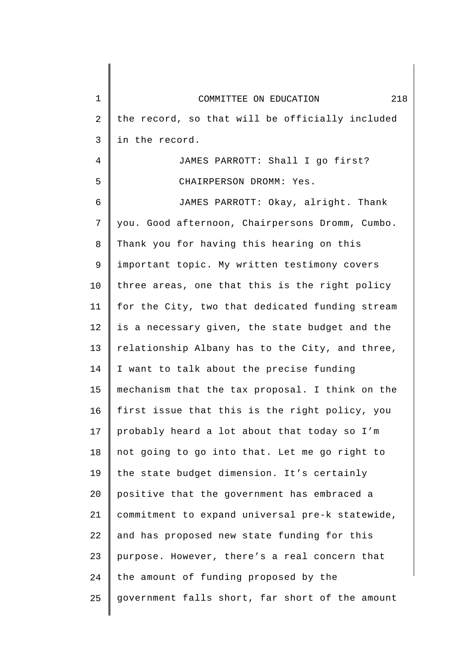| $\mathbf 1$ | 218<br>COMMITTEE ON EDUCATION                   |
|-------------|-------------------------------------------------|
| 2           | the record, so that will be officially included |
| 3           | in the record.                                  |
| 4           | JAMES PARROTT: Shall I go first?                |
| 5           | CHAIRPERSON DROMM: Yes.                         |
| 6           | JAMES PARROTT: Okay, alright. Thank             |
| 7           | you. Good afternoon, Chairpersons Dromm, Cumbo. |
| 8           | Thank you for having this hearing on this       |
| 9           | important topic. My written testimony covers    |
| 10          | three areas, one that this is the right policy  |
| 11          | for the City, two that dedicated funding stream |
| 12          | is a necessary given, the state budget and the  |
| 13          | relationship Albany has to the City, and three, |
| 14          | I want to talk about the precise funding        |
| 15          | mechanism that the tax proposal. I think on the |
| 16          | first issue that this is the right policy, you  |
| 17          | probably heard a lot about that today so I'm    |
| 18          | not going to go into that. Let me go right to   |
| 19          | the state budget dimension. It's certainly      |
| 20          | positive that the government has embraced a     |
| 21          | commitment to expand universal pre-k statewide, |
| 22          | and has proposed new state funding for this     |
| 23          | purpose. However, there's a real concern that   |
| 24          | the amount of funding proposed by the           |
| 25          | government falls short, far short of the amount |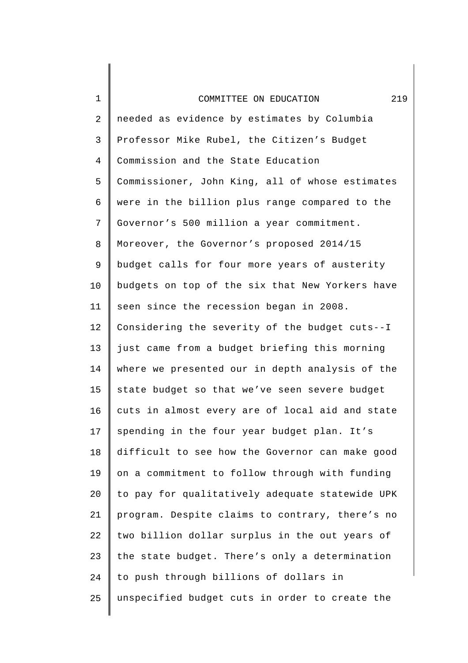1

2 3 4 5 6 7 8 9 10 11 12 13 14 15 16 17 18 19 20 21 22 23 24 25 needed as evidence by estimates by Columbia Professor Mike Rubel, the Citizen's Budget Commission and the State Education Commissioner, John King, all of whose estimates were in the billion plus range compared to the Governor's 500 million a year commitment. Moreover, the Governor's proposed 2014/15 budget calls for four more years of austerity budgets on top of the six that New Yorkers have seen since the recession began in 2008. Considering the severity of the budget cuts--I just came from a budget briefing this morning where we presented our in depth analysis of the state budget so that we've seen severe budget cuts in almost every are of local aid and state spending in the four year budget plan. It's difficult to see how the Governor can make good on a commitment to follow through with funding to pay for qualitatively adequate statewide UPK program. Despite claims to contrary, there's no two billion dollar surplus in the out years of the state budget. There's only a determination to push through billions of dollars in unspecified budget cuts in order to create the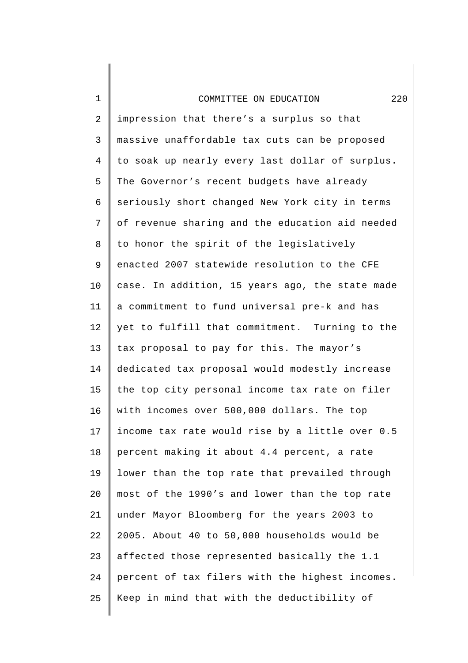1

2 3 4 5 6 7 8 9 10 11 12 13 14 15 16 17 18 19 20 21 22 23 24 25 impression that there's a surplus so that massive unaffordable tax cuts can be proposed to soak up nearly every last dollar of surplus. The Governor's recent budgets have already seriously short changed New York city in terms of revenue sharing and the education aid needed to honor the spirit of the legislatively enacted 2007 statewide resolution to the CFE case. In addition, 15 years ago, the state made a commitment to fund universal pre-k and has yet to fulfill that commitment. Turning to the tax proposal to pay for this. The mayor's dedicated tax proposal would modestly increase the top city personal income tax rate on filer with incomes over 500,000 dollars. The top income tax rate would rise by a little over 0.5 percent making it about 4.4 percent, a rate lower than the top rate that prevailed through most of the 1990's and lower than the top rate under Mayor Bloomberg for the years 2003 to 2005. About 40 to 50,000 households would be affected those represented basically the 1.1 percent of tax filers with the highest incomes. Keep in mind that with the deductibility of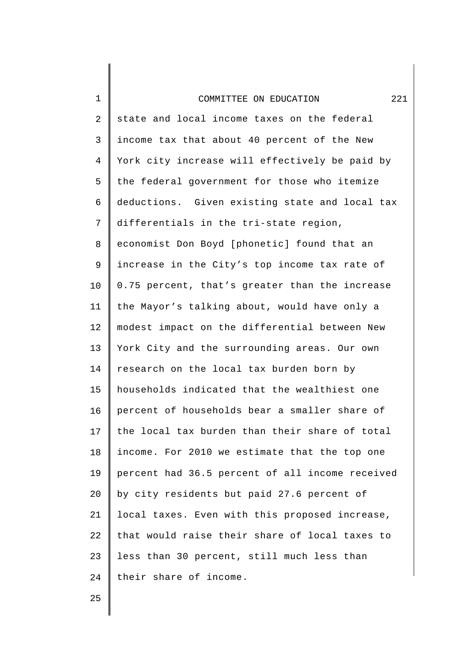2 3 4 5 6 7 8 9 10 11 12 13 14 15 16 17 18 19 20 21 22 23 24 state and local income taxes on the federal income tax that about 40 percent of the New York city increase will effectively be paid by the federal government for those who itemize deductions. Given existing state and local tax differentials in the tri-state region, economist Don Boyd [phonetic] found that an increase in the City's top income tax rate of 0.75 percent, that's greater than the increase the Mayor's talking about, would have only a modest impact on the differential between New York City and the surrounding areas. Our own research on the local tax burden born by households indicated that the wealthiest one percent of households bear a smaller share of the local tax burden than their share of total income. For 2010 we estimate that the top one percent had 36.5 percent of all income received by city residents but paid 27.6 percent of local taxes. Even with this proposed increase, that would raise their share of local taxes to less than 30 percent, still much less than their share of income.

25

1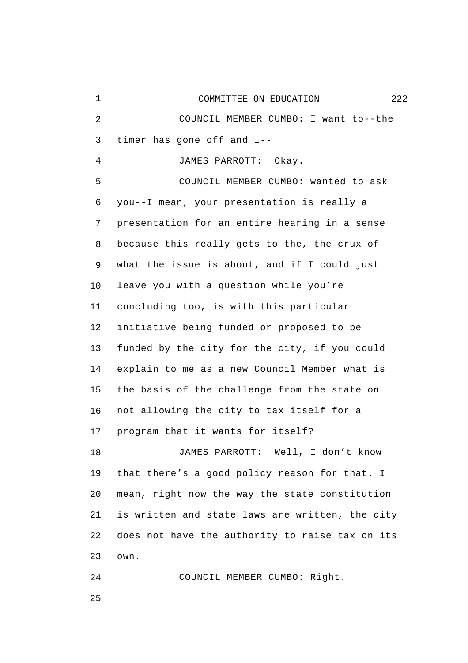| 1              | 222<br>COMMITTEE ON EDUCATION                   |
|----------------|-------------------------------------------------|
| $\overline{2}$ | COUNCIL MEMBER CUMBO: I want to--the            |
| $\mathsf{3}$   | timer has gone off and I--                      |
| 4              | JAMES PARROTT: Okay.                            |
| 5              | COUNCIL MEMBER CUMBO: wanted to ask             |
| 6              | you--I mean, your presentation is really a      |
| 7              | presentation for an entire hearing in a sense   |
| 8              | because this really gets to the, the crux of    |
| 9              | what the issue is about, and if I could just    |
| 10             | leave you with a question while you're          |
| 11             | concluding too, is with this particular         |
| 12             | initiative being funded or proposed to be       |
| 13             | funded by the city for the city, if you could   |
| 14             | explain to me as a new Council Member what is   |
| 15             | the basis of the challenge from the state on    |
| 16             | not allowing the city to tax itself for a       |
| 17             | program that it wants for itself?               |
| 18             | JAMES PARROTT: Well, I don't know               |
| 19             | that there's a good policy reason for that. I   |
| 20             | mean, right now the way the state constitution  |
| 21             | is written and state laws are written, the city |
| 22             | does not have the authority to raise tax on its |
| 23             | own.                                            |
| 24             | COUNCIL MEMBER CUMBO: Right.                    |
| 25             |                                                 |
|                |                                                 |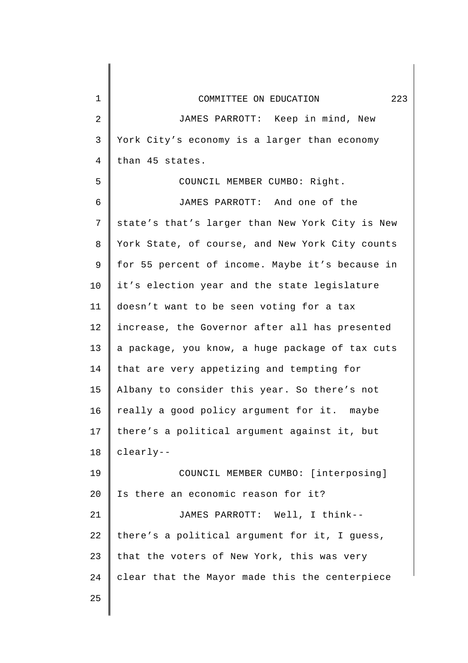| $\mathbf 1$ | 223<br>COMMITTEE ON EDUCATION                   |
|-------------|-------------------------------------------------|
| 2           | JAMES PARROTT: Keep in mind, New                |
| 3           | York City's economy is a larger than economy    |
| 4           | than 45 states.                                 |
| 5           | COUNCIL MEMBER CUMBO: Right.                    |
| 6           | JAMES PARROTT: And one of the                   |
| 7           | state's that's larger than New York City is New |
| 8           | York State, of course, and New York City counts |
| 9           | for 55 percent of income. Maybe it's because in |
| 10          | it's election year and the state legislature    |
| 11          | doesn't want to be seen voting for a tax        |
| 12          | increase, the Governor after all has presented  |
| 13          | a package, you know, a huge package of tax cuts |
| 14          | that are very appetizing and tempting for       |
| 15          | Albany to consider this year. So there's not    |
| 16          | really a good policy argument for it. maybe     |
| 17          | there's a political argument against it, but    |
| 18          | clearly--                                       |
| 19          | COUNCIL MEMBER CUMBO: [interposing]             |
| 20          | Is there an economic reason for it?             |
| 21          | JAMES PARROTT: Well, I think--                  |
| 22          | there's a political argument for it, I guess,   |
| 23          | that the voters of New York, this was very      |
| 24          | clear that the Mayor made this the centerpiece  |
| 25          |                                                 |
|             |                                                 |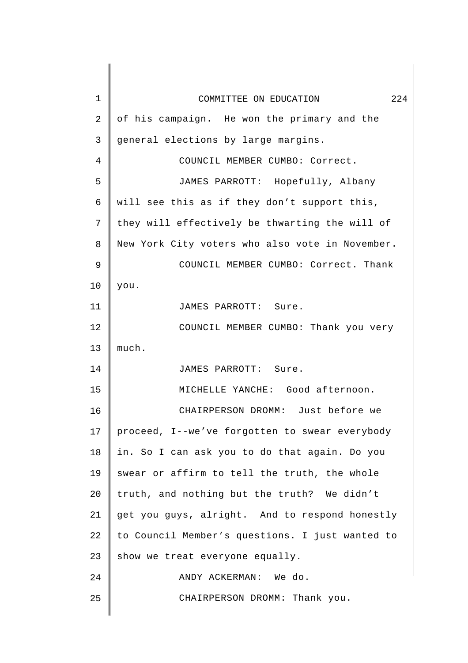| $\mathbf 1$    | 224<br>COMMITTEE ON EDUCATION                   |
|----------------|-------------------------------------------------|
| $\overline{2}$ | of his campaign. He won the primary and the     |
| $\mathsf{3}$   | general elections by large margins.             |
| $\overline{4}$ | COUNCIL MEMBER CUMBO: Correct.                  |
| 5              | JAMES PARROTT: Hopefully, Albany                |
| 6              | will see this as if they don't support this,    |
| 7              | they will effectively be thwarting the will of  |
| 8              | New York City voters who also vote in November. |
| 9              | COUNCIL MEMBER CUMBO: Correct. Thank            |
| 10             | you.                                            |
| 11             | JAMES PARROTT: Sure.                            |
| 12             | COUNCIL MEMBER CUMBO: Thank you very            |
| 13             | much.                                           |
| 14             | JAMES PARROTT: Sure.                            |
| 15             | MICHELLE YANCHE: Good afternoon.                |
| 16             | CHAIRPERSON DROMM: Just before we               |
| 17             | proceed, I--we've forgotten to swear everybody  |
| 18             | in. So I can ask you to do that again. Do you   |
| 19             | swear or affirm to tell the truth, the whole    |
| 20             | truth, and nothing but the truth? We didn't     |
| 21             | get you guys, alright. And to respond honestly  |
| 22             | to Council Member's questions. I just wanted to |
| 23             | show we treat everyone equally.                 |
| 24             | ANDY ACKERMAN: We do.                           |
| 25             | CHAIRPERSON DROMM: Thank you.                   |
|                |                                                 |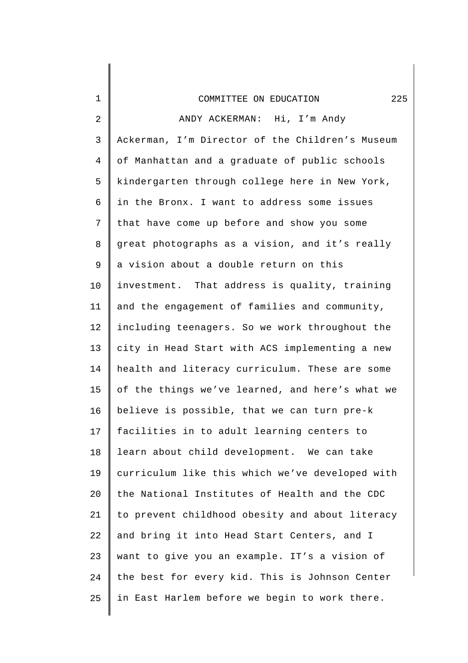| $\mathbf 1$    | 225<br>COMMITTEE ON EDUCATION                   |
|----------------|-------------------------------------------------|
| $\mathbf{2}$   | ANDY ACKERMAN: Hi, I'm Andy                     |
| $\mathsf{3}$   | Ackerman, I'm Director of the Children's Museum |
| $\overline{4}$ | of Manhattan and a graduate of public schools   |
| 5              | kindergarten through college here in New York,  |
| 6              | in the Bronx. I want to address some issues     |
| 7              | that have come up before and show you some      |
| 8              | great photographs as a vision, and it's really  |
| 9              | a vision about a double return on this          |
| 10             | investment. That address is quality, training   |
| 11             | and the engagement of families and community,   |
| 12             | including teenagers. So we work throughout the  |
| 13             | city in Head Start with ACS implementing a new  |
| 14             | health and literacy curriculum. These are some  |
| 15             | of the things we've learned, and here's what we |
| 16             | believe is possible, that we can turn pre-k     |
| 17             | facilities in to adult learning centers to      |
| 18             | learn about child development. We can take      |
| 19             | curriculum like this which we've developed with |
| 20             | the National Institutes of Health and the CDC   |
| 21             | to prevent childhood obesity and about literacy |
| 22             | and bring it into Head Start Centers, and I     |
| 23             | want to give you an example. IT's a vision of   |
| 24             | the best for every kid. This is Johnson Center  |
| 25             | in East Harlem before we begin to work there.   |
|                |                                                 |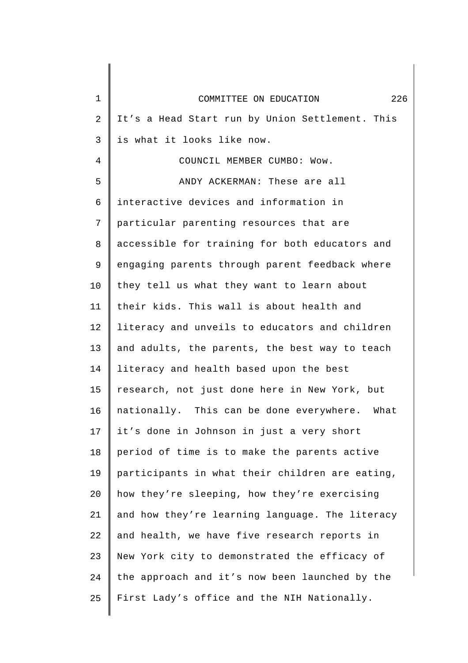| $\mathbf 1$    | 226<br>COMMITTEE ON EDUCATION                    |
|----------------|--------------------------------------------------|
| $\overline{a}$ | It's a Head Start run by Union Settlement. This  |
| 3              | is what it looks like now.                       |
| 4              | COUNCIL MEMBER CUMBO: Wow.                       |
| 5              | ANDY ACKERMAN: These are all                     |
| 6              | interactive devices and information in           |
| 7              | particular parenting resources that are          |
| 8              | accessible for training for both educators and   |
| 9              | engaging parents through parent feedback where   |
| 10             | they tell us what they want to learn about       |
| 11             | their kids. This wall is about health and        |
| 12             | literacy and unveils to educators and children   |
| 13             | and adults, the parents, the best way to teach   |
| 14             | literacy and health based upon the best          |
| 15             | research, not just done here in New York, but    |
| 16             | nationally. This can be done everywhere.<br>What |
| 17             | it's done in Johnson in just a very short        |
| 18             | period of time is to make the parents active     |
| 19             | participants in what their children are eating,  |
| 20             | how they're sleeping, how they're exercising     |
| 21             | and how they're learning language. The literacy  |
| 22             | and health, we have five research reports in     |
| 23             | New York city to demonstrated the efficacy of    |
| 24             | the approach and it's now been launched by the   |
| 25             | First Lady's office and the NIH Nationally.      |
|                |                                                  |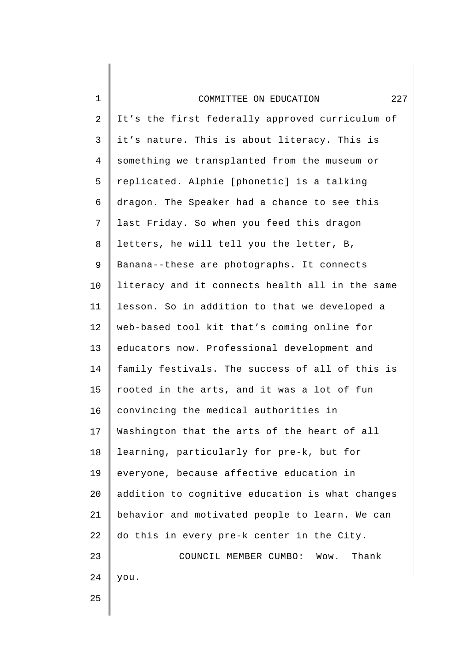1

25

2 3 4 5 6 7 8 9 10 11 12 13 14 15 16 17 18 19 20 21 22 23 24 It's the first federally approved curriculum of it's nature. This is about literacy. This is something we transplanted from the museum or replicated. Alphie [phonetic] is a talking dragon. The Speaker had a chance to see this last Friday. So when you feed this dragon letters, he will tell you the letter, B, Banana--these are photographs. It connects literacy and it connects health all in the same lesson. So in addition to that we developed a web-based tool kit that's coming online for educators now. Professional development and family festivals. The success of all of this is rooted in the arts, and it was a lot of fun convincing the medical authorities in Washington that the arts of the heart of all learning, particularly for pre-k, but for everyone, because affective education in addition to cognitive education is what changes behavior and motivated people to learn. We can do this in every pre-k center in the City. COUNCIL MEMBER CUMBO: Wow. Thank you.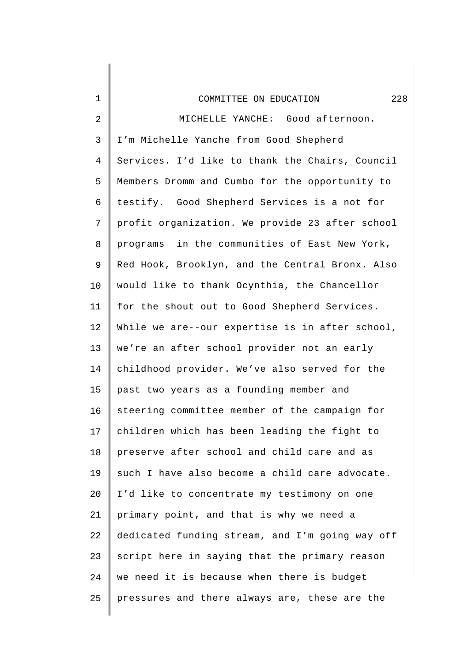| $\mathbf 1$    | 228<br>COMMITTEE ON EDUCATION                   |
|----------------|-------------------------------------------------|
| $\overline{2}$ | MICHELLE YANCHE: Good afternoon.                |
| $\mathsf{3}$   | I'm Michelle Yanche from Good Shepherd          |
| $\overline{4}$ | Services. I'd like to thank the Chairs, Council |
| 5              | Members Dromm and Cumbo for the opportunity to  |
| 6              | testify. Good Shepherd Services is a not for    |
| 7              | profit organization. We provide 23 after school |
| 8              | programs in the communities of East New York,   |
| 9              | Red Hook, Brooklyn, and the Central Bronx. Also |
| 10             | would like to thank Ocynthia, the Chancellor    |
| 11             | for the shout out to Good Shepherd Services.    |
| 12             | While we are--our expertise is in after school, |
| 13             | we're an after school provider not an early     |
| 14             | childhood provider. We've also served for the   |
| 15             | past two years as a founding member and         |
| 16             | steering committee member of the campaign for   |
| 17             | children which has been leading the fight to    |
| 18             | preserve after school and child care and as     |
| 19             | such I have also become a child care advocate.  |
| 20             | I'd like to concentrate my testimony on one     |
| 21             | primary point, and that is why we need a        |
| 22             | dedicated funding stream, and I'm going way off |
| 23             | script here in saying that the primary reason   |
| 24             | we need it is because when there is budget      |
| 25             | pressures and there always are, these are the   |
|                |                                                 |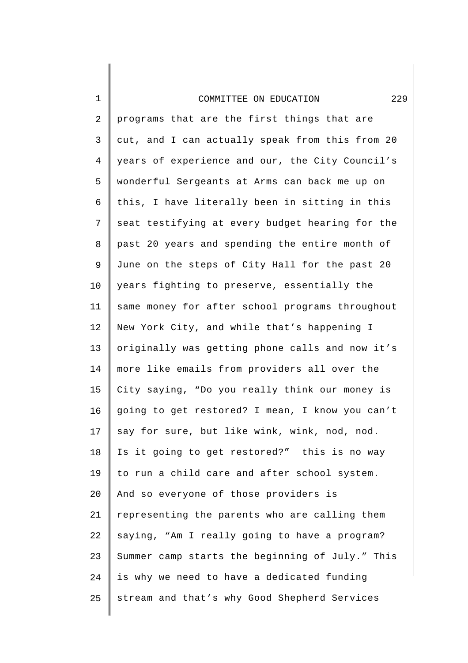1

2 3 4 5 6 7 8 9 10 11 12 13 14 15 16 17 18 19 20 21 22 23 24 25 programs that are the first things that are cut, and I can actually speak from this from 20 years of experience and our, the City Council's wonderful Sergeants at Arms can back me up on this, I have literally been in sitting in this seat testifying at every budget hearing for the past 20 years and spending the entire month of June on the steps of City Hall for the past 20 years fighting to preserve, essentially the same money for after school programs throughout New York City, and while that's happening I originally was getting phone calls and now it's more like emails from providers all over the City saying, "Do you really think our money is going to get restored? I mean, I know you can't say for sure, but like wink, wink, nod, nod. Is it going to get restored?" this is no way to run a child care and after school system. And so everyone of those providers is representing the parents who are calling them saying, "Am I really going to have a program? Summer camp starts the beginning of July." This is why we need to have a dedicated funding stream and that's why Good Shepherd Services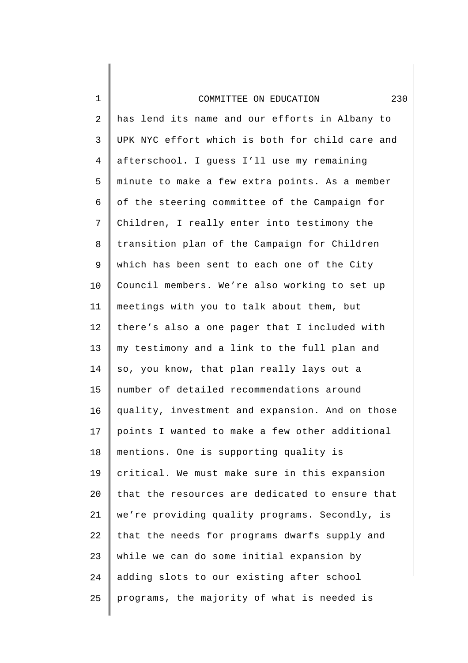1

2 3 4 5 6 7 8 9 10 11 12 13 14 15 16 17 18 19 20 21 22 23 24 25 has lend its name and our efforts in Albany to UPK NYC effort which is both for child care and afterschool. I guess I'll use my remaining minute to make a few extra points. As a member of the steering committee of the Campaign for Children, I really enter into testimony the transition plan of the Campaign for Children which has been sent to each one of the City Council members. We're also working to set up meetings with you to talk about them, but there's also a one pager that I included with my testimony and a link to the full plan and so, you know, that plan really lays out a number of detailed recommendations around quality, investment and expansion. And on those points I wanted to make a few other additional mentions. One is supporting quality is critical. We must make sure in this expansion that the resources are dedicated to ensure that we're providing quality programs. Secondly, is that the needs for programs dwarfs supply and while we can do some initial expansion by adding slots to our existing after school programs, the majority of what is needed is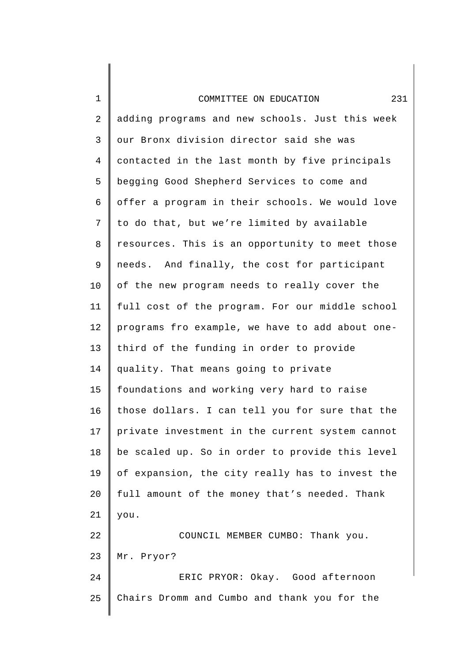| $\mathbf 1$    | 231<br>COMMITTEE ON EDUCATION                   |
|----------------|-------------------------------------------------|
| $\overline{2}$ | adding programs and new schools. Just this week |
| 3              | our Bronx division director said she was        |
| 4              | contacted in the last month by five principals  |
| 5              | begging Good Shepherd Services to come and      |
| 6              | offer a program in their schools. We would love |
| 7              | to do that, but we're limited by available      |
| 8              | resources. This is an opportunity to meet those |
| 9              | needs. And finally, the cost for participant    |
| 10             | of the new program needs to really cover the    |
| 11             | full cost of the program. For our middle school |
| 12             | programs fro example, we have to add about one- |
| 13             | third of the funding in order to provide        |
| 14             | quality. That means going to private            |
| 15             | foundations and working very hard to raise      |
| 16             | those dollars. I can tell you for sure that the |
| 17             | private investment in the current system cannot |
| 18             | be scaled up. So in order to provide this level |
| 19             | of expansion, the city really has to invest the |
| 20             | full amount of the money that's needed. Thank   |
| 21             | you.                                            |
| 22             | COUNCIL MEMBER CUMBO: Thank you.                |
| 23             | Mr. Pryor?                                      |
| 24             | ERIC PRYOR: Okay. Good afternoon                |
| 25             | Chairs Dromm and Cumbo and thank you for the    |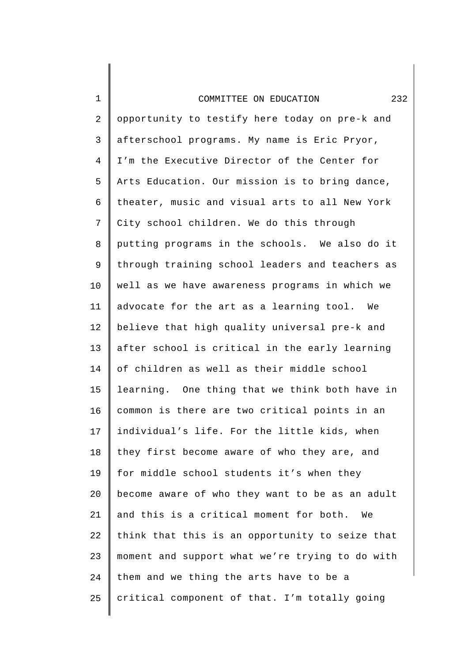1

2 3 4 5 6 7 8 9 10 11 12 13 14 15 16 17 18 19 20 21 22 23 24 25 opportunity to testify here today on pre-k and afterschool programs. My name is Eric Pryor, I'm the Executive Director of the Center for Arts Education. Our mission is to bring dance, theater, music and visual arts to all New York City school children. We do this through putting programs in the schools. We also do it through training school leaders and teachers as well as we have awareness programs in which we advocate for the art as a learning tool. We believe that high quality universal pre-k and after school is critical in the early learning of children as well as their middle school learning. One thing that we think both have in common is there are two critical points in an individual's life. For the little kids, when they first become aware of who they are, and for middle school students it's when they become aware of who they want to be as an adult and this is a critical moment for both. We think that this is an opportunity to seize that moment and support what we're trying to do with them and we thing the arts have to be a critical component of that. I'm totally going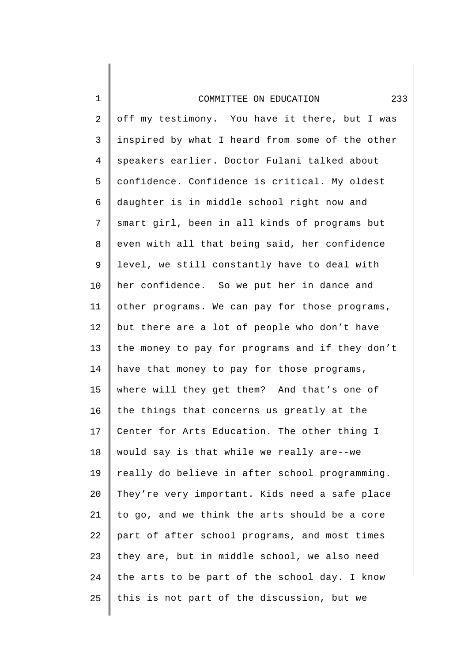1

2 3 4 5 6 7 8 9 10 11 12 13 14 15 16 17 18 19 20 21 22 23 24 25 off my testimony. You have it there, but I was inspired by what I heard from some of the other speakers earlier. Doctor Fulani talked about confidence. Confidence is critical. My oldest daughter is in middle school right now and smart girl, been in all kinds of programs but even with all that being said, her confidence level, we still constantly have to deal with her confidence. So we put her in dance and other programs. We can pay for those programs, but there are a lot of people who don't have the money to pay for programs and if they don't have that money to pay for those programs, where will they get them? And that's one of the things that concerns us greatly at the Center for Arts Education. The other thing I would say is that while we really are--we really do believe in after school programming. They're very important. Kids need a safe place to go, and we think the arts should be a core part of after school programs, and most times they are, but in middle school, we also need the arts to be part of the school day. I know this is not part of the discussion, but we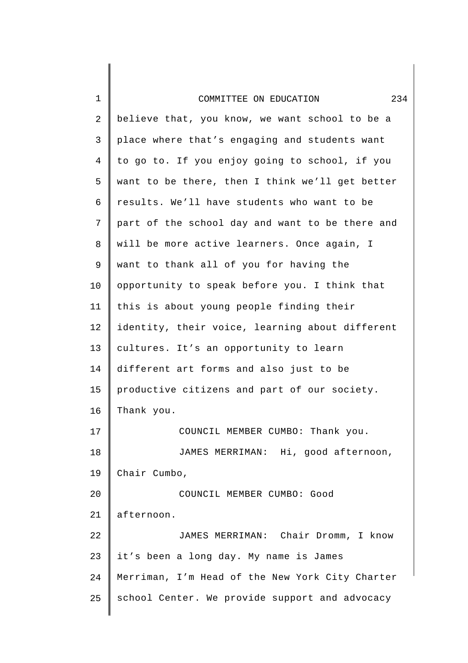| $\mathbf 1$    | 234<br>COMMITTEE ON EDUCATION                   |
|----------------|-------------------------------------------------|
| $\overline{a}$ | believe that, you know, we want school to be a  |
| $\mathsf{3}$   | place where that's engaging and students want   |
| $\overline{4}$ | to go to. If you enjoy going to school, if you  |
| 5              | want to be there, then I think we'll get better |
| 6              | results. We'll have students who want to be     |
| 7              | part of the school day and want to be there and |
| 8              | will be more active learners. Once again, I     |
| 9              | want to thank all of you for having the         |
| 10             | opportunity to speak before you. I think that   |
| 11             | this is about young people finding their        |
| 12             | identity, their voice, learning about different |
| 13             | cultures. It's an opportunity to learn          |
| 14             | different art forms and also just to be         |
| 15             | productive citizens and part of our society.    |
| 16             | Thank you.                                      |
| 17             | COUNCIL MEMBER CUMBO: Thank you.                |
| 18             | JAMES MERRIMAN: Hi, good afternoon,             |
| 19             | Chair Cumbo,                                    |
| 20             | COUNCIL MEMBER CUMBO: Good                      |
| 21             | afternoon.                                      |
| 22             | JAMES MERRIMAN: Chair Dromm, I know             |
| 23             | it's been a long day. My name is James          |
| 24             | Merriman, I'm Head of the New York City Charter |
| 25             | school Center. We provide support and advocacy  |
|                |                                                 |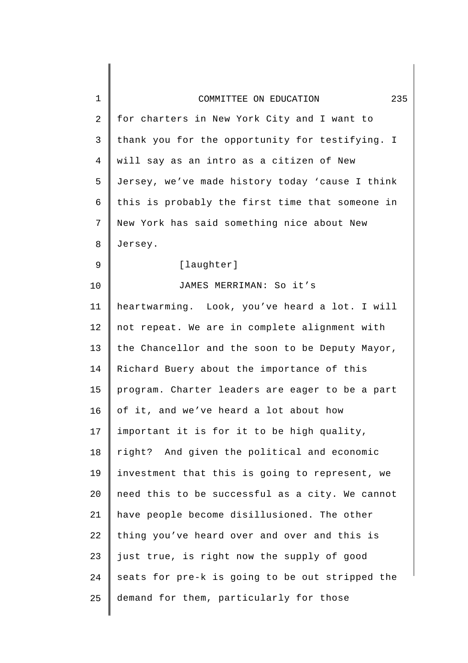| $\mathbf 1$    | 235<br>COMMITTEE ON EDUCATION                   |
|----------------|-------------------------------------------------|
| $\overline{a}$ | for charters in New York City and I want to     |
| $\mathsf{3}$   | thank you for the opportunity for testifying. I |
| $\overline{4}$ | will say as an intro as a citizen of New        |
| 5              | Jersey, we've made history today 'cause I think |
| 6              | this is probably the first time that someone in |
| 7              | New York has said something nice about New      |
| 8              | Jersey.                                         |
| 9              | [laughter]                                      |
| 10             | JAMES MERRIMAN: So it's                         |
| 11             | heartwarming. Look, you've heard a lot. I will  |
| 12             | not repeat. We are in complete alignment with   |
| 13             | the Chancellor and the soon to be Deputy Mayor, |
| 14             | Richard Buery about the importance of this      |
| 15             | program. Charter leaders are eager to be a part |
| 16             | of it, and we've heard a lot about how          |
| 17             | important it is for it to be high quality,      |
| 18             | right? And given the political and economic     |
| 19             | investment that this is going to represent, we  |
| 20             | need this to be successful as a city. We cannot |
| 21             | have people become disillusioned. The other     |
| 22             | thing you've heard over and over and this is    |
| 23             | just true, is right now the supply of good      |
| 24             | seats for pre-k is going to be out stripped the |
| 25             | demand for them, particularly for those         |
|                |                                                 |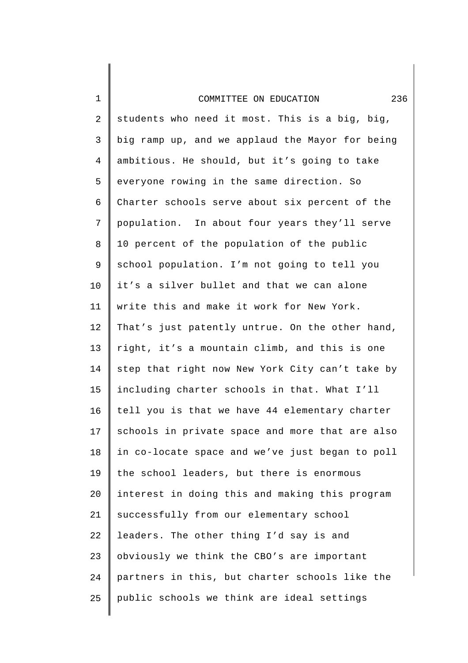1

2 3 4 5 6 7 8 9 10 11 12 13 14 15 16 17 18 19 20 21 22 23 24 25 students who need it most. This is a big, big, big ramp up, and we applaud the Mayor for being ambitious. He should, but it's going to take everyone rowing in the same direction. So Charter schools serve about six percent of the population. In about four years they'll serve 10 percent of the population of the public school population. I'm not going to tell you it's a silver bullet and that we can alone write this and make it work for New York. That's just patently untrue. On the other hand, right, it's a mountain climb, and this is one step that right now New York City can't take by including charter schools in that. What I'll tell you is that we have 44 elementary charter schools in private space and more that are also in co-locate space and we've just began to poll the school leaders, but there is enormous interest in doing this and making this program successfully from our elementary school leaders. The other thing I'd say is and obviously we think the CBO's are important partners in this, but charter schools like the public schools we think are ideal settings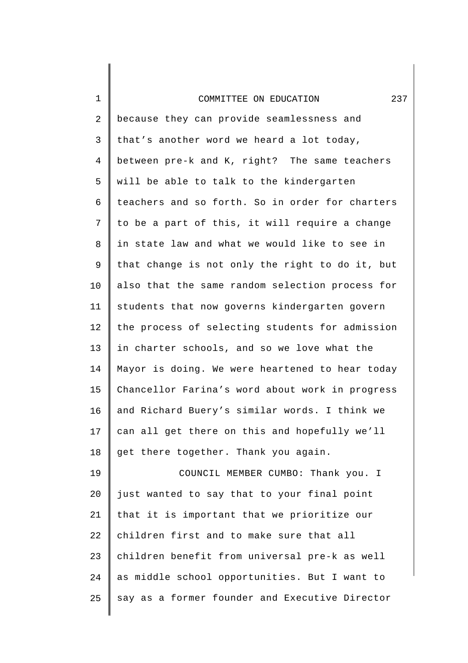1

2 3 4 5 6 7 8 9 10 11 12 13 14 15 16 17 18 because they can provide seamlessness and that's another word we heard a lot today, between pre-k and K, right? The same teachers will be able to talk to the kindergarten teachers and so forth. So in order for charters to be a part of this, it will require a change in state law and what we would like to see in that change is not only the right to do it, but also that the same random selection process for students that now governs kindergarten govern the process of selecting students for admission in charter schools, and so we love what the Mayor is doing. We were heartened to hear today Chancellor Farina's word about work in progress and Richard Buery's similar words. I think we can all get there on this and hopefully we'll get there together. Thank you again.

19 20 21 22 23 24 25 COUNCIL MEMBER CUMBO: Thank you. I just wanted to say that to your final point that it is important that we prioritize our children first and to make sure that all children benefit from universal pre-k as well as middle school opportunities. But I want to say as a former founder and Executive Director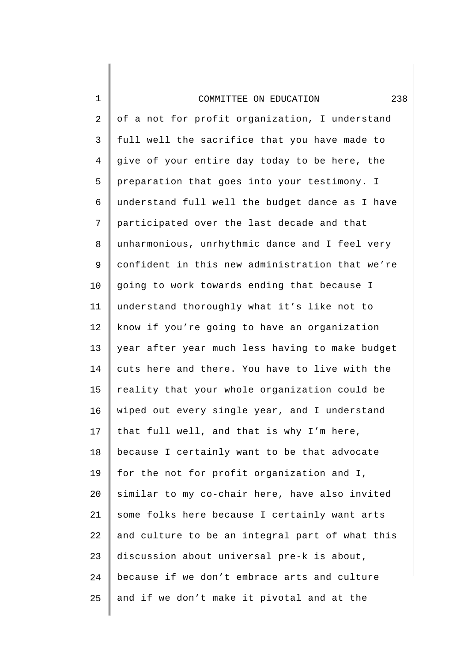1

2 3 4 5 6 7 8 9 10 11 12 13 14 15 16 17 18 19 20 21 22 23 24 25 of a not for profit organization, I understand full well the sacrifice that you have made to give of your entire day today to be here, the preparation that goes into your testimony. I understand full well the budget dance as I have participated over the last decade and that unharmonious, unrhythmic dance and I feel very confident in this new administration that we're going to work towards ending that because I understand thoroughly what it's like not to know if you're going to have an organization year after year much less having to make budget cuts here and there. You have to live with the reality that your whole organization could be wiped out every single year, and I understand that full well, and that is why I'm here, because I certainly want to be that advocate for the not for profit organization and I, similar to my co-chair here, have also invited some folks here because I certainly want arts and culture to be an integral part of what this discussion about universal pre-k is about, because if we don't embrace arts and culture and if we don't make it pivotal and at the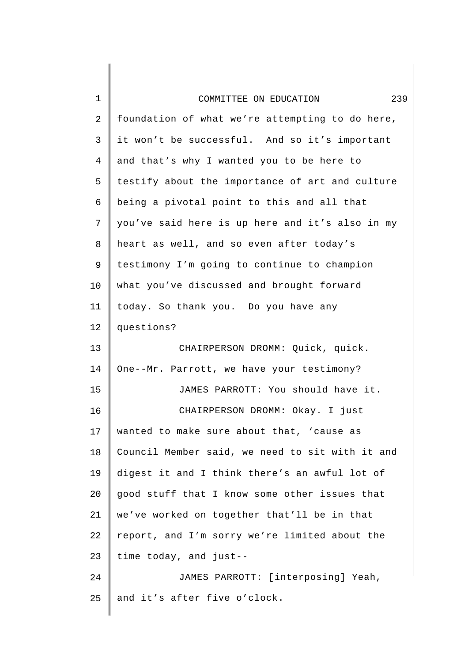| 1              | 239<br>COMMITTEE ON EDUCATION                   |
|----------------|-------------------------------------------------|
| $\overline{2}$ | foundation of what we're attempting to do here, |
| 3              | it won't be successful. And so it's important   |
| $\overline{4}$ | and that's why I wanted you to be here to       |
| 5              | testify about the importance of art and culture |
| 6              | being a pivotal point to this and all that      |
| 7              | you've said here is up here and it's also in my |
| 8              | heart as well, and so even after today's        |
| 9              | testimony I'm going to continue to champion     |
| 10             | what you've discussed and brought forward       |
| 11             | today. So thank you. Do you have any            |
| 12             | questions?                                      |
| 13             | CHAIRPERSON DROMM: Quick, quick.                |
| 14             | One--Mr. Parrott, we have your testimony?       |
| 15             | JAMES PARROTT: You should have it.              |
| 16             | CHAIRPERSON DROMM: Okay. I just                 |
| 17             | wanted to make sure about that, 'cause as       |
| 18             | Council Member said, we need to sit with it and |
| 19             | digest it and I think there's an awful lot of   |
| 20             | good stuff that I know some other issues that   |
| 21             | we've worked on together that'll be in that     |
| 22             | report, and I'm sorry we're limited about the   |
| 23             | time today, and just--                          |
| 24             | JAMES PARROTT: [interposing] Yeah,              |
| 25             | and it's after five o'clock.                    |
|                |                                                 |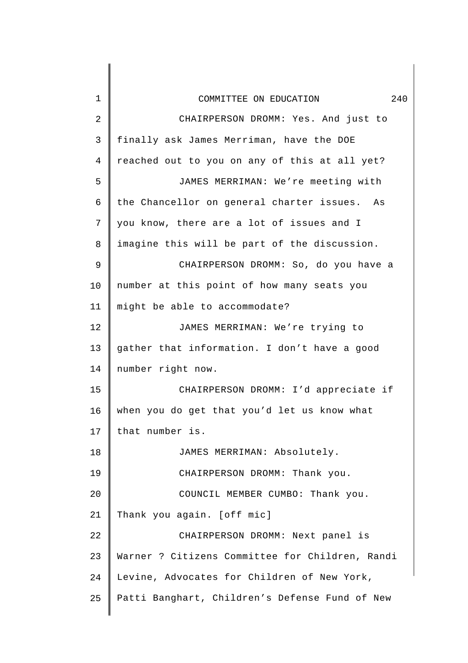| 1              | 240<br>COMMITTEE ON EDUCATION                   |
|----------------|-------------------------------------------------|
| $\overline{2}$ | CHAIRPERSON DROMM: Yes. And just to             |
| 3              | finally ask James Merriman, have the DOE        |
| 4              | reached out to you on any of this at all yet?   |
| 5              | JAMES MERRIMAN: We're meeting with              |
| 6              | the Chancellor on general charter issues. As    |
| 7              | you know, there are a lot of issues and I       |
| 8              | imagine this will be part of the discussion.    |
| 9              | CHAIRPERSON DROMM: So, do you have a            |
| 10             | number at this point of how many seats you      |
| 11             | might be able to accommodate?                   |
| 12             | JAMES MERRIMAN: We're trying to                 |
| 13             | gather that information. I don't have a good    |
| 14             | number right now.                               |
| 15             | CHAIRPERSON DROMM: I'd appreciate if            |
| 16             | when you do get that you'd let us know what     |
| 17             | that number is.                                 |
| 18             | JAMES MERRIMAN: Absolutely.                     |
| 19             | CHAIRPERSON DROMM: Thank you.                   |
| 20             | COUNCIL MEMBER CUMBO: Thank you.                |
| 21             | Thank you again. [off mic]                      |
| 22             | CHAIRPERSON DROMM: Next panel is                |
| 23             | Warner ? Citizens Committee for Children, Randi |
| 24             | Levine, Advocates for Children of New York,     |
| 25             | Patti Banghart, Children's Defense Fund of New  |
|                |                                                 |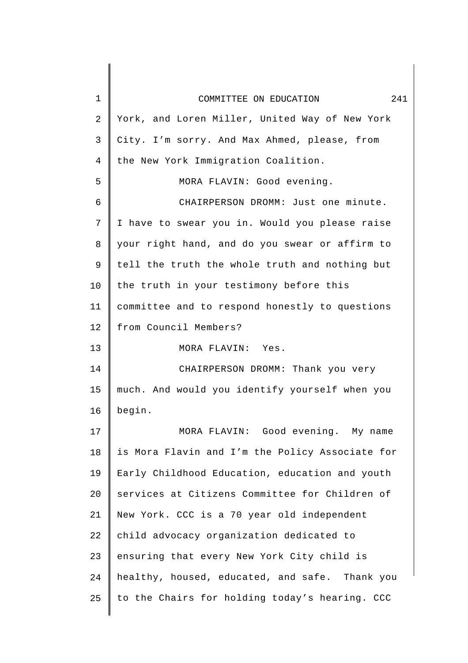| $\mathbf 1$    | 241<br>COMMITTEE ON EDUCATION                   |
|----------------|-------------------------------------------------|
| $\overline{2}$ | York, and Loren Miller, United Way of New York  |
| 3              | City. I'm sorry. And Max Ahmed, please, from    |
| $\overline{4}$ | the New York Immigration Coalition.             |
| 5              | MORA FLAVIN: Good evening.                      |
| 6              | CHAIRPERSON DROMM: Just one minute.             |
| 7              | I have to swear you in. Would you please raise  |
| 8              | your right hand, and do you swear or affirm to  |
| 9              | tell the truth the whole truth and nothing but  |
| 10             | the truth in your testimony before this         |
| 11             | committee and to respond honestly to questions  |
| 12             | from Council Members?                           |
| 13             | MORA FLAVIN: Yes.                               |
| 14             | CHAIRPERSON DROMM: Thank you very               |
| 15             | much. And would you identify yourself when you  |
| 16             | begin.                                          |
| 17             | MORA FLAVIN: Good evening. My name              |
| 18             | is Mora Flavin and I'm the Policy Associate for |
| 19             | Early Childhood Education, education and youth  |
| 20             | services at Citizens Committee for Children of  |
| 21             | New York. CCC is a 70 year old independent      |
| 22             | child advocacy organization dedicated to        |
| 23             | ensuring that every New York City child is      |
| 24             | healthy, housed, educated, and safe. Thank you  |
| 25             | to the Chairs for holding today's hearing. CCC  |
|                |                                                 |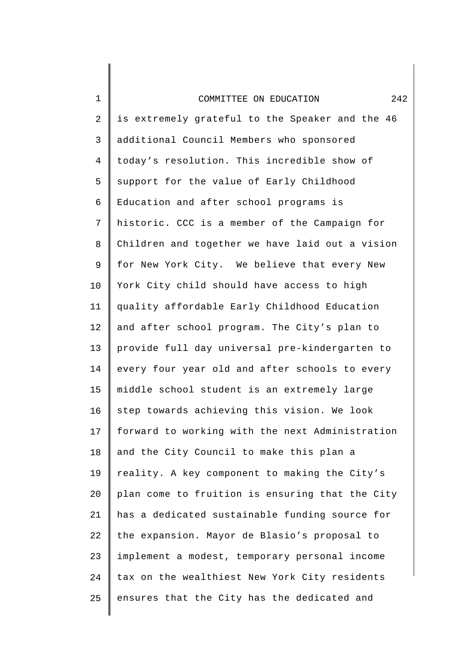1

2 3 4 5 6 7 8 9 10 11 12 13 14 15 16 17 18 19 20 21 22 23 24 25 is extremely grateful to the Speaker and the 46 additional Council Members who sponsored today's resolution. This incredible show of support for the value of Early Childhood Education and after school programs is historic. CCC is a member of the Campaign for Children and together we have laid out a vision for New York City. We believe that every New York City child should have access to high quality affordable Early Childhood Education and after school program. The City's plan to provide full day universal pre-kindergarten to every four year old and after schools to every middle school student is an extremely large step towards achieving this vision. We look forward to working with the next Administration and the City Council to make this plan a reality. A key component to making the City's plan come to fruition is ensuring that the City has a dedicated sustainable funding source for the expansion. Mayor de Blasio's proposal to implement a modest, temporary personal income tax on the wealthiest New York City residents ensures that the City has the dedicated and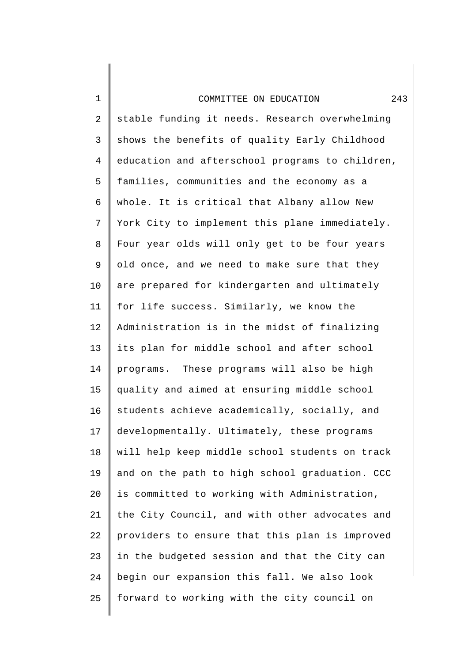| $1\,$          | 243<br>COMMITTEE ON EDUCATION                   |
|----------------|-------------------------------------------------|
| $\overline{2}$ | stable funding it needs. Research overwhelming  |
| $\mathsf{3}$   | shows the benefits of quality Early Childhood   |
| $\overline{4}$ | education and afterschool programs to children, |
| 5              | families, communities and the economy as a      |
| 6              | whole. It is critical that Albany allow New     |
| 7              | York City to implement this plane immediately.  |
| 8              | Four year olds will only get to be four years   |
| 9              | old once, and we need to make sure that they    |
| 10             | are prepared for kindergarten and ultimately    |
| 11             | for life success. Similarly, we know the        |
| 12             | Administration is in the midst of finalizing    |
| 13             | its plan for middle school and after school     |
| 14             | programs. These programs will also be high      |
| 15             | quality and aimed at ensuring middle school     |
| 16             | students achieve academically, socially, and    |
| 17             | developmentally. Ultimately, these programs     |
| 18             | will help keep middle school students on track  |
| 19             | and on the path to high school graduation. CCC  |
| 20             | is committed to working with Administration,    |
| 21             | the City Council, and with other advocates and  |
| 22             | providers to ensure that this plan is improved  |
| 23             | in the budgeted session and that the City can   |
| 24             | begin our expansion this fall. We also look     |
| 25             | forward to working with the city council on     |

∥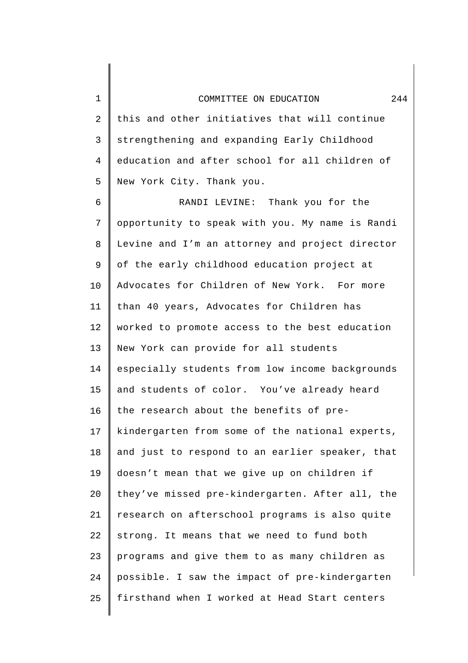2 3 4 5 this and other initiatives that will continue strengthening and expanding Early Childhood education and after school for all children of New York City. Thank you.

1

6 7 8 9 10 11 12 13 14 15 16 17 18 19 20 21 22 23 24 25 RANDI LEVINE: Thank you for the opportunity to speak with you. My name is Randi Levine and I'm an attorney and project director of the early childhood education project at Advocates for Children of New York. For more than 40 years, Advocates for Children has worked to promote access to the best education New York can provide for all students especially students from low income backgrounds and students of color. You've already heard the research about the benefits of prekindergarten from some of the national experts, and just to respond to an earlier speaker, that doesn't mean that we give up on children if they've missed pre-kindergarten. After all, the research on afterschool programs is also quite strong. It means that we need to fund both programs and give them to as many children as possible. I saw the impact of pre-kindergarten firsthand when I worked at Head Start centers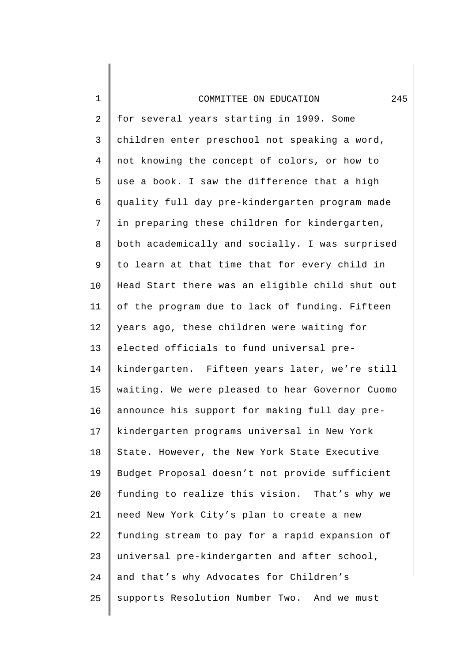| $\mathbf 1$    | 245<br>COMMITTEE ON EDUCATION                   |
|----------------|-------------------------------------------------|
| $\overline{a}$ | for several years starting in 1999. Some        |
| 3              | children enter preschool not speaking a word,   |
| $\overline{4}$ | not knowing the concept of colors, or how to    |
| 5              | use a book. I saw the difference that a high    |
| 6              | quality full day pre-kindergarten program made  |
| 7              | in preparing these children for kindergarten,   |
| 8              | both academically and socially. I was surprised |
| 9              | to learn at that time that for every child in   |
| 10             | Head Start there was an eligible child shut out |
| 11             | of the program due to lack of funding. Fifteen  |
| 12             | years ago, these children were waiting for      |
| 13             | elected officials to fund universal pre-        |
| 14             | kindergarten. Fifteen years later, we're still  |
| 15             | waiting. We were pleased to hear Governor Cuomo |
| 16             | announce his support for making full day pre-   |
| 17             | kindergarten programs universal in New York     |
| 18             | State. However, the New York State Executive    |
| 19             | Budget Proposal doesn't not provide sufficient  |
| 20             | funding to realize this vision. That's why we   |
| 21             | need New York City's plan to create a new       |
| 22             | funding stream to pay for a rapid expansion of  |
| 23             | universal pre-kindergarten and after school,    |
| 24             | and that's why Advocates for Children's         |
| 25             | supports Resolution Number Two. And we must     |
|                |                                                 |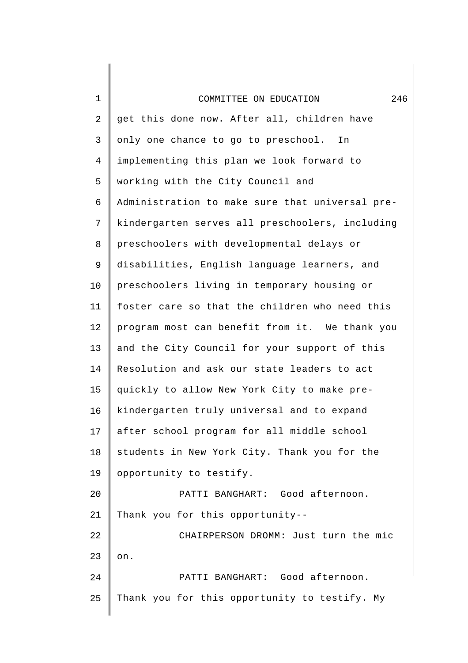| $\mathbf 1$    | 246<br>COMMITTEE ON EDUCATION                   |
|----------------|-------------------------------------------------|
| $\overline{2}$ | get this done now. After all, children have     |
| 3              | only one chance to go to preschool.<br>In       |
| 4              | implementing this plan we look forward to       |
| 5              | working with the City Council and               |
| 6              | Administration to make sure that universal pre- |
| 7              | kindergarten serves all preschoolers, including |
| 8              | preschoolers with developmental delays or       |
| 9              | disabilities, English language learners, and    |
| 10             | preschoolers living in temporary housing or     |
| 11             | foster care so that the children who need this  |
| 12             | program most can benefit from it. We thank you  |
| 13             | and the City Council for your support of this   |
| 14             | Resolution and ask our state leaders to act     |
| 15             | quickly to allow New York City to make pre-     |
| 16             | kindergarten truly universal and to expand      |
| 17             | after school program for all middle school      |
| 18             | students in New York City. Thank you for the    |
| 19             | opportunity to testify.                         |
| 20             | PATTI BANGHART: Good afternoon.                 |
| 21             | Thank you for this opportunity--                |
| 22             | CHAIRPERSON DROMM: Just turn the mic            |
| 23             | on.                                             |

24 25 PATTI BANGHART: Good afternoon. Thank you for this opportunity to testify. My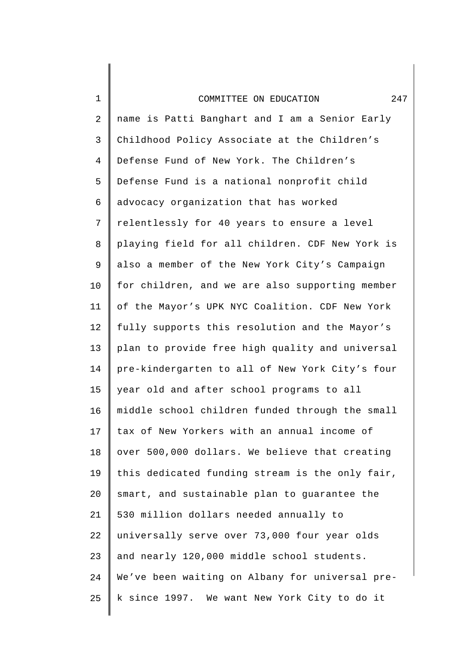1

2 3 4 5 6 7 8 9 10 11 12 13 14 15 16 17 18 19 20 21 22 23 24 25 name is Patti Banghart and I am a Senior Early Childhood Policy Associate at the Children's Defense Fund of New York. The Children's Defense Fund is a national nonprofit child advocacy organization that has worked relentlessly for 40 years to ensure a level playing field for all children. CDF New York is also a member of the New York City's Campaign for children, and we are also supporting member of the Mayor's UPK NYC Coalition. CDF New York fully supports this resolution and the Mayor's plan to provide free high quality and universal pre-kindergarten to all of New York City's four year old and after school programs to all middle school children funded through the small tax of New Yorkers with an annual income of over 500,000 dollars. We believe that creating this dedicated funding stream is the only fair, smart, and sustainable plan to guarantee the 530 million dollars needed annually to universally serve over 73,000 four year olds and nearly 120,000 middle school students. We've been waiting on Albany for universal prek since 1997. We want New York City to do it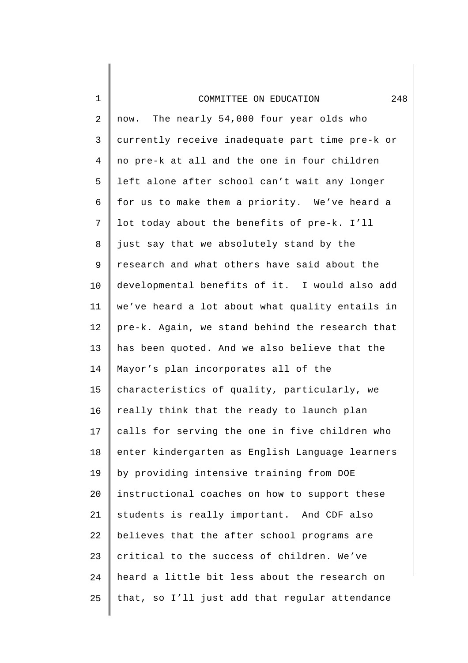1

2 3 4 5 6 7 8 9 10 11 12 13 14 15 16 17 18 19 20 21 22 23 24 25 now. The nearly 54,000 four year olds who currently receive inadequate part time pre-k or no pre-k at all and the one in four children left alone after school can't wait any longer for us to make them a priority. We've heard a lot today about the benefits of pre-k. I'll just say that we absolutely stand by the research and what others have said about the developmental benefits of it. I would also add we've heard a lot about what quality entails in pre-k. Again, we stand behind the research that has been quoted. And we also believe that the Mayor's plan incorporates all of the characteristics of quality, particularly, we really think that the ready to launch plan calls for serving the one in five children who enter kindergarten as English Language learners by providing intensive training from DOE instructional coaches on how to support these students is really important. And CDF also believes that the after school programs are critical to the success of children. We've heard a little bit less about the research on that, so I'll just add that regular attendance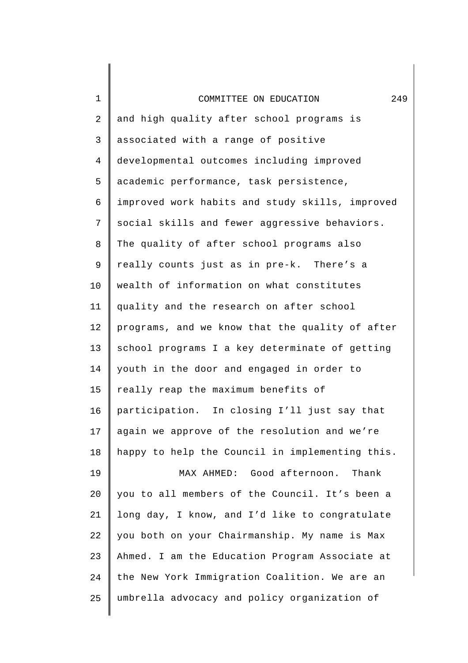| 1  | 249<br>COMMITTEE ON EDUCATION                   |
|----|-------------------------------------------------|
| 2  | and high quality after school programs is       |
| 3  | associated with a range of positive             |
| 4  | developmental outcomes including improved       |
| 5  | academic performance, task persistence,         |
| 6  | improved work habits and study skills, improved |
| 7  | social skills and fewer aggressive behaviors.   |
| 8  | The quality of after school programs also       |
| 9  | really counts just as in pre-k. There's a       |
| 10 | wealth of information on what constitutes       |
| 11 | quality and the research on after school        |
| 12 | programs, and we know that the quality of after |
| 13 | school programs I a key determinate of getting  |
| 14 | youth in the door and engaged in order to       |
| 15 | really reap the maximum benefits of             |
| 16 | participation. In closing I'll just say that    |
| 17 | again we approve of the resolution and we're    |
| 18 | happy to help the Council in implementing this. |
| 19 | MAX AHMED: Good afternoon.<br>Thank             |
| 20 | you to all members of the Council. It's been a  |
| 21 | long day, I know, and I'd like to congratulate  |
| 22 | you both on your Chairmanship. My name is Max   |
| 23 | Ahmed. I am the Education Program Associate at  |
| 24 | the New York Immigration Coalition. We are an   |
| 25 | umbrella advocacy and policy organization of    |
|    |                                                 |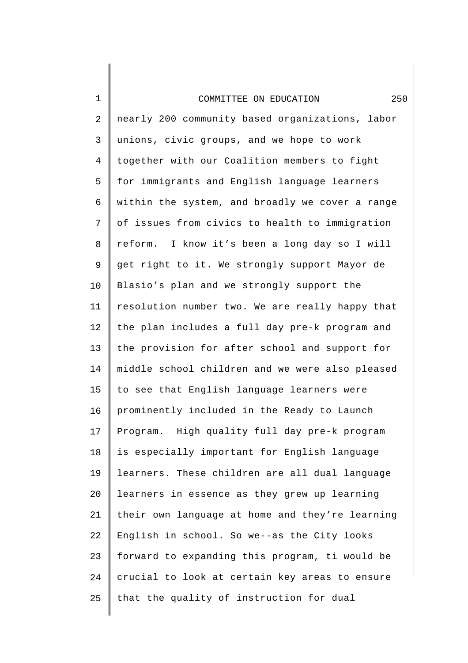1

2 3 4 5 6 7 8 9 10 11 12 13 14 15 16 17 18 19 20 21 22 23 24 25 nearly 200 community based organizations, labor unions, civic groups, and we hope to work together with our Coalition members to fight for immigrants and English language learners within the system, and broadly we cover a range of issues from civics to health to immigration reform. I know it's been a long day so I will get right to it. We strongly support Mayor de Blasio's plan and we strongly support the resolution number two. We are really happy that the plan includes a full day pre-k program and the provision for after school and support for middle school children and we were also pleased to see that English language learners were prominently included in the Ready to Launch Program. High quality full day pre-k program is especially important for English language learners. These children are all dual language learners in essence as they grew up learning their own language at home and they're learning English in school. So we--as the City looks forward to expanding this program, ti would be crucial to look at certain key areas to ensure that the quality of instruction for dual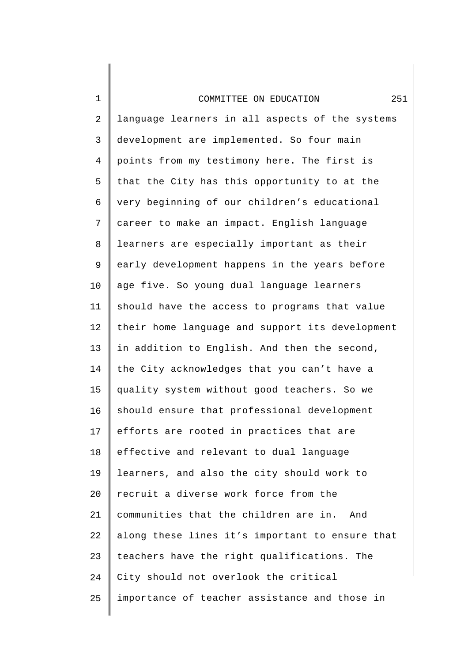1

2 3 4 5 6 7 8 9 10 11 12 13 14 15 16 17 18 19 20 21 22 23 24 25 language learners in all aspects of the systems development are implemented. So four main points from my testimony here. The first is that the City has this opportunity to at the very beginning of our children's educational career to make an impact. English language learners are especially important as their early development happens in the years before age five. So young dual language learners should have the access to programs that value their home language and support its development in addition to English. And then the second, the City acknowledges that you can't have a quality system without good teachers. So we should ensure that professional development efforts are rooted in practices that are effective and relevant to dual language learners, and also the city should work to recruit a diverse work force from the communities that the children are in. And along these lines it's important to ensure that teachers have the right qualifications. The City should not overlook the critical importance of teacher assistance and those in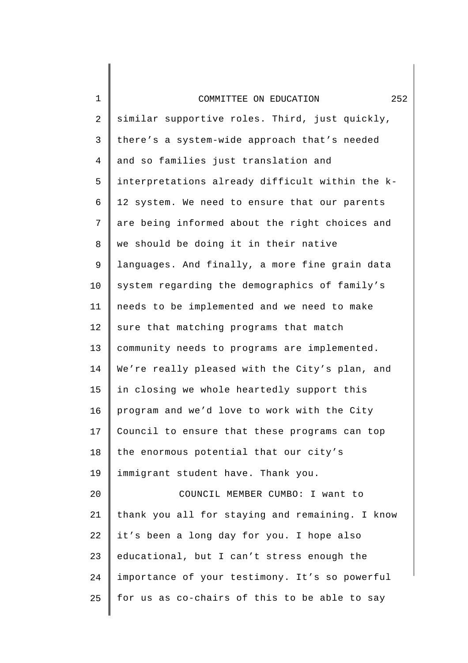1

2 3 4 5 6 7 8 9 10 11 12 13 14 15 16 17 18 19 20 21 22 23 24 25 similar supportive roles. Third, just quickly, there's a system-wide approach that's needed and so families just translation and interpretations already difficult within the k-12 system. We need to ensure that our parents are being informed about the right choices and we should be doing it in their native languages. And finally, a more fine grain data system regarding the demographics of family's needs to be implemented and we need to make sure that matching programs that match community needs to programs are implemented. We're really pleased with the City's plan, and in closing we whole heartedly support this program and we'd love to work with the City Council to ensure that these programs can top the enormous potential that our city's immigrant student have. Thank you. COUNCIL MEMBER CUMBO: I want to thank you all for staying and remaining. I know it's been a long day for you. I hope also educational, but I can't stress enough the importance of your testimony. It's so powerful for us as co-chairs of this to be able to say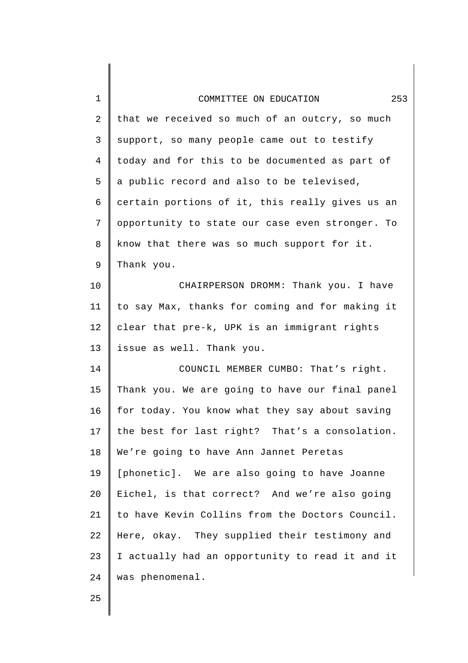| $\mathbf 1$    | 253<br>COMMITTEE ON EDUCATION                   |
|----------------|-------------------------------------------------|
| $\overline{2}$ | that we received so much of an outcry, so much  |
| $\mathsf{3}$   | support, so many people came out to testify     |
| $\overline{4}$ | today and for this to be documented as part of  |
| 5              | a public record and also to be televised,       |
| 6              | certain portions of it, this really gives us an |
| 7              | opportunity to state our case even stronger. To |
| 8              | know that there was so much support for it.     |
| $\mathsf 9$    | Thank you.                                      |
| 10             | CHAIRPERSON DROMM: Thank you. I have            |
| 11             | to say Max, thanks for coming and for making it |
| 12             | clear that pre-k, UPK is an immigrant rights    |
| 13             | issue as well. Thank you.                       |
| 14             | COUNCIL MEMBER CUMBO: That's right.             |
| 15             | Thank you. We are going to have our final panel |
| 16             | for today. You know what they say about saving  |
| 17             | the best for last right? That's a consolation.  |
| 18             | We're going to have Ann Jannet Peretas          |
| 19             | [phonetic]. We are also going to have Joanne    |
| 20             | Eichel, is that correct? And we're also going   |
| 21             | to have Kevin Collins from the Doctors Council. |
| 22             | Here, okay. They supplied their testimony and   |
| 23             | I actually had an opportunity to read it and it |
| 24             | was phenomenal.                                 |
| 25             |                                                 |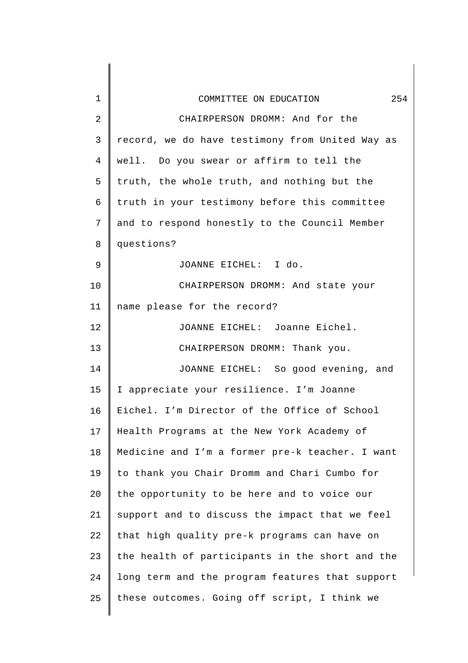| $\mathbf 1$ | 254<br>COMMITTEE ON EDUCATION                   |
|-------------|-------------------------------------------------|
| 2           | CHAIRPERSON DROMM: And for the                  |
| 3           | record, we do have testimony from United Way as |
| 4           | well. Do you swear or affirm to tell the        |
| 5           | truth, the whole truth, and nothing but the     |
| 6           | truth in your testimony before this committee   |
| 7           | and to respond honestly to the Council Member   |
| 8           | questions?                                      |
| 9           | JOANNE EICHEL: I do.                            |
| 10          | CHAIRPERSON DROMM: And state your               |
| 11          | name please for the record?                     |
| 12          | JOANNE EICHEL: Joanne Eichel.                   |
| 13          | CHAIRPERSON DROMM: Thank you.                   |
| 14          | JOANNE EICHEL: So good evening, and             |
| 15          | I appreciate your resilience. I'm Joanne        |
| 16          | Eichel. I'm Director of the Office of School    |
| 17          | Health Programs at the New York Academy of      |
| 18          | Medicine and I'm a former pre-k teacher. I want |
| 19          | to thank you Chair Dromm and Chari Cumbo for    |
| 20          | the opportunity to be here and to voice our     |
| 21          | support and to discuss the impact that we feel  |
| 22          | that high quality pre-k programs can have on    |
| 23          | the health of participants in the short and the |
| 24          | long term and the program features that support |
| 25          | these outcomes. Going off script, I think we    |
|             |                                                 |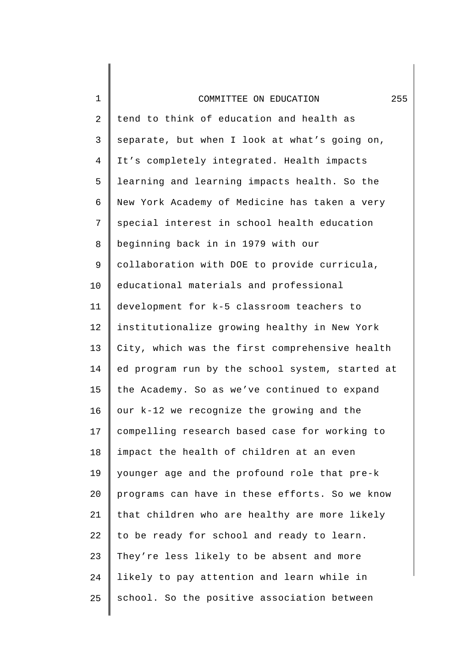1

2 3 4 5 6 7 8 9 10 11 12 13 14 15 16 17 18 19 20 21 22 23 24 25 tend to think of education and health as separate, but when I look at what's going on, It's completely integrated. Health impacts learning and learning impacts health. So the New York Academy of Medicine has taken a very special interest in school health education beginning back in in 1979 with our collaboration with DOE to provide curricula, educational materials and professional development for k-5 classroom teachers to institutionalize growing healthy in New York City, which was the first comprehensive health ed program run by the school system, started at the Academy. So as we've continued to expand our k-12 we recognize the growing and the compelling research based case for working to impact the health of children at an even younger age and the profound role that pre-k programs can have in these efforts. So we know that children who are healthy are more likely to be ready for school and ready to learn. They're less likely to be absent and more likely to pay attention and learn while in school. So the positive association between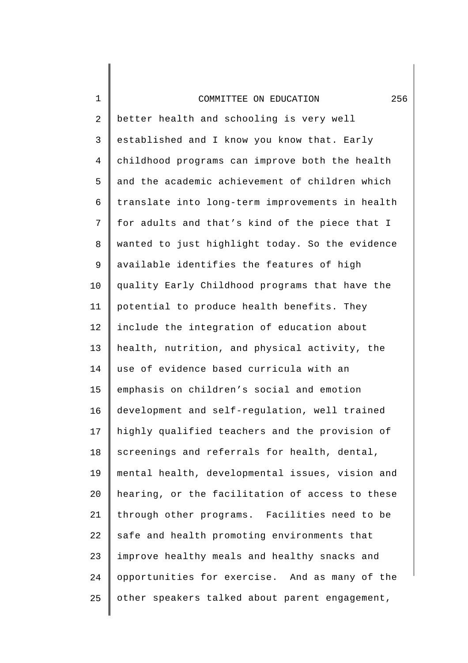1

2 3 4 5 6 7 8 9 10 11 12 13 14 15 16 17 18 19 20 21 22 23 24 25 better health and schooling is very well established and I know you know that. Early childhood programs can improve both the health and the academic achievement of children which translate into long-term improvements in health for adults and that's kind of the piece that I wanted to just highlight today. So the evidence available identifies the features of high quality Early Childhood programs that have the potential to produce health benefits. They include the integration of education about health, nutrition, and physical activity, the use of evidence based curricula with an emphasis on children's social and emotion development and self-regulation, well trained highly qualified teachers and the provision of screenings and referrals for health, dental, mental health, developmental issues, vision and hearing, or the facilitation of access to these through other programs. Facilities need to be safe and health promoting environments that improve healthy meals and healthy snacks and opportunities for exercise. And as many of the other speakers talked about parent engagement,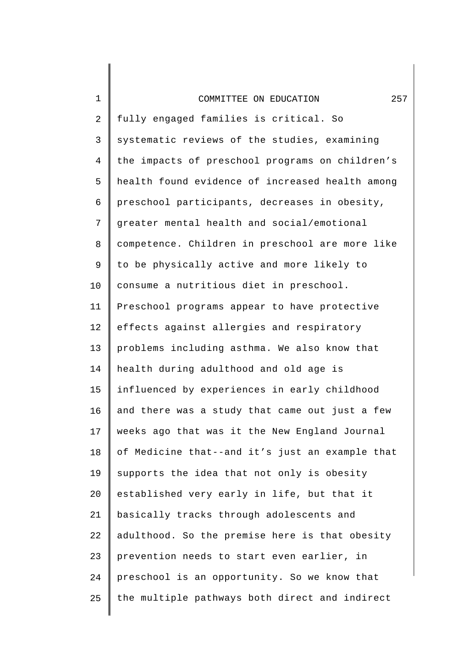1

2 3 4 5 6 7 8 9 10 11 12 13 14 15 16 17 18 19 20 21 22 23 24 25 fully engaged families is critical. So systematic reviews of the studies, examining the impacts of preschool programs on children's health found evidence of increased health among preschool participants, decreases in obesity, greater mental health and social/emotional competence. Children in preschool are more like to be physically active and more likely to consume a nutritious diet in preschool. Preschool programs appear to have protective effects against allergies and respiratory problems including asthma. We also know that health during adulthood and old age is influenced by experiences in early childhood and there was a study that came out just a few weeks ago that was it the New England Journal of Medicine that--and it's just an example that supports the idea that not only is obesity established very early in life, but that it basically tracks through adolescents and adulthood. So the premise here is that obesity prevention needs to start even earlier, in preschool is an opportunity. So we know that the multiple pathways both direct and indirect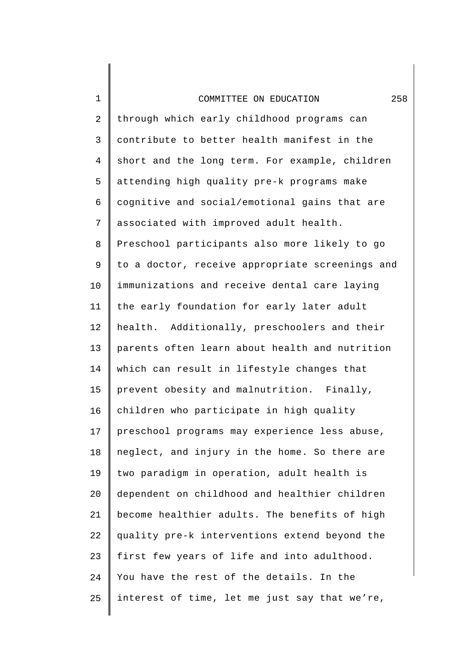1

2 3 4 5 6 7 8 9 10 11 12 13 14 15 16 17 18 19 20 21 22 23 24 25 through which early childhood programs can contribute to better health manifest in the short and the long term. For example, children attending high quality pre-k programs make cognitive and social/emotional gains that are associated with improved adult health. Preschool participants also more likely to go to a doctor, receive appropriate screenings and immunizations and receive dental care laying the early foundation for early later adult health. Additionally, preschoolers and their parents often learn about health and nutrition which can result in lifestyle changes that prevent obesity and malnutrition. Finally, children who participate in high quality preschool programs may experience less abuse, neglect, and injury in the home. So there are two paradigm in operation, adult health is dependent on childhood and healthier children become healthier adults. The benefits of high quality pre-k interventions extend beyond the first few years of life and into adulthood. You have the rest of the details. In the interest of time, let me just say that we're,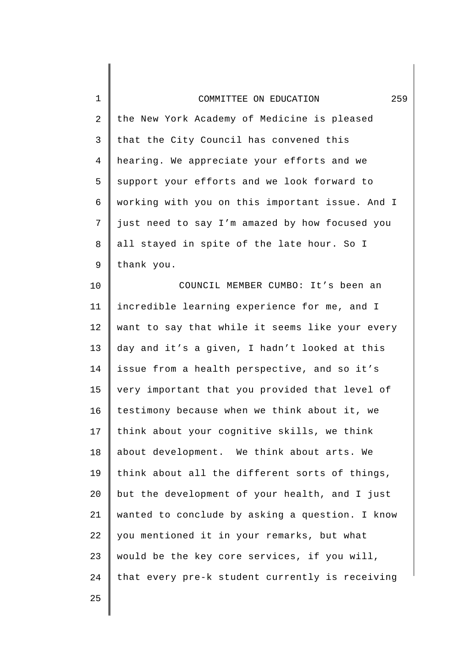| $\mathbf 1$    | 259<br>COMMITTEE ON EDUCATION                   |
|----------------|-------------------------------------------------|
| $\overline{2}$ | the New York Academy of Medicine is pleased     |
| $\mathsf{3}$   | that the City Council has convened this         |
| $\overline{4}$ | hearing. We appreciate your efforts and we      |
| 5              | support your efforts and we look forward to     |
| 6              | working with you on this important issue. And I |
| 7              | just need to say I'm amazed by how focused you  |
| 8              | all stayed in spite of the late hour. So I      |
| $\mathsf 9$    | thank you.                                      |
| 10             | COUNCIL MEMBER CUMBO: It's been an              |
| 11             | incredible learning experience for me, and I    |
| 12             | want to say that while it seems like your every |
| 13             | day and it's a given, I hadn't looked at this   |
| 14             | issue from a health perspective, and so it's    |
| 15             | very important that you provided that level of  |
| 16             | testimony because when we think about it, we    |
| 17             | think about your cognitive skills, we think     |
| 18             | about development. We think about arts. We      |
| 19             | think about all the different sorts of things,  |
| 20             | but the development of your health, and I just  |
| 21             | wanted to conclude by asking a question. I know |
| 22             | you mentioned it in your remarks, but what      |
| 23             | would be the key core services, if you will,    |
| 24             | that every pre-k student currently is receiving |
| 25             |                                                 |
|                |                                                 |

25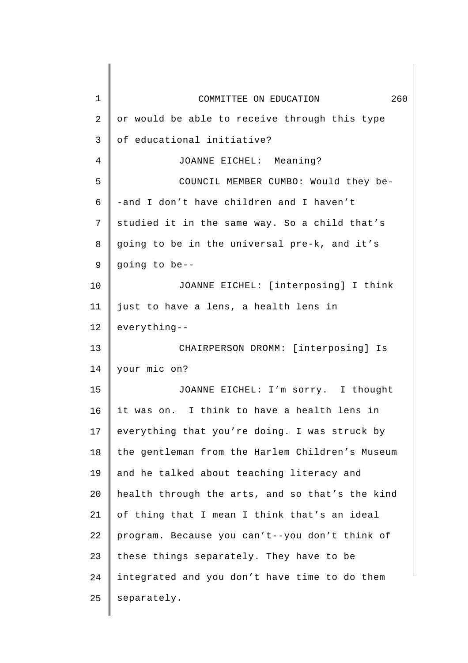| $\mathbf 1$    | 260                                             |
|----------------|-------------------------------------------------|
|                | COMMITTEE ON EDUCATION                          |
| $\overline{a}$ | or would be able to receive through this type   |
| 3              | of educational initiative?                      |
| 4              | JOANNE EICHEL: Meaning?                         |
| 5              | COUNCIL MEMBER CUMBO: Would they be-            |
| 6              | -and I don't have children and I haven't        |
| 7              | studied it in the same way. So a child that's   |
| 8              | going to be in the universal pre-k, and it's    |
| 9              | going to be--                                   |
| 10             | JOANNE EICHEL: [interposing] I think            |
| 11             | just to have a lens, a health lens in           |
| 12             | everything--                                    |
| 13             | CHAIRPERSON DROMM: [interposing] Is             |
| 14             | your mic on?                                    |
| 15             | JOANNE EICHEL: I'm sorry. I thought             |
| 16             | it was on. I think to have a health lens in     |
| 17             | everything that you're doing. I was struck by   |
| 18             | the gentleman from the Harlem Children's Museum |
| 19             | and he talked about teaching literacy and       |
| 20             | health through the arts, and so that's the kind |
| 21             | of thing that I mean I think that's an ideal    |
| 22             | program. Because you can't--you don't think of  |
| 23             | these things separately. They have to be        |
| 24             | integrated and you don't have time to do them   |
| 25             | separately.                                     |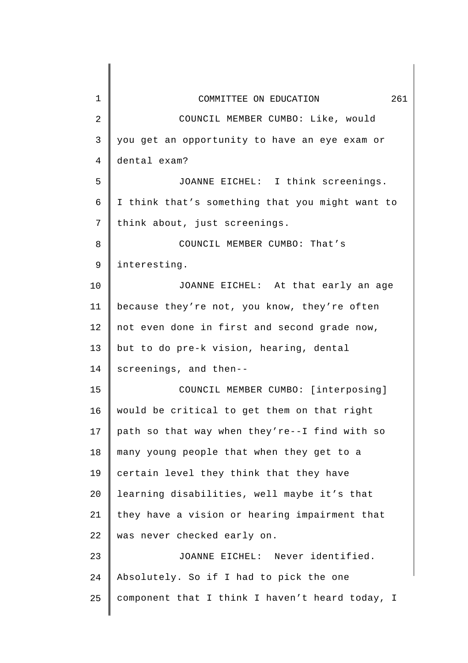| $\mathbf 1$    | 261<br>COMMITTEE ON EDUCATION                   |
|----------------|-------------------------------------------------|
| $\sqrt{2}$     | COUNCIL MEMBER CUMBO: Like, would               |
| $\mathsf{3}$   | you get an opportunity to have an eye exam or   |
| 4              | dental exam?                                    |
| 5              | JOANNE EICHEL: I think screenings.              |
| 6              | I think that's something that you might want to |
| $\overline{7}$ | think about, just screenings.                   |
| 8              | COUNCIL MEMBER CUMBO: That's                    |
| 9              | interesting.                                    |
| 10             | JOANNE EICHEL: At that early an age             |
| 11             | because they're not, you know, they're often    |
| 12             | not even done in first and second grade now,    |
| 13             | but to do pre-k vision, hearing, dental         |
| 14             | screenings, and then--                          |
| 15             | COUNCIL MEMBER CUMBO: [interposing]             |
| 16             | would be critical to get them on that right     |
| 17             | path so that way when they're--I find with so   |
| 18             | many young people that when they get to a       |
| 19             | certain level they think that they have         |
| 20             | learning disabilities, well maybe it's that     |
| 21             | they have a vision or hearing impairment that   |
| 22             | was never checked early on.                     |
| 23             | JOANNE EICHEL: Never identified.                |
| 24             | Absolutely. So if I had to pick the one         |
| 25             | component that I think I haven't heard today, I |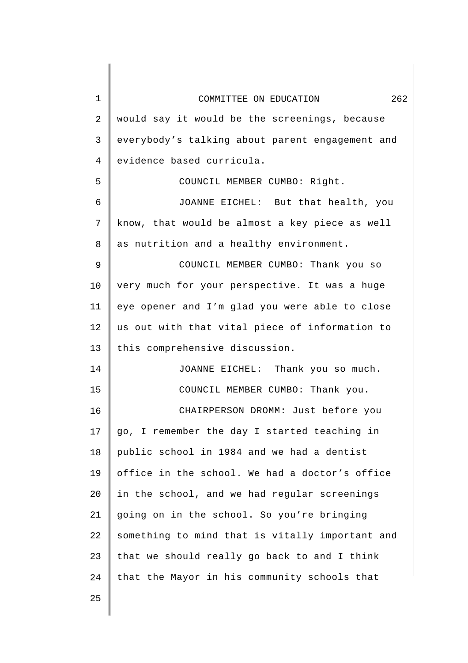| $\mathbf 1$    | 262<br>COMMITTEE ON EDUCATION                   |
|----------------|-------------------------------------------------|
| $\overline{2}$ | would say it would be the screenings, because   |
| $\mathsf{3}$   | everybody's talking about parent engagement and |
| $\overline{4}$ | evidence based curricula.                       |
| 5              | COUNCIL MEMBER CUMBO: Right.                    |
| 6              | JOANNE EICHEL: But that health, you             |
| 7              | know, that would be almost a key piece as well  |
| 8              | as nutrition and a healthy environment.         |
| 9              | COUNCIL MEMBER CUMBO: Thank you so              |
| 10             | very much for your perspective. It was a huge   |
| 11             | eye opener and I'm glad you were able to close  |
| 12             | us out with that vital piece of information to  |
| 13             | this comprehensive discussion.                  |
| 14             | JOANNE EICHEL: Thank you so much.               |
| 15             | COUNCIL MEMBER CUMBO: Thank you.                |
| 16             | CHAIRPERSON DROMM: Just before you              |
| 17             | go, I remember the day I started teaching in    |
| 18             | public school in 1984 and we had a dentist      |
| 19             | office in the school. We had a doctor's office  |
| 20             | in the school, and we had regular screenings    |
| 21             | going on in the school. So you're bringing      |
| 22             | something to mind that is vitally important and |
| 23             | that we should really go back to and I think    |
| 24             | that the Mayor in his community schools that    |
| 25             |                                                 |
|                |                                                 |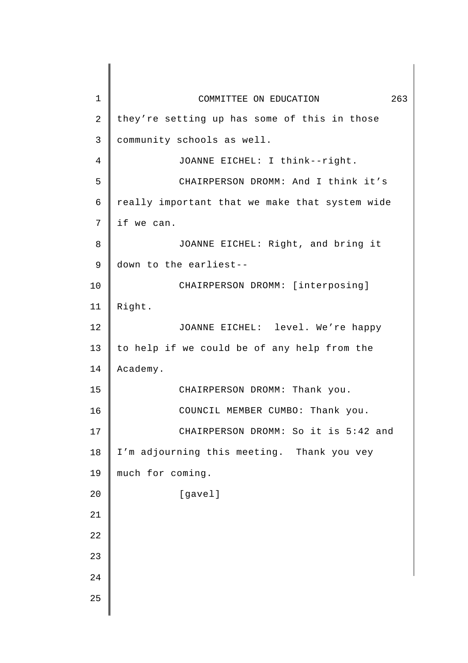| $\mathbf 1$    | 263<br>COMMITTEE ON EDUCATION                  |
|----------------|------------------------------------------------|
| $\overline{2}$ | they're setting up has some of this in those   |
| $\mathsf{3}$   | community schools as well.                     |
| $\overline{4}$ | JOANNE EICHEL: I think--right.                 |
| 5              | CHAIRPERSON DROMM: And I think it's            |
| 6              | really important that we make that system wide |
| 7              | if we can.                                     |
| 8              | JOANNE EICHEL: Right, and bring it             |
| 9              | down to the earliest--                         |
| 10             | CHAIRPERSON DROMM: [interposing]               |
| 11             | Right.                                         |
| 12             | JOANNE EICHEL: level. We're happy              |
| 13             | to help if we could be of any help from the    |
| 14             | Academy.                                       |
| 15             | CHAIRPERSON DROMM: Thank you.                  |
| 16             | COUNCIL MEMBER CUMBO: Thank you.               |
| 17             | CHAIRPERSON DROMM: So it is 5:42 and           |
| 18             | I'm adjourning this meeting. Thank you vey     |
| 19             | much for coming.                               |
| 20             | [gavel]                                        |
| 21             |                                                |
| 22             |                                                |
| 23             |                                                |
| 24             |                                                |
| 25             |                                                |
|                |                                                |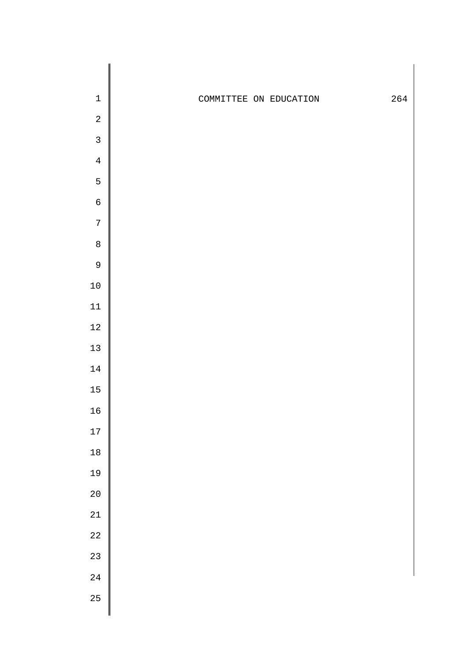| $\mathbf 1$                      |  | COMMITTEE ON EDUCATION | 264 |
|----------------------------------|--|------------------------|-----|
| $\sqrt{2}$                       |  |                        |     |
| $\overline{3}$                   |  |                        |     |
| $\bf 4$                          |  |                        |     |
| 5                                |  |                        |     |
| $\boldsymbol{6}$                 |  |                        |     |
| $\sqrt{ }$                       |  |                        |     |
| $\begin{array}{c} 8 \end{array}$ |  |                        |     |
| $\mathsf{S}$                     |  |                        |     |
| $10\,$                           |  |                        |     |
| $11\,$                           |  |                        |     |
| $12\,$                           |  |                        |     |
| $13\,$                           |  |                        |     |
| $14\,$                           |  |                        |     |
| $15\,$                           |  |                        |     |
| 16                               |  |                        |     |
| $17\,$                           |  |                        |     |
| $18\,$                           |  |                        |     |
| 19                               |  |                        |     |
| 20                               |  |                        |     |
| $21\,$                           |  |                        |     |
| $\overline{22}$                  |  |                        |     |
| 23                               |  |                        |     |
| 24                               |  |                        |     |
| 25                               |  |                        |     |
|                                  |  |                        |     |